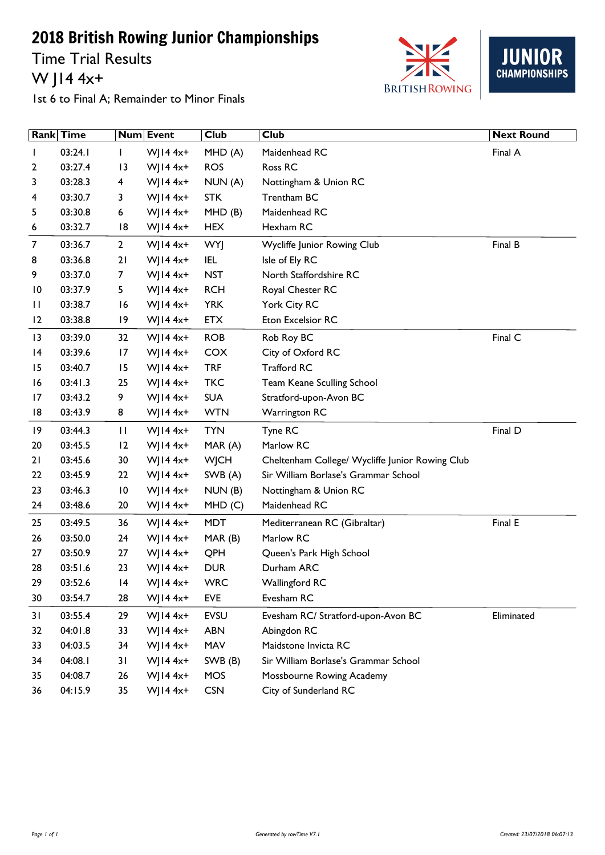Time Trial Results W J14 4x+





1st 6 to Final A; Remainder to Minor Finals

|    | Rank Time |                 | Num Event      | Club        | Club                                            | <b>Next Round</b> |
|----|-----------|-----------------|----------------|-------------|-------------------------------------------------|-------------------|
|    | 03:24.1   |                 | $W$ JI4 4x+    | MHD (A)     | Maidenhead RC                                   | Final A           |
| 2  | 03:27.4   | 13              | WJ14 $4x+$     | <b>ROS</b>  | Ross RC                                         |                   |
| 3  | 03:28.3   | 4               | $W$ JI4 4x+    | NUN (A)     | Nottingham & Union RC                           |                   |
| 4  | 03:30.7   | 3               | WJ14 $4x+$     | <b>STK</b>  | Trentham BC                                     |                   |
| 5  | 03:30.8   | 6               | WJ14 $4x+$     | MHD(B)      | Maidenhead RC                                   |                   |
| 6  | 03:32.7   | 18              | WJ14 $4x+$     | <b>HEX</b>  | Hexham RC                                       |                   |
| 7  | 03:36.7   | $\overline{2}$  | WJ14 $4x+$     | <b>WYJ</b>  | Wycliffe Junior Rowing Club                     | Final B           |
| 8  | 03:36.8   | 21              | W  $144x+$     | <b>IEL</b>  | Isle of Ely RC                                  |                   |
| 9  | 03:37.0   | 7               | WJ14 $4x+$     | <b>NST</b>  | North Staffordshire RC                          |                   |
| 10 | 03:37.9   | 5               | $W$ JI4 4x+    | <b>RCH</b>  | Royal Chester RC                                |                   |
| П  | 03:38.7   | 16              | WJ14 $4x+$     | <b>YRK</b>  | York City RC                                    |                   |
| 12 | 03:38.8   | 19              | WJ14 $4x+$     | <b>ETX</b>  | Eton Excelsior RC                               |                   |
| 3  | 03:39.0   | 32              | WJ14 $4x+$     | <b>ROB</b>  | Rob Roy BC                                      | Final C           |
| 4  | 03:39.6   | 17              | W  $144x+$     | COX         | City of Oxford RC                               |                   |
| 15 | 03:40.7   | 15              | W  $144x+$     | <b>TRF</b>  | <b>Trafford RC</b>                              |                   |
| 16 | 03:41.3   | 25              | $W$ JI4 4x+    | <b>TKC</b>  | Team Keane Sculling School                      |                   |
| 17 | 03:43.2   | 9               | WJ14 $4x+$     | <b>SUA</b>  | Stratford-upon-Avon BC                          |                   |
| 18 | 03:43.9   | 8               | $W$ JI4 4x+    | <b>WTN</b>  | <b>Warrington RC</b>                            |                   |
| 19 | 03:44.3   | П               | WJ14 $4x+$     | <b>TYN</b>  | Tyne RC                                         | Final D           |
| 20 | 03:45.5   | 12              | WJ14 $4x+$     | MAR (A)     | Marlow RC                                       |                   |
| 21 | 03:45.6   | 30              | WJ14 $4x+$     | <b>WJCH</b> | Cheltenham College/ Wycliffe Junior Rowing Club |                   |
| 22 | 03:45.9   | 22              | WJ14 $4x+$     | SWB (A)     | Sir William Borlase's Grammar School            |                   |
| 23 | 03:46.3   | $\overline{10}$ | WJ14 $4x+$     | NUM(B)      | Nottingham & Union RC                           |                   |
| 24 | 03:48.6   | 20              | WJ14 $4x+$     | MHD(C)      | Maidenhead RC                                   |                   |
| 25 | 03:49.5   | 36              | WJ14 $4x+$     | <b>MDT</b>  | Mediterranean RC (Gibraltar)                    | Final E           |
| 26 | 03:50.0   | 24              | WJ14 $4x+$     | MAR(B)      | Marlow RC                                       |                   |
| 27 | 03:50.9   | 27              | WJ14 $4x+$     | QPH         | Queen's Park High School                        |                   |
| 28 | 03:51.6   | 23              | WJ14 $4x+$     | <b>DUR</b>  | Durham ARC                                      |                   |
| 29 | 03:52.6   | 4               | WJ14 $4x+$     | <b>WRC</b>  | Wallingford RC                                  |                   |
| 30 | 03:54.7   | 28              | $W$ ] $14 4x+$ | EVE         | Evesham RC                                      |                   |
| 31 | 03:55.4   | 29              | W  $144x+$     | <b>EVSU</b> | Evesham RC/ Stratford-upon-Avon BC              | Eliminated        |
| 32 | 04:01.8   | 33              | $W$ JI4 4x+    | <b>ABN</b>  | Abingdon RC                                     |                   |
| 33 | 04:03.5   | 34              | $WJ14 4x+$     | MAV         | Maidstone Invicta RC                            |                   |
| 34 | 04:08.1   | 31              | $W$ JI4 4x+    | SWB (B)     | Sir William Borlase's Grammar School            |                   |
| 35 | 04:08.7   | 26              | $W$ JI4 4x+    | <b>MOS</b>  | Mossbourne Rowing Academy                       |                   |
| 36 | 04:15.9   | 35              | $W$ JI4 4x+    | <b>CSN</b>  | City of Sunderland RC                           |                   |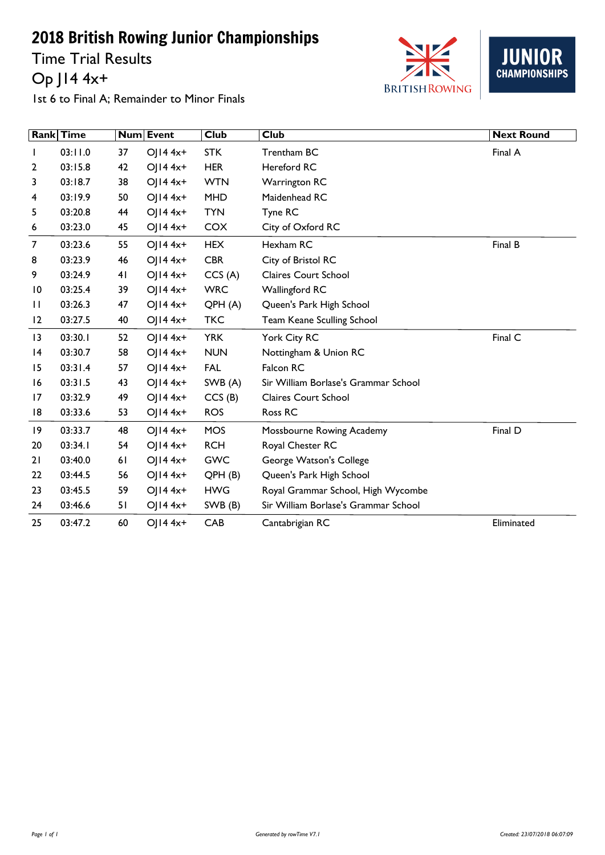Time Trial Results Op J14 4x+





1st 6 to Final A; Remainder to Minor Finals

|                 | Rank Time |    | Num Event               | <b>Club</b> | <b>Club</b>                          | <b>Next Round</b> |
|-----------------|-----------|----|-------------------------|-------------|--------------------------------------|-------------------|
| L               | 03:11.0   | 37 | $O  4 4x+$              | <b>STK</b>  | Trentham BC                          | Final A           |
| 2               | 03:15.8   | 42 | OJ14 4x+                | <b>HER</b>  | <b>Hereford RC</b>                   |                   |
| 3               | 03:18.7   | 38 | $O  4 4x+$              | <b>WTN</b>  | <b>Warrington RC</b>                 |                   |
| 4               | 03:19.9   | 50 | $O  4 4x+$              | <b>MHD</b>  | Maidenhead RC                        |                   |
| 5               | 03:20.8   | 44 | $OJI44x+$               | <b>TYN</b>  | Tyne RC                              |                   |
| 6               | 03:23.0   | 45 | OJ $14$ 4x <sup>+</sup> | <b>COX</b>  | City of Oxford RC                    |                   |
| $\overline{7}$  | 03:23.6   | 55 | $O  4 4x+$              | <b>HEX</b>  | Hexham RC                            | Final B           |
| 8               | 03:23.9   | 46 | OJ14 4x+                | <b>CBR</b>  | City of Bristol RC                   |                   |
| 9               | 03:24.9   | 41 | $OJI44x+$               | CCS(A)      | <b>Claires Court School</b>          |                   |
| 10              | 03:25.4   | 39 | $O  4 4x+$              | <b>WRC</b>  | Wallingford RC                       |                   |
| П               | 03:26.3   | 47 | OJ $14$ 4x <sup>+</sup> | QPH(A)      | Queen's Park High School             |                   |
| 12              | 03:27.5   | 40 | OJ $14$ 4x <sup>+</sup> | <b>TKC</b>  | Team Keane Sculling School           |                   |
| 13              | 03:30.1   | 52 | $O  4 4x+$              | <b>YRK</b>  | York City RC                         | Final C           |
| $\overline{14}$ | 03:30.7   | 58 | $OJI44x+$               | <b>NUN</b>  | Nottingham & Union RC                |                   |
| 15              | 03:31.4   | 57 | $O  4 4x+$              | <b>FAL</b>  | Falcon RC                            |                   |
| 16              | 03:31.5   | 43 | $O  4 4x+$              | SWB (A)     | Sir William Borlase's Grammar School |                   |
| 17              | 03:32.9   | 49 | $O  4 4x+$              | CCS(B)      | <b>Claires Court School</b>          |                   |
| 18              | 03:33.6   | 53 | $OJI44x+$               | <b>ROS</b>  | Ross RC                              |                   |
| 9               | 03:33.7   | 48 | OJ14 4x+                | <b>MOS</b>  | Mossbourne Rowing Academy            | Final D           |
| 20              | 03:34.1   | 54 | OJ $14$ 4x <sup>+</sup> | <b>RCH</b>  | Royal Chester RC                     |                   |
| 21              | 03:40.0   | 61 | $O  4 4x+$              | <b>GWC</b>  | George Watson's College              |                   |
| 22              | 03:44.5   | 56 | OJ $14$ 4x <sup>+</sup> | QPH(B)      | Queen's Park High School             |                   |
| 23              | 03:45.5   | 59 | $O  4 4x+$              | <b>HWG</b>  | Royal Grammar School, High Wycombe   |                   |
| 24              | 03:46.6   | 51 | OJ $14$ 4x <sup>+</sup> | SWB (B)     | Sir William Borlase's Grammar School |                   |
| 25              | 03:47.2   | 60 | $OJI44x+$               | CAB         | Cantabrigian RC                      | Eliminated        |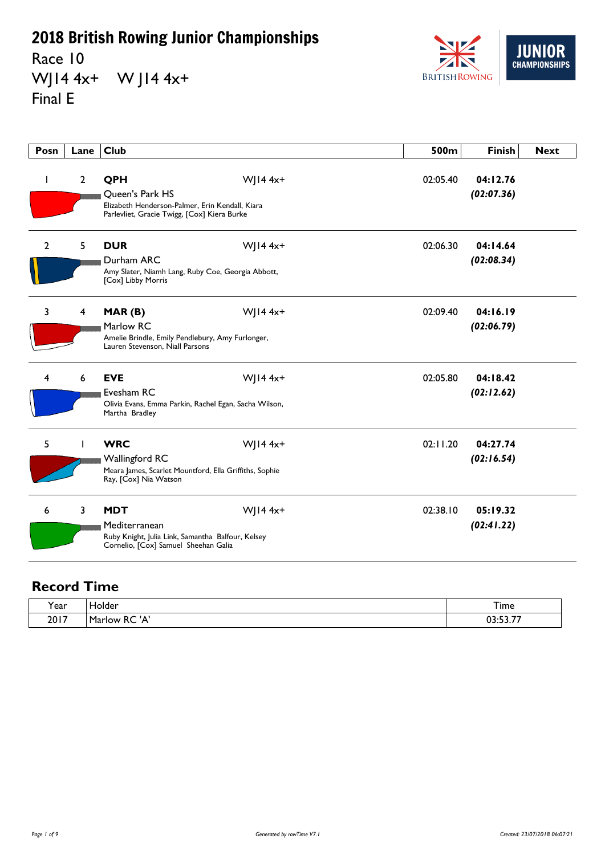Race 10 WJ14 4x+ W J14 4x+ Final E



| Posn           | Lane           | <b>Club</b>                                                                                                              |              | 500m     | <b>Finish</b>          | <b>Next</b> |
|----------------|----------------|--------------------------------------------------------------------------------------------------------------------------|--------------|----------|------------------------|-------------|
| J.             | $\overline{2}$ | QPH<br>Queen's Park HS<br>Elizabeth Henderson-Palmer, Erin Kendall, Kiara<br>Parlevliet, Gracie Twigg, [Cox] Kiera Burke | $W$   14 4x+ | 02:05.40 | 04:12.76<br>(02:07.36) |             |
| $\overline{2}$ | 5              | <b>DUR</b><br>Durham ARC<br>Amy Slater, Niamh Lang, Ruby Coe, Georgia Abbott,<br>[Cox] Libby Morris                      | $W$   14 4x+ | 02:06.30 | 04:14.64<br>(02:08.34) |             |
| 3              | 4              | MAR(B)<br>Marlow RC<br>Amelie Brindle, Emily Pendlebury, Amy Furlonger,<br>Lauren Stevenson, Niall Parsons               | $W$   14 4x+ | 02:09.40 | 04:16.19<br>(02:06.79) |             |
| 4              | 6              | <b>EVE</b><br>Evesham RC<br>Olivia Evans, Emma Parkin, Rachel Egan, Sacha Wilson,<br>Martha Bradley                      | $W$   14 4x+ | 02:05.80 | 04:18.42<br>(02:12.62) |             |
| 5              |                | <b>WRC</b><br>Wallingford RC<br>Meara James, Scarlet Mountford, Ella Griffiths, Sophie<br>Ray, [Cox] Nia Watson          | $W$   14 4x+ | 02:11.20 | 04:27.74<br>(02:16.54) |             |
| 6              | 3              | <b>MDT</b><br>Mediterranean<br>Ruby Knight, Julia Link, Samantha Balfour, Kelsey<br>Cornelio, [Cox] Samuel Sheehan Galia | $W$   14 4x+ | 02:38.10 | 05:19.32<br>(02:41.22) |             |

| <b>r</b> ear | Holder<br>. .              | i ime         |
|--------------|----------------------------|---------------|
| 2017         | ۱A<br>Marlow<br>n v<br>ld. | $- - -$<br>~~ |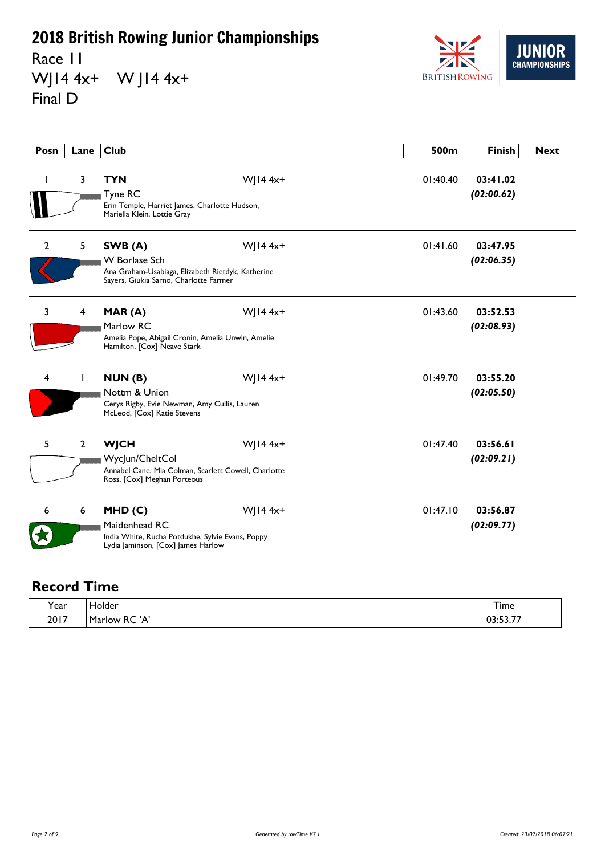Race 11 WJ14 4x+ W J14 4x+ Final D



| Posn           | Lane         | <b>Club</b>                                                                                                                    |              | 500m     | <b>Finish</b>          | <b>Next</b> |
|----------------|--------------|--------------------------------------------------------------------------------------------------------------------------------|--------------|----------|------------------------|-------------|
|                | 3            | <b>TYN</b><br>Tyne RC<br>Erin Temple, Harriet James, Charlotte Hudson,<br>Mariella Klein, Lottie Gray                          | $W$   14 4x+ | 01:40.40 | 03:41.02<br>(02:00.62) |             |
| $\overline{2}$ | 5            | SWB (A)<br><b>W</b> Borlase Sch<br>Ana Graham-Usabiaga, Elizabeth Rietdyk, Katherine<br>Sayers, Giukia Sarno, Charlotte Farmer | WJ14 $4x+$   | 01:41.60 | 03:47.95<br>(02:06.35) |             |
| 3              | 4            | MAR(A)<br>Marlow RC<br>Amelia Pope, Abigail Cronin, Amelia Unwin, Amelie<br>Hamilton, [Cox] Neave Stark                        | WJ14 $4x+$   | 01:43.60 | 03:52.53<br>(02:08.93) |             |
| 4              | L            | NUN(B)<br>Nottm & Union<br>Cerys Rigby, Evie Newman, Amy Cullis, Lauren<br>McLeod, [Cox] Katie Stevens                         | $W$   14 4x+ | 01:49.70 | 03:55.20<br>(02:05.50) |             |
| 5              | $\mathbf{2}$ | <b>WJCH</b><br>WycJun/CheltCol<br>Annabel Cane, Mia Colman, Scarlett Cowell, Charlotte<br>Ross, [Cox] Meghan Porteous          | $W$   14 4x+ | 01:47.40 | 03:56.61<br>(02:09.21) |             |
| 6              | 6            | MHD(C)<br>Maidenhead RC<br>India White, Rucha Potdukhe, Sylvie Evans, Poppy<br>Lydia Jaminson, [Cox] James Harlow              | $W$   14 4x+ | 01:47.10 | 03:56.87<br>(02:09.77) |             |

| Year | Holder                                | I ime             |
|------|---------------------------------------|-------------------|
| 2017 | '<br>Marlow<br>D <sub>C</sub><br>'NU. | $- - -$<br>$\sim$ |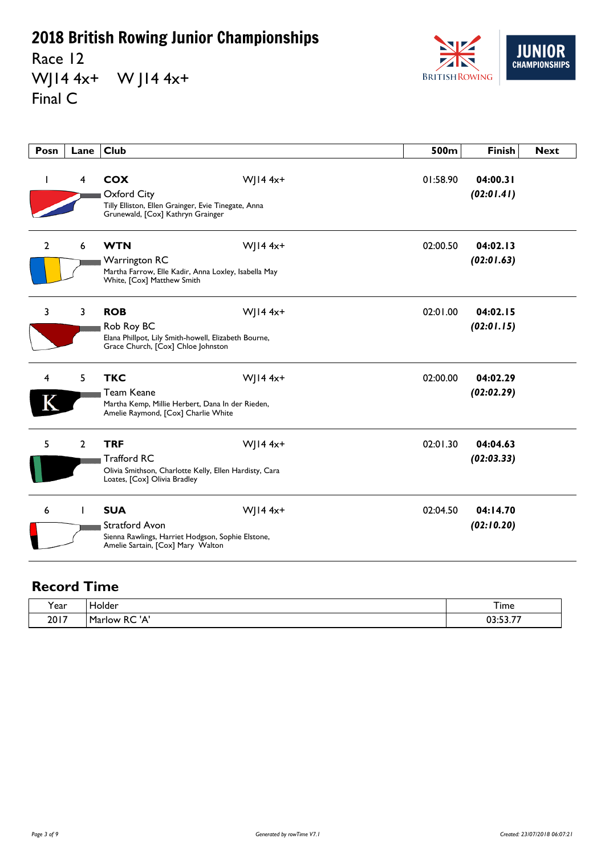Race 12 WJ14 4x+ W J14 4x+ Final C



| Posn           | Lane           | <b>Club</b>                                                                                                                |              | 500m     | <b>Finish</b>          | <b>Next</b> |
|----------------|----------------|----------------------------------------------------------------------------------------------------------------------------|--------------|----------|------------------------|-------------|
| L              | 4              | <b>COX</b><br>Oxford City<br>Tilly Elliston, Ellen Grainger, Evie Tinegate, Anna<br>Grunewald, [Cox] Kathryn Grainger      | $W$ JI4 4x+  | 01:58.90 | 04:00.31<br>(02:01.41) |             |
| $\overline{2}$ | 6              | <b>WTN</b><br><b>Warrington RC</b><br>Martha Farrow, Elle Kadir, Anna Loxley, Isabella May<br>White, [Cox] Matthew Smith   | $W$ JI4 4x+  | 02:00.50 | 04:02.13<br>(02:01.63) |             |
| 3              | 3              | <b>ROB</b><br>Rob Roy BC<br>Elana Phillpot, Lily Smith-howell, Elizabeth Bourne,<br>Grace Church, [Cox] Chloe Johnston     | $W$   14 4x+ | 02:01.00 | 04:02.15<br>(02:01.15) |             |
| 4              | 5              | <b>TKC</b><br>Team Keane<br>Martha Kemp, Millie Herbert, Dana In der Rieden,<br>Amelie Raymond, [Cox] Charlie White        | $W$   14 4x+ | 02:00.00 | 04:02.29<br>(02:02.29) |             |
| 5              | $\overline{2}$ | <b>TRF</b><br><b>Trafford RC</b><br>Olivia Smithson, Charlotte Kelly, Ellen Hardisty, Cara<br>Loates, [Cox] Olivia Bradley | $W$ JI4 4x+  | 02:01.30 | 04:04.63<br>(02:03.33) |             |
| 6              |                | <b>SUA</b><br>Stratford Avon<br>Sienna Rawlings, Harriet Hodgson, Sophie Elstone,<br>Amelie Sartain, [Cox] Mary Walton     | $W$   14 4x+ | 02:04.50 | 04:14.70<br>(02:10.20) |             |

| <b>r</b> ear | Holder<br>. .              | i ime         |
|--------------|----------------------------|---------------|
| 2017         | ۱A<br>Marlow<br>n v<br>ld. | $- - -$<br>~~ |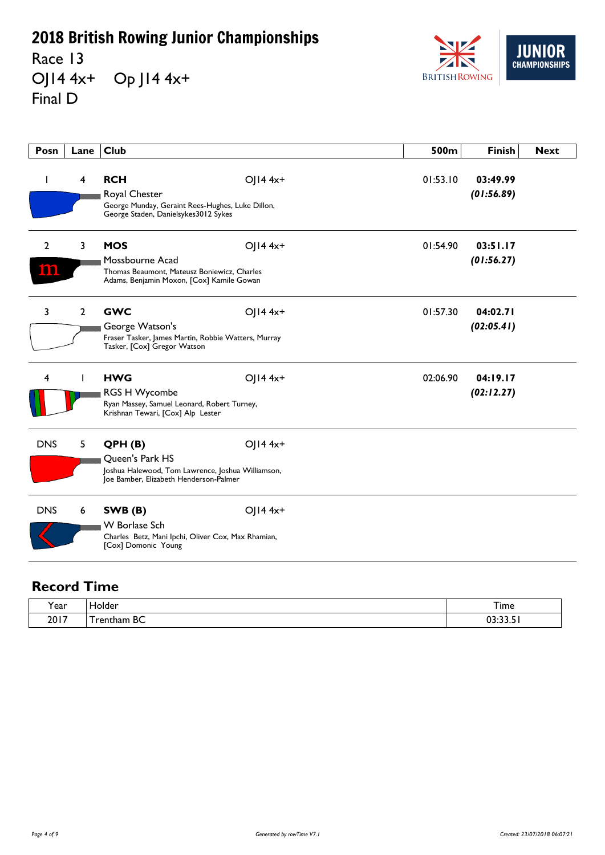Race 13 OJ14 4x+ Op J14 4x+ Final D



| Posn                  | Lane           | Club                                                                                                                      |              | 500m     | <b>Finish</b>          | <b>Next</b> |
|-----------------------|----------------|---------------------------------------------------------------------------------------------------------------------------|--------------|----------|------------------------|-------------|
|                       | $\overline{4}$ | <b>RCH</b><br>Royal Chester<br>George Munday, Geraint Rees-Hughes, Luke Dillon,<br>George Staden, Danielsykes3012 Sykes   | $OJI44x+$    | 01:53.10 | 03:49.99<br>(01:56.89) |             |
| $\overline{2}$<br>המו | 3              | <b>MOS</b><br>Mossbourne Acad<br>Thomas Beaumont, Mateusz Boniewicz, Charles<br>Adams, Benjamin Moxon, [Cox] Kamile Gowan | $O$ JI4 4x+  | 01:54.90 | 03:51.17<br>(01:56.27) |             |
| 3                     | $\overline{2}$ | <b>GWC</b><br>George Watson's<br>Fraser Tasker, James Martin, Robbie Watters, Murray<br>Tasker, [Cox] Gregor Watson       | $O$ JI4 4x+  | 01:57.30 | 04:02.71<br>(02:05.41) |             |
| 4                     |                | <b>HWG</b><br><b>RGS H Wycombe</b><br>Ryan Massey, Samuel Leonard, Robert Turney,<br>Krishnan Tewari, [Cox] Alp Lester    | $OJI44x+$    | 02:06.90 | 04:19.17<br>(02:12.27) |             |
| <b>DNS</b>            | 5              | QPH(B)<br>Queen's Park HS<br>Joshua Halewood, Tom Lawrence, Joshua Williamson,<br>Joe Bamber, Elizabeth Henderson-Palmer  | $O$   14 4x+ |          |                        |             |
| <b>DNS</b>            | 6              | SWB(B)<br><b>W</b> Borlase Sch<br>Charles Betz, Mani Ipchi, Oliver Cox, Max Rhamian,<br>[Cox] Domonic Young               | $OJI44x+$    |          |                        |             |

| í ear | Holder          | Time  |
|-------|-----------------|-------|
| 2017  | BC<br>' rentham | 22222 |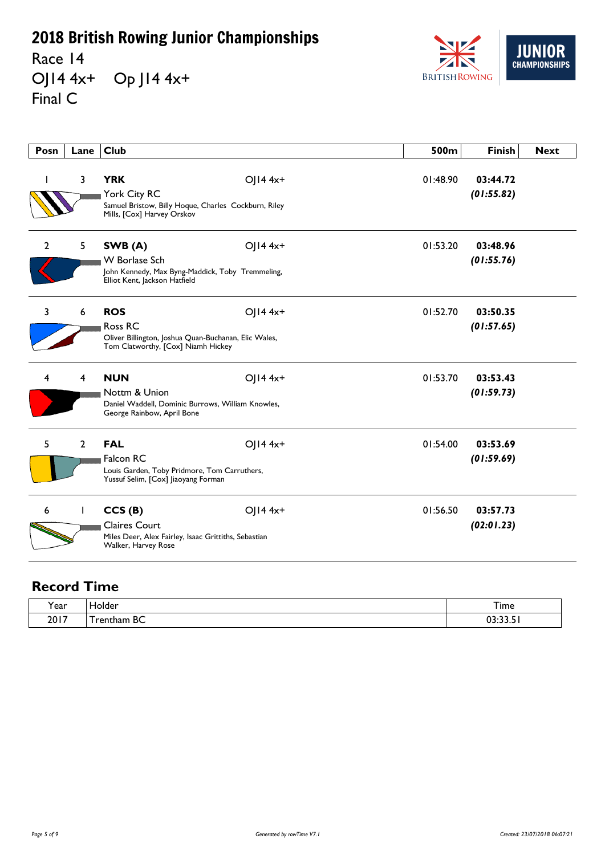Race 14 OJ14 4x+ Op J14 4x+ Final C



| Posn           | Lane           | <b>Club</b>                                                                                                          |              | 500m     | <b>Finish</b>          | <b>Next</b> |
|----------------|----------------|----------------------------------------------------------------------------------------------------------------------|--------------|----------|------------------------|-------------|
|                | 3              | <b>YRK</b><br>York City RC<br>Samuel Bristow, Billy Hoque, Charles Cockburn, Riley<br>Mills, [Cox] Harvey Orskov     | $OJI44x+$    | 01:48.90 | 03:44.72<br>(01:55.82) |             |
| $\overline{2}$ | 5 <sub>1</sub> | SWB (A)<br><b>W</b> Borlase Sch<br>John Kennedy, Max Byng-Maddick, Toby Tremmeling,<br>Elliot Kent, Jackson Hatfield | $O$   14 4x+ | 01:53.20 | 03:48.96<br>(01:55.76) |             |
| 3              | 6              | <b>ROS</b><br>Ross RC<br>Oliver Billington, Joshua Quan-Buchanan, Elic Wales,<br>Tom Clatworthy, [Cox] Niamh Hickey  | $O$   14 4x+ | 01:52.70 | 03:50.35<br>(01:57.65) |             |
| 4              | 4              | <b>NUN</b><br>Nottm & Union<br>Daniel Waddell, Dominic Burrows, William Knowles,<br>George Rainbow, April Bone       | OJ14 4x+     | 01:53.70 | 03:53.43<br>(01:59.73) |             |
| 5              | $\overline{2}$ | <b>FAL</b><br>Falcon RC<br>Louis Garden, Toby Pridmore, Tom Carruthers,<br>Yussuf Selim, [Cox] liaoyang Forman       | $O$   14 4x+ | 01:54.00 | 03:53.69<br>(01:59.69) |             |
| 6              | L              | CCS(B)<br><b>Claires Court</b><br>Miles Deer, Alex Fairley, Isaac Grittiths, Sebastian<br>Walker, Harvey Rose        | $O$   14 4x+ | 01:56.50 | 03:57.73<br>(02:01.23) |             |

| í ear | Holder          | Time  |
|-------|-----------------|-------|
| 2017  | BC<br>' rentham | 22222 |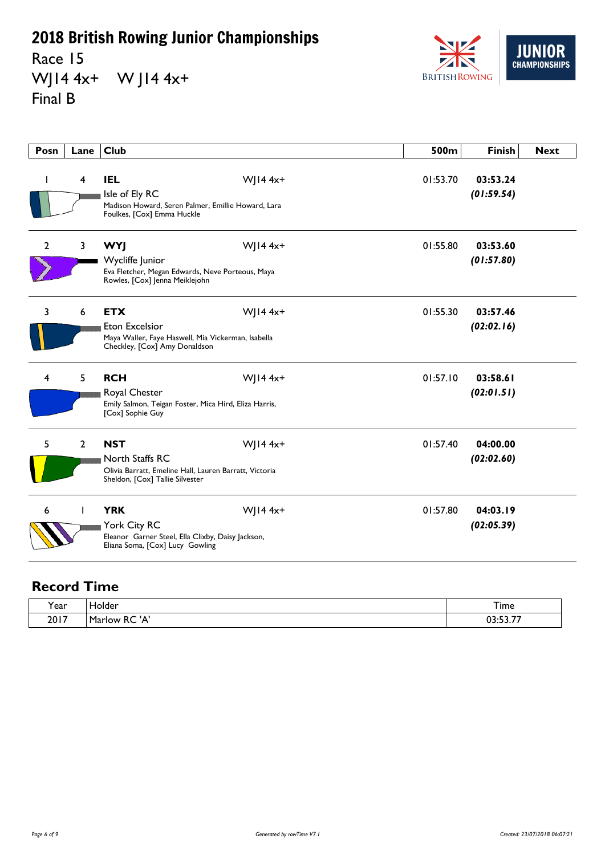Race 15 WJ14 4x+ W J14 4x+ Final B



| Posn         | Lane           | <b>Club</b>                                                                                                                |              | 500m     | <b>Finish</b>          | <b>Next</b> |
|--------------|----------------|----------------------------------------------------------------------------------------------------------------------------|--------------|----------|------------------------|-------------|
| ı            | 4              | <b>IEL</b><br>Isle of Ely RC<br>Madison Howard, Seren Palmer, Emillie Howard, Lara<br>Foulkes, [Cox] Emma Huckle           | $W$ JI4 4x+  | 01:53.70 | 03:53.24<br>(01:59.54) |             |
| $\mathbf{2}$ | 3              | <b>WYJ</b><br>Wycliffe Junior<br>Eva Fletcher, Megan Edwards, Neve Porteous, Maya<br>Rowles, [Cox] Jenna Meiklejohn        | $W$   14 4x+ | 01:55.80 | 03:53.60<br>(01:57.80) |             |
| 3            | 6              | <b>ETX</b><br><b>Eton Excelsior</b><br>Maya Waller, Faye Haswell, Mia Vickerman, Isabella<br>Checkley, [Cox] Amy Donaldson | $W$ ] 14 4x+ | 01:55.30 | 03:57.46<br>(02:02.16) |             |
| 4            | 5              | <b>RCH</b><br>Royal Chester<br>Emily Salmon, Teigan Foster, Mica Hird, Eliza Harris,<br>[Cox] Sophie Guy                   | $W$ ] 14 4x+ | 01:57.10 | 03:58.61<br>(02:01.51) |             |
| 5            | $\overline{2}$ | <b>NST</b><br>North Staffs RC<br>Olivia Barratt, Emeline Hall, Lauren Barratt, Victoria<br>Sheldon, [Cox] Tallie Silvester | $W$   14 4x+ | 01:57.40 | 04:00.00<br>(02:02.60) |             |
| 6            |                | <b>YRK</b><br>York City RC<br>Eleanor Garner Steel, Ella Clixby, Daisy Jackson,<br>Eliana Soma, [Cox] Lucy Gowling         | $W$ ] 14 4x+ | 01:57.80 | 04:03.19<br>(02:05.39) |             |

| rear) | Holder<br>__                               | <u>. т</u><br>I ime    |
|-------|--------------------------------------------|------------------------|
| 2017  | ۰A<br>$D^{\prime}$<br>Marlow<br>n v<br>ld. | $- - -$<br>$\sim$<br>. |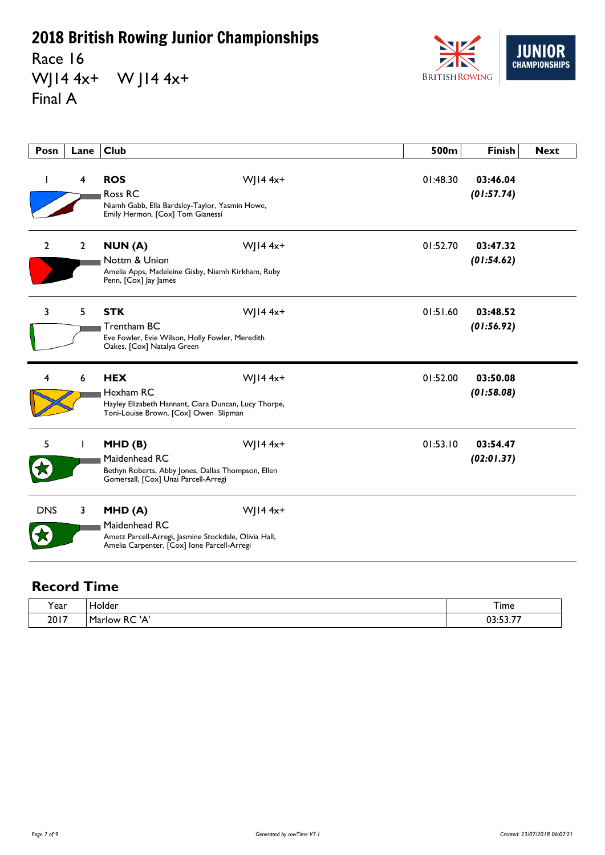Race 16 WJ14 4x+ W J14 4x+ Final A



| Posn           | Lane           | <b>Club</b>                                                                                                                     |              | 500m     | <b>Finish</b>          | <b>Next</b> |
|----------------|----------------|---------------------------------------------------------------------------------------------------------------------------------|--------------|----------|------------------------|-------------|
|                | 4              | <b>ROS</b><br>Ross RC<br>Niamh Gabb, Ella Bardsley-Taylor, Yasmin Howe,<br>Emily Hermon, [Cox] Tom Gianessi                     | $W$ JI4 4x+  | 01:48.30 | 03:46.04<br>(01:57.74) |             |
| $\overline{2}$ | $\overline{2}$ | NUN(A)<br>Nottm & Union<br>Amelia Apps, Madeleine Gisby, Niamh Kirkham, Ruby<br>Penn, [Cox] Jay James                           | $W$ ] 14 4x+ | 01:52.70 | 03:47.32<br>(01:54.62) |             |
| 3              | 5              | <b>STK</b><br>Trentham BC<br>Eve Fowler, Evie Wilson, Holly Fowler, Meredith<br>Oakes, [Cox] Natalya Green                      | $W$   14 4x+ | 01:51.60 | 03:48.52<br>(01:56.92) |             |
| 4              | 6              | <b>HEX</b><br>Hexham RC<br>Hayley Elizabeth Hannant, Ciara Duncan, Lucy Thorpe,<br>Toni-Louise Brown, [Cox] Owen Slipman        | $W$ ] 14 4x+ | 01:52.00 | 03:50.08<br>(01:58.08) |             |
| 5              |                | MHD(B)<br>Maidenhead RC<br>Bethyn Roberts, Abby Jones, Dallas Thompson, Ellen<br>Gomersall, [Cox] Unai Parcell-Arregi           | $W$ JI4 4x+  | 01:53.10 | 03:54.47<br>(02:01.37) |             |
| <b>DNS</b>     | 3              | MHD(A)<br>Maidenhead RC<br>Ametz Parcell-Arregi, Jasmine Stockdale, Olivia Hall,<br>Amelia Carpenter, [Cox] Ione Parcell-Arregi | $W$   14 4x+ |          |                        |             |

| r ear | Holder               | $ -$<br>I ime                     |
|-------|----------------------|-----------------------------------|
| 2017  | ' ∧י<br>RC<br>Marlow | $- - -$<br>כח<br>. .<br>,,,,,,,,, |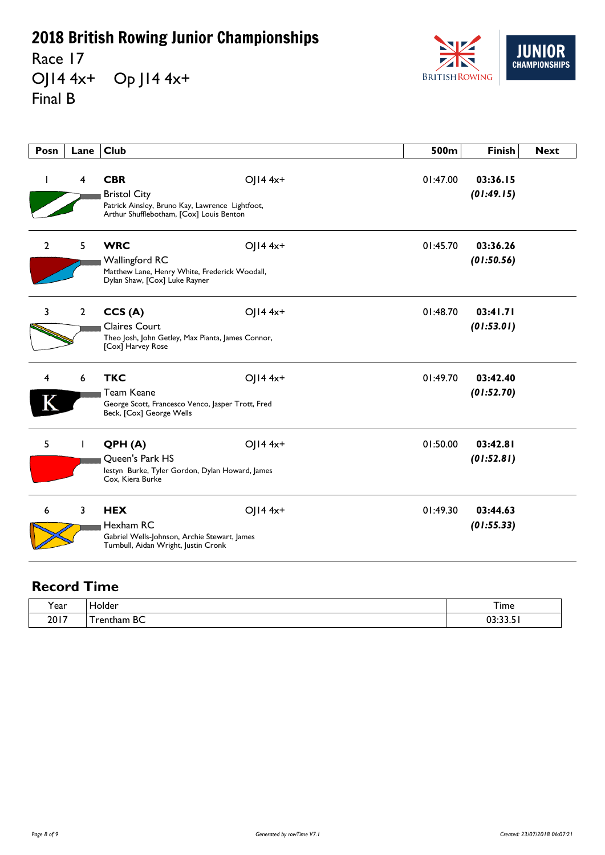Race 17 OJ14 4x+ Op J14 4x+ Final B



| Posn           | Lane           | <b>Club</b>                                                                                                                      |              | 500m     | <b>Finish</b>          | <b>Next</b> |
|----------------|----------------|----------------------------------------------------------------------------------------------------------------------------------|--------------|----------|------------------------|-------------|
|                | 4              | <b>CBR</b><br><b>Bristol City</b><br>Patrick Ainsley, Bruno Kay, Lawrence Lightfoot,<br>Arthur Shufflebotham, [Cox] Louis Benton | $OJI44x+$    | 01:47.00 | 03:36.15<br>(01:49.15) |             |
| $\overline{2}$ | 5              | <b>WRC</b><br>Wallingford RC<br>Matthew Lane, Henry White, Frederick Woodall,<br>Dylan Shaw, [Cox] Luke Rayner                   | $OJI44x+$    | 01:45.70 | 03:36.26<br>(01:50.56) |             |
| 3              | $\overline{2}$ | CCS(A)<br><b>Claires Court</b><br>Theo Josh, John Getley, Max Pianta, James Connor,<br>[Cox] Harvey Rose                         | $OJI44x+$    | 01:48.70 | 03:41.71<br>(01:53.01) |             |
| 4              | 6              | <b>TKC</b><br>Team Keane<br>George Scott, Francesco Venco, Jasper Trott, Fred<br>Beck, [Cox] George Wells                        | $O  4 4x+$   | 01:49.70 | 03:42.40<br>(01:52.70) |             |
| 5              |                | QPH(A)<br>Queen's Park HS<br>lestyn Burke, Tyler Gordon, Dylan Howard, James<br>Cox, Kiera Burke                                 | $O$   14 4x+ | 01:50.00 | 03:42.81<br>(01:52.81) |             |
| 6              | 3              | <b>HEX</b><br>Hexham RC<br>Gabriel Wells-Johnson, Archie Stewart, James<br>Turnbull, Aidan Wright, Justin Cronk                  | OJ14 4x+     | 01:49.30 | 03:44.63<br>(01:55.33) |             |

| í ear | Holder          | Time  |
|-------|-----------------|-------|
| 2017  | BC<br>' rentham | 22222 |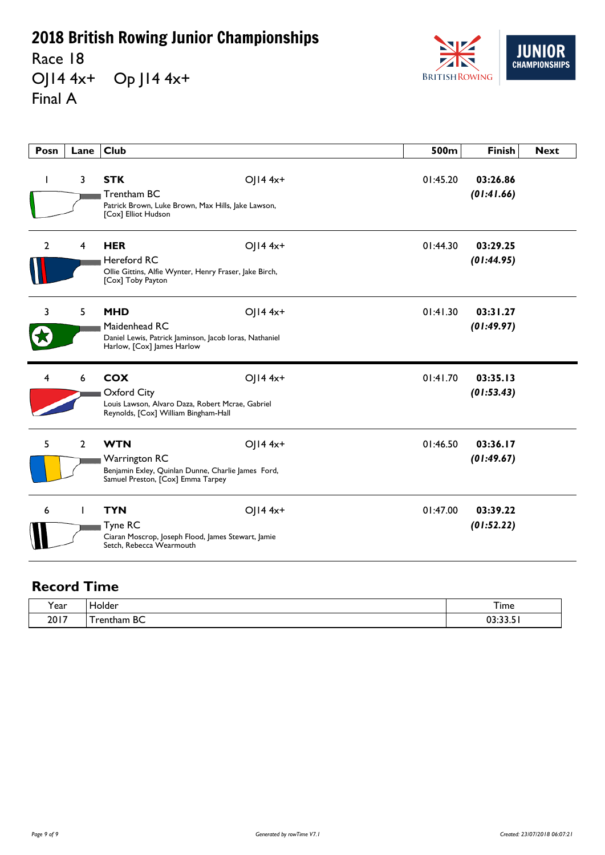Race 18 OJ14 4x+ Op J14 4x+ Final A



| Posn           | Lane         | <b>Club</b>                                                                                                                   |              | 500m     | <b>Finish</b>          | <b>Next</b> |
|----------------|--------------|-------------------------------------------------------------------------------------------------------------------------------|--------------|----------|------------------------|-------------|
|                | 3            | <b>STK</b><br>Trentham BC<br>Patrick Brown, Luke Brown, Max Hills, Jake Lawson,<br>[Cox] Elliot Hudson                        | $O$   14 4x+ | 01:45.20 | 03:26.86<br>(01:41.66) |             |
| $\overline{2}$ | 4            | <b>HER</b><br><b>Hereford RC</b><br>Ollie Gittins, Alfie Wynter, Henry Fraser, Jake Birch,<br>[Cox] Toby Payton               | OJ14 4x+     | 01:44.30 | 03:29.25<br>(01:44.95) |             |
| 3              | 5            | <b>MHD</b><br>Maidenhead RC<br>Daniel Lewis, Patrick Jaminson, Jacob Ioras, Nathaniel<br>Harlow, [Cox] James Harlow           | OJ14 4x+     | 01:41.30 | 03:31.27<br>(01:49.97) |             |
| 4              | 6            | <b>COX</b><br>Oxford City<br>Louis Lawson, Alvaro Daza, Robert Mcrae, Gabriel<br>Reynolds, [Cox] William Bingham-Hall         | OJ14 4x+     | 01:41.70 | 03:35.13<br>(01:53.43) |             |
| 5              | $\mathbf{2}$ | <b>WTN</b><br><b>Warrington RC</b><br>Benjamin Exley, Quinlan Dunne, Charlie James Ford,<br>Samuel Preston, [Cox] Emma Tarpey | OJ14 4x+     | 01:46.50 | 03:36.17<br>(01:49.67) |             |
| 6              |              | <b>TYN</b><br>Tyne RC<br>Ciaran Moscrop, Joseph Flood, James Stewart, Jamie<br>Setch, Rebecca Wearmouth                       | $O$   14 4x+ | 01:47.00 | 03:39.22<br>(01:52.22) |             |

| <b>Y</b> ear | Holder          | --<br>l ime |
|--------------|-----------------|-------------|
| 2017         | BC<br>' rentham | 03:33.51    |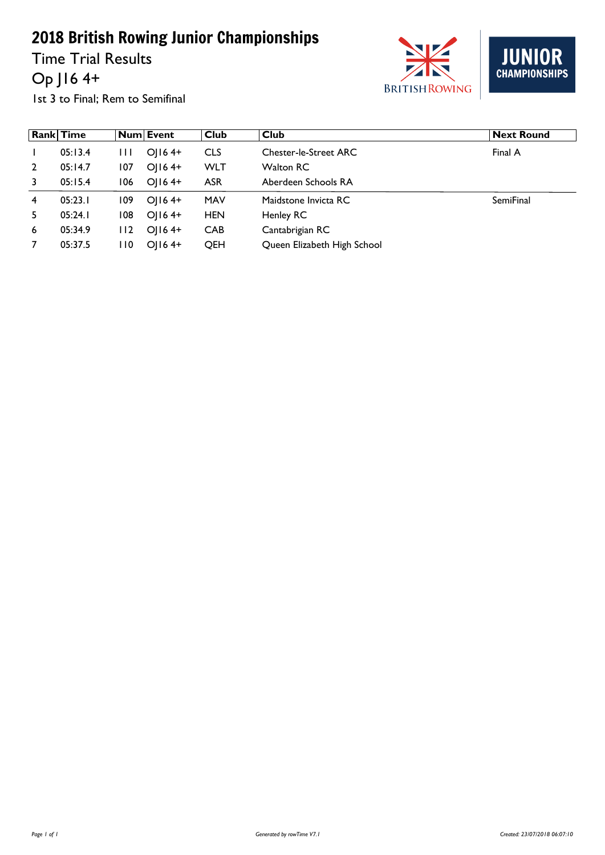Time Trial Results Op J16 4+





1st 3 to Final; Rem to Semifinal

|                | <b>Rank Time</b> |              | Num Event | <b>Club</b> | <b>Club</b>                  | <b>Next Round</b> |
|----------------|------------------|--------------|-----------|-------------|------------------------------|-------------------|
|                | 05:13.4          | $\mathbf{H}$ | $O(164+)$ | <b>CLS</b>  | <b>Chester-le-Street ARC</b> | Final A           |
| $\overline{2}$ | 05:14.7          | 107          | $O(164+$  | WLT         | <b>Walton RC</b>             |                   |
| 3              | 05:15.4          | 106          | $O(164+$  | <b>ASR</b>  | Aberdeen Schools RA          |                   |
| 4              | 05:23.1          | 109          | $O(164+$  | <b>MAV</b>  | Maidstone Invicta RC         | <b>SemiFinal</b>  |
| 5.             | 05:24.1          | 108          | $O(164+$  | <b>HEN</b>  | Henley RC                    |                   |
| 6              | 05:34.9          | 112          | $O(164+$  | <b>CAB</b>  | Cantabrigian RC              |                   |
| 7              | 05:37.5          | l 10         | $OII64+$  | QEH         | Queen Elizabeth High School  |                   |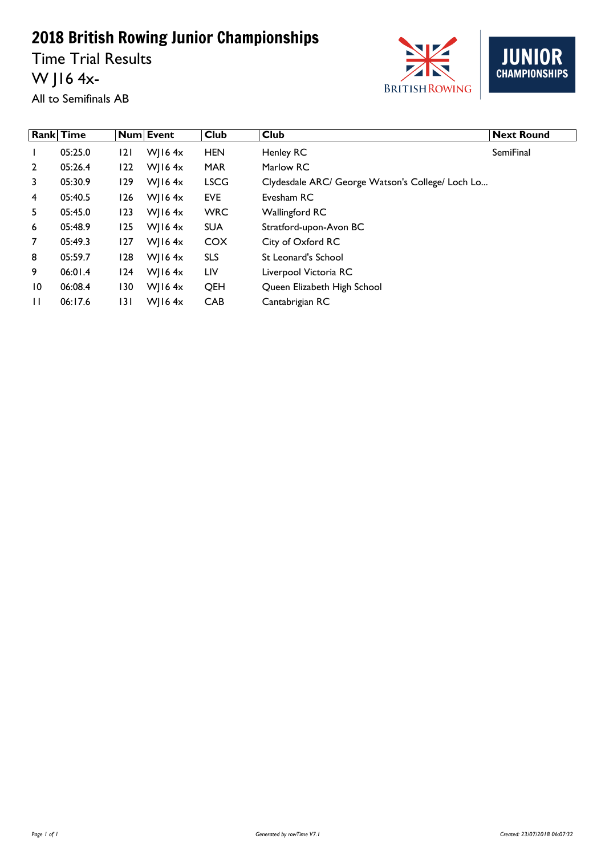Time Trial Results W J16 4x-



**JUNIOR**<br>CHAMPIONSHIPS

All to Semifinals AB

|                 | <b>Rank Time</b> |     | <b>Num Event</b> | <b>Club</b> | <b>Club</b>                                      | <b>Next Round</b> |
|-----------------|------------------|-----|------------------|-------------|--------------------------------------------------|-------------------|
|                 | 05:25.0          | 2   | W  $16.4x$       | <b>HEN</b>  | Henley RC                                        | <b>SemiFinal</b>  |
| $\overline{2}$  | 05:26.4          | 122 | W  $16.4x$       | <b>MAR</b>  | Marlow RC                                        |                   |
| 3               | 05:30.9          | 129 | W  $16.4x$       | <b>LSCG</b> | Clydesdale ARC/ George Watson's College/ Loch Lo |                   |
| 4               | 05:40.5          | 126 | W  $16.4x$       | <b>EVE</b>  | Evesham RC                                       |                   |
| 5               | 05:45.0          | 123 | W  $16.4x$       | <b>WRC</b>  | <b>Wallingford RC</b>                            |                   |
| 6               | 05:48.9          | 125 | W  $16.4x$       | <b>SUA</b>  | Stratford-upon-Avon BC                           |                   |
| 7               | 05:49.3          | 127 | W  $16.4x$       | <b>COX</b>  | City of Oxford RC                                |                   |
| 8               | 05:59.7          | 128 | W  $164x$        | <b>SLS</b>  | St Leonard's School                              |                   |
| 9               | 06:01.4          | 124 | W  $16.4x$       | LIV         | Liverpool Victoria RC                            |                   |
| $\overline{10}$ | 06:08.4          | 130 | W  $16.4x$       | QEH         | Queen Elizabeth High School                      |                   |
| $\mathbf{H}$    | 06:17.6          | 131 | W  $16.4x$       | <b>CAB</b>  | Cantabrigian RC                                  |                   |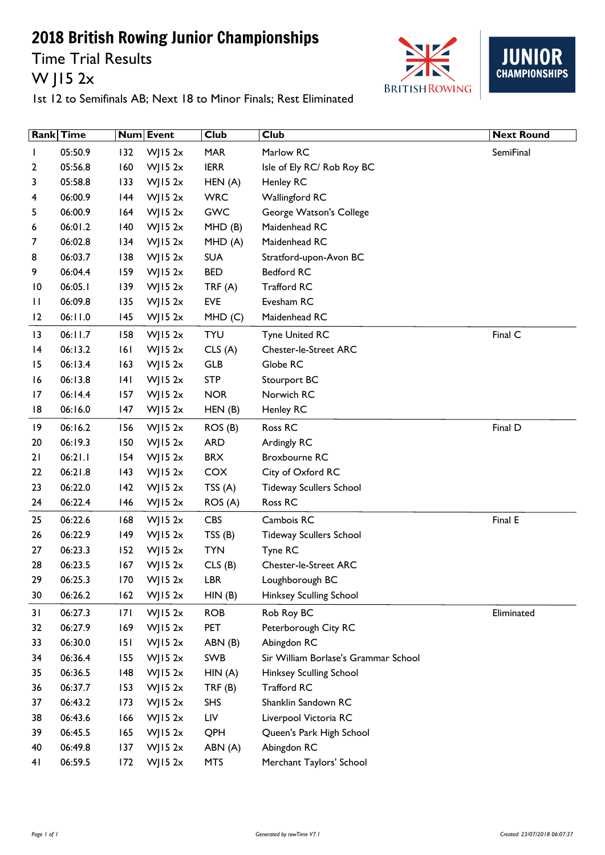Time Trial Results W J15 2x





|                 | Rank Time |     | Num Event  | <b>Club</b> | <b>Club</b>                          | <b>Next Round</b> |
|-----------------|-----------|-----|------------|-------------|--------------------------------------|-------------------|
|                 | 05:50.9   | 132 | $W$ JI5 2x | <b>MAR</b>  | Marlow RC                            | SemiFinal         |
| 2               | 05:56.8   | 160 | WJ15 $2x$  | <b>IERR</b> | Isle of Ely RC/ Rob Roy BC           |                   |
| 3               | 05:58.8   | 133 | $W$ JI5 2x | HEN(A)      | <b>Henley RC</b>                     |                   |
| 4               | 06:00.9   | 144 | WJ15 $2x$  | <b>WRC</b>  | <b>Wallingford RC</b>                |                   |
| 5               | 06:00.9   | 164 | WJ15 $2x$  | <b>GWC</b>  | George Watson's College              |                   |
| 6               | 06:01.2   | 140 | WJ15 $2x$  | MHD(B)      | Maidenhead RC                        |                   |
| 7               | 06:02.8   | 134 | WJ15 $2x$  | MHD(A)      | Maidenhead RC                        |                   |
| 8               | 06:03.7   | 138 | WJ15 $2x$  | <b>SUA</b>  | Stratford-upon-Avon BC               |                   |
| 9               | 06:04.4   | 159 | WJ15 $2x$  | <b>BED</b>  | <b>Bedford RC</b>                    |                   |
| $\overline{10}$ | 06:05.1   | 139 | WJ15 $2x$  | TRF(A)      | Trafford RC                          |                   |
| П               | 06:09.8   | 135 | WJ15 $2x$  | <b>EVE</b>  | Evesham RC                           |                   |
| 2               | 06:11.0   | 145 | WJ15 $2x$  | MHD(C)      | Maidenhead RC                        |                   |
| 13              | 06:11.7   | 158 | WJ15 $2x$  | <b>TYU</b>  | <b>Tyne United RC</b>                | Final C           |
| 4               | 06:13.2   | 6   | WJ15 $2x$  | CLS(A)      | <b>Chester-le-Street ARC</b>         |                   |
| 15              | 06:13.4   | 163 | WJ15 $2x$  | GLB         | Globe RC                             |                   |
| 16              | 06:13.8   | 4   | WJ15 $2x$  | <b>STP</b>  | Stourport BC                         |                   |
| 17              | 06:14.4   | 157 | WJ15 $2x$  | <b>NOR</b>  | Norwich RC                           |                   |
| 18              | 06:16.0   | 147 | WJ15 $2x$  | HEN(B)      | <b>Henley RC</b>                     |                   |
| 19              | 06:16.2   | 156 | WJ15 $2x$  | ROS(B)      | Ross RC                              | Final D           |
| 20              | 06:19.3   | 150 | WJ15 $2x$  | <b>ARD</b>  | Ardingly RC                          |                   |
| 21              | 06:21.1   | 154 | $W$ JI5 2x | <b>BRX</b>  | Broxbourne RC                        |                   |
| 22              | 06:21.8   | 143 | WJ15 $2x$  | COX         | City of Oxford RC                    |                   |
| 23              | 06:22.0   | 142 | WJ15 $2x$  | TSS $(A)$   | <b>Tideway Scullers School</b>       |                   |
| 24              | 06:22.4   | 146 | WJ15 $2x$  | ROS(A)      | Ross RC                              |                   |
| 25              | 06:22.6   | 168 | WJ15 $2x$  | <b>CBS</b>  | Cambois RC                           | Final E           |
| 26              | 06:22.9   | 149 | WJ15 $2x$  | TSS(B)      | <b>Tideway Scullers School</b>       |                   |
| 27              | 06:23.3   | 152 | WJ15 $2x$  | <b>TYN</b>  | Tyne RC                              |                   |
| 28              | 06:23.5   | 167 | WJ15 $2x$  | CLS(B)      | <b>Chester-le-Street ARC</b>         |                   |
| 29              | 06:25.3   | 170 | WJ15 $2x$  | <b>LBR</b>  | Loughborough BC                      |                   |
| 30              | 06:26.2   | 162 | WJ15 $2x$  | HIN(B)      | Hinksey Sculling School              |                   |
| 31              | 06:27.3   | 7   | $W$ JI5 2x | <b>ROB</b>  | Rob Roy BC                           | Eliminated        |
| 32              | 06:27.9   | 169 | $W$ JI5 2x | <b>PET</b>  | Peterborough City RC                 |                   |
| 33              | 06:30.0   | 151 | WJ15 $2x$  | ABN (B)     | Abingdon RC                          |                   |
| 34              | 06:36.4   | 155 | $W$ JI5 2x | SWB         | Sir William Borlase's Grammar School |                   |
| 35              | 06:36.5   | 148 | WJ15 $2x$  | HIN(A)      | Hinksey Sculling School              |                   |
| 36              | 06:37.7   | 153 | WJ15 $2x$  | TRF(B)      | <b>Trafford RC</b>                   |                   |
| 37              | 06:43.2   | 173 | WJ15 $2x$  | <b>SHS</b>  | Shanklin Sandown RC                  |                   |
| 38              | 06:43.6   | 166 | WJ15 $2x$  | LIV         | Liverpool Victoria RC                |                   |
| 39              | 06:45.5   | 165 | WJ15 $2x$  | QPH         | Queen's Park High School             |                   |
| 40              | 06:49.8   | 137 | WJ15 $2x$  | ABN (A)     | Abingdon RC                          |                   |
| 41              | 06:59.5   | 172 | WJ15 $2x$  | <b>MTS</b>  | Merchant Taylors' School             |                   |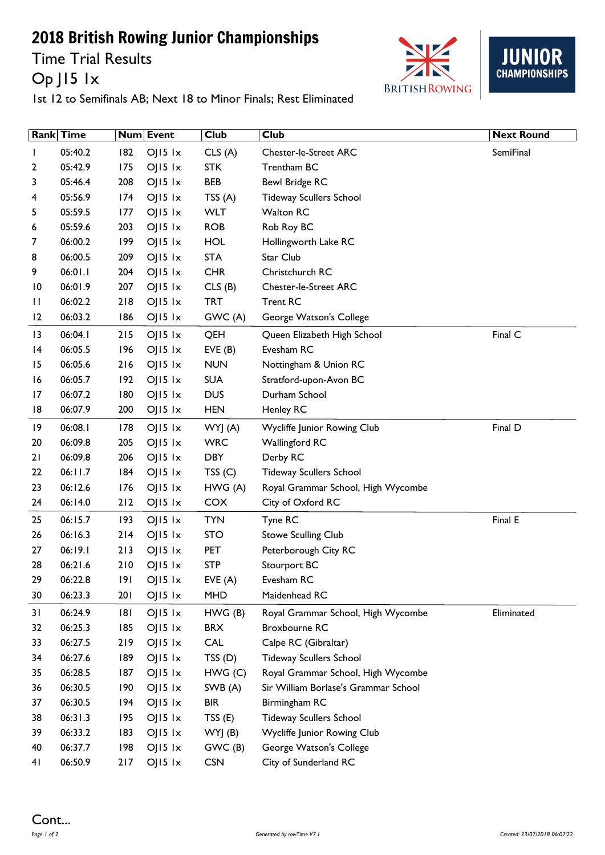Time Trial Results Op J15 1x





|                 | <b>Rank Time</b> |       | Num Event          | <b>Club</b> | <b>Club</b>                          | <b>Next Round</b> |
|-----------------|------------------|-------|--------------------|-------------|--------------------------------------|-------------------|
|                 | 05:40.2          | 182   | $O$   15 $1x$      | CLS(A)      | <b>Chester-le-Street ARC</b>         | SemiFinal         |
| 2               | 05:42.9          | 175   | $O$   $15$ $1x$    | <b>STK</b>  | Trentham BC                          |                   |
| 3               | 05:46.4          | 208   | $OJI5$ $1x$        | <b>BEB</b>  | <b>Bewl Bridge RC</b>                |                   |
| 4               | 05:56.9          | 174   | $OJI5$ $1x$        | TSS(A)      | <b>Tideway Scullers School</b>       |                   |
| 5               | 05:59.5          | 177   | $OJI5$ $1x$        | <b>WLT</b>  | <b>Walton RC</b>                     |                   |
| 6               | 05:59.6          | 203   | $O$   15 $1x$      | <b>ROB</b>  | Rob Roy BC                           |                   |
| 7               | 06:00.2          | 199   | $OJI5$ $1x$        | <b>HOL</b>  | Hollingworth Lake RC                 |                   |
| 8               | 06:00.5          | 209   | $OJI5$ $1x$        | <b>STA</b>  | Star Club                            |                   |
| 9               | 06:01.1          | 204   | $O$   $15$ $1x$    | <b>CHR</b>  | Christchurch RC                      |                   |
| $\overline{10}$ | 06:01.9          | 207   | $O$   15 $1x$      | CLS(B)      | <b>Chester-le-Street ARC</b>         |                   |
| П               | 06:02.2          | 218   | $OJI5$ $1x$        | <b>TRT</b>  | <b>Trent RC</b>                      |                   |
| 12              | 06:03.2          | 186   | $OJI5$ $1x$        | GWC (A)     | George Watson's College              |                   |
| 3               | 06:04.1          | 215   | $O$   15 $1x$      | QEH         | Queen Elizabeth High School          | Final C           |
| 4               | 06:05.5          | 196   | $OJI5$ $1x$        | EVE(B)      | Evesham RC                           |                   |
| 15              | 06:05.6          | 216   | $OJI5$ $1x$        | <b>NUN</b>  | Nottingham & Union RC                |                   |
| 16              | 06:05.7          | 192   | $O$   15 $1x$      | <b>SUA</b>  | Stratford-upon-Avon BC               |                   |
| 17              | 06:07.2          | 180   | $OJI5$ $1x$        | <b>DUS</b>  | Durham School                        |                   |
| 18              | 06:07.9          | 200   | $OJI5$ $1x$        | <b>HEN</b>  | Henley RC                            |                   |
| 19              | 06:08.1          | 178   | $OJI5$ $1x$        | WYJ (A)     | Wycliffe Junior Rowing Club          | Final D           |
| 20              | 06:09.8          | 205   | $OJI5$ $1x$        | <b>WRC</b>  | Wallingford RC                       |                   |
| 21              | 06:09.8          | 206   | $O$   15 $1x$      | <b>DBY</b>  | Derby RC                             |                   |
| 22              | 06:11.7          | 184   | $OJI5$ $1x$        | TSS(C)      | <b>Tideway Scullers School</b>       |                   |
| 23              | 06:12.6          | 176   | $OJI5$ $1x$        | HWG(A)      | Royal Grammar School, High Wycombe   |                   |
| 24              | 06:14.0          | $212$ | $OJI5$ $1x$        | <b>COX</b>  | City of Oxford RC                    |                   |
| 25              | 06:15.7          | 193   | $OJI5$ $1x$        | <b>TYN</b>  | Tyne RC                              | Final E           |
| 26              | 06:16.3          | 214   | $OJI5$ $1x$        | <b>STO</b>  | <b>Stowe Sculling Club</b>           |                   |
| 27              | 06:19.1          | 213   | $OJI5$ $1x$        | <b>PET</b>  | Peterborough City RC                 |                   |
| 28              | 06:21.6          | 210   | $OJI5$ $1x$        | <b>STP</b>  | Stourport BC                         |                   |
| 29              | 06:22.8          | 191   | $O$   5   $\times$ | EVE(A)      | Evesham RC                           |                   |
| 30              | 06:23.3          | 201   | $OJI5$ $1x$        | <b>MHD</b>  | Maidenhead RC                        |                   |
| 31              | 06:24.9          | 181   | $O$   $15$ $1x$    | HWG(B)      | Royal Grammar School, High Wycombe   | Eliminated        |
| 32              | 06:25.3          | 185   | $OJI5$ $1x$        | <b>BRX</b>  | <b>Broxbourne RC</b>                 |                   |
| 33              | 06:27.5          | 219   | $OJI5$ $1x$        | CAL         | Calpe RC (Gibraltar)                 |                   |
| 34              | 06:27.6          | 189   | $OJI5$ $1x$        | TSS(D)      | <b>Tideway Scullers School</b>       |                   |
| 35              | 06:28.5          | 187   | $O$   15 $1x$      | HWG(C)      | Royal Grammar School, High Wycombe   |                   |
| 36              | 06:30.5          | 190   | $OJI5$ $1x$        | SWB (A)     | Sir William Borlase's Grammar School |                   |
| 37              | 06:30.5          | 194   | $OJI5$ $1x$        | <b>BIR</b>  | Birmingham RC                        |                   |
| 38              | 06:31.3          | 195   | $OJI5$ $1x$        | TSS(E)      | <b>Tideway Scullers School</b>       |                   |
| 39              | 06:33.2          | 183   | $OJI5$ $1x$        | WYJ(B)      | Wycliffe Junior Rowing Club          |                   |
| 40              | 06:37.7          | 198   | $OJI5$ $1x$        | GWC (B)     | George Watson's College              |                   |
| 41              | 06:50.9          | 217   | $OJI5$ $1x$        | <b>CSN</b>  | City of Sunderland RC                |                   |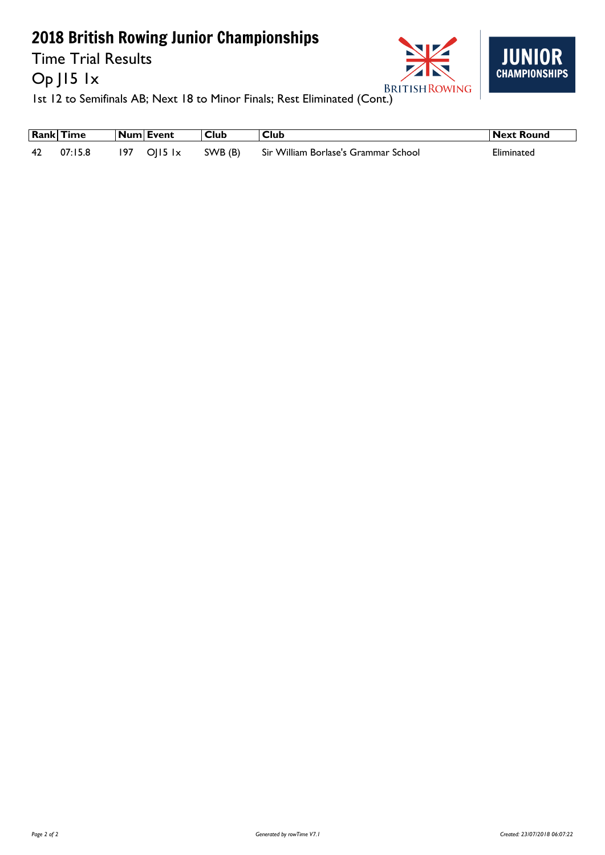Time Trial Results

Op J15 1x





**1st 12**<br>1st 12 to Semifinals AB; Next 18 to Minor Finals; Rest Eliminated (Cont.)

|     | <b>Rank Time</b> |     | Num  Event            | Club    | <b>Club</b>                          | Next Round |
|-----|------------------|-----|-----------------------|---------|--------------------------------------|------------|
| -42 | 07:15.8          | 197 | $OII5$ $\overline{x}$ | SWB (B) | Sir William Borlase's Grammar School | Eliminated |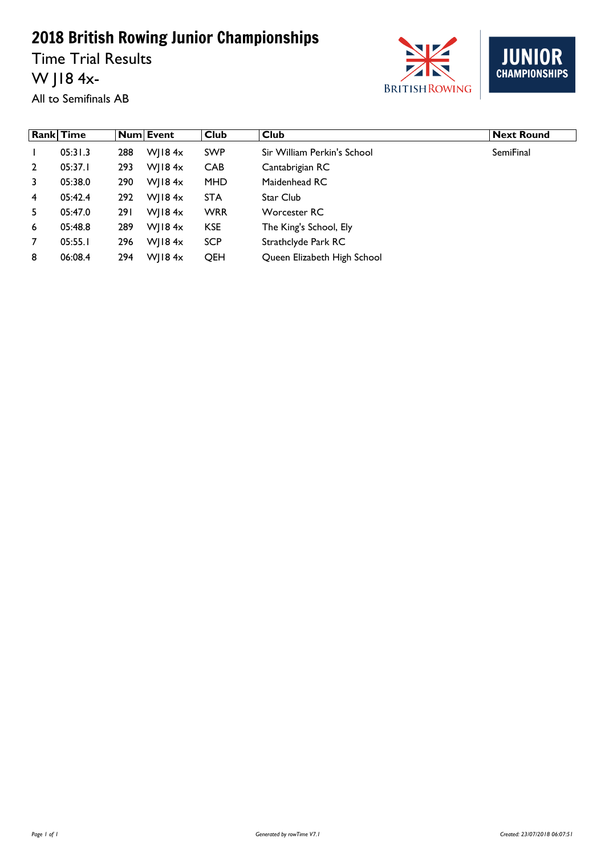Time Trial Results W J18 4x-





All to Semifinals AB

|                | <b>Rank Time</b> |      | Num Event     | Club       | <b>Club</b>                 | <b>Next Round</b> |
|----------------|------------------|------|---------------|------------|-----------------------------|-------------------|
|                | 05:31.3          | 288  | $W$   184 $x$ | <b>SWP</b> | Sir William Perkin's School | <b>SemiFinal</b>  |
| $\overline{2}$ | 05:37.1          | 293  | $W$   184 $x$ | <b>CAB</b> | Cantabrigian RC             |                   |
| 3              | 05:38.0          | 290  | $W$   184 $x$ | <b>MHD</b> | Maidenhead RC               |                   |
| $\overline{4}$ | 05:42.4          | 292  | $W$   184 $x$ | <b>STA</b> | Star Club                   |                   |
| 5.             | 05:47.0          | 29 I | $W$   184 $x$ | <b>WRR</b> | Worcester RC                |                   |
| 6              | 05:48.8          | 289  | $W$   184 $x$ | <b>KSE</b> | The King's School, Ely      |                   |
| $\overline{7}$ | 05:55.1          | 296  | $W$   184 $x$ | <b>SCP</b> | Strathclyde Park RC         |                   |
| 8              | 06:08.4          | 294  | WII84x        | <b>QEH</b> | Queen Elizabeth High School |                   |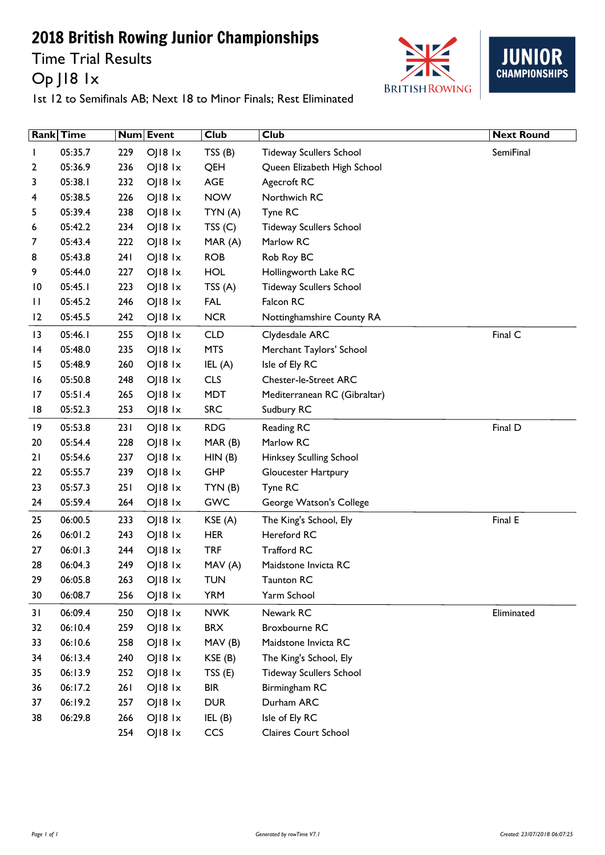Time Trial Results Op J18 1x





|                 | <b>Rank</b> Time |     | Num Event       | <b>Club</b> | <b>Club</b>                    | <b>Next Round</b> |
|-----------------|------------------|-----|-----------------|-------------|--------------------------------|-------------------|
|                 | 05:35.7          | 229 | OJ18 1x         | TSS(B)      | <b>Tideway Scullers School</b> | SemiFinal         |
| 2               | 05:36.9          | 236 | $O$   $18$ $1x$ | QEH         | Queen Elizabeth High School    |                   |
| 3               | 05:38.1          | 232 | OJ18 1x         | AGE         | Agecroft RC                    |                   |
| 4               | 05:38.5          | 226 | OJ18 1x         | <b>NOW</b>  | Northwich RC                   |                   |
| 5               | 05:39.4          | 238 | OJ18 1x         | TYN(A)      | Tyne RC                        |                   |
| 6               | 05:42.2          | 234 | OJ18 1x         | TSS(C)      | <b>Tideway Scullers School</b> |                   |
| 7               | 05:43.4          | 222 | OJ18 1x         | MAR (A)     | Marlow RC                      |                   |
| 8               | 05:43.8          | 241 | OJ18 1x         | <b>ROB</b>  | Rob Roy BC                     |                   |
| 9               | 05:44.0          | 227 | $O$   $18$ $1x$ | <b>HOL</b>  | Hollingworth Lake RC           |                   |
| $\overline{10}$ | 05:45.1          | 223 | OJ18 1x         | TSS(A)      | <b>Tideway Scullers School</b> |                   |
| П               | 05:45.2          | 246 | OJ18 1x         | <b>FAL</b>  | Falcon RC                      |                   |
| 12              | 05:45.5          | 242 | OJ18 1x         | <b>NCR</b>  | Nottinghamshire County RA      |                   |
| 13              | 05:46.1          | 255 | OJ18 1x         | <b>CLD</b>  | Clydesdale ARC                 | Final C           |
| 4               | 05:48.0          | 235 | $O$   $18$ $1x$ | <b>MTS</b>  | Merchant Taylors' School       |                   |
| 15              | 05:48.9          | 260 | OJ18 1x         | IEL $(A)$   | Isle of Ely RC                 |                   |
| 16              | 05:50.8          | 248 | <b>O 18 1x</b>  | <b>CLS</b>  | <b>Chester-le-Street ARC</b>   |                   |
| 17              | 05:51.4          | 265 | OJ18 1x         | <b>MDT</b>  | Mediterranean RC (Gibraltar)   |                   |
| 18              | 05:52.3          | 253 | OJ18 1x         | <b>SRC</b>  | Sudbury RC                     |                   |
| 19              | 05:53.8          | 231 | OJ18 1x         | <b>RDG</b>  | Reading RC                     | Final D           |
| 20              | 05:54.4          | 228 | OJ18 1x         | MAR (B)     | Marlow RC                      |                   |
| 21              | 05:54.6          | 237 | OJ18 1x         | HIN(B)      | Hinksey Sculling School        |                   |
| 22              | 05:55.7          | 239 | OJ18 1x         | <b>GHP</b>  | Gloucester Hartpury            |                   |
| 23              | 05:57.3          | 251 | OJ18 1x         | TYN(B)      | Tyne RC                        |                   |
| 24              | 05:59.4          | 264 | OJ18 1x         | <b>GWC</b>  | George Watson's College        |                   |
| 25              | 06:00.5          | 233 | OJ18 1x         | KSE(A)      | The King's School, Ely         | Final E           |
| 26              | 06:01.2          | 243 | OJ18 1x         | <b>HER</b>  | Hereford RC                    |                   |
| 27              | 06:01.3          | 244 | O  8 x          | <b>TRF</b>  | <b>Trafford RC</b>             |                   |
| 28              | 06:04.3          | 249 | OJ18 1x         | MAV(A)      | Maidstone Invicta RC           |                   |
| 29              | 06:05.8          | 263 | OJ18 1x         | <b>TUN</b>  | <b>Taunton RC</b>              |                   |
| 30              | 06:08.7          | 256 | OJ18 1x         | <b>YRM</b>  | Yarm School                    |                   |
| 31              | 06:09.4          | 250 | OJ18 1x         | <b>NWK</b>  | Newark RC                      | Eliminated        |
| 32              | 06:10.4          | 259 | OJ18 1x         | <b>BRX</b>  | Broxbourne RC                  |                   |
| 33              | 06:10.6          | 258 | OJ18 1x         | MAV(B)      | Maidstone Invicta RC           |                   |
| 34              | 06:13.4          | 240 | OJ18 1x         | KSE (B)     | The King's School, Ely         |                   |
| 35              | 06:13.9          | 252 | OJ18 1x         | TSS(E)      | Tideway Scullers School        |                   |
| 36              | 06:17.2          | 261 | OJ18 1x         | <b>BIR</b>  | Birmingham RC                  |                   |
| 37              | 06:19.2          | 257 | OJ18 1x         | <b>DUR</b>  | Durham ARC                     |                   |
| 38              | 06:29.8          | 266 | OJ18 1x         | IEL(B)      | Isle of Ely RC                 |                   |
|                 |                  | 254 | OJ18 1x         | CCS         | <b>Claires Court School</b>    |                   |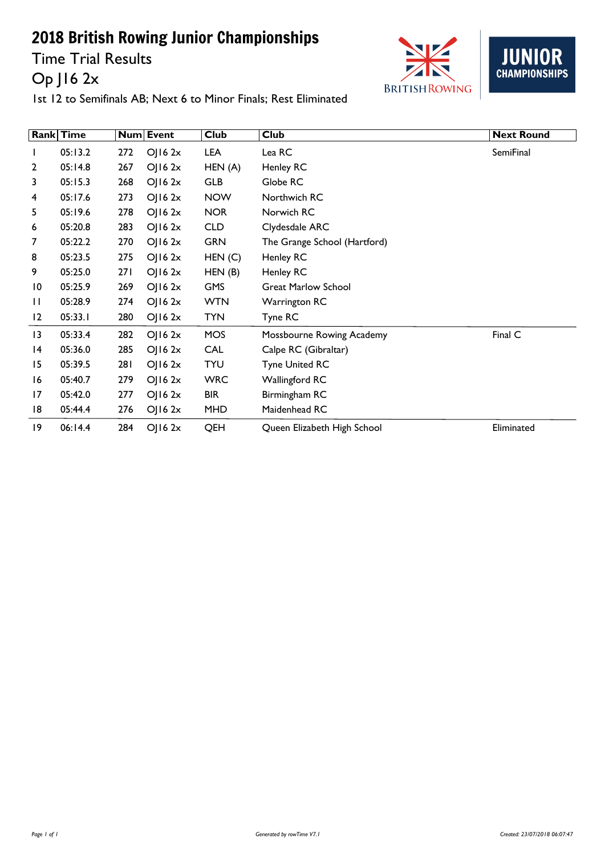Time Trial Results Op J16 2x





|                | <b>Rank</b> Time |     | <b>Num Event</b>    | <b>Club</b> | <b>Club</b>                  | <b>Next Round</b> |
|----------------|------------------|-----|---------------------|-------------|------------------------------|-------------------|
| L              | 05:13.2          | 272 | $O$   16 2 $\times$ | LEA         | Lea RC                       | SemiFinal         |
| $\overline{2}$ | 05:14.8          | 267 | O(162x)             | HEN(A)      | Henley RC                    |                   |
| 3              | 05:15.3          | 268 | O  6 2x             | <b>GLB</b>  | Globe RC                     |                   |
| 4              | 05:17.6          | 273 | $O$   16 2x         | <b>NOW</b>  | Northwich RC                 |                   |
| 5.             | 05:19.6          | 278 | O(162x)             | <b>NOR</b>  | Norwich RC                   |                   |
| 6              | 05:20.8          | 283 | $O$   16 2 $x$      | <b>CLD</b>  | Clydesdale ARC               |                   |
| 7              | 05:22.2          | 270 | O(162x)             | <b>GRN</b>  | The Grange School (Hartford) |                   |
| 8              | 05:23.5          | 275 | $O$   16 2x         | HEN(C)      | Henley RC                    |                   |
| 9              | 05:25.0          | 271 | $O$   16 2x         | HEN(B)      | Henley RC                    |                   |
| 10             | 05:25.9          | 269 | $O$   16 2x         | <b>GMS</b>  | <b>Great Marlow School</b>   |                   |
| П              | 05:28.9          | 274 | $O$   16 2x         | <b>WTN</b>  | <b>Warrington RC</b>         |                   |
| 12             | 05:33.1          | 280 | O(162x)             | <b>TYN</b>  | Tyne RC                      |                   |
| 3              | 05:33.4          | 282 | OJ162x              | <b>MOS</b>  | Mossbourne Rowing Academy    | Final C           |
| 14             | 05:36.0          | 285 | O(162x)             | <b>CAL</b>  | Calpe RC (Gibraltar)         |                   |
| 15             | 05:39.5          | 281 | $O$   16 2x         | <b>TYU</b>  | <b>Tyne United RC</b>        |                   |
| 16             | 05:40.7          | 279 | O(162x)             | <b>WRC</b>  | Wallingford RC               |                   |
| 17             | 05:42.0          | 277 | $O$   16 2x         | <b>BIR</b>  | Birmingham RC                |                   |
| 18             | 05:44.4          | 276 | $O$   16 2x         | MHD         | Maidenhead RC                |                   |
| 19             | 06:14.4          | 284 | OJ162x              | QEH         | Queen Elizabeth High School  | Eliminated        |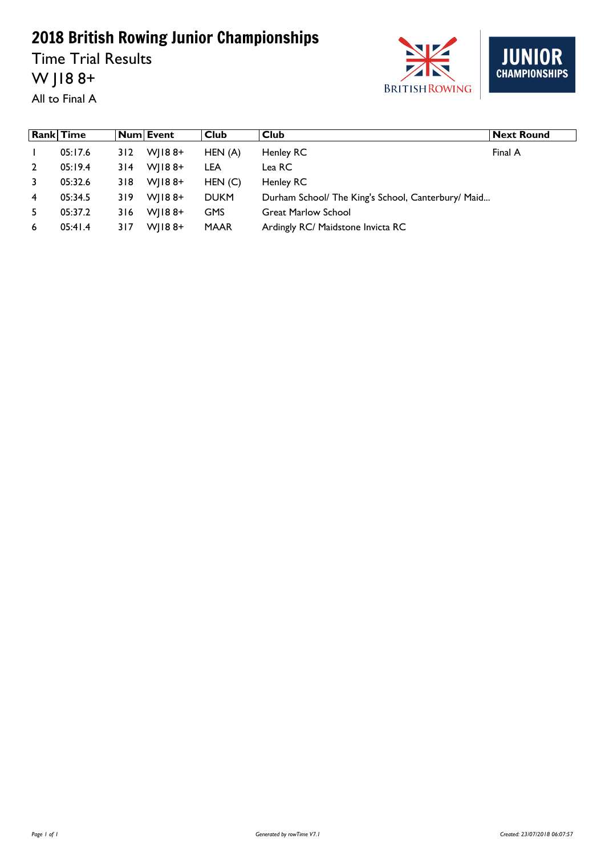Time Trial Results W J18 8+





|    | <b>Rank Time</b> |     | Num Event  | Club        | Club                                               | <b>Next Round</b> |
|----|------------------|-----|------------|-------------|----------------------------------------------------|-------------------|
|    | 05:17.6          | 312 | $W$   188+ | HEN(A)      | Henley RC                                          | Final A           |
| 2  | 05:19.4          | 314 | $W1188+$   | LEA         | Lea RC                                             |                   |
| 3  | 05:32.6          | 318 | $W$   188+ | HEN(C)      | Henley RC                                          |                   |
| 4  | 05:34.5          | 319 | $W$   188+ | <b>DUKM</b> | Durham School/ The King's School, Canterbury/ Maid |                   |
| 5. | 05:37.2          | 316 | $W$   188+ | <b>GMS</b>  | <b>Great Marlow School</b>                         |                   |
| 6  | 05:41.4          | 317 | $W1188+$   | <b>MAAR</b> | Ardingly RC/ Maidstone Invicta RC                  |                   |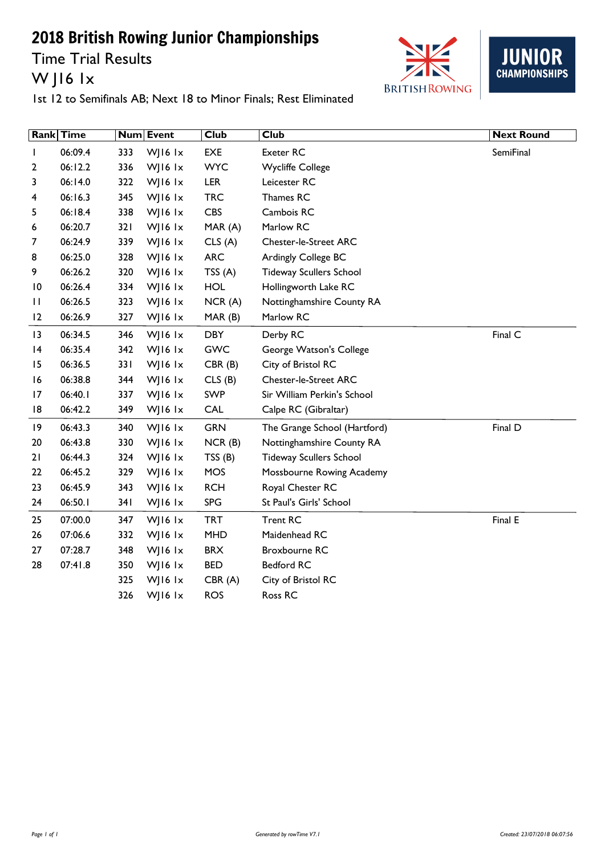Time Trial Results W J16 1x





| <b>Rank</b>     | Time    |     | Num Event | <b>Club</b> | <b>Club</b>                    | <b>Next Round</b> |
|-----------------|---------|-----|-----------|-------------|--------------------------------|-------------------|
|                 | 06:09.4 | 333 | WJ16 lx   | EXE         | Exeter RC                      | <b>SemiFinal</b>  |
| 2               | 06:12.2 | 336 | WJ16 1x   | <b>WYC</b>  | <b>Wycliffe College</b>        |                   |
| 3               | 06:14.0 | 322 | WJ16 lx   | <b>LER</b>  | Leicester RC                   |                   |
| 4               | 06:16.3 | 345 | WJ16 lx   | <b>TRC</b>  | Thames RC                      |                   |
| 5               | 06:18.4 | 338 | WJ16 lx   | <b>CBS</b>  | Cambois RC                     |                   |
| 6               | 06:20.7 | 321 | WJ16 lx   | MAR (A)     | Marlow RC                      |                   |
| 7               | 06:24.9 | 339 | WJ16 lx   | CLS(A)      | <b>Chester-le-Street ARC</b>   |                   |
| 8               | 06:25.0 | 328 | WJ16 lx   | <b>ARC</b>  | Ardingly College BC            |                   |
| 9               | 06:26.2 | 320 | WJ16 lx   | TSS(A)      | <b>Tideway Scullers School</b> |                   |
| $\overline{10}$ | 06:26.4 | 334 | WJ16 lx   | <b>HOL</b>  | Hollingworth Lake RC           |                   |
| $\mathbf{H}$    | 06:26.5 | 323 | WJ16 lx   | NCR(A)      | Nottinghamshire County RA      |                   |
| 12              | 06:26.9 | 327 | WJ16 lx   | MAR (B)     | Marlow RC                      |                   |
| $\overline{13}$ | 06:34.5 | 346 | WJ16 lx   | <b>DBY</b>  | Derby RC                       | Final C           |
| 4               | 06:35.4 | 342 | WJ16 lx   | <b>GWC</b>  | George Watson's College        |                   |
| 15              | 06:36.5 | 331 | WJ16 lx   | CBR(B)      | City of Bristol RC             |                   |
| 16              | 06:38.8 | 344 | WJ16 lx   | CLS(B)      | <b>Chester-le-Street ARC</b>   |                   |
| 17              | 06:40.1 | 337 | WJ16 lx   | SWP         | Sir William Perkin's School    |                   |
| 8               | 06:42.2 | 349 | WJ16 lx   | <b>CAL</b>  | Calpe RC (Gibraltar)           |                   |
| 19              | 06:43.3 | 340 | WJ16 lx   | <b>GRN</b>  | The Grange School (Hartford)   | Final D           |
| 20              | 06:43.8 | 330 | WJ16 lx   | NCR(B)      | Nottinghamshire County RA      |                   |
| 21              | 06:44.3 | 324 | WJ16 lx   | TSS(B)      | <b>Tideway Scullers School</b> |                   |
| 22              | 06:45.2 | 329 | WJ16 1x   | MOS         | Mossbourne Rowing Academy      |                   |
| 23              | 06:45.9 | 343 | WJ16 lx   | <b>RCH</b>  | Royal Chester RC               |                   |
| 24              | 06:50.1 | 341 | WJ16 lx   | <b>SPG</b>  | St Paul's Girls' School        |                   |
| 25              | 07:00.0 | 347 | WJ16 lx   | <b>TRT</b>  | <b>Trent RC</b>                | Final E           |
| 26              | 07:06.6 | 332 | WJ16 lx   | <b>MHD</b>  | Maidenhead RC                  |                   |
| 27              | 07:28.7 | 348 | WJ16 1x   | <b>BRX</b>  | Broxbourne RC                  |                   |
| 28              | 07:41.8 | 350 | WJ16 lx   | <b>BED</b>  | <b>Bedford RC</b>              |                   |
|                 |         | 325 | WJ16 1x   | CBR(A)      | City of Bristol RC             |                   |
|                 |         | 326 | WJ16 lx   | <b>ROS</b>  | Ross RC                        |                   |
|                 |         |     |           |             |                                |                   |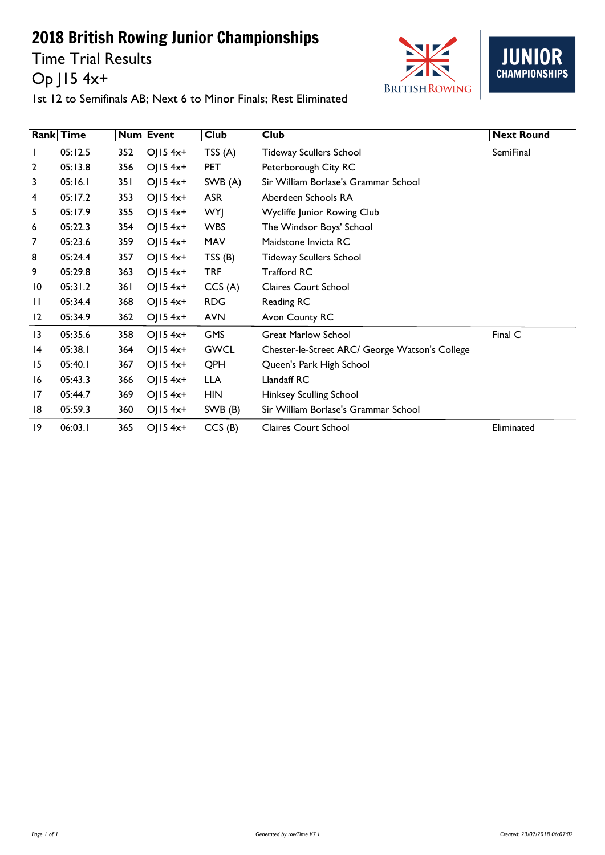Time Trial Results Op J15 4x+





|                | Rank Time |     | Num Event               | <b>Club</b> | Club                                           | <b>Next Round</b> |
|----------------|-----------|-----|-------------------------|-------------|------------------------------------------------|-------------------|
|                | 05:12.5   | 352 | OJ $15$ 4x <sup>+</sup> | TSS $(A)$   | <b>Tideway Scullers School</b>                 | SemiFinal         |
| $\overline{2}$ | 05:13.8   | 356 | $O  5 4x+$              | <b>PET</b>  | Peterborough City RC                           |                   |
| 3              | 05:16.1   | 351 | OJ $15$ 4x <sup>+</sup> | SWB(A)      | Sir William Borlase's Grammar School           |                   |
| 4              | 05:17.2   | 353 | $O(15.4x+$              | <b>ASR</b>  | Aberdeen Schools RA                            |                   |
| 5.             | 05:17.9   | 355 | $OJ15$ 4x+              | <b>WYJ</b>  | Wycliffe Junior Rowing Club                    |                   |
| 6              | 05:22.3   | 354 | $OJ15$ 4x+              | <b>WBS</b>  | The Windsor Boys' School                       |                   |
| 7              | 05:23.6   | 359 | $O  5 4x+$              | MAV         | Maidstone Invicta RC                           |                   |
| 8              | 05:24.4   | 357 | OJ $15$ 4x <sup>+</sup> | TSS(B)      | <b>Tideway Scullers School</b>                 |                   |
| 9              | 05:29.8   | 363 | $O(15.4x+$              | <b>TRF</b>  | <b>Trafford RC</b>                             |                   |
| 10             | 05:31.2   | 361 | $O(15.4x+$              | CCS(A)      | <b>Claires Court School</b>                    |                   |
| $\mathbf{H}$   | 05:34.4   | 368 | OJ $15$ 4x <sup>+</sup> | <b>RDG</b>  | Reading RC                                     |                   |
| 12             | 05:34.9   | 362 | $O(15.4x+$              | <b>AVN</b>  | Avon County RC                                 |                   |
| 3              | 05:35.6   | 358 | $OJ15$ 4x+              | <b>GMS</b>  | <b>Great Marlow School</b>                     | Final C           |
| 14             | 05:38.1   | 364 | $O  5 4x+$              | <b>GWCL</b> | Chester-le-Street ARC/ George Watson's College |                   |
| 15             | 05:40.1   | 367 | $O  5 4x+$              | QPH         | Queen's Park High School                       |                   |
| 16             | 05:43.3   | 366 | $O(15.4x+$              | <b>LLA</b>  | Llandaff RC                                    |                   |
| 17             | 05:44.7   | 369 | $OJ15$ 4x+              | <b>HIN</b>  | <b>Hinksey Sculling School</b>                 |                   |
| 18             | 05:59.3   | 360 | OJ $15$ 4x <sup>+</sup> | SWB (B)     | Sir William Borlase's Grammar School           |                   |
| 19             | 06:03.1   | 365 | $O(15.4x+$              | CCS(B)      | <b>Claires Court School</b>                    | Eliminated        |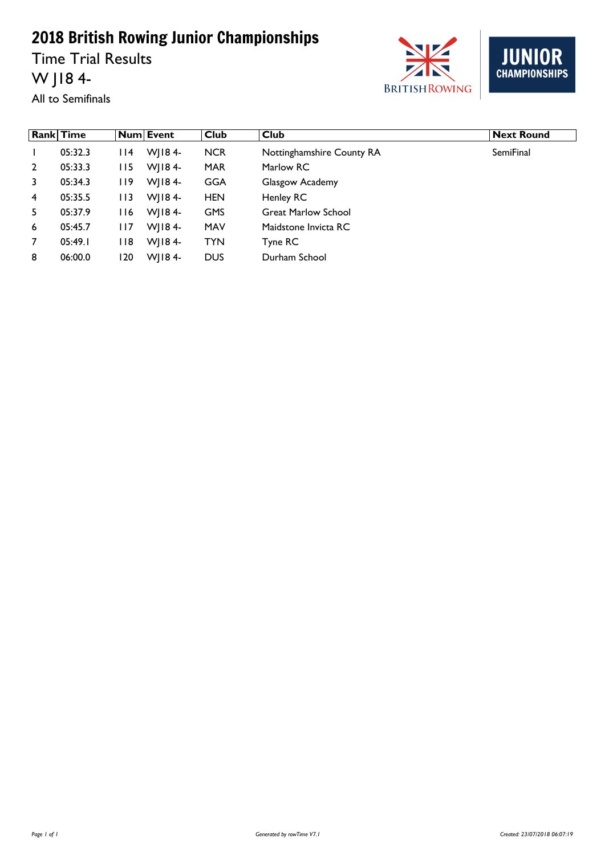Time Trial Results W J18 4-



**JUNIOR**<br>CHAMPIONSHIPS

All to Semifinals

|                | <b>Rank Time</b> |       | Num Event  | <b>Club</b> | <b>Club</b>                | <b>Next Round</b> |
|----------------|------------------|-------|------------|-------------|----------------------------|-------------------|
|                | 05:32.3          | l 14  | WI184-     | <b>NCR</b>  | Nottinghamshire County RA  | SemiFinal         |
| $\overline{2}$ | 05:33.3          | I I 5 | WJ184-     | MAR         | Marlow RC                  |                   |
| 3              | 05:34.3          | I 19  | $W$   184- | GGA         | Glasgow Academy            |                   |
| $\overline{4}$ | 05:35.5          | I I 3 | $W$   184- | <b>HEN</b>  | Henley RC                  |                   |
| 5.             | 05:37.9          | I 16  | WJ184-     | <b>GMS</b>  | <b>Great Marlow School</b> |                   |
| 6              | 05:45.7          | l I 7 | $W$   184- | <b>MAV</b>  | Maidstone Invicta RC       |                   |
| $\overline{7}$ | 05:49.1          | l 18  | $W$   184- | <b>TYN</b>  | Tyne RC                    |                   |
| 8              | 06:00.0          | 120   | $W$   184- | <b>DUS</b>  | Durham School              |                   |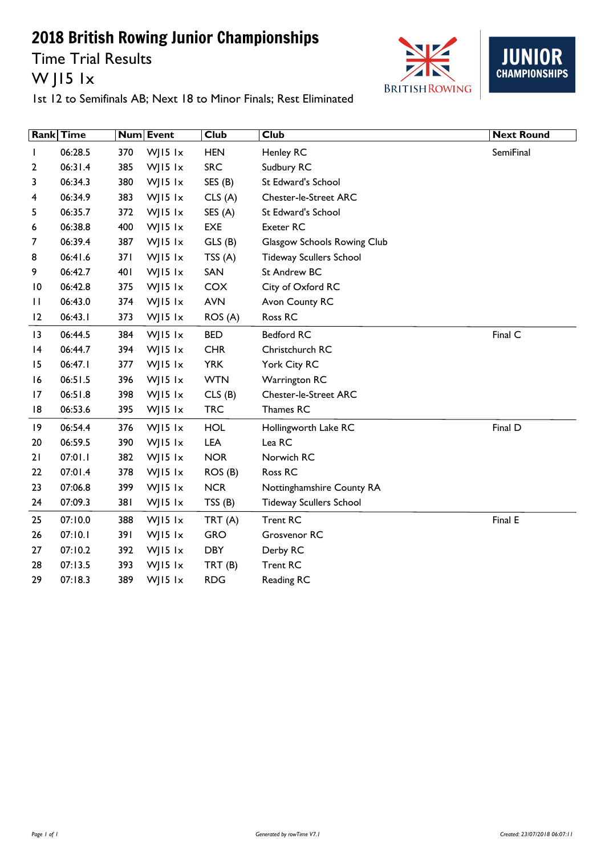Time Trial Results W J15 1x





|                 | Rank Time |     | Num Event    | <b>Club</b> | <b>Club</b>                    | <b>Next Round</b> |
|-----------------|-----------|-----|--------------|-------------|--------------------------------|-------------------|
| I.              | 06:28.5   | 370 | WJ15 $1x$    | <b>HEN</b>  | Henley RC                      | SemiFinal         |
| 2               | 06:31.4   | 385 | $W$ JI5 $1x$ | <b>SRC</b>  | Sudbury RC                     |                   |
| 3               | 06:34.3   | 380 | WJ15 $1x$    | SES(B)      | St Edward's School             |                   |
| 4               | 06:34.9   | 383 | WJ15 $1x$    | CLS(A)      | <b>Chester-le-Street ARC</b>   |                   |
| 5               | 06:35.7   | 372 | WJ15 lx      | SES (A)     | St Edward's School             |                   |
| 6               | 06:38.8   | 400 | WJ15 $1x$    | EXE         | Exeter RC                      |                   |
| 7               | 06:39.4   | 387 | WJ15 lx      | GLS(B)      | Glasgow Schools Rowing Club    |                   |
| 8               | 06:41.6   | 371 | WJ15 lx      | TSS(A)      | <b>Tideway Scullers School</b> |                   |
| 9               | 06:42.7   | 401 | WJ15 $1x$    | SAN         | St Andrew BC                   |                   |
| $\overline{10}$ | 06:42.8   | 375 | WJ15 $1x$    | COX         | City of Oxford RC              |                   |
| $\mathbf{H}$    | 06:43.0   | 374 | WJ15 $1x$    | <b>AVN</b>  | Avon County RC                 |                   |
| 12              | 06:43.1   | 373 | WJ15 $1x$    | ROS (A)     | Ross RC                        |                   |
| 3               | 06:44.5   | 384 | WJ15 $1x$    | <b>BED</b>  | Bedford RC                     | Final C           |
| 4               | 06:44.7   | 394 | WJ15 $1x$    | <b>CHR</b>  | Christchurch RC                |                   |
| 15              | 06:47.1   | 377 | WJ15 $1x$    | <b>YRK</b>  | York City RC                   |                   |
| 16              | 06:51.5   | 396 | WJ15 $1x$    | <b>WTN</b>  | <b>Warrington RC</b>           |                   |
| 17              | 06:51.8   | 398 | WJ15 lx      | CLS(B)      | <b>Chester-le-Street ARC</b>   |                   |
| 8               | 06:53.6   | 395 | WJ15 $1x$    | <b>TRC</b>  | Thames RC                      |                   |
| 9               | 06:54.4   | 376 | WJ15 $1x$    | <b>HOL</b>  | Hollingworth Lake RC           | Final D           |
| 20              | 06:59.5   | 390 | WJ15 $1x$    | LEA         | Lea RC                         |                   |
| 21              | 07:01.1   | 382 | WJ15 lx      | <b>NOR</b>  | Norwich RC                     |                   |
| 22              | 07:01.4   | 378 | WJ15 $1x$    | ROS (B)     | Ross RC                        |                   |
| 23              | 07:06.8   | 399 | WJ15 $1x$    | <b>NCR</b>  | Nottinghamshire County RA      |                   |
| 24              | 07:09.3   | 381 | WJ15 $1x$    | TSS(B)      | <b>Tideway Scullers School</b> |                   |
| 25              | 07:10.0   | 388 | WJ15 lx      | TRT(A)      | <b>Trent RC</b>                | Final E           |
| 26              | 07:10.1   | 391 | WJ15 $1x$    | <b>GRO</b>  | Grosvenor RC                   |                   |
| 27              | 07:10.2   | 392 | WJ15 $1x$    | <b>DBY</b>  | Derby RC                       |                   |
| 28              | 07:13.5   | 393 | $W$ JI5 $1x$ | TRT(B)      | <b>Trent RC</b>                |                   |
| 29              | 07:18.3   | 389 | WJ15 $1x$    | <b>RDG</b>  | Reading RC                     |                   |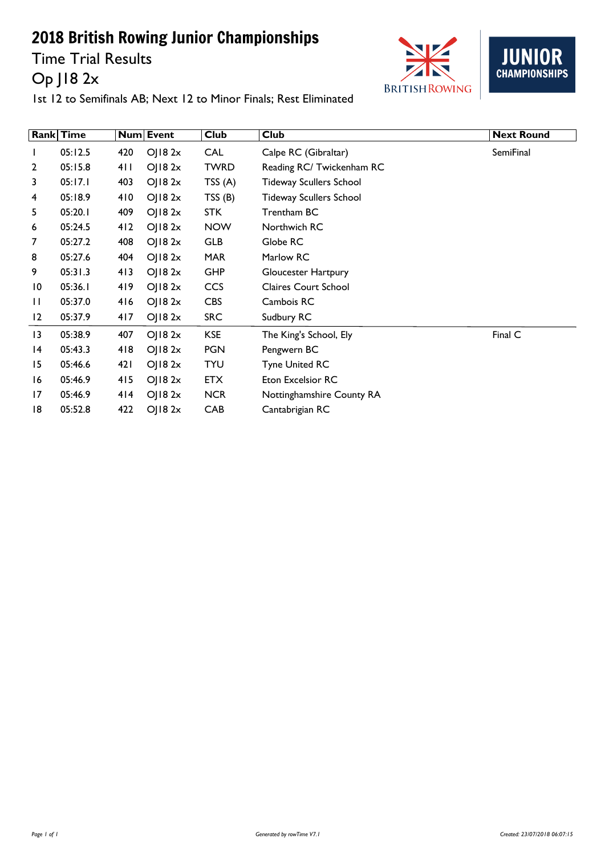Time Trial Results Op J18 2x





|                 | <b>Rank</b> Time |     | Num Event           | <b>Club</b> | <b>Club</b>                    | <b>Next Round</b> |
|-----------------|------------------|-----|---------------------|-------------|--------------------------------|-------------------|
| $\mathbf{I}$    | 05:12.5          | 420 | $O$   18 2 $x$      | <b>CAL</b>  | Calpe RC (Gibraltar)           | SemiFinal         |
| $\overline{2}$  | 05:15.8          | 411 | $O$   18 2x         | <b>TWRD</b> | Reading RC/ Twickenham RC      |                   |
| 3               | 05:17.1          | 403 | $O$   18 2 $\times$ | TSS(A)      | <b>Tideway Scullers School</b> |                   |
| 4               | 05:18.9          | 410 | OJ182x              | TSS(B)      | <b>Tideway Scullers School</b> |                   |
| 5               | 05:20.1          | 409 | $O$   18 2 $\times$ | <b>STK</b>  | Trentham BC                    |                   |
| 6               | 05:24.5          | 412 | O  82x              | <b>NOW</b>  | Northwich RC                   |                   |
| 7               | 05:27.2          | 408 | O  8 2x             | <b>GLB</b>  | Globe RC                       |                   |
| 8               | 05:27.6          | 404 | OJ182x              | <b>MAR</b>  | Marlow RC                      |                   |
| 9               | 05:31.3          | 413 | OJ182x              | <b>GHP</b>  | Gloucester Hartpury            |                   |
| $\overline{10}$ | 05:36.1          | 419 | $O$   18 2x         | CCS         | <b>Claires Court School</b>    |                   |
| $\mathbf{H}$    | 05:37.0          | 416 | OJ182x              | <b>CBS</b>  | Cambois RC                     |                   |
| 12              | 05:37.9          | 417 | OJ182x              | <b>SRC</b>  | Sudbury RC                     |                   |
| $\overline{13}$ | 05:38.9          | 407 | OJ182x              | <b>KSE</b>  | The King's School, Ely         | Final C           |
| 14              | 05:43.3          | 418 | O  8 2x             | <b>PGN</b>  | Pengwern BC                    |                   |
| 15              | 05:46.6          | 421 | $O$   18 2x         | <b>TYU</b>  | <b>Tyne United RC</b>          |                   |
| 16              | 05:46.9          | 415 | OJ182x              | <b>ETX</b>  | <b>Eton Excelsior RC</b>       |                   |
| 17              | 05:46.9          | 414 | $O$   18 2x         | <b>NCR</b>  | Nottinghamshire County RA      |                   |
| 18              | 05:52.8          | 422 | OJ182x              | CAB         | Cantabrigian RC                |                   |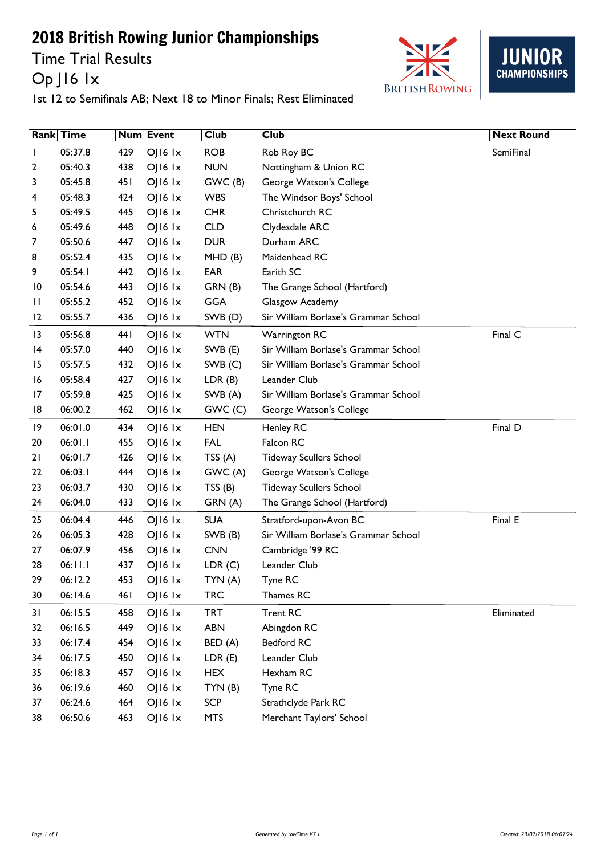Time Trial Results Op J16 1x





|                 | Rank Time |      | Num Event       | <b>Club</b> | <b>Club</b>                          | <b>Next Round</b> |
|-----------------|-----------|------|-----------------|-------------|--------------------------------------|-------------------|
|                 | 05:37.8   | 429  | OJ16 Ix         | <b>ROB</b>  | Rob Roy BC                           | SemiFinal         |
| 2               | 05:40.3   | 438  | $O$   $16$ $1x$ | <b>NUN</b>  | Nottingham & Union RC                |                   |
| 3               | 05:45.8   | 45 I | $O$   $16$ $1x$ | GWC(B)      | George Watson's College              |                   |
| 4               | 05:48.3   | 424  | $O$   $16$ $1x$ | <b>WBS</b>  | The Windsor Boys' School             |                   |
| 5               | 05:49.5   | 445  | OJ16 Ix         | <b>CHR</b>  | Christchurch RC                      |                   |
| 6               | 05:49.6   | 448  | $O$   $16$ $1x$ | <b>CLD</b>  | Clydesdale ARC                       |                   |
| 7               | 05:50.6   | 447  | OJ16 Ix         | <b>DUR</b>  | Durham ARC                           |                   |
| 8               | 05:52.4   | 435  | $OJ16$ $1x$     | MHD(B)      | Maidenhead RC                        |                   |
| 9               | 05:54.1   | 442  | $O$   $16$ $1x$ | EAR         | Earith SC                            |                   |
| $\overline{10}$ | 05:54.6   | 443  | OJ16 Ix         | GRN(B)      | The Grange School (Hartford)         |                   |
| П               | 05:55.2   | 452  | $OJI6$ $1x$     | <b>GGA</b>  | Glasgow Academy                      |                   |
| 12              | 05:55.7   | 436  | $OJI6$ $1x$     | SWB (D)     | Sir William Borlase's Grammar School |                   |
| 3               | 05:56.8   | 44 I | OJ16 Ix         | <b>WTN</b>  | <b>Warrington RC</b>                 | Final C           |
| 4               | 05:57.0   | 440  | $O$   $16$ $1x$ | SWB (E)     | Sir William Borlase's Grammar School |                   |
| 15              | 05:57.5   | 432  | $OJ16$ $1x$     | SWB(C)      | Sir William Borlase's Grammar School |                   |
| 16              | 05:58.4   | 427  | $O$   $16$ $1x$ | LDR(B)      | Leander Club                         |                   |
| 17              | 05:59.8   | 425  | OJ16 Ix         | SWB (A)     | Sir William Borlase's Grammar School |                   |
| 18              | 06:00.2   | 462  | $OJI6$ $1x$     | GWC(C)      | George Watson's College              |                   |
| $\overline{19}$ | 06:01.0   | 434  | $O$   $16$ $1x$ | <b>HEN</b>  | Henley RC                            | Final D           |
| 20              | 06:01.1   | 455  | $O$   $16$ $1x$ | <b>FAL</b>  | Falcon RC                            |                   |
| 21              | 06:01.7   | 426  | $O$   $16$ $1x$ | TSS(A)      | <b>Tideway Scullers School</b>       |                   |
| 22              | 06:03.1   | 444  | $OJ16$ $1x$     | GWC(A)      | George Watson's College              |                   |
| 23              | 06:03.7   | 430  | $OJ16$ $1x$     | TSS(B)      | <b>Tideway Scullers School</b>       |                   |
| 24              | 06:04.0   | 433  | OJ16 Ix         | GRN (A)     | The Grange School (Hartford)         |                   |
| 25              | 06:04.4   | 446  | $OJ16$ $1x$     | <b>SUA</b>  | Stratford-upon-Avon BC               | Final E           |
| 26              | 06:05.3   | 428  | $OJI6$ $1x$     | SWB (B)     | Sir William Borlase's Grammar School |                   |
| 27              | 06:07.9   | 456  | $OJ16$ $1x$     | <b>CNN</b>  | Cambridge '99 RC                     |                   |
| 28              | 06:11.1   | 437  | $O$   $16$ $1x$ | LDR(C)      | Leander Club                         |                   |
| 29              | 06:12.2   | 453  | $O$   $16$ $1x$ | TYN (A)     | Tyne RC                              |                   |
| 30              | 06:14.6   | 461  | OJ16 Ix         | <b>TRC</b>  | Thames RC                            |                   |
| 31              | 06:15.5   | 458  | OJ16 1x         | <b>TRT</b>  | <b>Trent RC</b>                      | Eliminated        |
| 32              | 06:16.5   | 449  | OJ16 Ix         | <b>ABN</b>  | Abingdon RC                          |                   |
| 33              | 06:17.4   | 454  | OJ16 Ix         | BED (A)     | Bedford RC                           |                   |
| 34              | 06:17.5   | 450  | OJ16 Ix         | LDR(E)      | Leander Club                         |                   |
| 35              | 06:18.3   | 457  | OJ16 Ix         | <b>HEX</b>  | Hexham RC                            |                   |
| 36              | 06:19.6   | 460  | OJI6 Ix         | TYN(B)      | Tyne RC                              |                   |
| 37              | 06:24.6   | 464  | OJ16 Ix         | <b>SCP</b>  | Strathclyde Park RC                  |                   |
| 38              | 06:50.6   | 463  | OJ16 Ix         | <b>MTS</b>  | Merchant Taylors' School             |                   |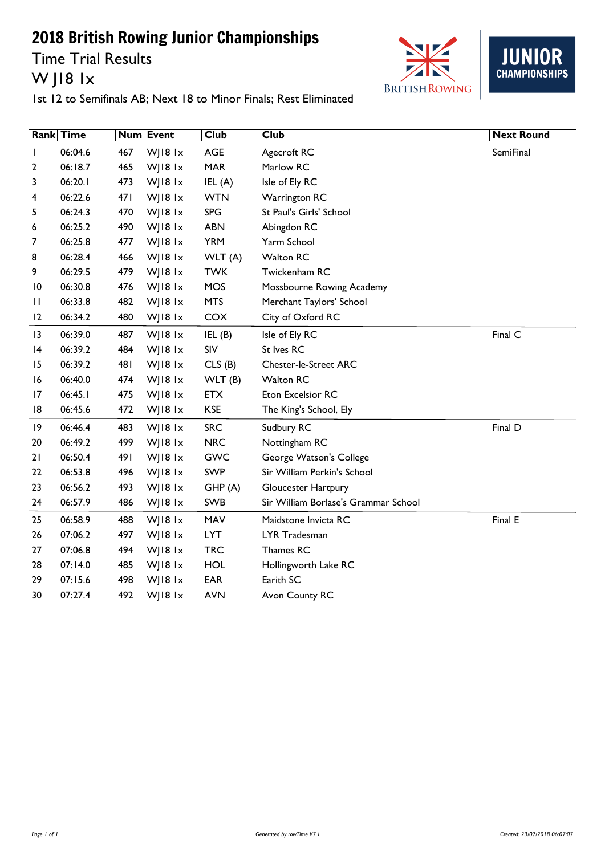Time Trial Results W J18 1x





|    | <b>Rank Time</b> |      | Num Event | <b>Club</b> | <b>Club</b>                          | <b>Next Round</b> |
|----|------------------|------|-----------|-------------|--------------------------------------|-------------------|
| L  | 06:04.6          | 467  | WJ18 1x   | AGE         | Agecroft RC                          | SemiFinal         |
| 2  | 06:18.7          | 465  | WJ18 1x   | <b>MAR</b>  | Marlow RC                            |                   |
| 3  | 06:20.1          | 473  | WJ18 1x   | IEL(A)      | Isle of Ely RC                       |                   |
| 4  | 06:22.6          | 47 I | WJ18 $1x$ | <b>WTN</b>  | <b>Warrington RC</b>                 |                   |
| 5  | 06:24.3          | 470  | WJ18 1x   | <b>SPG</b>  | St Paul's Girls' School              |                   |
| 6  | 06:25.2          | 490  | WJ18 $1x$ | <b>ABN</b>  | Abingdon RC                          |                   |
| 7  | 06:25.8          | 477  | WJ18 1x   | <b>YRM</b>  | Yarm School                          |                   |
| 8  | 06:28.4          | 466  | WJ18 1x   | WLT (A)     | <b>Walton RC</b>                     |                   |
| 9  | 06:29.5          | 479  | WJ18 $1x$ | <b>TWK</b>  | Twickenham RC                        |                   |
| 10 | 06:30.8          | 476  | WJ18 1x   | <b>MOS</b>  | Mossbourne Rowing Academy            |                   |
| П  | 06:33.8          | 482  | WJ18 $1x$ | <b>MTS</b>  | Merchant Taylors' School             |                   |
| 12 | 06:34.2          | 480  | WJ18 1x   | COX         | City of Oxford RC                    |                   |
| 3  | 06:39.0          | 487  | WJ18 $1x$ | IEL(B)      | Isle of Ely RC                       | Final C           |
| 4  | 06:39.2          | 484  | WJ18 1x   | SIV         | St Ives RC                           |                   |
| 15 | 06:39.2          | 481  | WJ18 1x   | CLS(B)      | <b>Chester-le-Street ARC</b>         |                   |
| 16 | 06:40.0          | 474  | WJ18 $1x$ | WLT(B)      | <b>Walton RC</b>                     |                   |
| 17 | 06:45.1          | 475  | WJ18 $1x$ | <b>ETX</b>  | Eton Excelsior RC                    |                   |
| 18 | 06:45.6          | 472  | WJ18 1x   | <b>KSE</b>  | The King's School, Ely               |                   |
| 9  | 06:46.4          | 483  | WJ18 $1x$ | <b>SRC</b>  | Sudbury RC                           | Final D           |
| 20 | 06:49.2          | 499  | WJ18 1x   | <b>NRC</b>  | Nottingham RC                        |                   |
| 21 | 06:50.4          | 491  | WJ18 $1x$ | <b>GWC</b>  | George Watson's College              |                   |
| 22 | 06:53.8          | 496  | WJ18 $1x$ | <b>SWP</b>  | Sir William Perkin's School          |                   |
| 23 | 06:56.2          | 493  | WJ18 $1x$ | GHP(A)      | Gloucester Hartpury                  |                   |
| 24 | 06:57.9          | 486  | WJ18 $1x$ | SWB         | Sir William Borlase's Grammar School |                   |
| 25 | 06:58.9          | 488  | WJ18 $1x$ | MAV         | Maidstone Invicta RC                 | Final E           |
| 26 | 07:06.2          | 497  | WJ18 1x   | <b>LYT</b>  | LYR Tradesman                        |                   |
| 27 | 07:06.8          | 494  | WJ18 $1x$ | <b>TRC</b>  | Thames RC                            |                   |
| 28 | 07:14.0          | 485  | WJ18 $1x$ | <b>HOL</b>  | Hollingworth Lake RC                 |                   |
| 29 | 07:15.6          | 498  | WJ18 1x   | <b>EAR</b>  | Earith SC                            |                   |
| 30 | 07:27.4          | 492  | WJ18 1x   | <b>AVN</b>  | Avon County RC                       |                   |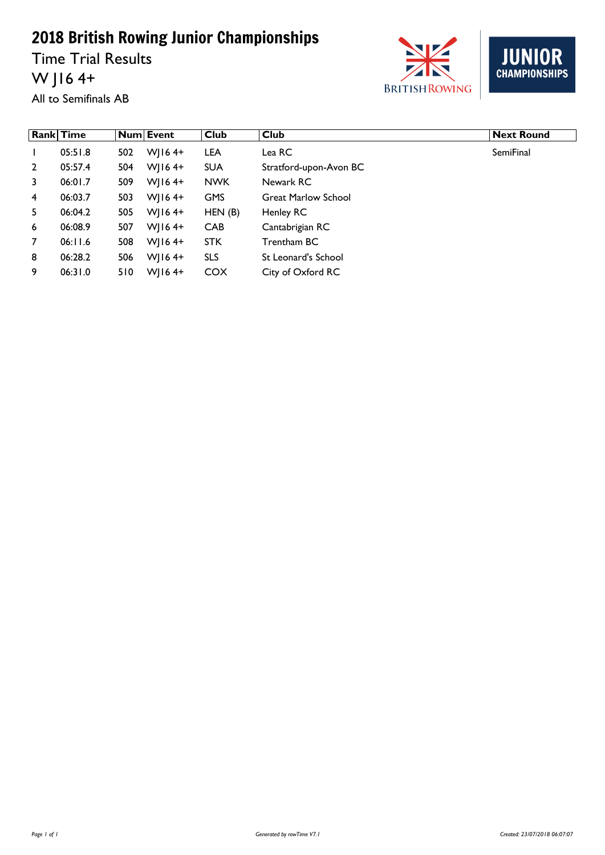Time Trial Results W J16 4+



JUN **CHAMPIONSHIPS** 

All to Semifinals AB

|                | <b>Rank Time</b> |     | <b>Num Event</b> | <b>Club</b> | Club                       | <b>Next Round</b> |
|----------------|------------------|-----|------------------|-------------|----------------------------|-------------------|
|                | 05:51.8          | 502 | $W$   164+       | <b>LEA</b>  | Lea RC                     | <b>SemiFinal</b>  |
| $\overline{2}$ | 05:57.4          | 504 | $W$   164+       | <b>SUA</b>  | Stratford-upon-Avon BC     |                   |
| 3              | 06:01.7          | 509 | $W$   164+       | <b>NWK</b>  | Newark RC                  |                   |
| $\overline{4}$ | 06:03.7          | 503 | $W$   164+       | <b>GMS</b>  | <b>Great Marlow School</b> |                   |
| 5              | 06:04.2          | 505 | $W$   164+       | HEN(B)      | Henley RC                  |                   |
| 6              | 06:08.9          | 507 | $W$   164+       | <b>CAB</b>  | Cantabrigian RC            |                   |
| $\overline{7}$ | 06:11.6          | 508 | $W$   164+       | <b>STK</b>  | Trentham BC                |                   |
| 8              | 06:28.2          | 506 | $W$   164+       | <b>SLS</b>  | St Leonard's School        |                   |
| 9              | 06:31.0          | 510 | $W$   164+       | <b>COX</b>  | City of Oxford RC          |                   |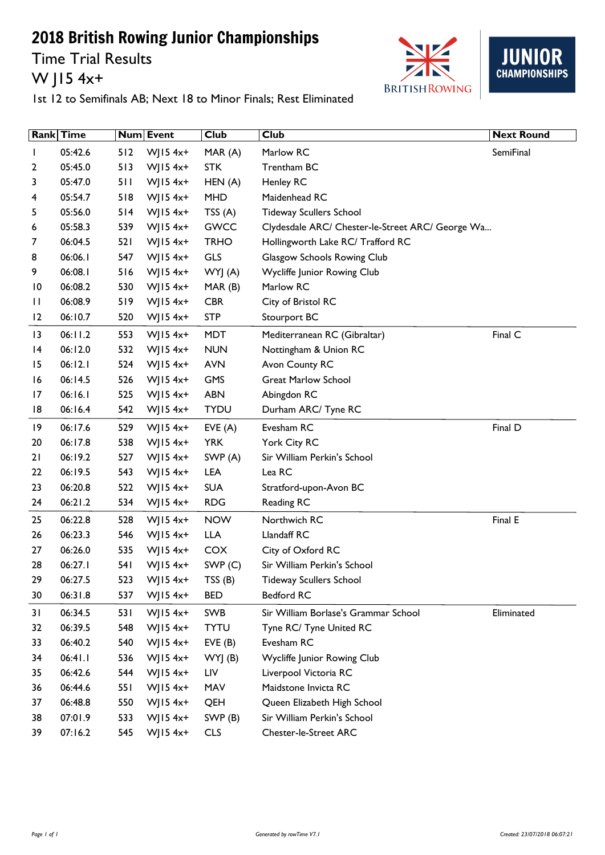Time Trial Results W J15 4x+





|                 | Rank Time |      | Num Event    | <b>Club</b> | <b>Club</b>                                      | <b>Next Round</b> |
|-----------------|-----------|------|--------------|-------------|--------------------------------------------------|-------------------|
|                 | 05:42.6   | 512  | $W$ JI54x+   | MAR (A)     | Marlow RC                                        | SemiFinal         |
| 2               | 05:45.0   | 513  | WJ15 $4x+$   | <b>STK</b>  | Trentham BC                                      |                   |
| 3               | 05:47.0   | 511  | WJ15 $4x+$   | HEN (A)     | <b>Henley RC</b>                                 |                   |
| 4               | 05:54.7   | 518  | WJ15 $4x+$   | <b>MHD</b>  | Maidenhead RC                                    |                   |
| 5               | 05:56.0   | 514  | $W$ JI54x+   | TSS(A)      | <b>Tideway Scullers School</b>                   |                   |
| 6               | 05:58.3   | 539  | WJ15 $4x+$   | <b>GWCC</b> | Clydesdale ARC/ Chester-le-Street ARC/ George Wa |                   |
| 7               | 06:04.5   | 521  | $W$ JI54x+   | <b>TRHO</b> | Hollingworth Lake RC/ Trafford RC                |                   |
| 8               | 06:06.1   | 547  | WJ15 $4x+$   | <b>GLS</b>  | Glasgow Schools Rowing Club                      |                   |
| 9               | 06:08.1   | 516  | WJ15 $4x+$   | WYJ (A)     | Wycliffe Junior Rowing Club                      |                   |
| $\overline{10}$ | 06:08.2   | 530  | $W$ JI54x+   | MAR(B)      | Marlow RC                                        |                   |
| П               | 06:08.9   | 519  | $W$ JI54x+   | <b>CBR</b>  | City of Bristol RC                               |                   |
| 2               | 06:10.7   | 520  | $W$ JI54x+   | <b>STP</b>  | Stourport BC                                     |                   |
| 13              | 06:11.2   | 553  | $W$ JI54x+   | <b>MDT</b>  | Mediterranean RC (Gibraltar)                     | Final C           |
| 4               | 06:12.0   | 532  | WJ15 $4x+$   | <b>NUN</b>  | Nottingham & Union RC                            |                   |
| 15              | 06:12.1   | 524  | WJ15 $4x+$   | <b>AVN</b>  | Avon County RC                                   |                   |
| 16              | 06:14.5   | 526  | WJ15 $4x+$   | GMS         | <b>Great Marlow School</b>                       |                   |
| 17              | 06:16.1   | 525  | $W$ JI54x+   | <b>ABN</b>  | Abingdon RC                                      |                   |
| 18              | 06:16.4   | 542  | WJ15 $4x+$   | <b>TYDU</b> | Durham ARC/ Tyne RC                              |                   |
| 9               | 06:17.6   | 529  | WJ15 $4x+$   | EVE(A)      | Evesham RC                                       | Final D           |
| 20              | 06:17.8   | 538  | WJ15 $4x+$   | <b>YRK</b>  | York City RC                                     |                   |
| 21              | 06:19.2   | 527  | WJ15 $4x+$   | SWP (A)     | Sir William Perkin's School                      |                   |
| 22              | 06:19.5   | 543  | $W$ JI54x+   | <b>LEA</b>  | Lea RC                                           |                   |
| 23              | 06:20.8   | 522  | $W$ JI54x+   | <b>SUA</b>  | Stratford-upon-Avon BC                           |                   |
| 24              | 06:21.2   | 534  | $W$ JI54x+   | <b>RDG</b>  | Reading RC                                       |                   |
| 25              | 06:22.8   | 528  | WJ15 $4x+$   | <b>NOW</b>  | Northwich RC                                     | Final E           |
| 26              | 06:23.3   | 546  | WJ15 $4x+$   | <b>LLA</b>  | Llandaff RC                                      |                   |
| 27              | 06:26.0   | 535  | $W$ JI54x+   | <b>COX</b>  | City of Oxford RC                                |                   |
| 28              | 06:27.1   | 54 I | WJ15 $4x+$   | SWP(C)      | Sir William Perkin's School                      |                   |
| 29              | 06:27.5   | 523  | $W$   15 4x+ | TSS (B)     | <b>Tideway Scullers School</b>                   |                   |
| 30              | 06:31.8   | 537  | WJ15 $4x+$   | <b>BED</b>  | Bedford RC                                       |                   |
| 31              | 06:34.5   | 531  | $W$ JI54x+   | SWB         | Sir William Borlase's Grammar School             | Eliminated        |
| 32              | 06:39.5   | 548  | WJ15 $4x+$   | <b>TYTU</b> | Tyne RC/ Tyne United RC                          |                   |
| 33              | 06:40.2   | 540  | WJ15 $4x+$   | EVE(B)      | Evesham RC                                       |                   |
| 34              | 06:41.1   | 536  | WJ15 $4x+$   | WYJ (B)     | Wycliffe Junior Rowing Club                      |                   |
| 35              | 06:42.6   | 544  | WJ15 $4x+$   | LIV         | Liverpool Victoria RC                            |                   |
| 36              | 06:44.6   | 551  | $W$ JI54x+   | MAV         | Maidstone Invicta RC                             |                   |
| 37              | 06:48.8   | 550  | WJ15 $4x+$   | QEH         | Queen Elizabeth High School                      |                   |
| 38              | 07:01.9   | 533  | WJ15 $4x+$   | SWP(B)      | Sir William Perkin's School                      |                   |
| 39              | 07:16.2   | 545  | $W$ JI54x+   | <b>CLS</b>  | <b>Chester-le-Street ARC</b>                     |                   |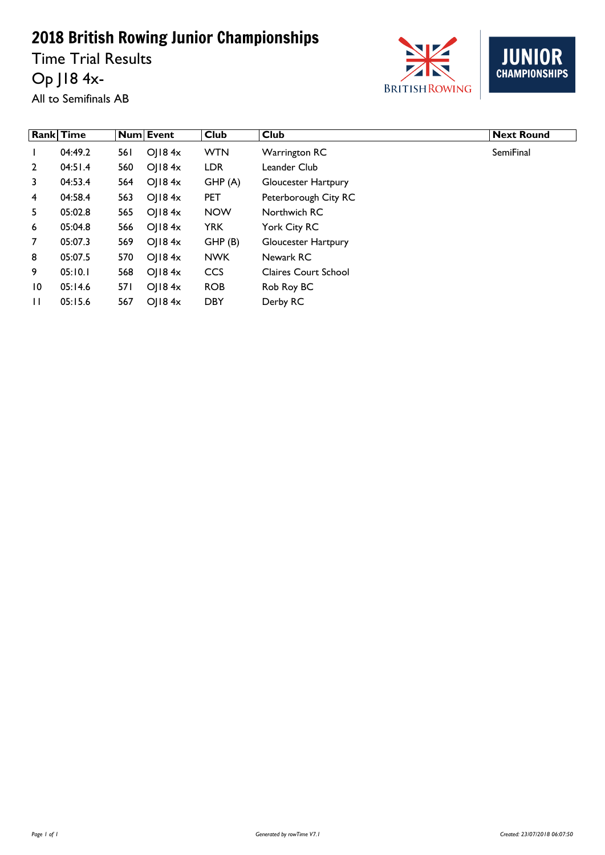Time Trial Results

Op J18 4x-



JUN  $\overline{\mathsf{R}}$ **CHAMPIONSHIPS** 

All to Semifinals AB

|                 | <b>Rank Time</b> |      | <b>Num Event</b> | <b>Club</b> | <b>Club</b>                 | <b>Next Round</b> |
|-----------------|------------------|------|------------------|-------------|-----------------------------|-------------------|
| $\mathbf{I}$    | 04:49.2          | 56 I | $O$   184 $x$    | <b>WTN</b>  | Warrington RC               | <b>SemiFinal</b>  |
| $\overline{2}$  | 04:51.4          | 560  | O  8.4x          | <b>LDR</b>  | Leander Club                |                   |
| 3               | 04:53.4          | 564  | O  8.4x          | GHP(A)      | Gloucester Hartpury         |                   |
| 4               | 04:58.4          | 563  | O  84x           | <b>PET</b>  | Peterborough City RC        |                   |
| 5               | 05:02.8          | 565  | O  84x           | <b>NOW</b>  | Northwich RC                |                   |
| 6               | 05:04.8          | 566  | O  84x           | <b>YRK</b>  | York City RC                |                   |
| $\mathcal{I}$   | 05:07.3          | 569  | O  84x           | GHP(B)      | Gloucester Hartpury         |                   |
| 8               | 05:07.5          | 570  | O  84x           | <b>NWK</b>  | Newark RC                   |                   |
| 9               | 05:10.1          | 568  | $O$   184 $x$    | <b>CCS</b>  | <b>Claires Court School</b> |                   |
| $\overline{10}$ | 05:14.6          | 57 I | O  84x           | <b>ROB</b>  | Rob Roy BC                  |                   |
| $\mathbf{H}$    | 05:15.6          | 567  | O  84x           | <b>DBY</b>  | Derby RC                    |                   |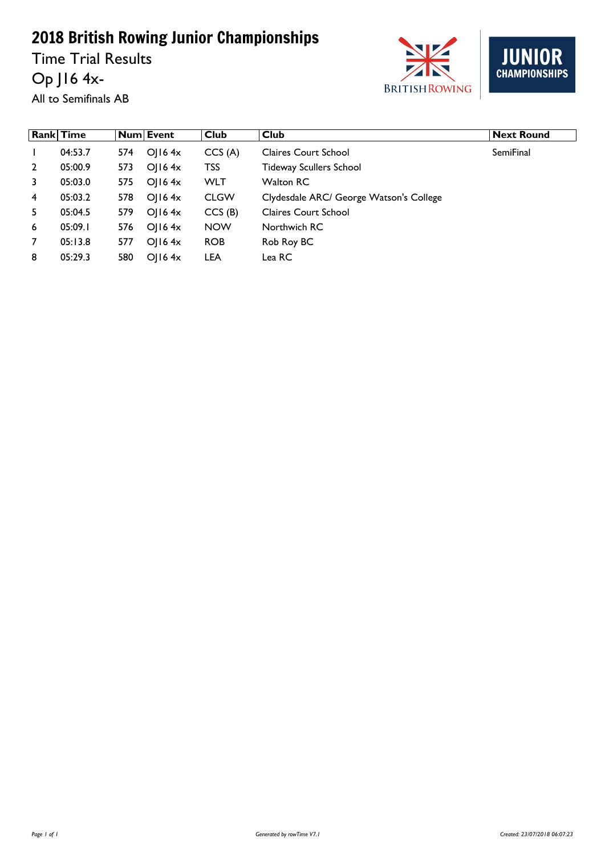Time Trial Results Op J16 4x**BRITISH ROWING** 



All to Semifinals AB

|              | <b>Rank Time</b> |     | Num Event      | Club        | $ $ Club                                | <b>Next Round</b> |
|--------------|------------------|-----|----------------|-------------|-----------------------------------------|-------------------|
|              | 04:53.7          | 574 | $OII6$ 4x      | CCS(A)      | <b>Claires Court School</b>             | <b>SemiFinal</b>  |
| $\mathbf{2}$ | 05:00.9          | 573 | O(16.4x)       | TSS         | <b>Tideway Scullers School</b>          |                   |
| 3            | 05:03.0          | 575 | $O$   16 4 $x$ | <b>WLT</b>  | <b>Walton RC</b>                        |                   |
| 4            | 05:03.2          | 578 | O(16.4x)       | <b>CLGW</b> | Clydesdale ARC/ George Watson's College |                   |
| 5.           | 05:04.5          | 579 | O(16.4x)       | CCS(B)      | <b>Claires Court School</b>             |                   |
| 6            | 05:09.1          | 576 | O  $16.4x$     | <b>NOW</b>  | Northwich RC                            |                   |
| 7            | 05:13.8          | 577 | O(16.4x)       | <b>ROB</b>  | Rob Roy BC                              |                   |
| 8            | 05:29.3          | 580 | O(16.4x)       | <b>LEA</b>  | Lea RC                                  |                   |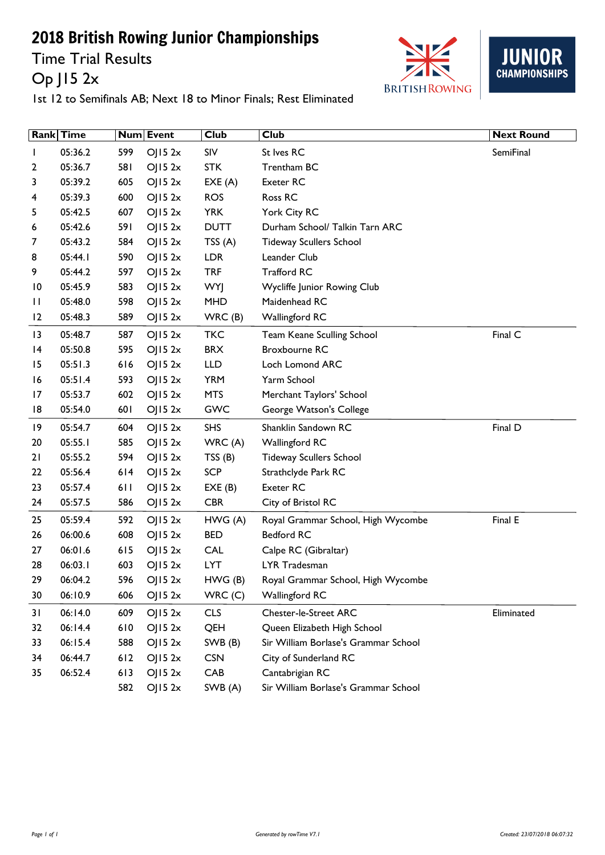Time Trial Results Op J15 2x





|                 | Rank Time |     | Num Event | <b>Club</b> | <b>Club</b>                          | <b>Next Round</b> |
|-----------------|-----------|-----|-----------|-------------|--------------------------------------|-------------------|
|                 | 05:36.2   | 599 | OJ152x    | SIV         | St Ives RC                           | SemiFinal         |
| 2               | 05:36.7   | 581 | OJ152x    | <b>STK</b>  | Trentham BC                          |                   |
| 3               | 05:39.2   | 605 | OJ152x    | EXE(A)      | Exeter RC                            |                   |
| 4               | 05:39.3   | 600 | OJ152x    | <b>ROS</b>  | Ross RC                              |                   |
| 5               | 05:42.5   | 607 | OJ152x    | <b>YRK</b>  | York City RC                         |                   |
| 6               | 05:42.6   | 591 | OJ152x    | <b>DUTT</b> | Durham School/ Talkin Tarn ARC       |                   |
| 7               | 05:43.2   | 584 | OJ152x    | TSS(A)      | <b>Tideway Scullers School</b>       |                   |
| 8               | 05:44.1   | 590 | OJ152x    | <b>LDR</b>  | Leander Club                         |                   |
| 9               | 05:44.2   | 597 | O  52x    | <b>TRF</b>  | <b>Trafford RC</b>                   |                   |
| $\overline{10}$ | 05:45.9   | 583 | OJ152x    | <b>WYJ</b>  | Wycliffe Junior Rowing Club          |                   |
| П               | 05:48.0   | 598 | OJ152x    | <b>MHD</b>  | Maidenhead RC                        |                   |
| 12              | 05:48.3   | 589 | OJ152x    | WRC(B)      | <b>Wallingford RC</b>                |                   |
| 3               | 05:48.7   | 587 | OJ152x    | <b>TKC</b>  | Team Keane Sculling School           | Final C           |
| 4               | 05:50.8   | 595 | OJ152x    | <b>BRX</b>  | <b>Broxbourne RC</b>                 |                   |
| 15              | 05:51.3   | 616 | OJ $152x$ | <b>LLD</b>  | Loch Lomond ARC                      |                   |
| 16              | 05:51.4   | 593 | OJ152x    | <b>YRM</b>  | Yarm School                          |                   |
| 17              | 05:53.7   | 602 | OJ152x    | <b>MTS</b>  | Merchant Taylors' School             |                   |
| 18              | 05:54.0   | 601 | OJ152x    | GWC         | George Watson's College              |                   |
| $\overline{19}$ | 05:54.7   | 604 | OJ152x    | <b>SHS</b>  | Shanklin Sandown RC                  | Final D           |
| 20              | 05:55.1   | 585 | OJ152x    | WRC(A)      | Wallingford RC                       |                   |
| 21              | 05:55.2   | 594 | OJ152x    | TSS(B)      | <b>Tideway Scullers School</b>       |                   |
| 22              | 05:56.4   | 614 | OJ152x    | <b>SCP</b>  | Strathclyde Park RC                  |                   |
| 23              | 05:57.4   | 611 | OJ152x    | EXE(B)      | Exeter RC                            |                   |
| 24              | 05:57.5   | 586 | OJ152x    | <b>CBR</b>  | City of Bristol RC                   |                   |
| 25              | 05:59.4   | 592 | OJ152x    | HWG(A)      | Royal Grammar School, High Wycombe   | Final E           |
| 26              | 06:00.6   | 608 | OJ $152x$ | <b>BED</b>  | <b>Bedford RC</b>                    |                   |
| 27              | 06:01.6   | 615 | OJ152x    | <b>CAL</b>  | Calpe RC (Gibraltar)                 |                   |
| 28              | 06:03.1   | 603 | OJ152x    | <b>LYT</b>  | LYR Tradesman                        |                   |
| 29              | 06:04.2   | 596 | OJ152x    | HWG (B)     | Royal Grammar School, High Wycombe   |                   |
| 30              | 06:10.9   | 606 | OJ152x    | WRC(C)      | <b>Wallingford RC</b>                |                   |
| 31              | 06:14.0   | 609 | OJ152x    | <b>CLS</b>  | <b>Chester-le-Street ARC</b>         | Eliminated        |
| 32              | 06:14.4   | 610 | OJ152x    | QEH         | Queen Elizabeth High School          |                   |
| 33              | 06:15.4   | 588 | OJ152x    | SWB (B)     | Sir William Borlase's Grammar School |                   |
| 34              | 06:44.7   | 612 | OJ152x    | <b>CSN</b>  | City of Sunderland RC                |                   |
| 35              | 06:52.4   | 613 | OJ152x    | CAB         | Cantabrigian RC                      |                   |
|                 |           | 582 | OJ $152x$ | SWB (A)     | Sir William Borlase's Grammar School |                   |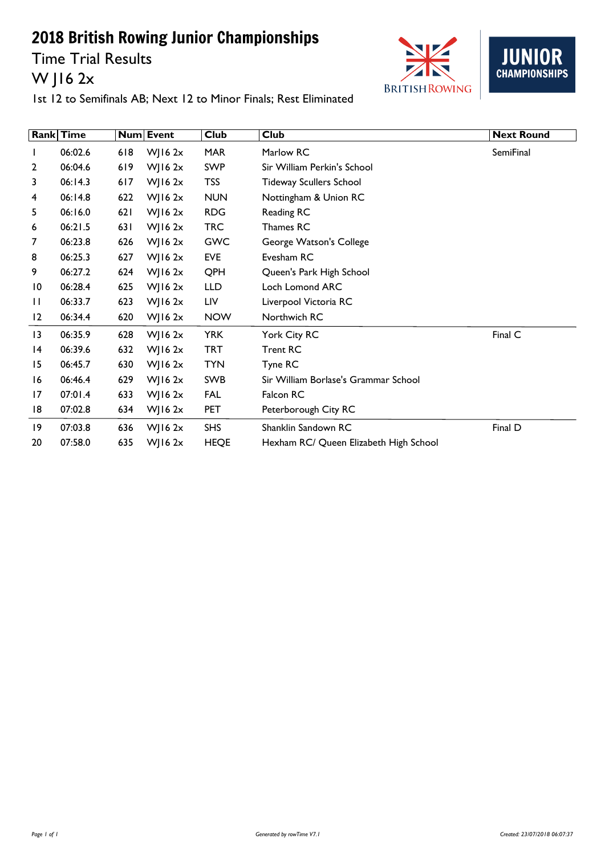Time Trial Results W J16 2x





|                | <b>Rank</b> Time |     | Num Event      | <b>Club</b> | <b>Club</b>                            | <b>Next Round</b> |
|----------------|------------------|-----|----------------|-------------|----------------------------------------|-------------------|
|                | 06:02.6          | 618 | WJ16 $2x$      | <b>MAR</b>  | Marlow RC                              | SemiFinal         |
| $\overline{2}$ | 06:04.6          | 619 | $W$   16 2x    | <b>SWP</b>  | Sir William Perkin's School            |                   |
| 3              | 06:14.3          | 617 | WJ16 $2x$      | <b>TSS</b>  | <b>Tideway Scullers School</b>         |                   |
| 4              | 06:14.8          | 622 | WJ16 $2x$      | <b>NUN</b>  | Nottingham & Union RC                  |                   |
| 5              | 06:16.0          | 621 | $W$   16 2x    | <b>RDG</b>  | Reading RC                             |                   |
| 6              | 06:21.5          | 631 | WJ16 $2x$      | <b>TRC</b>  | Thames RC                              |                   |
| 7              | 06:23.8          | 626 | WJ16 $2x$      | <b>GWC</b>  | George Watson's College                |                   |
| 8              | 06:25.3          | 627 | WJ16 $2x$      | EVE         | Evesham RC                             |                   |
| 9              | 06:27.2          | 624 | WJ16 $2x$      | QPH         | Queen's Park High School               |                   |
| 10             | 06:28.4          | 625 | WJ16 $2x$      | <b>LLD</b>  | Loch Lomond ARC                        |                   |
| П              | 06:33.7          | 623 | WJ16 $2x$      | LIV         | Liverpool Victoria RC                  |                   |
| $\overline{2}$ | 06:34.4          | 620 | WJ16 2x        | <b>NOW</b>  | Northwich RC                           |                   |
| 13             | 06:35.9          | 628 | WJ16 $2x$      | <b>YRK</b>  | York City RC                           | Final C           |
| 14             | 06:39.6          | 632 | WJ16 $2x$      | <b>TRT</b>  | <b>Trent RC</b>                        |                   |
| 15             | 06:45.7          | 630 | WJ16 $2x$      | <b>TYN</b>  | Tyne RC                                |                   |
| 16             | 06:46.4          | 629 | $W$   16 2x    | SWB         | Sir William Borlase's Grammar School   |                   |
| 17             | 07:01.4          | 633 | $W$   16 2 $x$ | FAL         | Falcon RC                              |                   |
| 18             | 07:02.8          | 634 | WJ16 $2x$      | <b>PET</b>  | Peterborough City RC                   |                   |
| 19             | 07:03.8          | 636 | $W$   16 2x    | <b>SHS</b>  | Shanklin Sandown RC                    | Final D           |
| 20             | 07:58.0          | 635 | $W$ ] 16 2x    | <b>HEQE</b> | Hexham RC/ Queen Elizabeth High School |                   |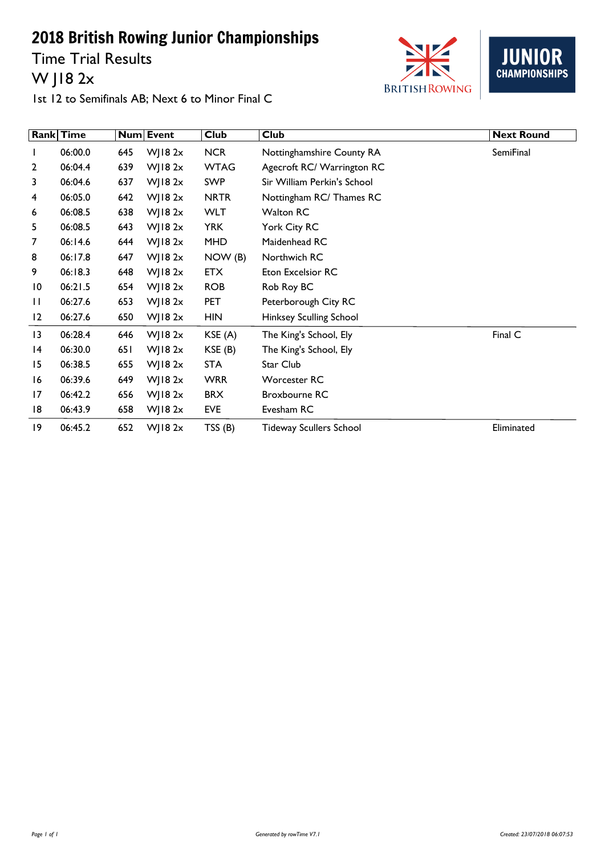Time Trial Results W J18 2x





1st 12 to Semifinals AB; Next 6 to Minor Final C

|                | <b>Rank Time</b> |     | Num Event      | <b>Club</b> | <b>Club</b>                    | <b>Next Round</b> |
|----------------|------------------|-----|----------------|-------------|--------------------------------|-------------------|
| $\mathbf{I}$   | 06:00.0          | 645 | WJ18 $2x$      | <b>NCR</b>  | Nottinghamshire County RA      | SemiFinal         |
| $\overline{2}$ | 06:04.4          | 639 | $W$   18 2 $x$ | <b>WTAG</b> | Agecroft RC/ Warrington RC     |                   |
| 3              | 06:04.6          | 637 | WJ18 $2x$      | <b>SWP</b>  | Sir William Perkin's School    |                   |
| 4              | 06:05.0          | 642 | $W$ ] 18 2x    | <b>NRTR</b> | Nottingham RC/ Thames RC       |                   |
| 6              | 06:08.5          | 638 | $W$   18 2 $x$ | <b>WLT</b>  | Walton RC                      |                   |
| 5              | 06:08.5          | 643 | WJ18 $2x$      | <b>YRK</b>  | York City RC                   |                   |
| 7              | 06:14.6          | 644 | $W$   18 2 $x$ | <b>MHD</b>  | Maidenhead RC                  |                   |
| 8              | 06:17.8          | 647 | WJ18 $2x$      | NOW (B)     | Northwich RC                   |                   |
| 9              | 06:18.3          | 648 | WJ18 $2x$      | <b>ETX</b>  | Eton Excelsior RC              |                   |
| 10             | 06:21.5          | 654 | WJ18 $2x$      | <b>ROB</b>  | Rob Roy BC                     |                   |
| $\mathbf{H}$   | 06:27.6          | 653 | WJ18 $2x$      | PET         | Peterborough City RC           |                   |
| 12             | 06:27.6          | 650 | WJ18 $2x$      | <b>HIN</b>  | Hinksey Sculling School        |                   |
| 13             | 06:28.4          | 646 | WJ18 $2x$      | KSE (A)     | The King's School, Ely         | Final C           |
| 14             | 06:30.0          | 651 | $W$   18 2 $x$ | KSE (B)     | The King's School, Ely         |                   |
| 15             | 06:38.5          | 655 | WJ18 $2x$      | <b>STA</b>  | Star Club                      |                   |
| 16             | 06:39.6          | 649 | WJ18 $2x$      | <b>WRR</b>  | Worcester RC                   |                   |
| 17             | 06:42.2          | 656 | WJ18 $2x$      | <b>BRX</b>  | Broxbourne RC                  |                   |
| 18             | 06:43.9          | 658 | WJ18 $2x$      | EVE         | Evesham RC                     |                   |
| 19             | 06:45.2          | 652 | $W$   18 2 $x$ | TSS(B)      | <b>Tideway Scullers School</b> | Eliminated        |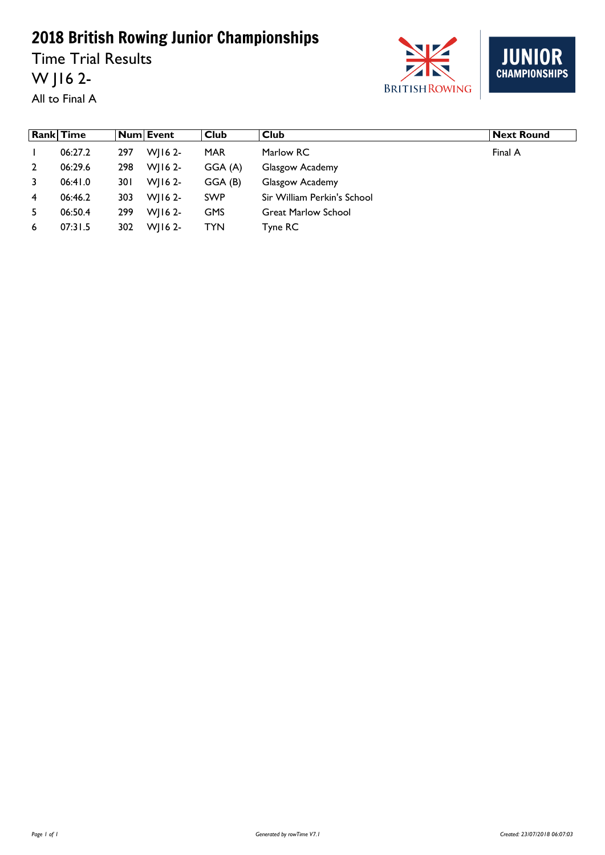Time Trial Results W J16 2- All to Final A





|    | <b>Rank Time</b> |      | Num Event   | Club       | Club                        | <b>Next Round</b> |
|----|------------------|------|-------------|------------|-----------------------------|-------------------|
|    | 06:27.2          | 297  | WII6 $2-$   | <b>MAR</b> | Marlow RC                   | Final A           |
| 2  | 06:29.6          | 298  | $W$   16 2- | GGA (A)    | Glasgow Academy             |                   |
| 3  | 06:41.0          | 30 I | WI16 2-     | GGA (B)    | Glasgow Academy             |                   |
| 4  | 06:46.2          | 303  | WI16 2-     | <b>SWP</b> | Sir William Perkin's School |                   |
| 5. | 06:50.4          | 299  | $WII62-$    | <b>GMS</b> | <b>Great Marlow School</b>  |                   |
| 6  | 07:31.5          | 302  | WI16 2-     | <b>TYN</b> | Tyne RC                     |                   |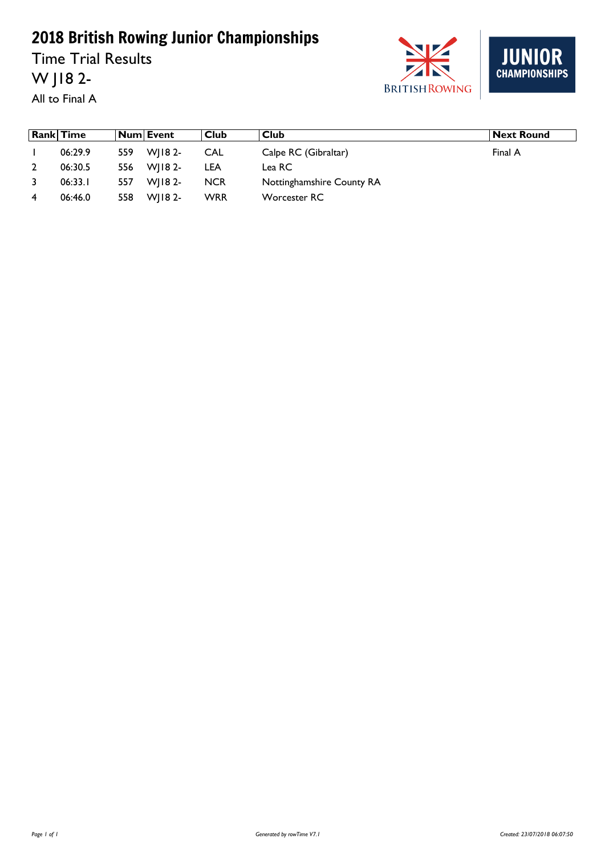Time Trial Results W J18 2- All to Final A





|   | <b>Rank Time</b> |     | Num Event  | Club       | ∣ Club                    | <b>Next Round</b> |
|---|------------------|-----|------------|------------|---------------------------|-------------------|
|   | 06:29.9          | 559 | WI18 2-    | CAL        | Calpe RC (Gibraltar)      | Final A           |
|   | 06:30.5          |     | 556 WJ182- | <b>LEA</b> | Lea RC                    |                   |
|   | 06:33.1          | 557 | WI18 2-    | <b>NCR</b> | Nottinghamshire County RA |                   |
| 4 | 06:46.0          | 558 | $W$   182- | <b>WRR</b> | Worcester RC              |                   |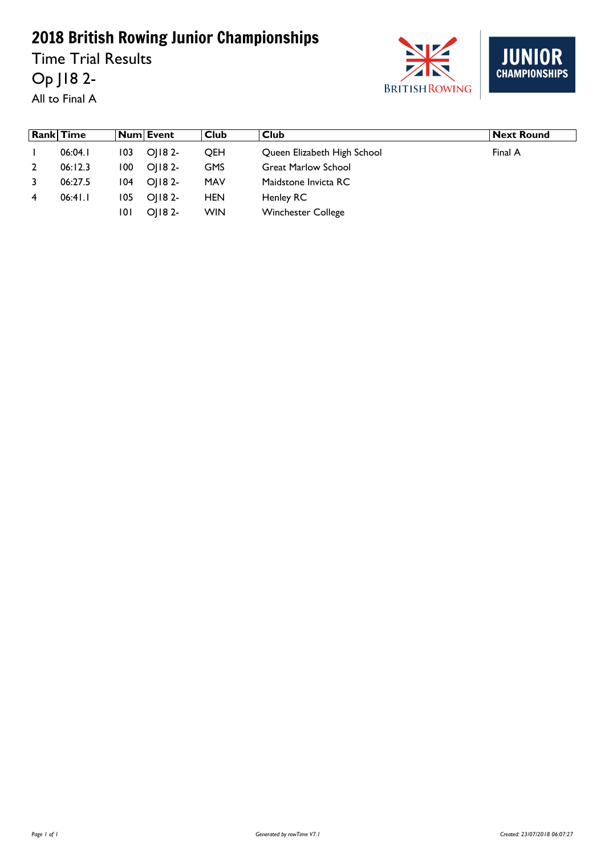Time Trial Results Op J18 2-







|   | Rank Time |      | Num  Event  | Club       | Club                        | <b>Next Round</b> |
|---|-----------|------|-------------|------------|-----------------------------|-------------------|
|   | 06:04.1   | 103  | OI18 2-     | <b>OEH</b> | Queen Elizabeth High School | Final A           |
|   | 06:12.3   | 100. | OI18 2-     | <b>GMS</b> | <b>Great Marlow School</b>  |                   |
|   | 06:27.5   | 104  | OI18 2-     | <b>MAV</b> | Maidstone Invicta RC        |                   |
| 4 | 06:41.1   | 105  | OI18 2-     | <b>HEN</b> | Henley RC                   |                   |
|   |           | 101  | $O$   18 2- | <b>WIN</b> | <b>Winchester College</b>   |                   |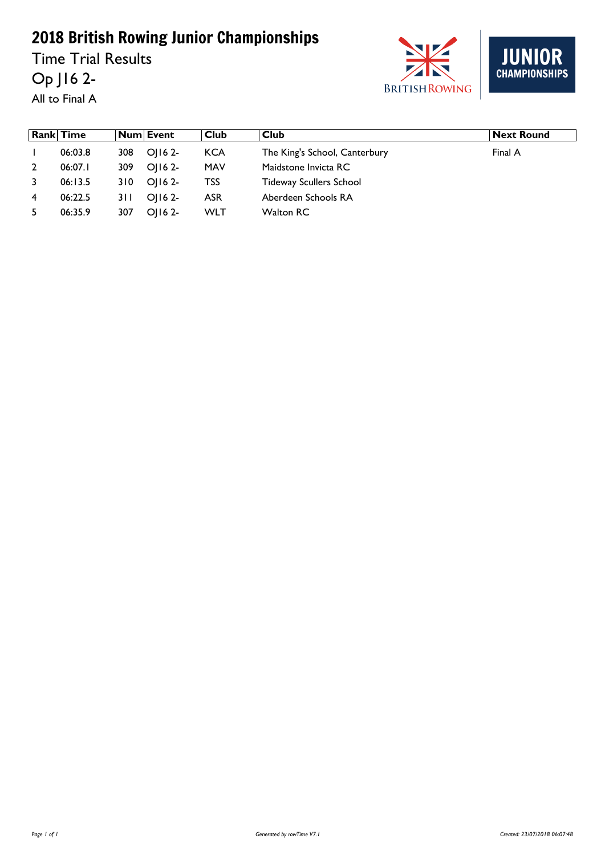Time Trial Results Op J16 2- All to Final A





|   | <b>Rank</b> Time |       | Num  Event | Club       | Club                           | <b>Next Round</b> |
|---|------------------|-------|------------|------------|--------------------------------|-------------------|
|   | 06:03.8          | 308   | OI16 2-    | <b>KCA</b> | The King's School, Canterbury  | Final A           |
|   | 06:07.1          | 309   | $O(162 -$  | <b>MAV</b> | Maidstone Invicta RC           |                   |
|   | 06:13.5          | 310   | OI16 2-    | TSS        | <b>Tideway Scullers School</b> |                   |
| 4 | 06:22.5          | 3 I I | OI16 2-    | <b>ASR</b> | Aberdeen Schools RA            |                   |
|   | 06:35.9          | 307   | $O(162 -$  | <b>WLT</b> | Walton RC                      |                   |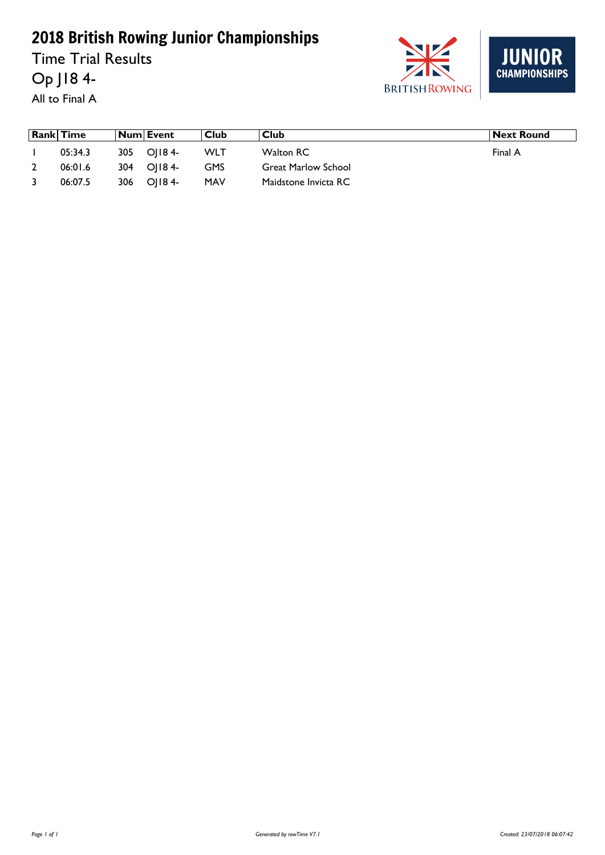Time Trial Results Op J18 4-

All to Final A





| <b>Rank Time</b> |      | Num Event    | Club       | ∣ Club                     | Next Round |
|------------------|------|--------------|------------|----------------------------|------------|
| 05:34.3          |      | 305 O   184- | WLT        | Walton RC                  | Final A    |
| 06:01.6          |      | 304 OII8 4-  | <b>GMS</b> | <b>Great Marlow School</b> |            |
| 06:07.5          | 306. | OI184-       | <b>MAV</b> | Maidstone Invicta RC       |            |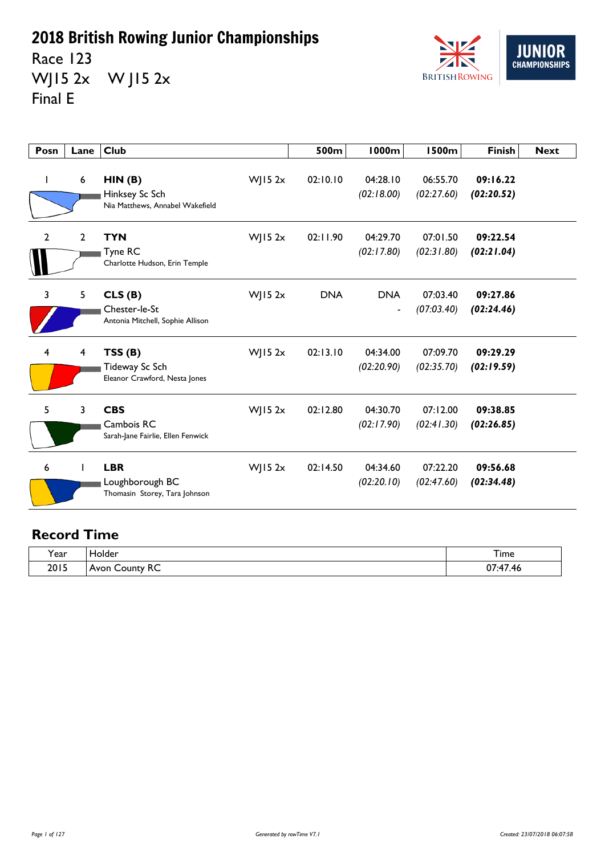Race 123 WJ15 2x W J15 2x Final E



| Posn | Lane            | Club                                                           |             | 500m       | <b>1000m</b>                           | <b>1500m</b>           | <b>Finish</b>          | <b>Next</b> |
|------|-----------------|----------------------------------------------------------------|-------------|------------|----------------------------------------|------------------------|------------------------|-------------|
| L    | $6\phantom{1}6$ | HIN(B)<br>Hinksey Sc Sch<br>Nia Matthews, Annabel Wakefield    | $W$ JI5 2x  | 02:10.10   | 04:28.10<br>(02:18.00)                 | 06:55.70<br>(02:27.60) | 09:16.22<br>(02:20.52) |             |
| 2    | $\overline{2}$  | <b>TYN</b><br>Tyne RC<br>Charlotte Hudson, Erin Temple         | WJ15 $2x$   | 02:11.90   | 04:29.70<br>(02:17.80)                 | 07:01.50<br>(02:31.80) | 09:22.54<br>(02:21.04) |             |
| 3    | 5               | CLS(B)<br>Chester-le-St<br>Antonia Mitchell, Sophie Allison    | $W$ ] 15 2x | <b>DNA</b> | <b>DNA</b><br>$\overline{\phantom{a}}$ | 07:03.40<br>(07:03.40) | 09:27.86<br>(02:24.46) |             |
| 4    | 4               | TSS(B)<br>Tideway Sc Sch<br>Eleanor Crawford, Nesta Jones      | WJ15 $2x$   | 02:13.10   | 04:34.00<br>(02:20.90)                 | 07:09.70<br>(02:35.70) | 09:29.29<br>(02:19.59) |             |
| 5    | 3               | <b>CBS</b><br>Cambois RC<br>Sarah-Jane Fairlie, Ellen Fenwick  | $W$ JI5 2x  | 02:12.80   | 04:30.70<br>(02:17.90)                 | 07:12.00<br>(02:41.30) | 09:38.85<br>(02:26.85) |             |
| 6    |                 | <b>LBR</b><br>Loughborough BC<br>Thomasin Storey, Tara Johnson | $W$ JI5 2x  | 02:14.50   | 04:34.60<br>(02:20.10)                 | 07:22.20<br>(02:47.60) | 09:56.68<br>(02:34.48) |             |

| . .<br><b>Y</b> ear | iolder                          | <u>. на села с</u><br>ı ime              |
|---------------------|---------------------------------|------------------------------------------|
| 2015                | <u>_</u><br>Avon<br>∩untv<br>ĸĊ | $\sim$<br>$\rightarrow$<br>.,,<br>ᅚ<br>. |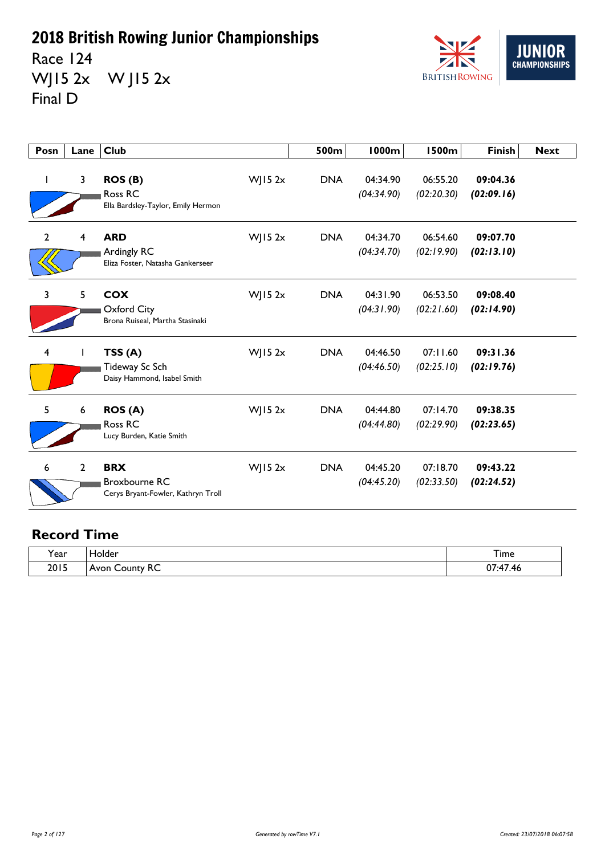Race 124 WJ15 2x W J15 2x Final D



| Posn           | Lane           | <b>Club</b>                                                              |             | 500m       | <b>1000m</b>           | <b>1500m</b>           | <b>Finish</b>          | <b>Next</b> |
|----------------|----------------|--------------------------------------------------------------------------|-------------|------------|------------------------|------------------------|------------------------|-------------|
|                | 3              | ROS (B)<br>Ross RC<br>Ella Bardsley-Taylor, Emily Hermon                 | WJ15 $2x$   | <b>DNA</b> | 04:34.90<br>(04:34.90) | 06:55.20<br>(02:20.30) | 09:04.36<br>(02:09.16) |             |
| $\overline{2}$ | $\overline{4}$ | <b>ARD</b><br>Ardingly RC<br>Eliza Foster, Natasha Gankerseer            | $W$ JI5 2x  | <b>DNA</b> | 04:34.70<br>(04:34.70) | 06:54.60<br>(02:19.90) | 09:07.70<br>(02:13.10) |             |
| 3              | 5              | <b>COX</b><br>Oxford City<br>Brona Ruiseal, Martha Stasinaki             | $W$ ] 15 2x | <b>DNA</b> | 04:31.90<br>(04:31.90) | 06:53.50<br>(02:21.60) | 09:08.40<br>(02:14.90) |             |
| 4              |                | TSS(A)<br>Tideway Sc Sch<br>Daisy Hammond, Isabel Smith                  | WJ15 $2x$   | <b>DNA</b> | 04:46.50<br>(04:46.50) | 07:11.60<br>(02:25.10) | 09:31.36<br>(02:19.76) |             |
| 5              | 6              | <b>ROS (A)</b><br>Ross RC<br>Lucy Burden, Katie Smith                    | $W$ JI5 2x  | <b>DNA</b> | 04:44.80<br>(04:44.80) | 07:14.70<br>(02:29.90) | 09:38.35<br>(02:23.65) |             |
| 6              | $\overline{2}$ | <b>BRX</b><br><b>Broxbourne RC</b><br>Cerys Bryant-Fowler, Kathryn Troll | $W$ JI5 2x  | <b>DNA</b> | 04:45.20<br>(04:45.20) | 07:18.70<br>(02:33.50) | 09:43.22<br>(02:24.52) |             |

| $\lambda$<br>ear? | Holder                        | –<br>i ime                                                |
|-------------------|-------------------------------|-----------------------------------------------------------|
| 2015              | ounty RC<br>$A$ von<br>$\sim$ | $\overline{\phantom{a}}$<br>$\sim$<br>л.<br>v,<br>ாப<br>. |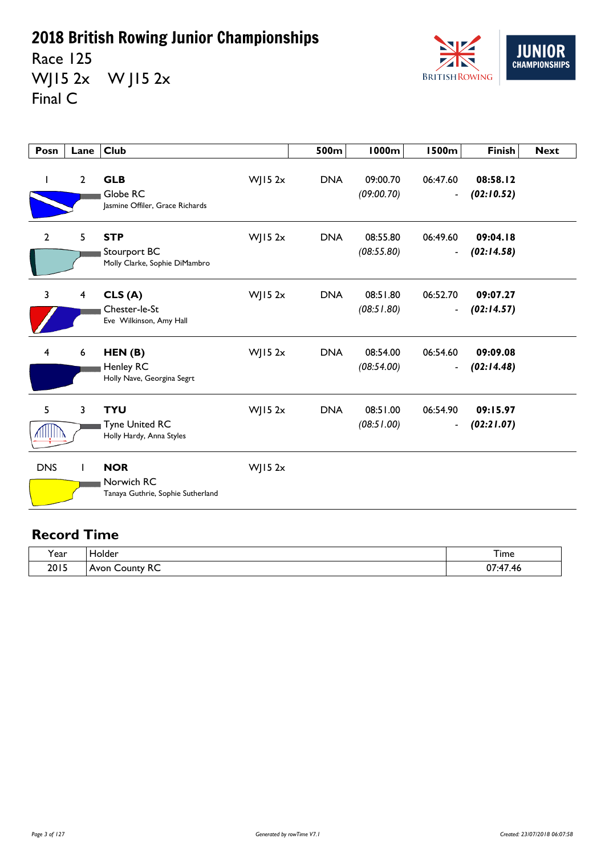Race 125 WJ15 2x W J15 2x Final C



| Posn           | Lane           | <b>Club</b>                                                     |            | 500m       | <b>1000m</b>           | <b>1500m</b>                             | <b>Finish</b>          | <b>Next</b> |
|----------------|----------------|-----------------------------------------------------------------|------------|------------|------------------------|------------------------------------------|------------------------|-------------|
| $\mathbf{I}$   | $\overline{2}$ | <b>GLB</b><br>Globe RC<br>Jasmine Offiler, Grace Richards       | $W$ JI5 2x | <b>DNA</b> | 09:00.70<br>(09:00.70) | 06:47.60<br>$\blacksquare$               | 08:58.12<br>(02:10.52) |             |
| $\overline{2}$ | 5              | <b>STP</b><br>Stourport BC<br>Molly Clarke, Sophie DiMambro     | $W$ JI5 2x | <b>DNA</b> | 08:55.80<br>(08:55.80) | 06:49.60<br>$\blacksquare$               | 09:04.18<br>(02:14.58) |             |
| 3              | 4              | CLS(A)<br>Chester-le-St<br>Eve Wilkinson, Amy Hall              | $W$ JI5 2x | <b>DNA</b> | 08:51.80<br>(08:51.80) | 06:52.70<br>$\qquad \qquad \blacksquare$ | 09:07.27<br>(02:14.57) |             |
| 4              | 6              | HEN(B)<br>Henley RC<br>Holly Nave, Georgina Segrt               | $W$ JI5 2x | <b>DNA</b> | 08:54.00<br>(08:54.00) | 06:54.60<br>$\overline{\phantom{a}}$     | 09:09.08<br>(02:14.48) |             |
| 5              | 3              | <b>TYU</b><br><b>Tyne United RC</b><br>Holly Hardy, Anna Styles | $W$ JI5 2x | <b>DNA</b> | 08:51.00<br>(08:51.00) | 06:54.90<br>$\blacksquare$               | 09:15.97<br>(02:21.07) |             |
| <b>DNS</b>     |                | <b>NOR</b><br>Norwich RC<br>Tanaya Guthrie, Sophie Sutherland   | WJ15 $2x$  |            |                        |                                          |                        |             |

| $\lambda$ | folder                                     | –                                                |
|-----------|--------------------------------------------|--------------------------------------------------|
| rear)     | _____                                      | <b>l</b> ime                                     |
| 2015      | $\sim$<br>County<br>$A$ von<br>ĸc<br>וושיר | $\sim$<br>$\overline{\phantom{a}}$<br>v,<br>. TO |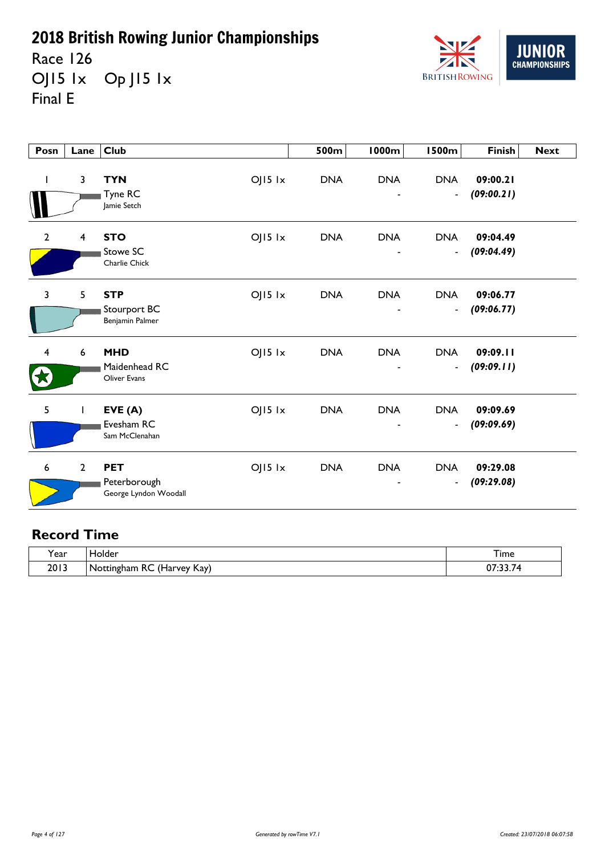Race 126 OJ15 lx Op J15 lx Final E



| Posn         | Lane                    | Club                                                |             | 500m       | <b>1000m</b>                  | <b>1500m</b>                               | <b>Finish</b>          | <b>Next</b> |
|--------------|-------------------------|-----------------------------------------------------|-------------|------------|-------------------------------|--------------------------------------------|------------------------|-------------|
| I            | $\overline{\mathbf{3}}$ | <b>TYN</b><br>Tyne RC<br>Jamie Setch                | $OJI5$ $1x$ | <b>DNA</b> | <b>DNA</b>                    | <b>DNA</b><br>$\blacksquare$               | 09:00.21<br>(09:00.21) |             |
| $\mathbf{2}$ | 4                       | <b>STO</b><br>Stowe SC<br>Charlie Chick             | $OJI5$ $1x$ | <b>DNA</b> | <b>DNA</b>                    | <b>DNA</b><br>$\blacksquare$               | 09:04.49<br>(09:04.49) |             |
| 3            | 5                       | <b>STP</b><br>Stourport BC<br>Benjamin Palmer       | $OJI5$ $1x$ | <b>DNA</b> | <b>DNA</b><br>$\qquad \qquad$ | <b>DNA</b><br>$\blacksquare$               | 09:06.77<br>(09:06.77) |             |
| 4            | $\boldsymbol{6}$        | <b>MHD</b><br>Maidenhead RC<br><b>Oliver Evans</b>  | $OJI5$ $1x$ | <b>DNA</b> | <b>DNA</b>                    | <b>DNA</b><br>$\overline{\phantom{a}}$     | 09:09.11<br>(09:09.11) |             |
| 5            | 1                       | EVE(A)<br>Evesham RC<br>Sam McClenahan              | $OJI5$ $1x$ | <b>DNA</b> | <b>DNA</b>                    | <b>DNA</b><br>$\qquad \qquad \blacksquare$ | 09:09.69<br>(09:09.69) |             |
| 6            | $\overline{2}$          | <b>PET</b><br>Peterborough<br>George Lyndon Woodall | $OJI5$ $1x$ | <b>DNA</b> | <b>DNA</b>                    | <b>DNA</b><br>$\overline{\phantom{a}}$     | 09:29.08<br>(09:29.08) |             |

| ີ.<br>Y ear | folder                                                                        | –<br>ı ime |
|-------------|-------------------------------------------------------------------------------|------------|
| 2013        | $\prime$<br>~~<br>Kay)<br>Offingham<br>NO.<br>. vev<br>ŧГ<br>πC<br>⊓di<br>ししい | $\sim$     |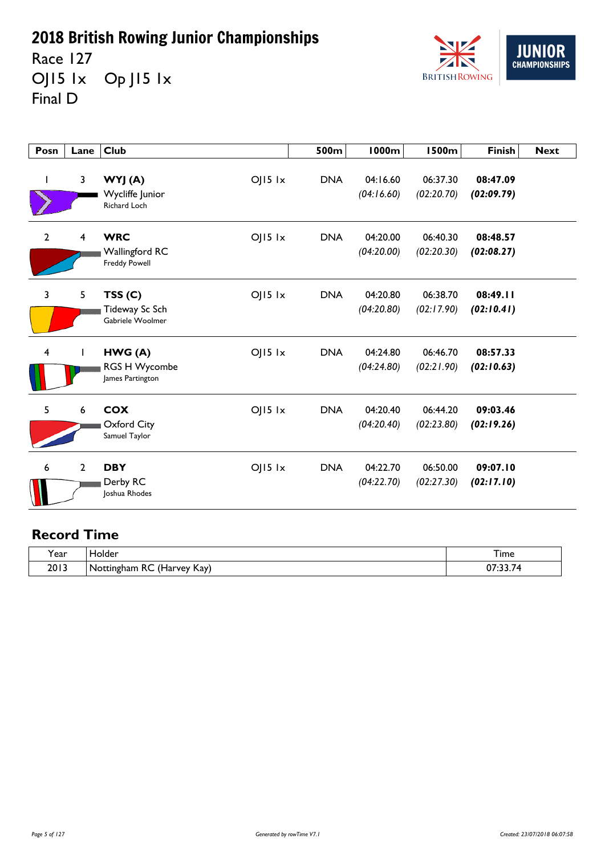Race 127 OJ15 lx Op J15 lx Final D



| Posn           | Lane           | <b>Club</b>                                                               | 500m       | <b>1000m</b>           | <b>1500m</b>           | <b>Finish</b>          | <b>Next</b> |
|----------------|----------------|---------------------------------------------------------------------------|------------|------------------------|------------------------|------------------------|-------------|
|                | 3              | $OJI5$ $1x$<br>WYJ (A)<br>Wycliffe Junior<br>Richard Loch                 | <b>DNA</b> | 04:16.60<br>(04:16.60) | 06:37.30<br>(02:20.70) | 08:47.09<br>(02:09.79) |             |
| $\overline{2}$ | $\overline{4}$ | <b>WRC</b><br>$O$   5  x<br><b>Wallingford RC</b><br><b>Freddy Powell</b> | <b>DNA</b> | 04:20.00<br>(04:20.00) | 06:40.30<br>(02:20.30) | 08:48.57<br>(02:08.27) |             |
| 3              | 5              | $O$   5  x<br>TSS(C)<br>Tideway Sc Sch<br>Gabriele Woolmer                | <b>DNA</b> | 04:20.80<br>(04:20.80) | 06:38.70<br>(02:17.90) | 08:49.11<br>(02:10.41) |             |
| $\overline{4}$ |                | $O$   5  x<br>HWG (A)<br>RGS H Wycombe<br>James Partington                | <b>DNA</b> | 04:24.80<br>(04:24.80) | 06:46.70<br>(02:21.90) | 08:57.33<br>(02:10.63) |             |
| 5              | 6              | <b>COX</b><br>$O$   5  x<br>Oxford City<br>Samuel Taylor                  | <b>DNA</b> | 04:20.40<br>(04:20.40) | 06:44.20<br>(02:23.80) | 09:03.46<br>(02:19.26) |             |
| 6              | $\overline{2}$ | <b>DBY</b><br>$OJI5$ $1x$<br>Derby RC<br>Joshua Rhodes                    | <b>DNA</b> | 04:22.70<br>(04:22.70) | 06:50.00<br>(02:27.30) | 09:07.10<br>(02:17.10) |             |

| $\lambda$<br>ear? | Holder                                                                                    | --<br>I ime                        |
|-------------------|-------------------------------------------------------------------------------------------|------------------------------------|
| 2013              | $\prime\prime$ $\prime$<br>D C<br>Kay)<br>  Nottingham<br>. Harvey<br>へし<br>' Παι<br>$ -$ | $\sim$ $\sim$<br>$\sim$<br>v,<br>. |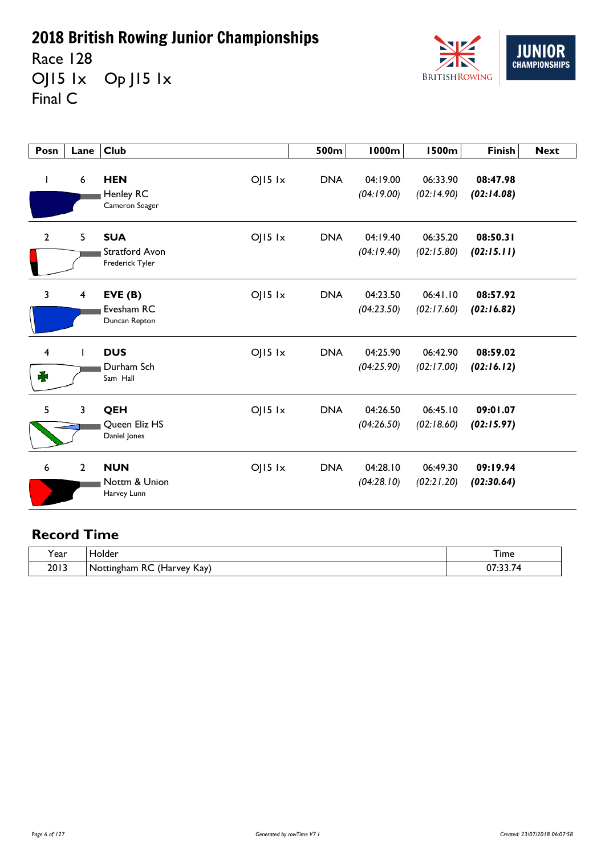Race 128 OJ15 1x Op J15 1x Final C



| Posn                         | Lane                    | <b>Club</b>                                                           | 500m       | <b>1000m</b>           | <b>1500m</b>           | <b>Finish</b>          | <b>Next</b> |
|------------------------------|-------------------------|-----------------------------------------------------------------------|------------|------------------------|------------------------|------------------------|-------------|
| J.                           | $\boldsymbol{6}$        | $O$   $15$ $1x$<br><b>HEN</b><br>Henley RC<br>Cameron Seager          | <b>DNA</b> | 04:19.00<br>(04:19.00) | 06:33.90<br>(02:14.90) | 08:47.98<br>(02:14.08) |             |
| $\mathbf{2}$                 | 5                       | $OJI5$ $1x$<br><b>SUA</b><br><b>Stratford Avon</b><br>Frederick Tyler | <b>DNA</b> | 04:19.40<br>(04:19.40) | 06:35.20<br>(02:15.80) | 08:50.31<br>(02:15.11) |             |
| 3                            | $\overline{\mathbf{4}}$ | $O$   $15$ $1x$<br>EVE(B)<br>Evesham RC<br>Duncan Repton              | <b>DNA</b> | 04:23.50<br>(04:23.50) | 06:41.10<br>(02:17.60) | 08:57.92<br>(02:16.82) |             |
| $\overline{\mathbf{4}}$<br>₩ |                         | <b>DUS</b><br>$O$   $15$ $1x$<br>Durham Sch<br>Sam Hall               | <b>DNA</b> | 04:25.90<br>(04:25.90) | 06:42.90<br>(02:17.00) | 08:59.02<br>(02:16.12) |             |
| 5                            | 3                       | QEH<br>$OJ15$ $1x$<br>Queen Eliz HS<br>Daniel Jones                   | <b>DNA</b> | 04:26.50<br>(04:26.50) | 06:45.10<br>(02:18.60) | 09:01.07<br>(02:15.97) |             |
| 6                            | $\mathbf{2}$            | $OJI5$ $1x$<br><b>NUN</b><br>Nottm & Union<br>Harvey Lunn             | <b>DNA</b> | 04:28.10<br>(04:28.10) | 06:49.30<br>(02:21.20) | 09:19.94<br>(02:30.64) |             |

| ີ.<br>Y ear | folder                                                                        | –<br>ı ime |
|-------------|-------------------------------------------------------------------------------|------------|
| 2013        | $\prime$<br>~~<br>Kay)<br>Offingham<br>NO.<br>. vev<br>ŧГ<br>πC<br>⊓di<br>ししい | $\sim$     |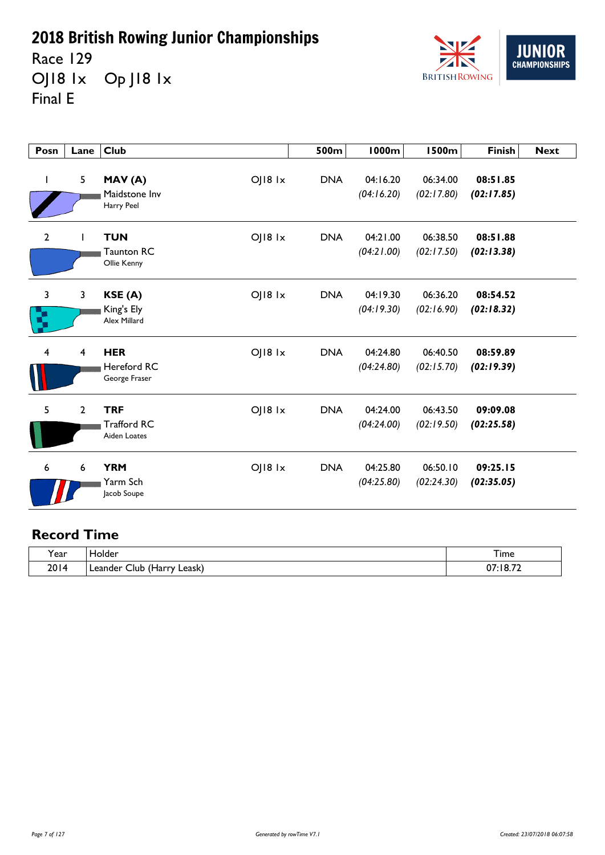Race 129 OJ18 1x Op J18 1x Final E



| Posn         | Lane                    | <b>Club</b>                                                 | 500m       | <b>1000m</b>           | <b>1500m</b>           | <b>Finish</b>          | <b>Next</b> |
|--------------|-------------------------|-------------------------------------------------------------|------------|------------------------|------------------------|------------------------|-------------|
| L            | 5                       | OJ18 1x<br>MAV(A)<br>Maidstone Inv<br>Harry Peel            | <b>DNA</b> | 04:16.20<br>(04:16.20) | 06:34.00<br>(02:17.80) | 08:51.85<br>(02:17.85) |             |
| $\mathbf{2}$ |                         | OJ18 1x<br><b>TUN</b><br><b>Taunton RC</b><br>Ollie Kenny   | <b>DNA</b> | 04:21.00<br>(04:21.00) | 06:38.50<br>(02:17.50) | 08:51.88<br>(02:13.38) |             |
| 3<br>Ŋ       | $\mathbf{3}$            | OJ18 1x<br>KSE(A)<br>King's Ely<br>Alex Millard             | <b>DNA</b> | 04:19.30<br>(04:19.30) | 06:36.20<br>(02:16.90) | 08:54.52<br>(02:18.32) |             |
| 4            | $\overline{\mathbf{4}}$ | <b>HER</b><br>OJ18 1x<br>Hereford RC<br>George Fraser       | <b>DNA</b> | 04:24.80<br>(04:24.80) | 06:40.50<br>(02:15.70) | 08:59.89<br>(02:19.39) |             |
| 5            | $\mathbf{2}$            | <b>TRF</b><br>OJ18 1x<br><b>Trafford RC</b><br>Aiden Loates | <b>DNA</b> | 04:24.00<br>(04:24.00) | 06:43.50<br>(02:19.50) | 09:09.08<br>(02:25.58) |             |
| 6            | 6                       | <b>YRM</b><br>OJ18 1x<br>Yarm Sch<br>Jacob Soupe            | <b>DNA</b> | 04:25.80<br>(04:25.80) | 06:50.10<br>(02:24.30) | 09:25.15<br>(02:35.05) |             |

| <b>Year</b> | <b>folder</b>                         | --<br>i ime       |
|-------------|---------------------------------------|-------------------|
| 2014        | Leask)<br>Llub<br>ı Leander<br>(Harry | $07:18.7^{\circ}$ |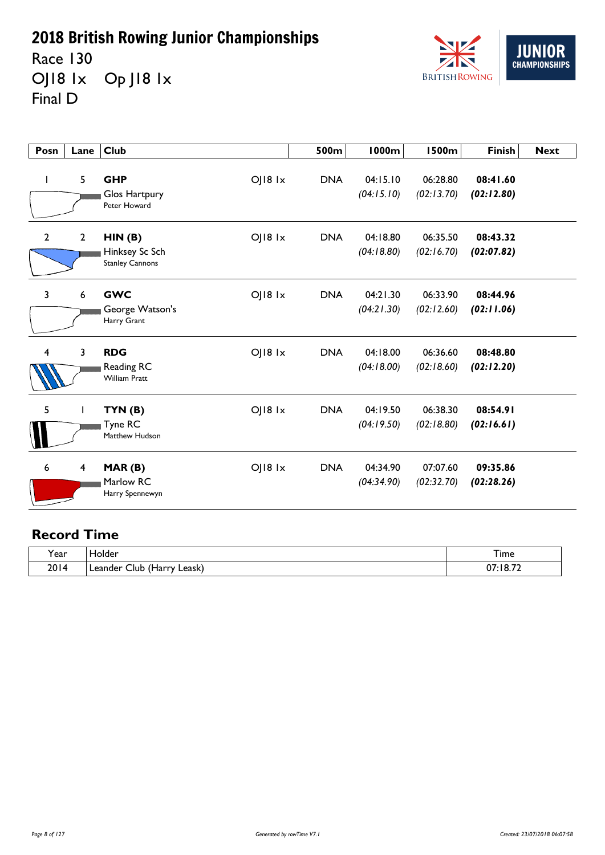Race 130 OJ18 1x Op J18 1x Final D



| Posn                    | Lane         | <b>Club</b>                                        |                 | 500m       | <b>1000m</b>           | <b>1500m</b>           | <b>Finish</b>          | <b>Next</b> |
|-------------------------|--------------|----------------------------------------------------|-----------------|------------|------------------------|------------------------|------------------------|-------------|
| $\mathbf{I}$            | 5            | <b>GHP</b><br>Glos Hartpury<br>Peter Howard        | $O$   $18$ $1x$ | <b>DNA</b> | 04:15.10<br>(04:15.10) | 06:28.80<br>(02:13.70) | 08:41.60<br>(02:12.80) |             |
| $\mathbf{2}$            | $\mathbf{2}$ | HIN(B)<br>Hinksey Sc Sch<br><b>Stanley Cannons</b> | $O$   $18$ $1x$ | <b>DNA</b> | 04:18.80<br>(04:18.80) | 06:35.50<br>(02:16.70) | 08:43.32<br>(02:07.82) |             |
| $\overline{3}$          | 6            | <b>GWC</b><br>George Watson's<br>Harry Grant       | OJ18 1x         | <b>DNA</b> | 04:21.30<br>(04:21.30) | 06:33.90<br>(02:12.60) | 08:44.96<br>(02:11.06) |             |
| $\overline{\mathbf{4}}$ | 3            | <b>RDG</b><br>Reading RC<br><b>William Pratt</b>   | $O$   $18$ $1x$ | <b>DNA</b> | 04:18.00<br>(04:18.00) | 06:36.60<br>(02:18.60) | 08:48.80<br>(02:12.20) |             |
| 5                       |              | TYN(B)<br>Tyne RC<br>Matthew Hudson                | OJ18 1x         | <b>DNA</b> | 04:19.50<br>(04:19.50) | 06:38.30<br>(02:18.80) | 08:54.91<br>(02:16.61) |             |
| 6                       | 4            | MAR(B)<br>Marlow RC<br>Harry Spennewyn             | $O$   $18$ $1x$ | <b>DNA</b> | 04:34.90<br>(04:34.90) | 07:07.60<br>(02:32.70) | 09:35.86<br>(02:28.26) |             |

| ີ.<br>Y ear | folder                             | ÷.<br>ı ime      |
|-------------|------------------------------------|------------------|
| 2014        | ∟eask)<br>Jub<br>Leander<br>(Harry | 77 או<br>^7<br>. |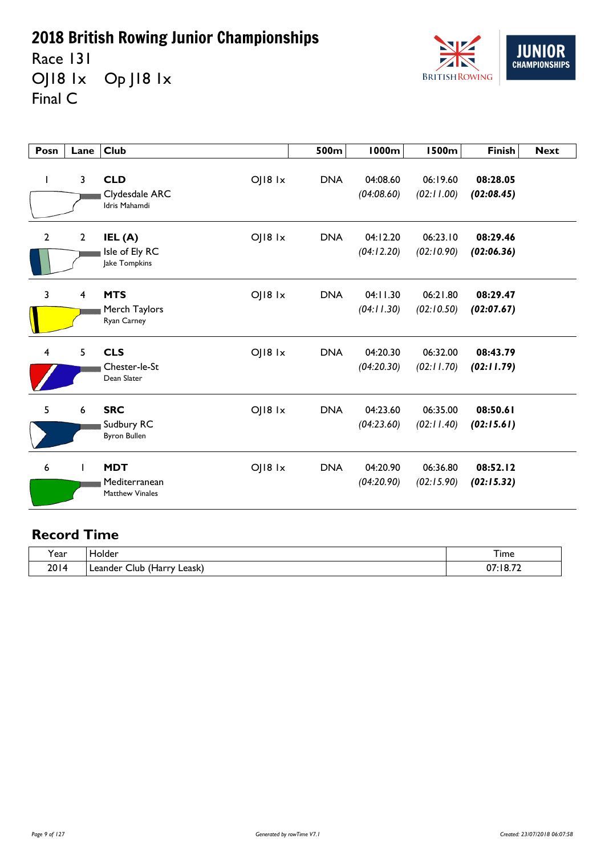Race 131 OJ18 1x Op J18 1x Final C



| Posn           | Lane         | <b>Club</b>                                                        | 500m       | <b>1000m</b>           | <b>1500m</b>           | <b>Finish</b>          | <b>Next</b> |
|----------------|--------------|--------------------------------------------------------------------|------------|------------------------|------------------------|------------------------|-------------|
| $\mathbf{I}$   | 3            | <b>CLD</b><br>OJ18 1x<br>Clydesdale ARC<br>Idris Mahamdi           | <b>DNA</b> | 04:08.60<br>(04:08.60) | 06:19.60<br>(02:11.00) | 08:28.05<br>(02:08.45) |             |
| $\mathbf{2}$   | $\mathbf{2}$ | $O$   $18$ $1x$<br>IEL (A)<br>Isle of Ely RC<br>Jake Tompkins      | <b>DNA</b> | 04:12.20<br>(04:12.20) | 06:23.10<br>(02:10.90) | 08:29.46<br>(02:06.36) |             |
| $\overline{3}$ | 4            | <b>MTS</b><br>OJ18 1x<br>Merch Taylors<br>Ryan Carney              | <b>DNA</b> | 04:11.30<br>(04:11.30) | 06:21.80<br>(02:10.50) | 08:29.47<br>(02:07.67) |             |
| 4              | 5            | <b>CLS</b><br>$O$   $18$ $1x$<br>Chester-le-St<br>Dean Slater      | <b>DNA</b> | 04:20.30<br>(04:20.30) | 06:32.00<br>(02:11.70) | 08:43.79<br>(02:11.79) |             |
| 5              | 6            | <b>SRC</b><br>$O$   $18$ $1x$<br>Sudbury RC<br><b>Byron Bullen</b> | <b>DNA</b> | 04:23.60<br>(04:23.60) | 06:35.00<br>(02:11.40) | 08:50.61<br>(02:15.61) |             |
| 6              |              | OJ18 1x<br><b>MDT</b><br>Mediterranean<br><b>Matthew Vinales</b>   | <b>DNA</b> | 04:20.90<br>(04:20.90) | 06:36.80<br>(02:15.90) | 08:52.12<br>(02:15.32) |             |

| ີ.<br>Y ear | folder                             | ÷.<br>ı ime      |
|-------------|------------------------------------|------------------|
| 2014        | ∟eask)<br>Jub<br>Leander<br>(Harry | 77 או<br>^7<br>. |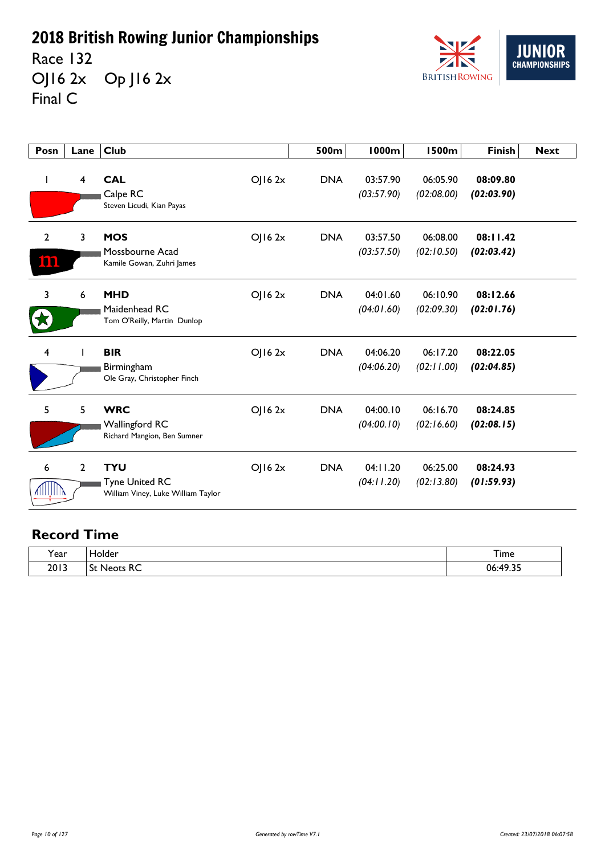Race 132 OJ16 2x Op J16 2x Final C



| Posn               | Lane           | <b>Club</b>                                                               |             | 500m       | <b>1000m</b>           | <b>1500m</b>           | Finish                 | <b>Next</b> |
|--------------------|----------------|---------------------------------------------------------------------------|-------------|------------|------------------------|------------------------|------------------------|-------------|
| J.                 | $\overline{4}$ | <b>CAL</b><br>Calpe RC<br>Steven Licudi, Kian Payas                       | OJ162x      | <b>DNA</b> | 03:57.90<br>(03:57.90) | 06:05.90<br>(02:08.00) | 08:09.80<br>(02:03.90) |             |
| $\mathbf{2}$<br>im | 3              | <b>MOS</b><br>Mossbourne Acad<br>Kamile Gowan, Zuhri James                | OJ162x      | <b>DNA</b> | 03:57.50<br>(03:57.50) | 06:08.00<br>(02:10.50) | 08:11.42<br>(02:03.42) |             |
| 3                  | 6              | <b>MHD</b><br>Maidenhead RC<br>Tom O'Reilly, Martin Dunlop                | OJ162x      | <b>DNA</b> | 04:01.60<br>(04:01.60) | 06:10.90<br>(02:09.30) | 08:12.66<br>(02:01.76) |             |
| 4                  |                | <b>BIR</b><br>Birmingham<br>Ole Gray, Christopher Finch                   | $O$   16 2x | <b>DNA</b> | 04:06.20<br>(04:06.20) | 06:17.20<br>(02:11.00) | 08:22.05<br>(02:04.85) |             |
| 5                  | 5              | <b>WRC</b><br><b>Wallingford RC</b><br>Richard Mangion, Ben Sumner        | $O$   16 2x | <b>DNA</b> | 04:00.10<br>(04:00.10) | 06:16.70<br>(02:16.60) | 08:24.85<br>(02:08.15) |             |
| 6<br>AIIIIIIII     | 2              | <b>TYU</b><br><b>Tyne United RC</b><br>William Viney, Luke William Taylor | OJ162x      | <b>DNA</b> | 04:11.20<br>(04:11.20) | 06:25.00<br>(02:13.80) | 08:24.93<br>(01:59.93) |             |

| $\cdot$<br>Year | ۱٬۲۱۳<br>╌       | ÷.<br>I ime                                             |
|-----------------|------------------|---------------------------------------------------------|
| 2013            | $\sim$<br>$\sim$ | $\sim$<br>n٤<br>$\cdot$ $\cdot$ $\cdot$ $\cdot$ $\cdot$ |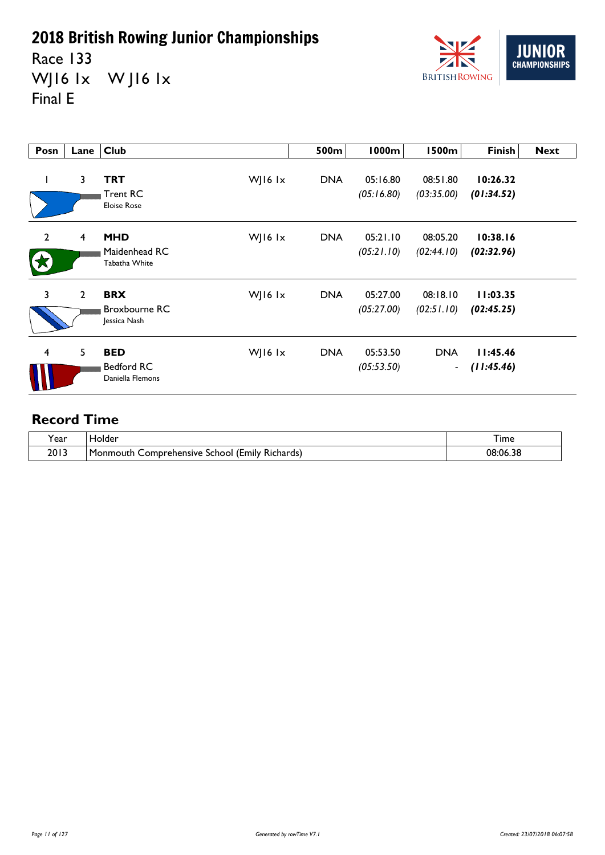Race 133 WJ16 1x WJ16 1x Final E



| Posn           | Lane           | <b>Club</b>                                         |         | 500m       | 1000m                  | 1500m                        | <b>Finish</b>          | <b>Next</b> |
|----------------|----------------|-----------------------------------------------------|---------|------------|------------------------|------------------------------|------------------------|-------------|
|                | 3              | TRT<br><b>Trent RC</b><br><b>Eloise Rose</b>        | WJ16 1x | <b>DNA</b> | 05:16.80<br>(05:16.80) | 08:51.80<br>(03:35.00)       | 10:26.32<br>(01:34.52) |             |
| $\overline{2}$ | $\overline{4}$ | <b>MHD</b><br>Maidenhead RC<br>Tabatha White        | WJ16 1x | <b>DNA</b> | 05:21.10<br>(05:21.10) | 08:05.20<br>(02:44.10)       | 10:38.16<br>(02:32.96) |             |
| $\overline{3}$ | $\mathbf{2}$   | <b>BRX</b><br><b>Broxbourne RC</b><br>Jessica Nash  | WJ16 lx | <b>DNA</b> | 05:27.00<br>(05:27.00) | 08:18.10<br>(02:51.10)       | 11:03.35<br>(02:45.25) |             |
| 4              | 5              | <b>BED</b><br><b>Bedford RC</b><br>Daniella Flemons | WJ16 1x | <b>DNA</b> | 05:53.50<br>(05:53.50) | <b>DNA</b><br>$\blacksquare$ | 11:45.46<br>(11:45.46) |             |

| ◟<br>. ear | Holder                                                                          | $-$<br>ıme<br>______ |
|------------|---------------------------------------------------------------------------------|----------------------|
| 2013       | $\sqrt{2}$<br>-<br>l Monmouth<br>Comprehensive<br>I (Emily Richards).<br>School | 08:06.38             |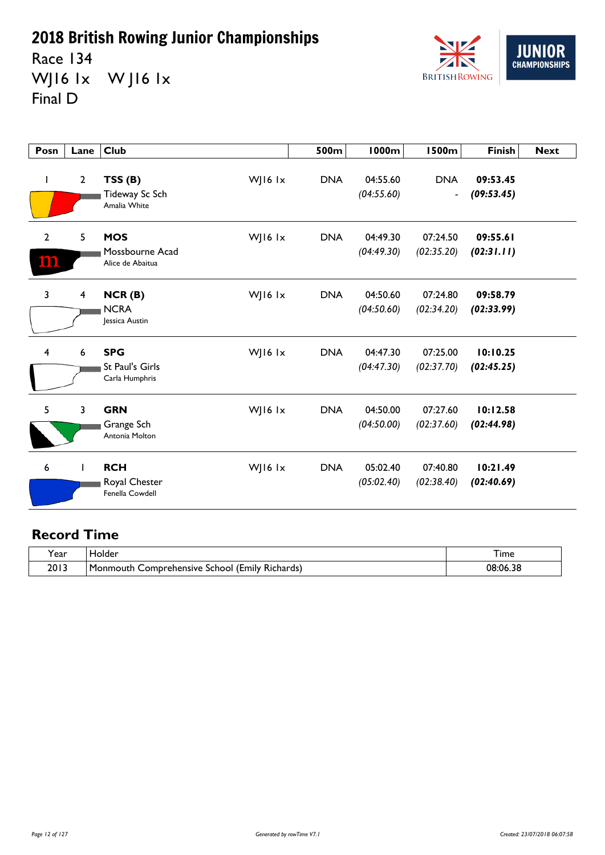Race 134 WJ16 1x WJ16 1x Final D



| Posn                  | Lane             | Club                                                   |         | 500m       | <b>1000m</b>           | <b>1500m</b>                               | <b>Finish</b>          | <b>Next</b> |
|-----------------------|------------------|--------------------------------------------------------|---------|------------|------------------------|--------------------------------------------|------------------------|-------------|
| $\mathbf{I}$          | $\overline{2}$   | TSS(B)<br>Tideway Sc Sch<br>Amalia White               | WJ16 lx | <b>DNA</b> | 04:55.60<br>(04:55.60) | <b>DNA</b><br>$\qquad \qquad \blacksquare$ | 09:53.45<br>(09:53.45) |             |
| $\overline{2}$<br>100 | 5                | <b>MOS</b><br>Mossbourne Acad<br>Alice de Abaitua      | WJ16 lx | <b>DNA</b> | 04:49.30<br>(04:49.30) | 07:24.50<br>(02:35.20)                     | 09:55.61<br>(02:31.11) |             |
| 3                     | 4                | NCR(B)<br><b>NCRA</b><br>Jessica Austin                | WJ16 lx | <b>DNA</b> | 04:50.60<br>(04:50.60) | 07:24.80<br>(02:34.20)                     | 09:58.79<br>(02:33.99) |             |
| 4                     | $\boldsymbol{6}$ | <b>SPG</b><br><b>St Paul's Girls</b><br>Carla Humphris | WJ16 lx | <b>DNA</b> | 04:47.30<br>(04:47.30) | 07:25.00<br>(02:37.70)                     | 10:10.25<br>(02:45.25) |             |
| 5                     | $\mathbf{3}$     | <b>GRN</b><br>Grange Sch<br>Antonia Molton             | WJ16 1x | <b>DNA</b> | 04:50.00<br>(04:50.00) | 07:27.60<br>(02:37.60)                     | 10:12.58<br>(02:44.98) |             |
| 6                     |                  | <b>RCH</b><br>Royal Chester<br>Fenella Cowdell         | WJ16 lx | <b>DNA</b> | 05:02.40<br>(05:02.40) | 07:40.80<br>(02:38.40)                     | 10:21.49<br>(02:40.69) |             |

| 'ear | older،                                                                | I ime    |
|------|-----------------------------------------------------------------------|----------|
| 2013 | . .<br><br>∣Monmouth<br>Comprehensive<br>l (Emily Richards)<br>School | 08:06.38 |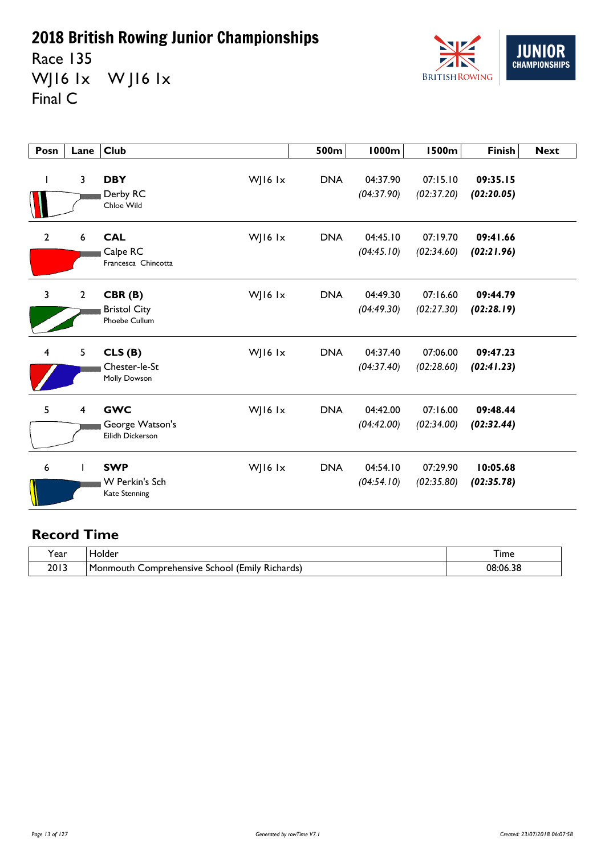Race 135 WJ16 1x WJ16 1x Final C



| Posn           | Lane                    | Club                                                 |         | 500m       | <b>1000m</b>           | <b>1500m</b>           | <b>Finish</b>          | <b>Next</b> |
|----------------|-------------------------|------------------------------------------------------|---------|------------|------------------------|------------------------|------------------------|-------------|
| ı              | $\overline{3}$          | <b>DBY</b><br>Derby RC<br>Chloe Wild                 | WJ16 lx | <b>DNA</b> | 04:37.90<br>(04:37.90) | 07:15.10<br>(02:37.20) | 09:35.15<br>(02:20.05) |             |
| $\overline{2}$ | $6\phantom{1}$          | <b>CAL</b><br>Calpe RC<br>Francesca Chincotta        | WJ16 lx | <b>DNA</b> | 04:45.10<br>(04:45.10) | 07:19.70<br>(02:34.60) | 09:41.66<br>(02:21.96) |             |
| 3              | $\overline{2}$          | CBR(B)<br><b>Bristol City</b><br>Phoebe Cullum       | WJ16 lx | <b>DNA</b> | 04:49.30<br>(04:49.30) | 07:16.60<br>(02:27.30) | 09:44.79<br>(02:28.19) |             |
| 4              | 5                       | CLS(B)<br>Chester-le-St<br>Molly Dowson              | WJ16 lx | <b>DNA</b> | 04:37.40<br>(04:37.40) | 07:06.00<br>(02:28.60) | 09:47.23<br>(02:41.23) |             |
| 5              | $\overline{\mathbf{4}}$ | <b>GWC</b><br>George Watson's<br>Eilidh Dickerson    | WJ16 1x | <b>DNA</b> | 04:42.00<br>(04:42.00) | 07:16.00<br>(02:34.00) | 09:48.44<br>(02:32.44) |             |
| 6              |                         | <b>SWP</b><br>W Perkin's Sch<br><b>Kate Stenning</b> | WJ16 1x | <b>DNA</b> | 04:54.10<br>(04:54.10) | 07:29.90<br>(02:35.80) | 10:05.68<br>(02:35.78) |             |

| 'ear | <b>Tolder</b>                                                                      | I ime    |
|------|------------------------------------------------------------------------------------|----------|
| 2013 | $^{\circ}$ .<br>. .<br>l Monmouth<br>Comprehensive<br>l (Emily Richards)<br>School | 08:06.38 |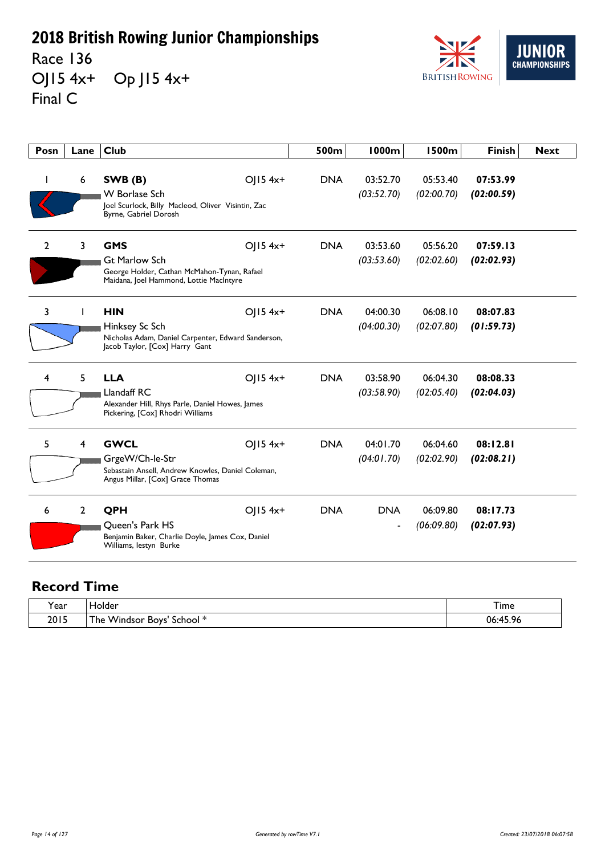Race 136 OJ15 4x+ Op J15 4x+ Final C



| Posn           | Lane           | <b>Club</b>                                                                                                                              | 500m       | <b>1000m</b>           | <b>1500m</b>           | <b>Finish</b>          | <b>Next</b> |
|----------------|----------------|------------------------------------------------------------------------------------------------------------------------------------------|------------|------------------------|------------------------|------------------------|-------------|
| ı              | 6              | SWB (B)<br>OJ15 4x+<br>W Borlase Sch<br>Joel Scurlock, Billy Macleod, Oliver Visintin, Zac<br>Byrne, Gabriel Dorosh                      | <b>DNA</b> | 03:52.70<br>(03:52.70) | 05:53.40<br>(02:00.70) | 07:53.99<br>(02:00.59) |             |
| $\overline{2}$ | $\overline{3}$ | <b>GMS</b><br>OJ15 4x+<br><b>Gt Marlow Sch</b><br>George Holder, Cathan McMahon-Tynan, Rafael<br>Maidana, Joel Hammond, Lottie MacIntyre | <b>DNA</b> | 03:53.60<br>(03:53.60) | 05:56.20<br>(02:02.60) | 07:59.13<br>(02:02.93) |             |
| 3              | L              | <b>HIN</b><br>OJ15 4x+<br>Hinksey Sc Sch<br>Nicholas Adam, Daniel Carpenter, Edward Sanderson,<br>Jacob Taylor, [Cox] Harry Gant         | <b>DNA</b> | 04:00.30<br>(04:00.30) | 06:08.10<br>(02:07.80) | 08:07.83<br>(01:59.73) |             |
| 4              | 5              | <b>LLA</b><br>OJ15 4x+<br>Llandaff RC<br>Alexander Hill, Rhys Parle, Daniel Howes, James<br>Pickering, [Cox] Rhodri Williams             | <b>DNA</b> | 03:58.90<br>(03:58.90) | 06:04.30<br>(02:05.40) | 08:08.33<br>(02:04.03) |             |
| 5              | $\overline{4}$ | <b>GWCL</b><br>OJ15 4x+<br>GrgeW/Ch-le-Str<br>Sebastain Ansell, Andrew Knowles, Daniel Coleman,<br>Angus Millar, [Cox] Grace Thomas      | <b>DNA</b> | 04:01.70<br>(04:01.70) | 06:04.60<br>(02:02.90) | 08:12.81<br>(02:08.21) |             |
| 6              | $\overline{2}$ | QPH<br>OJ15 4x+<br><b>Oueen's Park HS</b><br>Benjamin Baker, Charlie Doyle, James Cox, Daniel<br>Williams, lestyn Burke                  | <b>DNA</b> | <b>DNA</b><br>-        | 06:09.80<br>(06:09.80) | 08:17.73<br>(02:07.93) |             |

| 'ear | iolder                                                 | $ -$<br>l ime  |
|------|--------------------------------------------------------|----------------|
| 2015 | . Windsor Boys'<br>- 14<br>l he<br>School <sup>*</sup> | 06:45.96<br>70 |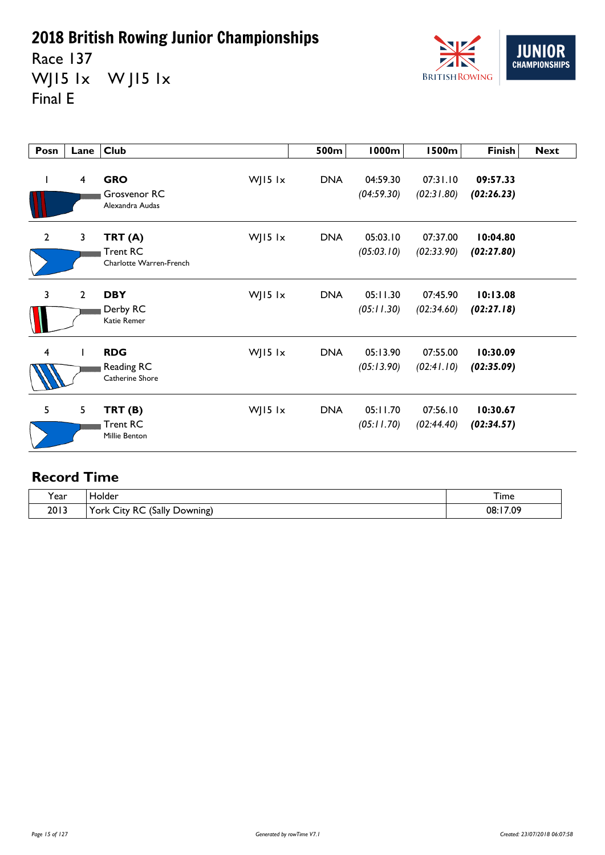Race 137 WJ15 1x W J15 1x Final E



| Posn                    | Lane                    | <b>Club</b>                                          |               | 500m       | <b>1000m</b>           | <b>1500m</b>           | <b>Finish</b>          | <b>Next</b> |
|-------------------------|-------------------------|------------------------------------------------------|---------------|------------|------------------------|------------------------|------------------------|-------------|
| L                       | $\overline{\mathbf{4}}$ | <b>GRO</b><br>Grosvenor RC<br>Alexandra Audas        | WJ15 lx       | <b>DNA</b> | 04:59.30<br>(04:59.30) | 07:31.10<br>(02:31.80) | 09:57.33<br>(02:26.23) |             |
| $\overline{2}$          | $\overline{3}$          | TRT(A)<br><b>Trent RC</b><br>Charlotte Warren-French | $W$ ] 15 $1x$ | <b>DNA</b> | 05:03.10<br>(05:03.10) | 07:37.00<br>(02:33.90) | 10:04.80<br>(02:27.80) |             |
| 3                       | $\mathbf{2}$            | <b>DBY</b><br>Derby RC<br><b>Katie Remer</b>         | $W$ ] 15 $1x$ | <b>DNA</b> | 05:11.30<br>(05:11.30) | 07:45.90<br>(02:34.60) | 10:13.08<br>(02:27.18) |             |
| $\overline{\mathbf{4}}$ |                         | <b>RDG</b><br>Reading RC<br>Catherine Shore          | $W$ ] 15 $1x$ | <b>DNA</b> | 05:13.90<br>(05:13.90) | 07:55.00<br>(02:41.10) | 10:30.09<br>(02:35.09) |             |
| 5                       | 5                       | TRT(B)<br><b>Trent RC</b><br><b>Millie Benton</b>    | $W$ ] 15 $1x$ | <b>DNA</b> | 05:11.70<br>(05:11.70) | 07:56.10<br>(02:44.40) | 10:30.67<br>(02:34.57) |             |

| $\tilde{}$<br>'ear | Holder                                                                    | ᅮ.<br>I ime  |
|--------------------|---------------------------------------------------------------------------|--------------|
| 2013               | $\checkmark$<br>(Sally<br>RC<br>-<br><b>.</b><br>Downing)<br>r ork<br>∪tv | 17.09<br>08: |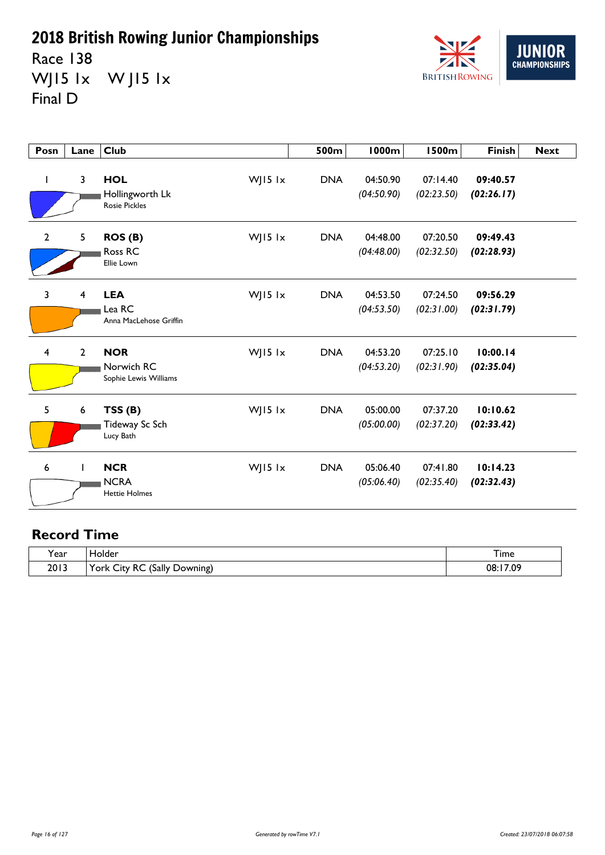Race 138 WJ15 1x W J15 1x Final D



| Posn                    | Lane                    | <b>Club</b>                                           |           | 500m       | <b>1000m</b>           | <b>1500m</b>           | <b>Finish</b>          | <b>Next</b> |
|-------------------------|-------------------------|-------------------------------------------------------|-----------|------------|------------------------|------------------------|------------------------|-------------|
| J.                      | $\overline{\mathbf{3}}$ | <b>HOL</b><br>Hollingworth Lk<br><b>Rosie Pickles</b> | WJ15 lx   | <b>DNA</b> | 04:50.90<br>(04:50.90) | 07:14.40<br>(02:23.50) | 09:40.57<br>(02:26.17) |             |
| $\overline{2}$          | 5                       | ROS(B)<br>Ross RC<br>Ellie Lown                       | WJ15 $1x$ | <b>DNA</b> | 04:48.00<br>(04:48.00) | 07:20.50<br>(02:32.50) | 09:49.43<br>(02:28.93) |             |
| 3                       | $\overline{4}$          | <b>LEA</b><br>Lea RC<br>Anna MacLehose Griffin        | WJ15 lx   | <b>DNA</b> | 04:53.50<br>(04:53.50) | 07:24.50<br>(02:31.00) | 09:56.29<br>(02:31.79) |             |
| $\overline{\mathbf{4}}$ | $\overline{2}$          | <b>NOR</b><br>Norwich RC<br>Sophie Lewis Williams     | WJ15 lx   | <b>DNA</b> | 04:53.20<br>(04:53.20) | 07:25.10<br>(02:31.90) | 10:00.14<br>(02:35.04) |             |
| 5                       | $\boldsymbol{6}$        | TSS(B)<br>Tideway Sc Sch<br>Lucy Bath                 | WJ15 lx   | <b>DNA</b> | 05:00.00<br>(05:00.00) | 07:37.20<br>(02:37.20) | 10:10.62<br>(02:33.42) |             |
| 6                       | ı                       | <b>NCR</b><br><b>NCRA</b><br><b>Hettie Holmes</b>     | WJ15 lx   | <b>DNA</b> | 05:06.40<br>(05:06.40) | 07:41.80<br>(02:35.40) | 10:14.23<br>(02:32.43) |             |

| rear | <b>Folder</b>                                                                                      | --<br>I ime  |
|------|----------------------------------------------------------------------------------------------------|--------------|
| 2013 | 'Sally<br>York $\langle$<br>RC<br>-<br><b>.</b><br>Downing)<br>$\cup$ ity $\overline{\phantom{a}}$ | 17.09<br>08: |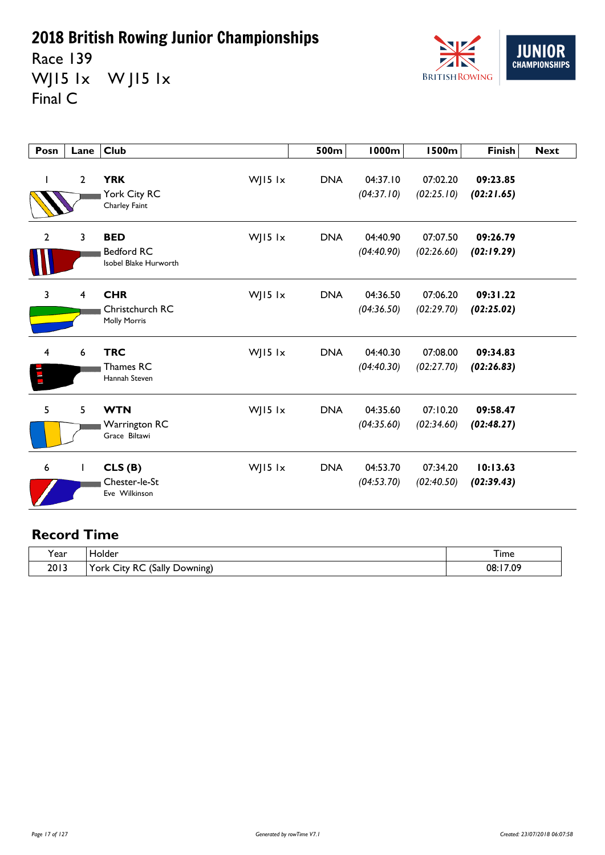Race 139 WJ15 1x W J15 1x Final C



| Posn                    | Lane         | <b>Club</b>                                              |           | 500m       | <b>1000m</b>           | <b>1500m</b>           | <b>Finish</b>          | <b>Next</b> |
|-------------------------|--------------|----------------------------------------------------------|-----------|------------|------------------------|------------------------|------------------------|-------------|
|                         | $\mathbf{2}$ | <b>YRK</b><br>York City RC<br>Charley Faint              | WJ15 lx   | <b>DNA</b> | 04:37.10<br>(04:37.10) | 07:02.20<br>(02:25.10) | 09:23.85<br>(02:21.65) |             |
| $\overline{2}$          | 3            | <b>BED</b><br><b>Bedford RC</b><br>Isobel Blake Hurworth | WJ15 lx   | <b>DNA</b> | 04:40.90<br>(04:40.90) | 07:07.50<br>(02:26.60) | 09:26.79<br>(02:19.29) |             |
| 3                       | 4            | <b>CHR</b><br>Christchurch RC<br><b>Molly Morris</b>     | WJ15 lx   | <b>DNA</b> | 04:36.50<br>(04:36.50) | 07:06.20<br>(02:29.70) | 09:31.22<br>(02:25.02) |             |
| $\overline{\mathbf{4}}$ | 6            | <b>TRC</b><br>Thames RC<br>Hannah Steven                 | WJ15 lx   | <b>DNA</b> | 04:40.30<br>(04:40.30) | 07:08.00<br>(02:27.70) | 09:34.83<br>(02:26.83) |             |
| 5                       | 5            | <b>WTN</b><br><b>Warrington RC</b><br>Grace Biltawi      | WJ15 $1x$ | <b>DNA</b> | 04:35.60<br>(04:35.60) | 07:10.20<br>(02:34.60) | 09:58.47<br>(02:48.27) |             |
| 6                       | $\mathbf{I}$ | CLS(B)<br>Chester-le-St<br>Eve Wilkinson                 | WJ15 lx   | <b>DNA</b> | 04:53.70<br>(04:53.70) | 07:34.20<br>(02:40.50) | 10:13.63<br>(02:39.43) |             |

| ີ.<br>Year | <b>Folder</b>                                                     | 1 ime         |
|------------|-------------------------------------------------------------------|---------------|
| 2013       | 'Sally<br>York 、<br>∘RC<br>∽<br>$\sim$<br>Downing)<br><b>City</b> | :17.09<br>08: |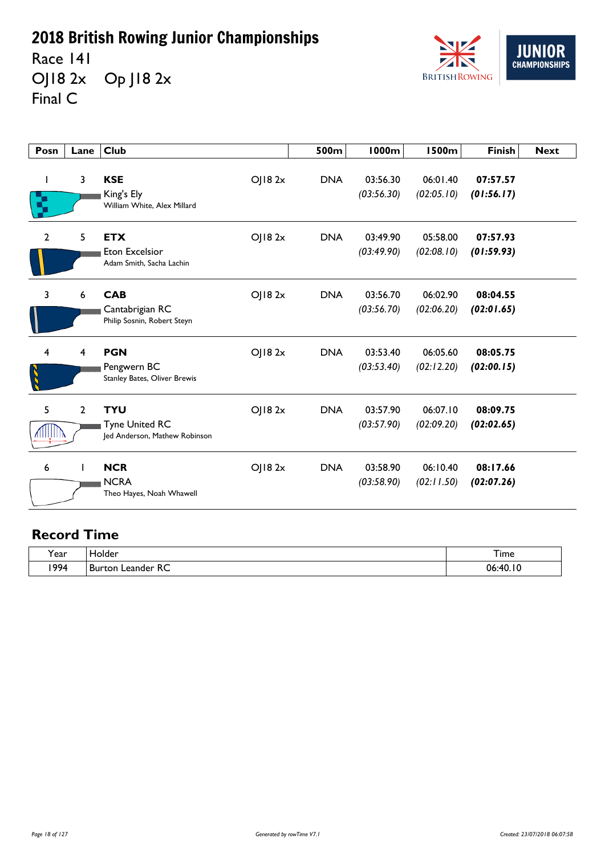Race 141 OJ18 2x Op J18 2x Final C



| Posn                    | Lane           | <b>Club</b>                                                                    | 500m       | 1000m                  | <b>1500m</b>           | <b>Finish</b>          | <b>Next</b> |
|-------------------------|----------------|--------------------------------------------------------------------------------|------------|------------------------|------------------------|------------------------|-------------|
| ı<br>R,                 | $\mathbf{3}$   | <b>KSE</b><br>OJ182x<br>King's Ely<br>William White, Alex Millard              | <b>DNA</b> | 03:56.30<br>(03:56.30) | 06:01.40<br>(02:05.10) | 07:57.57<br>(01:56.17) |             |
| $\mathbf{2}$            | 5              | <b>ETX</b><br>OJ18 2x<br><b>Eton Excelsior</b><br>Adam Smith, Sacha Lachin     | <b>DNA</b> | 03:49.90<br>(03:49.90) | 05:58.00<br>(02:08.10) | 07:57.93<br>(01:59.93) |             |
| 3                       | 6              | OJ182x<br><b>CAB</b><br>Cantabrigian RC<br>Philip Sosnin, Robert Steyn         | <b>DNA</b> | 03:56.70<br>(03:56.70) | 06:02.90<br>(02:06.20) | 08:04.55<br>(02:01.65) |             |
| $\overline{\mathbf{4}}$ | 4              | <b>PGN</b><br>OJ182x<br>Pengwern BC<br>Stanley Bates, Oliver Brewis            | <b>DNA</b> | 03:53.40<br>(03:53.40) | 06:05.60<br>(02:12.20) | 08:05.75<br>(02:00.15) |             |
| 5                       | $\overline{2}$ | OJ182x<br><b>TYU</b><br><b>Tyne United RC</b><br>Jed Anderson, Mathew Robinson | <b>DNA</b> | 03:57.90<br>(03:57.90) | 06:07.10<br>(02:09.20) | 08:09.75<br>(02:02.65) |             |
| 6                       |                | <b>NCR</b><br>OJ182x<br><b>NCRA</b><br>Theo Hayes, Noah Whawell                | <b>DNA</b> | 03:58.90<br>(03:58.90) | 06:10.40<br>(02:11.50) | 08:17.66<br>(02:07.26) |             |

| $\cdot$<br>rear) | folder                               | --<br>–<br>i ime |
|------------------|--------------------------------------|------------------|
| 1994             | eander RC<br><b>Burton</b><br>$\sim$ | ١O<br>06:40.     |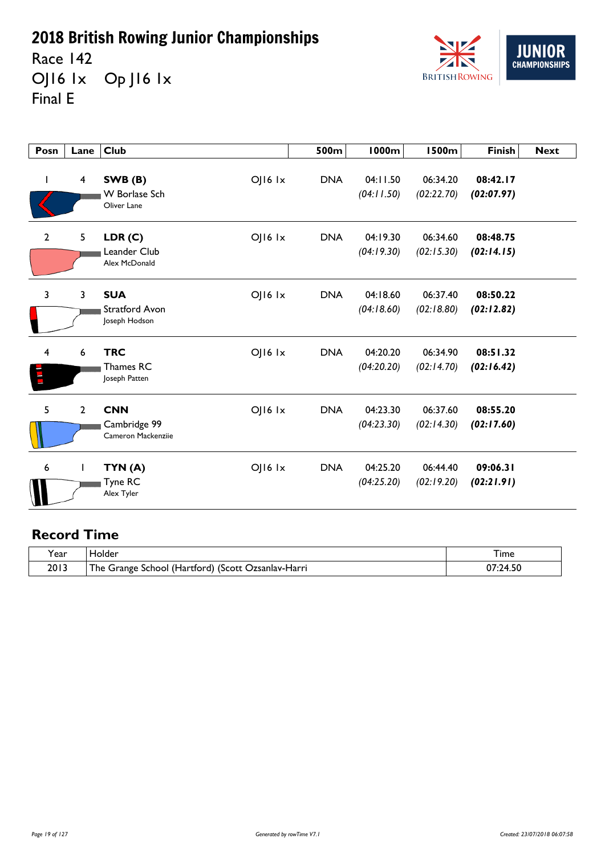Race 142 OJ16 1x Op J16 1x Final E



| Posn         | Lane                    | <b>Club</b>                                                         | 500m       | 1000m                  | <b>1500m</b>           | <b>Finish</b>          | <b>Next</b> |
|--------------|-------------------------|---------------------------------------------------------------------|------------|------------------------|------------------------|------------------------|-------------|
| T            | $\overline{\mathbf{4}}$ | $O$   $16$ $1x$<br>SWB (B)<br>W Borlase Sch<br>Oliver Lane          | <b>DNA</b> | 04:11.50<br>(04:11.50) | 06:34.20<br>(02:22.70) | 08:42.17<br>(02:07.97) |             |
| $\mathbf{2}$ | 5                       | LDR(C)<br>OJ16 1x<br>Leander Club<br>Alex McDonald                  | <b>DNA</b> | 04:19.30<br>(04:19.30) | 06:34.60<br>(02:15.30) | 08:48.75<br>(02:14.15) |             |
| 3            | $\mathbf{3}$            | <b>SUA</b><br>$O$   $16$ $1x$<br>Stratford Avon<br>Joseph Hodson    | <b>DNA</b> | 04:18.60<br>(04:18.60) | 06:37.40<br>(02:18.80) | 08:50.22<br>(02:12.82) |             |
| 4<br>E       | $\boldsymbol{6}$        | <b>TRC</b><br>$O$   $16$ $1x$<br>Thames RC<br>Joseph Patten         | <b>DNA</b> | 04:20.20<br>(04:20.20) | 06:34.90<br>(02:14.70) | 08:51.32<br>(02:16.42) |             |
| 5            | $\overline{2}$          | <b>CNN</b><br>$O$   $16$ $1x$<br>Cambridge 99<br>Cameron Mackenziie | <b>DNA</b> | 04:23.30<br>(04:23.30) | 06:37.60<br>(02:14.30) | 08:55.20<br>(02:17.60) |             |
| 6            | I                       | $O$   $16$ $1x$<br>TYN (A)<br><b>Tyne RC</b><br>Alex Tyler          | <b>DNA</b> | 04:25.20<br>(04:25.20) | 06:44.40<br>(02:19.20) | 09:06.31<br>(02:21.91) |             |

| Y ear | iolder                                                         | I ime                    |
|-------|----------------------------------------------------------------|--------------------------|
| 2013  | ا School (Hartford) (Scott (<br>The Grange<br>. Ozsanlav-Harri | <b>14.</b><br>1.50<br>υr |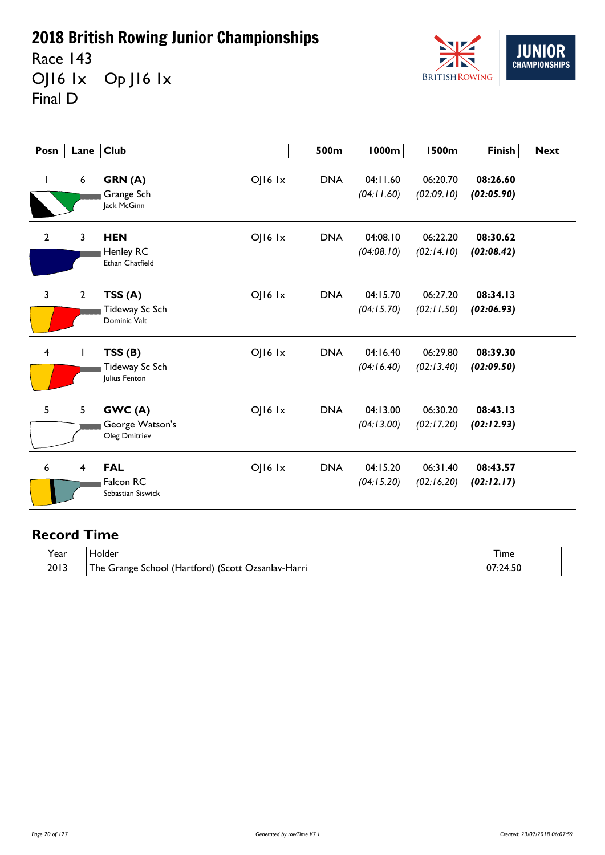Race 143 OJ16 1x Op J16 1x Final D



| Posn                    | Lane                    | <b>Club</b>                                                     | 500m       | 1000m                  | <b>1500m</b>           | <b>Finish</b>          | <b>Next</b> |
|-------------------------|-------------------------|-----------------------------------------------------------------|------------|------------------------|------------------------|------------------------|-------------|
|                         | 6                       | $O$   $16$ $1x$<br>GRN (A)<br>Grange Sch<br>Jack McGinn         | <b>DNA</b> | 04:11.60<br>(04:11.60) | 06:20.70<br>(02:09.10) | 08:26.60<br>(02:05.90) |             |
| $\mathbf{2}$            | 3                       | <b>HEN</b><br>OJ16 1x<br>Henley RC<br>Ethan Chatfield           | <b>DNA</b> | 04:08.10<br>(04:08.10) | 06:22.20<br>(02:14.10) | 08:30.62<br>(02:08.42) |             |
| 3                       | $\mathbf{2}$            | $OJ16$ $1x$<br>TSS(A)<br>Tideway Sc Sch<br>Dominic Valt         | <b>DNA</b> | 04:15.70<br>(04:15.70) | 06:27.20<br>(02:11.50) | 08:34.13<br>(02:06.93) |             |
| $\overline{\mathbf{4}}$ |                         | $O$   $16$ $1x$<br>TSS(B)<br>Tideway Sc Sch<br>Julius Fenton    | <b>DNA</b> | 04:16.40<br>(04:16.40) | 06:29.80<br>(02:13.40) | 08:39.30<br>(02:09.50) |             |
| 5                       | 5                       | GWC(A)<br>$O$   $16$ $1x$<br>George Watson's<br>Oleg Dmitriev   | <b>DNA</b> | 04:13.00<br>(04:13.00) | 06:30.20<br>(02:17.20) | 08:43.13<br>(02:12.93) |             |
| 6                       | $\overline{\mathbf{4}}$ | <b>FAL</b><br>$O$   $16$ $1x$<br>Falcon RC<br>Sebastian Siswick | <b>DNA</b> | 04:15.20<br>(04:15.20) | 06:31.40<br>(02:16.20) | 08:43.57<br>(02:12.17) |             |

| Y ear | iolder                                                         | I ime                    |
|-------|----------------------------------------------------------------|--------------------------|
| 2013  | ا School (Hartford) (Scott (<br>The Grange<br>. Ozsanlav-Harri | <b>14.</b><br>1.50<br>υr |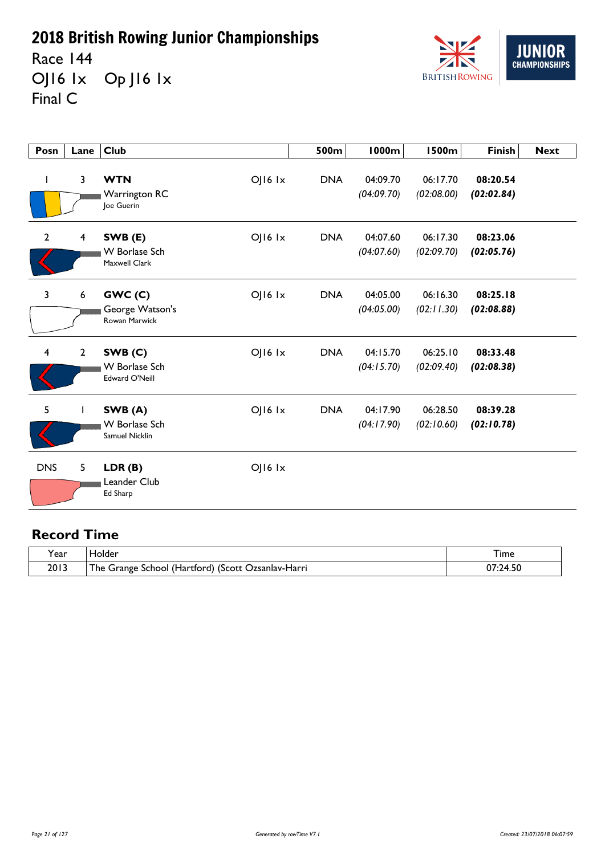Race 144 OJ16 1x Op J16 1x Final C



| Posn                    | Lane                    | <b>Club</b>                                             |                 | 500m       | <b>1000m</b>           | <b>1500m</b>           | <b>Finish</b>          | <b>Next</b> |
|-------------------------|-------------------------|---------------------------------------------------------|-----------------|------------|------------------------|------------------------|------------------------|-------------|
|                         | 3                       | <b>WTN</b><br>Warrington RC<br>Joe Guerin               | OJ16 Ix         | <b>DNA</b> | 04:09.70<br>(04:09.70) | 06:17.70<br>(02:08.00) | 08:20.54<br>(02:02.84) |             |
| $\overline{2}$          | $\overline{\mathbf{4}}$ | SWB (E)<br><b>W</b> Borlase Sch<br>Maxwell Clark        | OJ16 1x         | <b>DNA</b> | 04:07.60<br>(04:07.60) | 06:17.30<br>(02:09.70) | 08:23.06<br>(02:05.76) |             |
| 3                       | $\boldsymbol{6}$        | GWC(C)<br>George Watson's<br>Rowan Marwick              | $O$   $16$ $1x$ | <b>DNA</b> | 04:05.00<br>(04:05.00) | 06:16.30<br>(02:11.30) | 08:25.18<br>(02:08.88) |             |
| $\overline{\mathbf{4}}$ | $\overline{2}$          | SWB(C)<br><b>W</b> Borlase Sch<br><b>Edward O'Neill</b> | OJ16 Ix         | <b>DNA</b> | 04:15.70<br>(04:15.70) | 06:25.10<br>(02:09.40) | 08:33.48<br>(02:08.38) |             |
| 5                       | 1                       | SWB (A)<br><b>W</b> Borlase Sch<br>Samuel Nicklin       | OJ16 1x         | <b>DNA</b> | 04:17.90<br>(04:17.90) | 06:28.50<br>(02:10.60) | 08:39.28<br>(02:10.78) |             |
| <b>DNS</b>              | 5                       | LDR(B)<br>Leander Club<br>Ed Sharp                      | $OJI6$ $1x$     |            |                        |                        |                        |             |

| Y ear | iolder                                                         | I ime                    |
|-------|----------------------------------------------------------------|--------------------------|
| 2013  | ا School (Hartford) (Scott (<br>The Grange<br>. Ozsanlav-Harri | <b>14.</b><br>1.50<br>υr |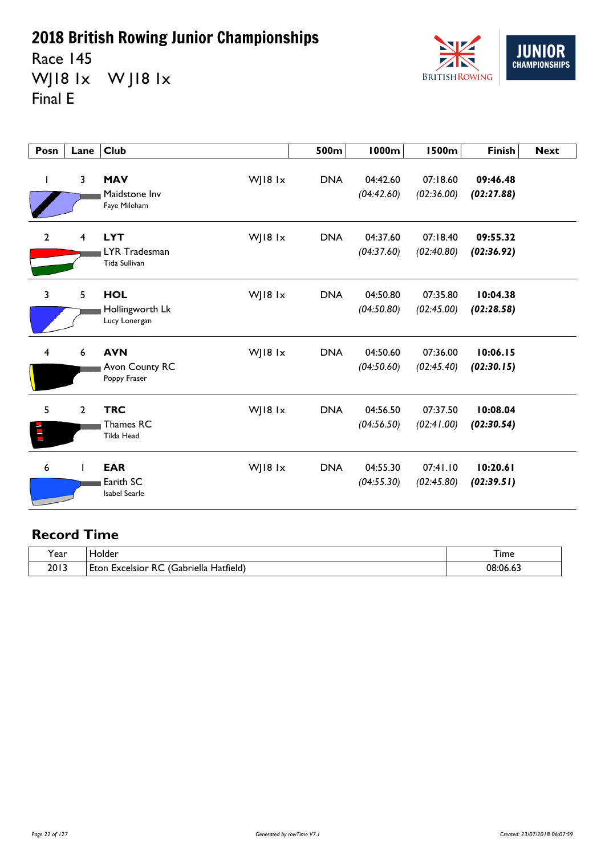Race 145 WJ18 1x W J18 1x Final E



| Posn           | Lane                    | <b>Club</b>                                                | 500m       | 1000m                  | <b>1500m</b>           | <b>Finish</b>          | <b>Next</b> |
|----------------|-------------------------|------------------------------------------------------------|------------|------------------------|------------------------|------------------------|-------------|
| I              | 3                       | WJ18 1x<br><b>MAV</b><br>Maidstone Inv<br>Faye Mileham     | <b>DNA</b> | 04:42.60<br>(04:42.60) | 07:18.60<br>(02:36.00) | 09:46.48<br>(02:27.88) |             |
| $\overline{2}$ | $\overline{\mathbf{4}}$ | <b>LYT</b><br>WJ18 1x<br>LYR Tradesman<br>Tida Sullivan    | <b>DNA</b> | 04:37.60<br>(04:37.60) | 07:18.40<br>(02:40.80) | 09:55.32<br>(02:36.92) |             |
| 3              | 5                       | WJ18 1x<br><b>HOL</b><br>Hollingworth Lk<br>Lucy Lonergan  | <b>DNA</b> | 04:50.80<br>(04:50.80) | 07:35.80<br>(02:45.00) | 10:04.38<br>(02:28.58) |             |
| $\overline{4}$ | 6                       | WJ18 1x<br><b>AVN</b><br>Avon County RC<br>Poppy Fraser    | <b>DNA</b> | 04:50.60<br>(04:50.60) | 07:36.00<br>(02:45.40) | 10:06.15<br>(02:30.15) |             |
| 5              | $\mathbf{2}$            | WJ18 1x<br><b>TRC</b><br>Thames RC<br><b>Tilda Head</b>    | <b>DNA</b> | 04:56.50<br>(04:56.50) | 07:37.50<br>(02:41.00) | 10:08.04<br>(02:30.54) |             |
| 6              |                         | WJ18 1x<br><b>EAR</b><br>Earith SC<br><b>Isabel Searle</b> | <b>DNA</b> | 04:55.30<br>(04:55.30) | 07:41.10<br>(02:45.80) | 10:20.61<br>(02:39.51) |             |

| Year | iolder                                                                   | --<br>l ime         |
|------|--------------------------------------------------------------------------|---------------------|
| 2013 | - 13<br><br>~~<br>abriella)،<br>Hatfield)<br>Ft∩n<br>Excelsior<br>ĸ<br>. | 08<br>$\sim$<br>UБ. |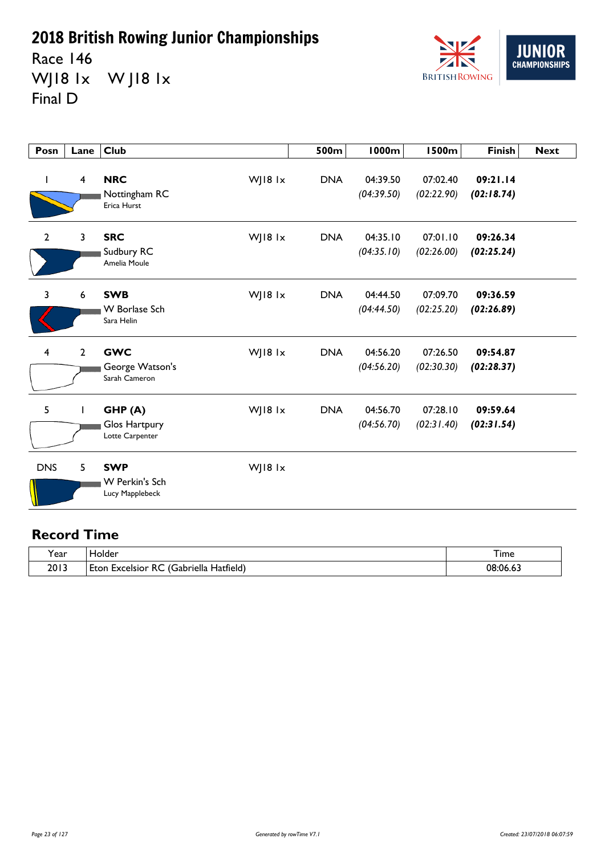Race 146 WJ18 1x W J18 1x Final D



| Posn                    | Lane                    | <b>Club</b>                                      |         | 500m       | 1000m                  | <b>1500m</b>           | <b>Finish</b>          | <b>Next</b> |
|-------------------------|-------------------------|--------------------------------------------------|---------|------------|------------------------|------------------------|------------------------|-------------|
| L                       | $\overline{\mathbf{4}}$ | <b>NRC</b><br>Nottingham RC<br>Erica Hurst       | WJ18 1x | <b>DNA</b> | 04:39.50<br>(04:39.50) | 07:02.40<br>(02:22.90) | 09:21.14<br>(02:18.74) |             |
| $\mathbf{2}$            | $\overline{3}$          | <b>SRC</b><br>Sudbury RC<br>Amelia Moule         | WJ18 1x | <b>DNA</b> | 04:35.10<br>(04:35.10) | 07:01.10<br>(02:26.00) | 09:26.34<br>(02:25.24) |             |
| 3                       | 6                       | <b>SWB</b><br><b>W</b> Borlase Sch<br>Sara Helin | WJ18 1x | <b>DNA</b> | 04:44.50<br>(04:44.50) | 07:09.70<br>(02:25.20) | 09:36.59<br>(02:26.89) |             |
| $\overline{\mathbf{4}}$ | $\overline{2}$          | <b>GWC</b><br>George Watson's<br>Sarah Cameron   | WJ18 1x | <b>DNA</b> | 04:56.20<br>(04:56.20) | 07:26.50<br>(02:30.30) | 09:54.87<br>(02:28.37) |             |
| 5                       | $\mathbf{I}$            | GHP(A)<br>Glos Hartpury<br>Lotte Carpenter       | WJ18 1x | <b>DNA</b> | 04:56.70<br>(04:56.70) | 07:28.10<br>(02:31.40) | 09:59.64<br>(02:31.54) |             |
| <b>DNS</b>              | 5                       | <b>SWP</b><br>W Perkin's Sch<br>Lucy Mapplebeck  | WJ18 1x |            |                        |                        |                        |             |

| 'ear | <b>Holder</b>                                              | 1 ime         |
|------|------------------------------------------------------------|---------------|
| 2013 | Hatfield)<br>. .<br>Gabriella<br>Excelsion<br>l F†∩n<br>к١ | 08.06<br>оло. |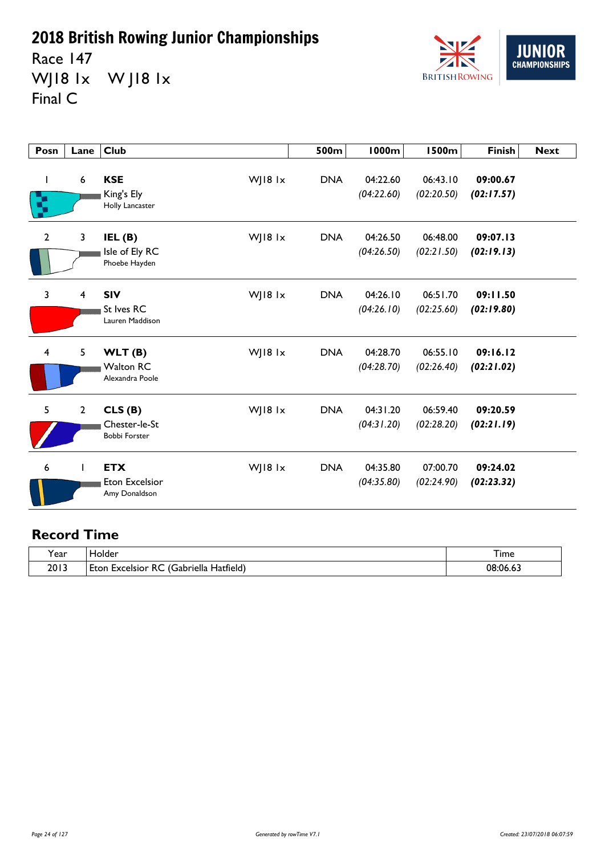Race 147 WJ18 1x W J18 1x Final C



| Posn           | Lane                    | <b>Club</b>                                                | 500m       | <b>1000m</b>           | <b>1500m</b>           | <b>Finish</b>          | <b>Next</b> |
|----------------|-------------------------|------------------------------------------------------------|------------|------------------------|------------------------|------------------------|-------------|
| I<br>χ         | $\boldsymbol{6}$        | <b>KSE</b><br>WJ18 1x<br>King's Ely<br>Holly Lancaster     | <b>DNA</b> | 04:22.60<br>(04:22.60) | 06:43.10<br>(02:20.50) | 09:00.67<br>(02:17.57) |             |
| $\overline{2}$ | $\overline{\mathbf{3}}$ | WJ18 1x<br>IEL(B)<br>Isle of Ely RC<br>Phoebe Hayden       | <b>DNA</b> | 04:26.50<br>(04:26.50) | 06:48.00<br>(02:21.50) | 09:07.13<br>(02:19.13) |             |
| 3              | $\overline{\mathbf{4}}$ | WJ18 1x<br><b>SIV</b><br>St Ives RC<br>Lauren Maddison     | <b>DNA</b> | 04:26.10<br>(04:26.10) | 06:51.70<br>(02:25.60) | 09:11.50<br>(02:19.80) |             |
| $\overline{4}$ | 5                       | WJ18 1x<br>WLT(B)<br><b>Walton RC</b><br>Alexandra Poole   | <b>DNA</b> | 04:28.70<br>(04:28.70) | 06:55.10<br>(02:26.40) | 09:16.12<br>(02:21.02) |             |
| 5              | $\overline{2}$          | CLS(B)<br>WJ18 1x<br>Chester-le-St<br><b>Bobbi Forster</b> | <b>DNA</b> | 04:31.20<br>(04:31.20) | 06:59.40<br>(02:28.20) | 09:20.59<br>(02:21.19) |             |
| 6              |                         | WJ18 1x<br><b>ETX</b><br>Eton Excelsior<br>Amy Donaldson   | <b>DNA</b> | 04:35.80<br>(04:35.80) | 07:00.70<br>(02:24.90) | 09:24.02<br>(02:23.32) |             |

| . .<br>l ear | folder                                                                | I ime      |
|--------------|-----------------------------------------------------------------------|------------|
| 2013         | - 13<br>. .<br>~~<br>Gabriella<br>Hatfield,<br>Excelsior<br>Eton<br>ĸ | 08.06<br>. |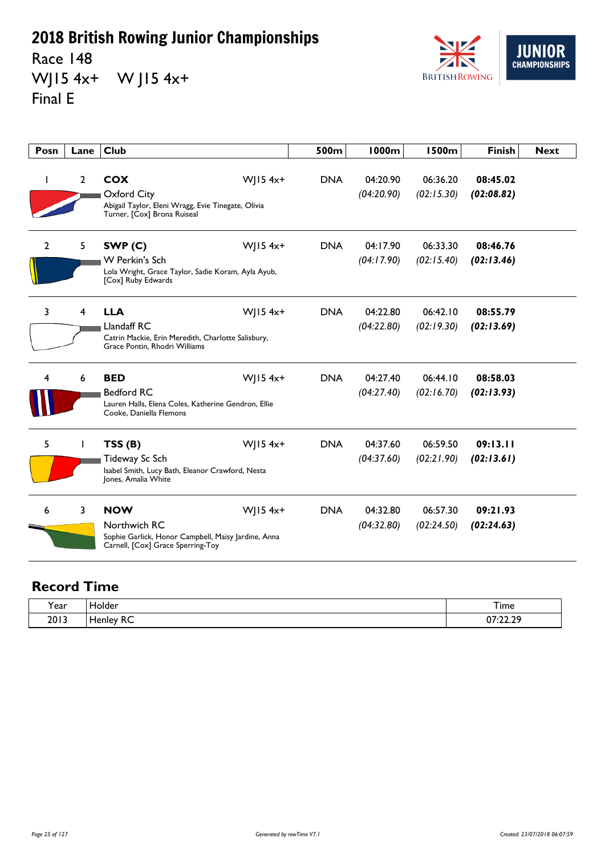Race 148 WJ15 4x+ W J15 4x+ Final E



| Posn         | Lane         | <b>Club</b>                                                                                                                              | 500m       | <b>1000m</b>           | <b>1500m</b>           | <b>Finish</b>          | <b>Next</b> |
|--------------|--------------|------------------------------------------------------------------------------------------------------------------------------------------|------------|------------------------|------------------------|------------------------|-------------|
| T            | $\mathbf{2}$ | <b>COX</b><br>$W$ JI54x <sup>+</sup><br>Oxford City<br>Abigail Taylor, Eleni Wragg, Evie Tinegate, Olivia<br>Turner, [Cox] Brona Ruiseal | <b>DNA</b> | 04:20.90<br>(04:20.90) | 06:36.20<br>(02:15.30) | 08:45.02<br>(02:08.82) |             |
| $\mathbf{2}$ | 5            | SWP <sub>(C)</sub><br>$W$   15 4x+<br><b>W</b> Perkin's Sch<br>Lola Wright, Grace Taylor, Sadie Koram, Ayla Ayub,<br>[Cox] Ruby Edwards  | <b>DNA</b> | 04:17.90<br>(04:17.90) | 06:33.30<br>(02:15.40) | 08:46.76<br>(02:13.46) |             |
| 3            | 4            | $W$   15 4x+<br><b>LLA</b><br>Llandaff RC<br>Catrin Mackie, Erin Meredith, Charlotte Salisbury,<br>Grace Pontin, Rhodri Williams         | <b>DNA</b> | 04:22.80<br>(04:22.80) | 06:42.10<br>(02:19.30) | 08:55.79<br>(02:13.69) |             |
| 4            | 6            | $W$   15 4x+<br><b>BED</b><br><b>Bedford RC</b><br>Lauren Halls, Elena Coles, Katherine Gendron, Ellie<br>Cooke, Daniella Flemons        | <b>DNA</b> | 04:27.40<br>(04:27.40) | 06:44.10<br>(02:16.70) | 08:58.03<br>(02:13.93) |             |
| 5            | L            | $W$   15 4x+<br>TSS(B)<br>Tideway Sc Sch<br>Isabel Smith, Lucy Bath, Eleanor Crawford, Nesta<br>Jones, Amalia White                      | <b>DNA</b> | 04:37.60<br>(04:37.60) | 06:59.50<br>(02:21.90) | 09:13.11<br>(02:13.61) |             |
| 6            | 3            | <b>NOW</b><br>$W$   15 4x+<br>Northwich RC<br>Sophie Garlick, Honor Campbell, Maisy Jardine, Anna<br>Carnell, [Cox] Grace Sperring-Toy   | <b>DNA</b> | 04:32.80<br>(04:32.80) | 06:57.30<br>(02:24.50) | 09:21.93<br>(02:24.63) |             |

| rear) | $\sim$<br>ـ م اب<br>older     | $-$<br>I ime               |
|-------|-------------------------------|----------------------------|
| 2013  | --<br><b>IANIAV</b><br>.<br>へ | מר רר דח<br>V I.75.7.<br>. |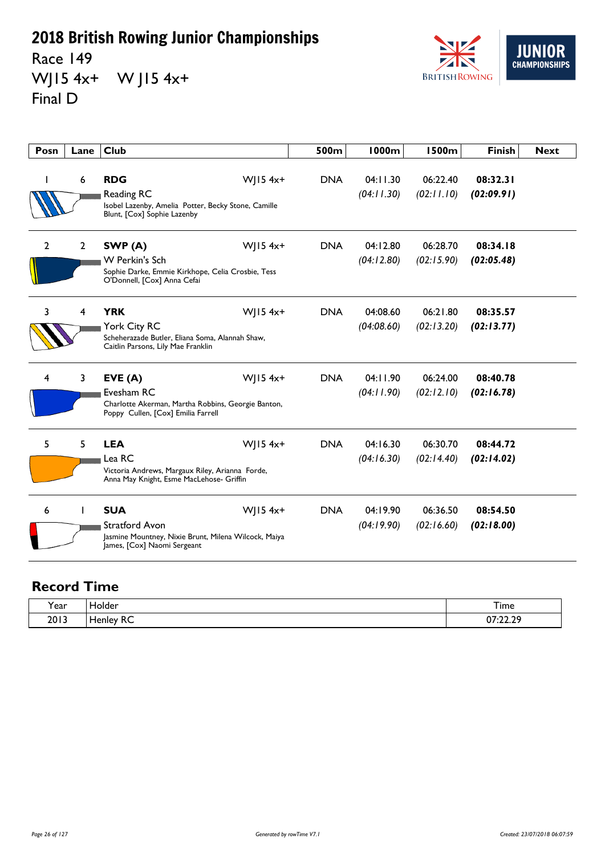Race 149 WJ15 4x+ W J15 4x+ Final D



| Posn         | Lane           | <b>Club</b>                                                                                                         |                        | 500m       | 1000m                  | <b>1500m</b>           | <b>Finish</b>          | <b>Next</b> |
|--------------|----------------|---------------------------------------------------------------------------------------------------------------------|------------------------|------------|------------------------|------------------------|------------------------|-------------|
|              | 6              | <b>RDG</b><br>Reading RC<br>Isobel Lazenby, Amelia Potter, Becky Stone, Camille<br>Blunt, [Cox] Sophie Lazenby      | $W$   15 4x+           | <b>DNA</b> | 04:11.30<br>(04:11.30) | 06:22.40<br>(02:11.10) | 08:32.31<br>(02:09.91) |             |
| $\mathbf{2}$ | $\overline{2}$ | SWP(A)<br><b>W</b> Perkin's Sch<br>Sophie Darke, Emmie Kirkhope, Celia Crosbie, Tess<br>O'Donnell, [Cox] Anna Cefai | $W$ JI54x <sup>+</sup> | <b>DNA</b> | 04:12.80<br>(04:12.80) | 06:28.70<br>(02:15.90) | 08:34.18<br>(02:05.48) |             |
| 3            | 4              | <b>YRK</b><br>York City RC<br>Scheherazade Butler, Eliana Soma, Alannah Shaw,<br>Caitlin Parsons, Lily Mae Franklin | WJ15 $4x+$             | <b>DNA</b> | 04:08.60<br>(04:08.60) | 06:21.80<br>(02:13.20) | 08:35.57<br>(02:13.77) |             |
| 4            | $\mathbf{3}$   | EVE(A)<br>Evesham RC<br>Charlotte Akerman, Martha Robbins, Georgie Banton,<br>Poppy Cullen, [Cox] Emilia Farrell    | WJ15 $4x+$             | <b>DNA</b> | 04:11.90<br>(04:11.90) | 06:24.00<br>(02:12.10) | 08:40.78<br>(02:16.78) |             |
| 5            | 5              | <b>LEA</b><br>Lea RC<br>Victoria Andrews, Margaux Riley, Arianna Forde,<br>Anna May Knight, Esme MacLehose- Griffin | WJ15 $4x+$             | <b>DNA</b> | 04:16.30<br>(04:16.30) | 06:30.70<br>(02:14.40) | 08:44.72<br>(02:14.02) |             |
| 6            | L              | <b>SUA</b><br>Stratford Avon<br>Jasmine Mountney, Nixie Brunt, Milena Wilcock, Maiya<br>James, [Cox] Naomi Sergeant | WJ15 $4x+$             | <b>DNA</b> | 04:19.90<br>(04:19.90) | 06:36.50<br>(02:16.60) | 08:54.50<br>(02:18.00) |             |

| Year | Holder                               | Time                |
|------|--------------------------------------|---------------------|
| 2013 | $\sim$ $\sim$<br>Henley RC<br>$\sim$ | סר רר דח<br>0/22.25 |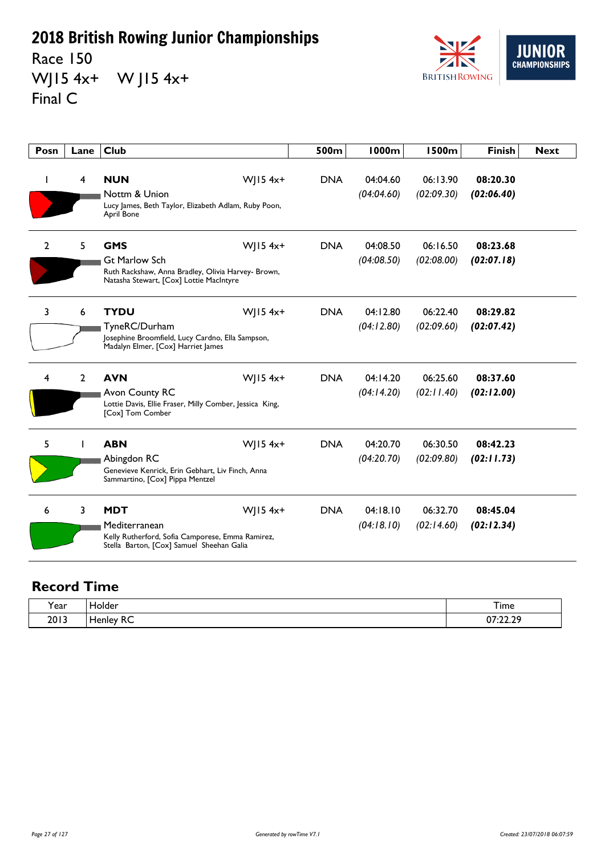Race 150 WJ15 4x+ W J15 4x+ Final C



| Posn           | Lane           | <b>Club</b>                                                                                                                                         | 500m       | <b>1000m</b>           | <b>1500m</b>           | <b>Finish</b>          | <b>Next</b> |
|----------------|----------------|-----------------------------------------------------------------------------------------------------------------------------------------------------|------------|------------------------|------------------------|------------------------|-------------|
| ı              | 4              | $W$   15 4x+<br><b>NUN</b><br>Nottm & Union<br>Lucy James, Beth Taylor, Elizabeth Adlam, Ruby Poon,<br>April Bone                                   | <b>DNA</b> | 04:04.60<br>(04:04.60) | 06:13.90<br>(02:09.30) | 08:20.30<br>(02:06.40) |             |
| $\overline{2}$ | 5              | <b>GMS</b><br>$W$   15 4x+<br><b>Gt Marlow Sch</b><br>Ruth Rackshaw, Anna Bradley, Olivia Harvey- Brown,<br>Natasha Stewart, [Cox] Lottie MacIntyre | <b>DNA</b> | 04:08.50<br>(04:08.50) | 06:16.50<br>(02:08.00) | 08:23.68<br>(02:07.18) |             |
| 3              | 6              | <b>TYDU</b><br>$W$   15 4x+<br>TyneRC/Durham<br>Josephine Broomfield, Lucy Cardno, Ella Sampson,<br>Madalyn Elmer, [Cox] Harriet James              | <b>DNA</b> | 04:12.80<br>(04:12.80) | 06:22.40<br>(02:09.60) | 08:29.82<br>(02:07.42) |             |
| 4              | $\overline{2}$ | <b>AVN</b><br>$W$   15 4x+<br>Avon County RC<br>Lottie Davis, Ellie Fraser, Milly Comber, Jessica King,<br>[Cox] Tom Comber                         | <b>DNA</b> | 04:14.20<br>(04:14.20) | 06:25.60<br>(02:11.40) | 08:37.60<br>(02:12.00) |             |
| 5              | L              | <b>ABN</b><br>$W$   15 4x+<br>Abingdon RC<br>Genevieve Kenrick, Erin Gebhart, Liv Finch, Anna<br>Sammartino, [Cox] Pippa Mentzel                    | <b>DNA</b> | 04:20.70<br>(04:20.70) | 06:30.50<br>(02:09.80) | 08:42.23<br>(02:11.73) |             |
| 6              | 3              | $W$   15 4x+<br><b>MDT</b><br>Mediterranean<br>Kelly Rutherford, Sofia Camporese, Emma Ramirez,<br>Stella Barton, [Cox] Samuel Sheehan Galia        | <b>DNA</b> | 04:18.10<br>(04:18.10) | 06:32.70<br>(02:14.60) | 08:45.04<br>(02:12.34) |             |

| Year | Holder                               | Time                |
|------|--------------------------------------|---------------------|
| 2013 | $\sim$ $\sim$<br>Henley RC<br>$\sim$ | סר רר דח<br>0/22.25 |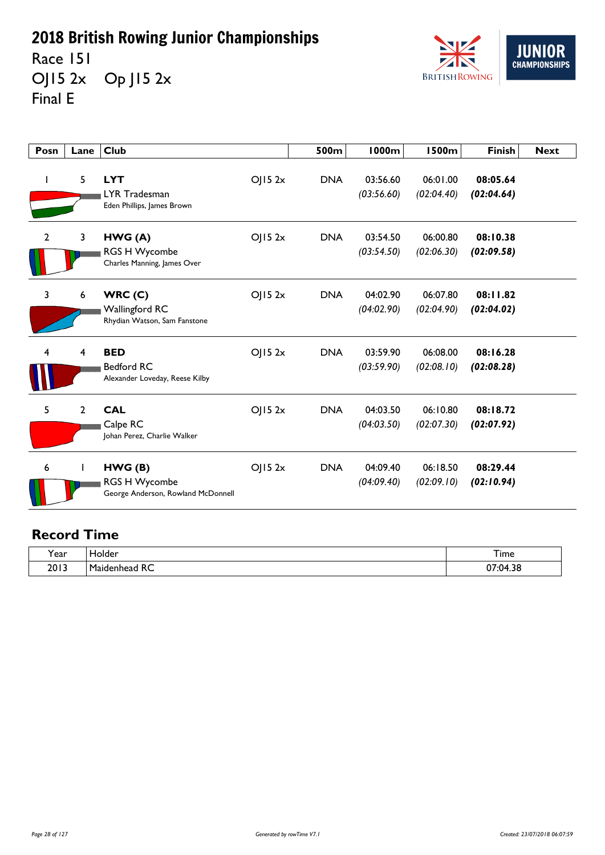Race 151 OJ15 2x Op J15 2x Final E



| Posn           | Lane         | <b>Club</b>                                                          |        | 500m       | <b>1000m</b>           | <b>1500m</b>           | <b>Finish</b>          | <b>Next</b> |
|----------------|--------------|----------------------------------------------------------------------|--------|------------|------------------------|------------------------|------------------------|-------------|
| $\mathbf{I}$   | 5            | <b>LYT</b><br>LYR Tradesman<br>Eden Phillips, James Brown            | OJ152x | <b>DNA</b> | 03:56.60<br>(03:56.60) | 06:01.00<br>(02:04.40) | 08:05.64<br>(02:04.64) |             |
| $\overline{2}$ | 3            | HWG(A)<br><b>RGS H Wycombe</b><br>Charles Manning, James Over        | OJ152x | <b>DNA</b> | 03:54.50<br>(03:54.50) | 06:00.80<br>(02:06.30) | 08:10.38<br>(02:09.58) |             |
| 3              | 6            | WRC(C)<br>Wallingford RC<br>Rhydian Watson, Sam Fanstone             | O  52x | <b>DNA</b> | 04:02.90<br>(04:02.90) | 06:07.80<br>(02:04.90) | 08:11.82<br>(02:04.02) |             |
| 4              | 4            | <b>BED</b><br>Bedford RC<br>Alexander Loveday, Reese Kilby           | OJ152x | <b>DNA</b> | 03:59.90<br>(03:59.90) | 06:08.00<br>(02:08.10) | 08:16.28<br>(02:08.28) |             |
| 5              | $\mathbf{2}$ | <b>CAL</b><br>Calpe RC<br>Johan Perez, Charlie Walker                | OJ152x | <b>DNA</b> | 04:03.50<br>(04:03.50) | 06:10.80<br>(02:07.30) | 08:18.72<br>(02:07.92) |             |
| 6              |              | HWG(B)<br><b>RGS H Wycombe</b><br>George Anderson, Rowland McDonnell | OJ152x | <b>DNA</b> | 04:09.40<br>(04:09.40) | 06:18.50<br>(02:09.10) | 08:29.44<br>(02:10.94) |             |

| $\lambda$<br>'ear | lolder                                                       | $\overline{\phantom{a}}$<br>–<br>i ime       |
|-------------------|--------------------------------------------------------------|----------------------------------------------|
| 2013              | $D^{\prime}$<br>. .<br>м.<br>∵onhead<br>av.<br>RC.<br>$\sim$ | D.C<br>$\sim$<br>$\sim$<br>85.04:<br>$\cdot$ |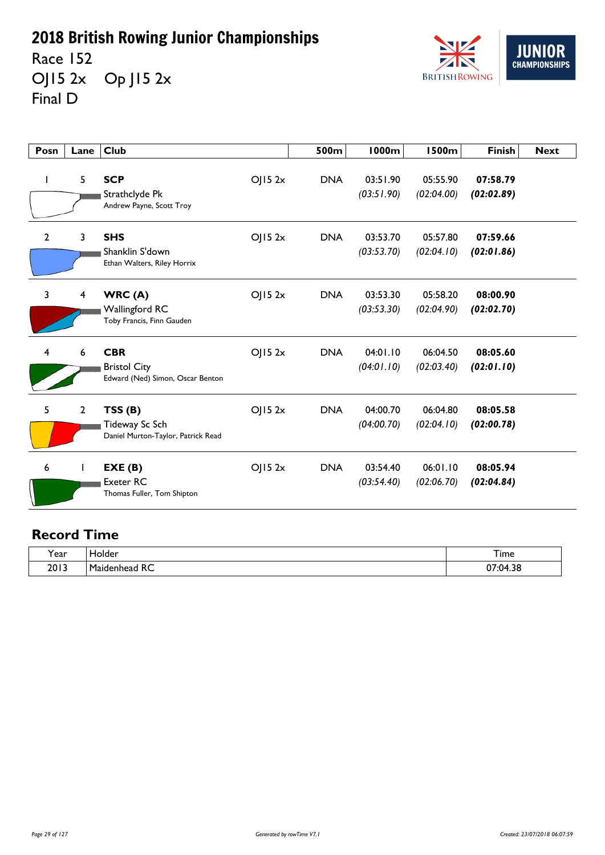Race 152 OJ15 2x Op J15 2x Final D



| Posn           | Lane           | <b>Club</b>                                                           |        | 500m       | <b>1000m</b>           | <b>1500m</b>           | <b>Finish</b>          | <b>Next</b> |
|----------------|----------------|-----------------------------------------------------------------------|--------|------------|------------------------|------------------------|------------------------|-------------|
| $\mathbf{I}$   | 5              | <b>SCP</b><br>Strathclyde Pk<br>Andrew Payne, Scott Troy              | OJ152x | <b>DNA</b> | 03:51.90<br>(03:51.90) | 05:55.90<br>(02:04.00) | 07:58.79<br>(02:02.89) |             |
| $\overline{2}$ | 3              | <b>SHS</b><br>Shanklin S'down<br>Ethan Walters, Riley Horrix          | OJ152x | <b>DNA</b> | 03:53.70<br>(03:53.70) | 05:57.80<br>(02:04.10) | 07:59.66<br>(02:01.86) |             |
| $\overline{3}$ | 4              | WRC(A)<br><b>Wallingford RC</b><br>Toby Francis, Finn Gauden          | OJ152x | <b>DNA</b> | 03:53.30<br>(03:53.30) | 05:58.20<br>(02:04.90) | 08:00.90<br>(02:02.70) |             |
| 4              | 6              | <b>CBR</b><br><b>Bristol City</b><br>Edward (Ned) Simon, Oscar Benton | OJ152x | <b>DNA</b> | 04:01.10<br>(04:01.10) | 06:04.50<br>(02:03.40) | 08:05.60<br>(02:01.10) |             |
| 5              | $\overline{2}$ | TSS(B)<br>Tideway Sc Sch<br>Daniel Murton-Taylor, Patrick Read        | OJ152x | <b>DNA</b> | 04:00.70<br>(04:00.70) | 06:04.80<br>(02:04.10) | 08:05.58<br>(02:00.78) |             |
| 6              |                | EXE(B)<br>Exeter RC<br>Thomas Fuller, Tom Shipton                     | OJ152x | <b>DNA</b> | 03:54.40<br>(03:54.40) | 06:01.10<br>(02:06.70) | 08:05.94<br>(02:04.84) |             |

| . .<br>'ear | <b>lolder</b>                              | --<br>I ime                         |
|-------------|--------------------------------------------|-------------------------------------|
| 2013        | -<br>D.<br>m.<br>1aidenhead<br>ᅐ<br>$\sim$ | $\sim$<br>n c<br>/:04<br>1.JC<br>v, |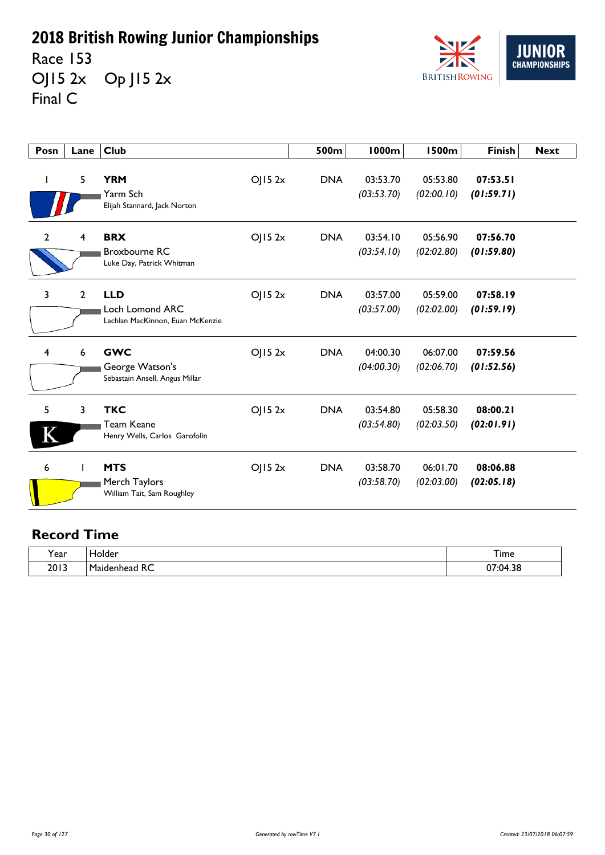Race 153 OJ15 2x Op J15 2x Final C



| Posn           | Lane | <b>Club</b>                                                       |        | 500m       | <b>1000m</b>           | <b>1500m</b>           | <b>Finish</b>          | <b>Next</b> |
|----------------|------|-------------------------------------------------------------------|--------|------------|------------------------|------------------------|------------------------|-------------|
| J.             | 5    | <b>YRM</b><br>Yarm Sch<br>Elijah Stannard, Jack Norton            | OJ152x | <b>DNA</b> | 03:53.70<br>(03:53.70) | 05:53.80<br>(02:00.10) | 07:53.51<br>(01:59.71) |             |
| $\overline{2}$ | 4    | <b>BRX</b><br><b>Broxbourne RC</b><br>Luke Day, Patrick Whitman   | OJ152x | <b>DNA</b> | 03:54.10<br>(03:54.10) | 05:56.90<br>(02:02.80) | 07:56.70<br>(01:59.80) |             |
| 3              | 2    | <b>LLD</b><br>Loch Lomond ARC<br>Lachlan MacKinnon, Euan McKenzie | OJ152x | <b>DNA</b> | 03:57.00<br>(03:57.00) | 05:59.00<br>(02:02.00) | 07:58.19<br>(01:59.19) |             |
| 4              | 6    | <b>GWC</b><br>George Watson's<br>Sebastain Ansell, Angus Millar   | OJ152x | <b>DNA</b> | 04:00.30<br>(04:00.30) | 06:07.00<br>(02:06.70) | 07:59.56<br>(01:52.56) |             |
| 5              | 3    | <b>TKC</b><br><b>Team Keane</b><br>Henry Wells, Carlos Garofolin  | OJ152x | <b>DNA</b> | 03:54.80<br>(03:54.80) | 05:58.30<br>(02:03.50) | 08:00.21<br>(02:01.91) |             |
| 6              |      | <b>MTS</b><br>Merch Taylors<br>William Tait, Sam Roughley         | OJ152x | <b>DNA</b> | 03:58.70<br>(03:58.70) | 06:01.70<br>(02:03.00) | 08:06.88<br>(02:05.18) |             |

| . .<br>'ear | <b>lolder</b>                              | --<br>I ime                         |
|-------------|--------------------------------------------|-------------------------------------|
| 2013        | -<br>D.<br>m.<br>1aidenhead<br>ᅐ<br>$\sim$ | $\sim$<br>n c<br>/:04<br>1.JC<br>v, |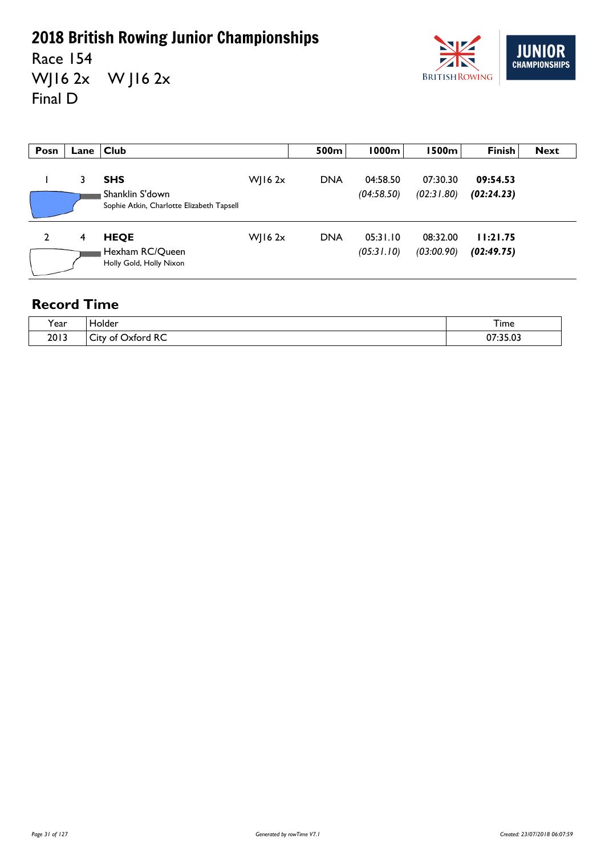Race 154 WJ16 2x W J16 2x Final D



| Posn | Lane | <b>Club</b>                                                                |             | 500m       | 1000m                  | 1500m                  | <b>Finish</b>          | <b>Next</b> |
|------|------|----------------------------------------------------------------------------|-------------|------------|------------------------|------------------------|------------------------|-------------|
|      |      | <b>SHS</b><br>Shanklin S'down<br>Sophie Atkin, Charlotte Elizabeth Tapsell | $W$   16 2x | <b>DNA</b> | 04:58.50<br>(04:58.50) | 07:30.30<br>(02:31.80) | 09:54.53<br>(02:24.23) |             |
| 2    | 4    | <b>HEQE</b><br>Hexham RC/Queen<br>Holly Gold, Holly Nixon                  | WJ16 $2x$   | <b>DNA</b> | 05:31.10<br>(05:31.10) | 08:32.00<br>(03:00.90) | 11:21.75<br>(02:49.75) |             |

| Year | older،                                          | Time                                    |
|------|-------------------------------------------------|-----------------------------------------|
| 2013 | D <sub>C</sub><br>-<br>Jxtord<br>111<br>∩t<br>へ | 2.5.22<br>$\mathbf{J} \cdot \mathbf{V}$ |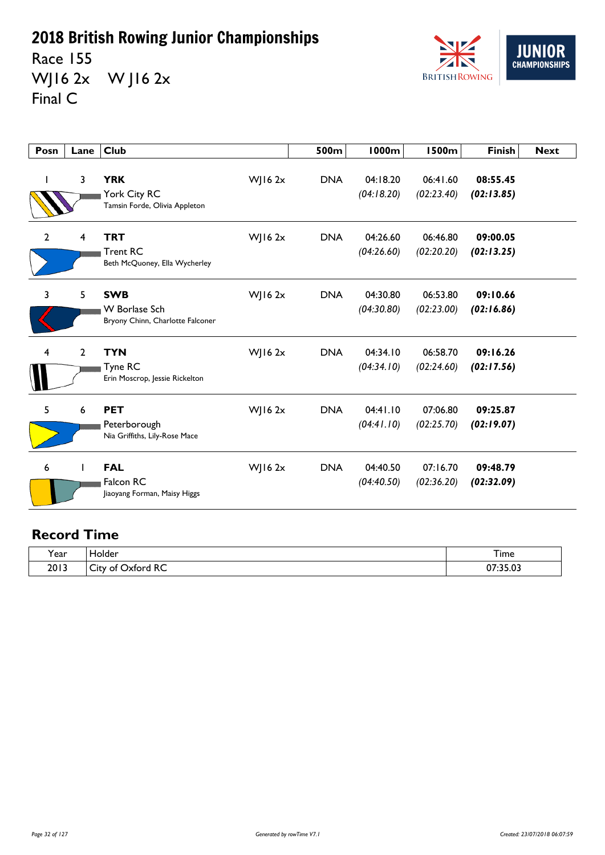Race 155 WJ16 2x W J16 2x Final C



| Posn           | Lane           | <b>Club</b>                                                            |              | 500m       | <b>1000m</b>           | <b>1500m</b>           | <b>Finish</b>          | <b>Next</b> |
|----------------|----------------|------------------------------------------------------------------------|--------------|------------|------------------------|------------------------|------------------------|-------------|
|                | 3              | <b>YRK</b><br>York City RC<br>Tamsin Forde, Olivia Appleton            | WJ16 2x      | <b>DNA</b> | 04:18.20<br>(04:18.20) | 06:41.60<br>(02:23.40) | 08:55.45<br>(02:13.85) |             |
| $\overline{2}$ | 4              | <b>TRT</b><br><b>Trent RC</b><br>Beth McQuoney, Ella Wycherley         | WJ16 2x      | <b>DNA</b> | 04:26.60<br>(04:26.60) | 06:46.80<br>(02:20.20) | 09:00.05<br>(02:13.25) |             |
| 3              | 5              | <b>SWB</b><br><b>W</b> Borlase Sch<br>Bryony Chinn, Charlotte Falconer | WJ16 $2x$    | <b>DNA</b> | 04:30.80<br>(04:30.80) | 06:53.80<br>(02:23.00) | 09:10.66<br>(02:16.86) |             |
| 4              | $\overline{2}$ | <b>TYN</b><br>Tyne RC<br>Erin Moscrop, Jessie Rickelton                | WJ16 $2x$    | <b>DNA</b> | 04:34.10<br>(04:34.10) | 06:58.70<br>(02:24.60) | 09:16.26<br>(02:17.56) |             |
| 5              | 6              | <b>PET</b><br>Peterborough<br>Nia Griffiths, Lily-Rose Mace            | WJ16 $2x$    | <b>DNA</b> | 04:41.10<br>(04:41.10) | 07:06.80<br>(02:25.70) | 09:25.87<br>(02:19.07) |             |
| 6              |                | <b>FAL</b><br>Falcon RC<br>Jiaoyang Forman, Maisy Higgs                | $W$ JI6 $2x$ | <b>DNA</b> | 04:40.50<br>(04:40.50) | 07:16.70<br>(02:36.20) | 09:48.79<br>(02:32.09) |             |

| $\cdot$ | older                                                                            | ÷.           |
|---------|----------------------------------------------------------------------------------|--------------|
| Year    |                                                                                  | <b>l</b> ime |
| 2013    | $D^{\prime}$<br>-<br>) vtord<br>ΩŤ<br>∟ال<br>_______<br>$\overline{\phantom{a}}$ | 2.5.22       |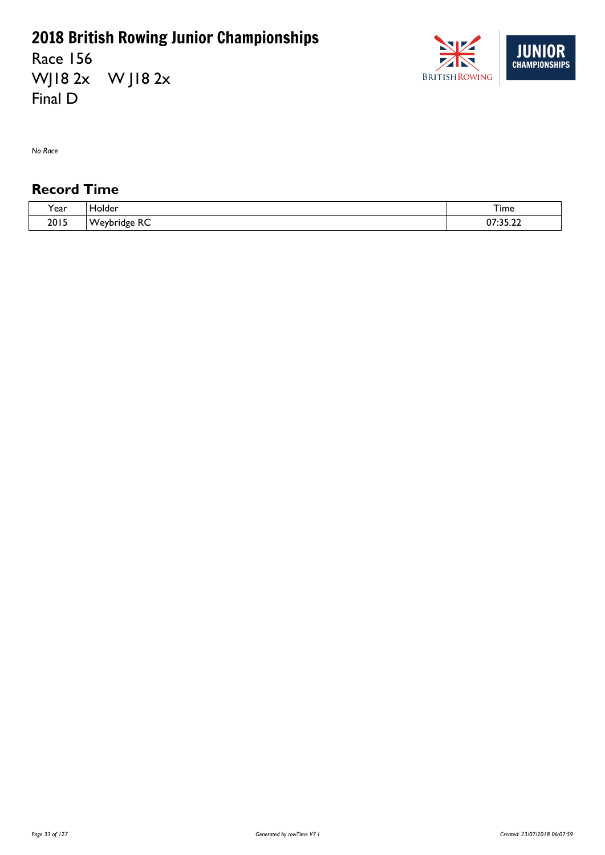Race 156 WJ18 2x W J18 2x Final D



*No Race*

| <b>、</b><br>ear | older،                      | I ime                                |
|-----------------|-----------------------------|--------------------------------------|
| 2015            | -<br><b>NA</b><br>וסר<br>NC | $\sim$ $-$<br>$\sim$<br>JJ. <i>l</i> |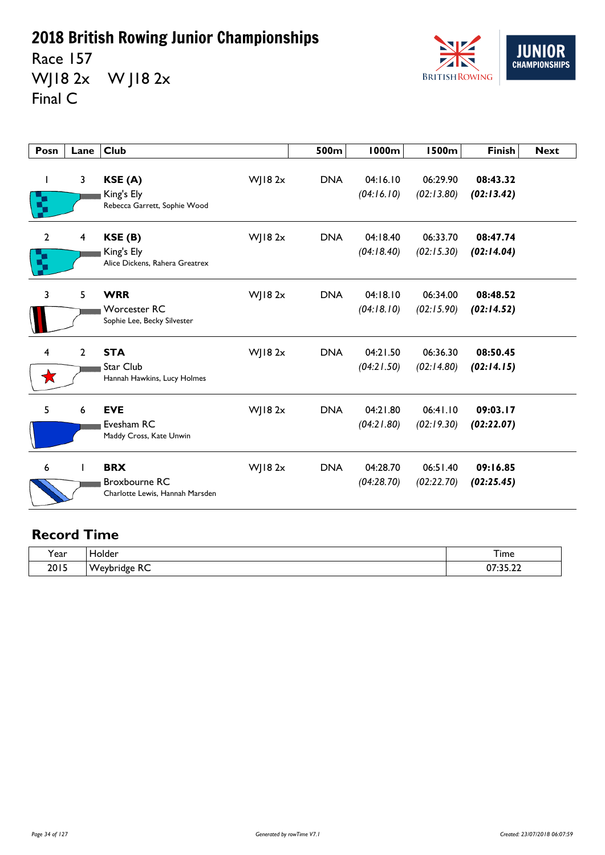Race 157 WJ18 2x W J18 2x Final C



| Posn                | Lane                    | <b>Club</b>                                                           |                | 500m       | <b>1000m</b>           | <b>1500m</b>           | <b>Finish</b>          | <b>Next</b> |
|---------------------|-------------------------|-----------------------------------------------------------------------|----------------|------------|------------------------|------------------------|------------------------|-------------|
| I                   | 3                       | KSE (A)<br>King's Ely<br>Rebecca Garrett, Sophie Wood                 | WJ182x         | <b>DNA</b> | 04:16.10<br>(04:16.10) | 06:29.90<br>(02:13.80) | 08:43.32<br>(02:13.42) |             |
| $\overline{2}$<br>ą | $\overline{\mathbf{4}}$ | KSE (B)<br>King's Ely<br>Alice Dickens, Rahera Greatrex               | WJ182x         | <b>DNA</b> | 04:18.40<br>(04:18.40) | 06:33.70<br>(02:15.30) | 08:47.74<br>(02:14.04) |             |
| 3                   | 5                       | <b>WRR</b><br><b>Worcester RC</b><br>Sophie Lee, Becky Silvester      | WJ18 2x        | <b>DNA</b> | 04:18.10<br>(04:18.10) | 06:34.00<br>(02:15.90) | 08:48.52<br>(02:14.52) |             |
| 4                   | $\overline{2}$          | <b>STA</b><br><b>Star Club</b><br>Hannah Hawkins, Lucy Holmes         | $W$   18 2 $x$ | <b>DNA</b> | 04:21.50<br>(04:21.50) | 06:36.30<br>(02:14.80) | 08:50.45<br>(02:14.15) |             |
| 5                   | 6                       | <b>EVE</b><br>Evesham RC<br>Maddy Cross, Kate Unwin                   | $W$ ] 18 $2x$  | <b>DNA</b> | 04:21.80<br>(04:21.80) | 06:41.10<br>(02:19.30) | 09:03.17<br>(02:22.07) |             |
| 6                   |                         | <b>BRX</b><br><b>Broxbourne RC</b><br>Charlotte Lewis, Hannah Marsden | $W$ ] 18 $2x$  | <b>DNA</b> | 04:28.70<br>(04:28.70) | 06:51.40<br>(02:22.70) | 09:16.85<br>(02:25.45) |             |

| Year | older:                                                | --<br><b><i><u>isaa 4</u></i></b><br>Time |
|------|-------------------------------------------------------|-------------------------------------------|
| 2015 | $\sim$ $\sim$<br>۰л.<br>יז<br>$\cdot$ $\cdot$ $\cdot$ | $\sim$ $\sim$ $\sim$<br>$\sim$ $-$        |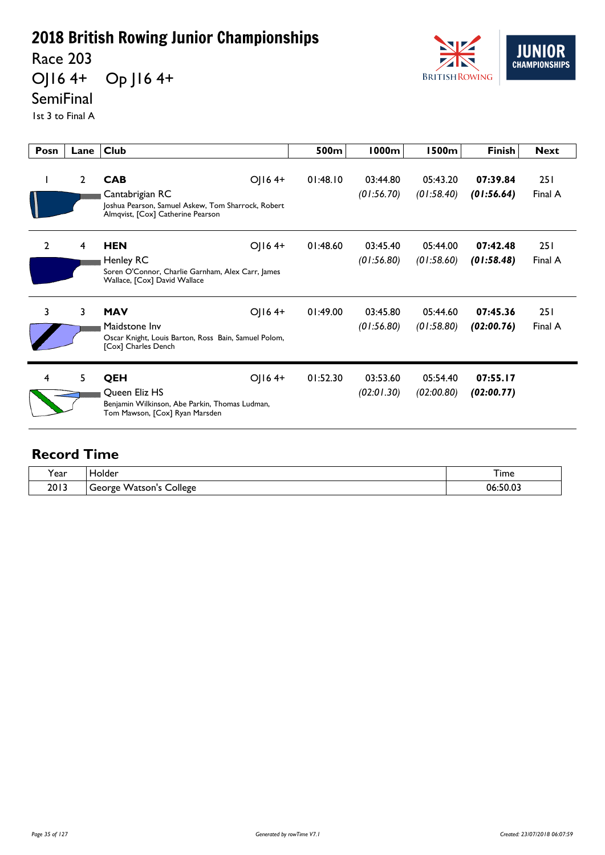Race 203

OJ16 4+ Op J16 4+



### **SemiFinal**

1st 3 to Final A

| Posn           | Lane           | <b>Club</b>                                                                                                                        | 500m     | 1000m                  | l 500m                 | <b>Finish</b>          | <b>Next</b>    |
|----------------|----------------|------------------------------------------------------------------------------------------------------------------------------------|----------|------------------------|------------------------|------------------------|----------------|
|                | $\overline{2}$ | <b>CAB</b><br>OJ164+<br>Cantabrigian RC<br>Joshua Pearson, Samuel Askew, Tom Sharrock, Robert<br>Almqvist, [Cox] Catherine Pearson | 01:48.10 | 03:44.80<br>(01:56.70) | 05:43.20<br>(01:58.40) | 07:39.84<br>(01:56.64) | 251<br>Final A |
| $\overline{2}$ | 4              | OJ164+<br><b>HEN</b><br>Henley RC<br>Soren O'Connor, Charlie Garnham, Alex Carr, James<br>Wallace, [Cox] David Wallace             | 01:48.60 | 03:45.40<br>(01:56.80) | 05:44.00<br>(01:58.60) | 07:42.48<br>(01:58.48) | 251<br>Final A |
| 3              | 3              | <b>MAV</b><br>$O(164+)$<br>Maidstone Inv<br>Oscar Knight, Louis Barton, Ross Bain, Samuel Polom,<br>[Cox] Charles Dench            | 01:49.00 | 03:45.80<br>(01:56.80) | 05:44.60<br>(01:58.80) | 07:45.36<br>(02:00.76) | 251<br>Final A |
| 4              | 5              | QEH<br>$O(164+$<br>Queen Eliz HS<br>Benjamin Wilkinson, Abe Parkin, Thomas Ludman,<br>Tom Mawson, [Cox] Ryan Marsden               | 01:52.30 | 03:53.60<br>(02:01.30) | 05:54.40<br>(02:00.80) | 07:55.17<br>(02:00.77) |                |

| <b>Year</b> | iolder<br>_____               | $-$<br><b>l</b> ime |
|-------------|-------------------------------|---------------------|
| 2013        | College<br>Watson's<br>George | 06:50.03            |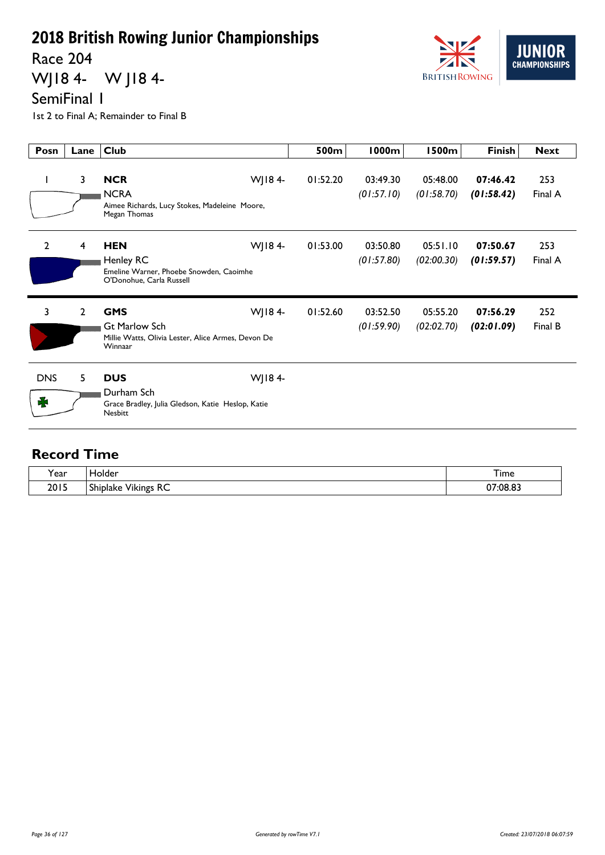Race 204

WJ18 4- W J18 4-



SemiFinal 1

1st 2 to Final A; Remainder to Final B

| Posn            | Lane           | <b>Club</b>                                                                                                   | 500m     | 1000m                  | 1500m                  | <b>Finish</b>          | <b>Next</b>    |
|-----------------|----------------|---------------------------------------------------------------------------------------------------------------|----------|------------------------|------------------------|------------------------|----------------|
| $\mathbf{I}$    | 3              | WJ184-<br><b>NCR</b><br><b>NCRA</b><br>Aimee Richards, Lucy Stokes, Madeleine Moore,<br>Megan Thomas          | 01:52.20 | 03:49.30<br>(01:57.10) | 05:48.00<br>(01:58.70) | 07:46.42<br>(01:58.42) | 253<br>Final A |
| $\overline{2}$  | 4              | WJ184-<br><b>HEN</b><br>Henley RC<br>Emeline Warner, Phoebe Snowden, Caoimhe<br>O'Donohue, Carla Russell      | 01:53.00 | 03:50.80<br>(01:57.80) | 05:51.10<br>(02:00.30) | 07:50.67<br>(01:59.57) | 253<br>Final A |
| 3               | $\overline{2}$ | WJ184-<br><b>GMS</b><br><b>Gt Marlow Sch</b><br>Millie Watts, Olivia Lester, Alice Armes, Devon De<br>Winnaar | 01:52.60 | 03:52.50<br>(01:59.90) | 05:55.20<br>(02:02.70) | 07:56.29<br>(02:01.09) | 252<br>Final B |
| <b>DNS</b><br>₩ | 5              | <b>DUS</b><br>WJ184-<br>Durham Sch<br>Grace Bradley, Julia Gledson, Katie Heslop, Katie<br><b>Nesbitt</b>     |          |                        |                        |                        |                |

| <b>、</b><br>ear - | iolder                                                 | $-$<br>I ime<br>$\sim$ $\sim$ |
|-------------------|--------------------------------------------------------|-------------------------------|
| 2015              | <b>RC</b><br>$\cdots$<br>$\sim$<br>Shiplake<br>Vikings | ገ7:08.8.                      |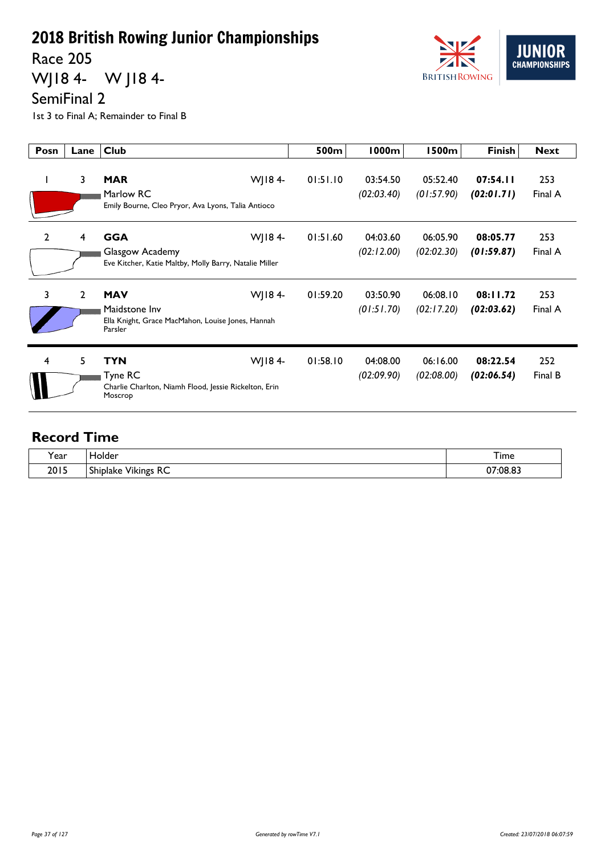Race 205

WJ18 4- W J18 4-



SemiFinal 2

1st 3 to Final A; Remainder to Final B

| Posn           | Lane           | <b>Club</b>                                                                                           | 500m     | 1000m                  | l 500m                 | <b>Finish</b>          | <b>Next</b>    |
|----------------|----------------|-------------------------------------------------------------------------------------------------------|----------|------------------------|------------------------|------------------------|----------------|
|                | 3              | WJ184-<br><b>MAR</b><br>Marlow RC<br>Emily Bourne, Cleo Pryor, Ava Lyons, Talia Antioco               | 01:51.10 | 03:54.50<br>(02:03.40) | 05:52.40<br>(01:57.90) | 07:54.11<br>(02:01.71) | 253<br>Final A |
| $\overline{2}$ | 4              | <b>GGA</b><br>WJ184-<br>Glasgow Academy<br>Eve Kitcher, Katie Maltby, Molly Barry, Natalie Miller     | 01:51.60 | 04:03.60<br>(02:12.00) | 06:05.90<br>(02:02.30) | 08:05.77<br>(01:59.87) | 253<br>Final A |
| 3              | $\overline{2}$ | <b>MAV</b><br>WJ184-<br>Maidstone Inv<br>Ella Knight, Grace MacMahon, Louise Jones, Hannah<br>Parsler | 01:59.20 | 03:50.90<br>(01:51.70) | 06:08.10<br>(02:17.20) | 08:11.72<br>(02:03.62) | 253<br>Final A |
| 4              | 5              | <b>TYN</b><br>WJ184-<br>Tyne RC<br>Charlie Charlton, Niamh Flood, Jessie Rickelton, Erin<br>Moscrop   | 01:58.10 | 04:08.00<br>(02:09.90) | 06:16.00<br>(02:08.00) | 08:22.54<br>(02:06.54) | 252<br>Final B |

| ៶,   | der.                                         | ÷.            |
|------|----------------------------------------------|---------------|
| Year | 311                                          | <b>l</b> ime  |
| 2015 | $D^{\prime}$<br>-<br><br>Shiplake<br>/ikings | /208.87<br>^7 |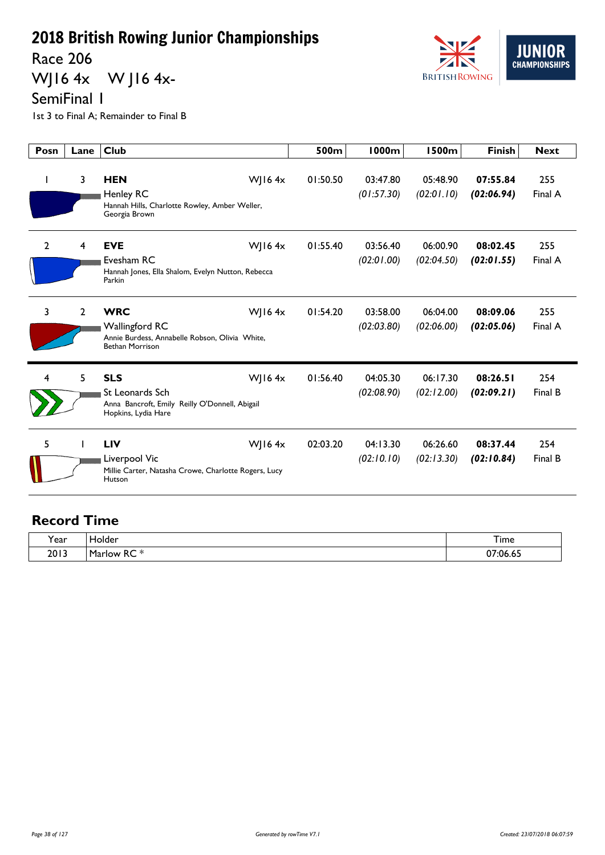Race 206

WJ16 4x W J16 4x-



SemiFinal 1

1st 3 to Final A; Remainder to Final B

| Posn           | Lane           | <b>Club</b>                                                                                                                  | 500m     | <b>1000m</b>           | <b>1500m</b>           | <b>Finish</b>          | <b>Next</b>    |
|----------------|----------------|------------------------------------------------------------------------------------------------------------------------------|----------|------------------------|------------------------|------------------------|----------------|
| J.             | 3              | <b>HEN</b><br>WJ16 $4x$<br><b>Henley RC</b><br>Hannah Hills, Charlotte Rowley, Amber Weller,<br>Georgia Brown                | 01:50.50 | 03:47.80<br>(01:57.30) | 05:48.90<br>(02:01.10) | 07:55.84<br>(02:06.94) | 255<br>Final A |
| $\overline{2}$ | 4              | <b>EVE</b><br>WJ16 $4x$<br>Evesham RC<br>Hannah Jones, Ella Shalom, Evelyn Nutton, Rebecca<br>Parkin                         | 01:55.40 | 03:56.40<br>(02:01.00) | 06:00.90<br>(02:04.50) | 08:02.45<br>(02:01.55) | 255<br>Final A |
| 3              | $\overline{2}$ | <b>WRC</b><br>WJ16 $4x$<br><b>Wallingford RC</b><br>Annie Burdess, Annabelle Robson, Olivia White,<br><b>Bethan Morrison</b> | 01:54.20 | 03:58.00<br>(02:03.80) | 06:04.00<br>(02:06.00) | 08:09.06<br>(02:05.06) | 255<br>Final A |
| 4              | 5              | <b>SLS</b><br>WJ16 $4x$<br>St Leonards Sch<br>Anna Bancroft, Emily Reilly O'Donnell, Abigail<br>Hopkins, Lydia Hare          | 01:56.40 | 04:05.30<br>(02:08.90) | 06:17.30<br>(02:12.00) | 08:26.51<br>(02:09.21) | 254<br>Final B |
| 5              |                | <b>LIV</b><br>WJ16 $4x$<br>Liverpool Vic<br>Millie Carter, Natasha Crowe, Charlotte Rogers, Lucy<br>Hutson                   | 02:03.20 | 04:13.30<br>(02:10.10) | 06:26.60<br>(02:13.30) | 08:37.44<br>(02:10.84) | 254<br>Final B |

| Year | Holder                                             | $-$<br>I ime        |
|------|----------------------------------------------------|---------------------|
| 2013 | $-1$<br>~~<br><b>Marlow</b><br>ĸc<br>idi<br>$\sim$ | <sup>^7:06.65</sup> |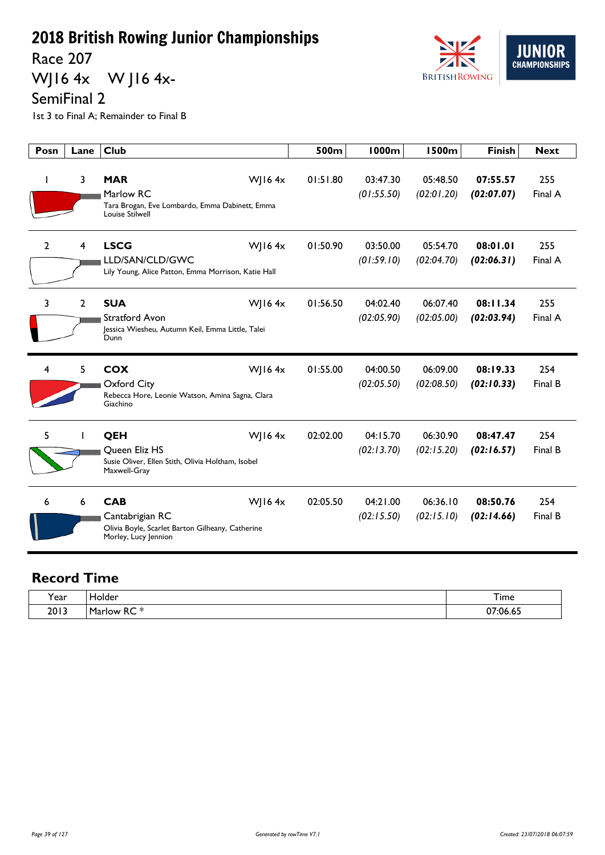Race 207

WJ16 4x W J16 4x-



SemiFinal 2

1st 3 to Final A; Remainder to Final B

| Posn           | Lane           | <b>Club</b>                                                                                                         | 500m     | 1000m                  | <b>1500m</b>           | <b>Finish</b>          | <b>Next</b>    |
|----------------|----------------|---------------------------------------------------------------------------------------------------------------------|----------|------------------------|------------------------|------------------------|----------------|
|                | 3              | <b>MAR</b><br>WJ16 $4x$<br>Marlow RC<br>Tara Brogan, Eve Lombardo, Emma Dabinett, Emma<br>Louise Stilwell           | 01:51.80 | 03:47.30<br>(01:55.50) | 05:48.50<br>(02:01.20) | 07:55.57<br>(02:07.07) | 255<br>Final A |
| $\overline{2}$ | 4              | <b>LSCG</b><br>WJ16 $4x$<br>LLD/SAN/CLD/GWC<br>Lily Young, Alice Patton, Emma Morrison, Katie Hall                  | 01:50.90 | 03:50.00<br>(01:59.10) | 05:54.70<br>(02:04.70) | 08:01.01<br>(02:06.31) | 255<br>Final A |
| 3              | $\overline{2}$ | W 164x<br><b>SUA</b><br><b>Stratford Avon</b><br>Jessica Wiesheu, Autumn Keil, Emma Little, Talei<br>Dunn           | 01:56.50 | 04:02.40<br>(02:05.90) | 06:07.40<br>(02:05.00) | 08:11.34<br>(02:03.94) | 255<br>Final A |
| 4              | 5              | <b>COX</b><br>W 164x<br>Oxford City<br>Rebecca Hore, Leonie Watson, Amina Sagna, Clara<br>Giachino                  | 01:55.00 | 04:00.50<br>(02:05.50) | 06:09.00<br>(02:08.50) | 08:19.33<br>(02:10.33) | 254<br>Final B |
| 5              |                | W 164x<br>QEH<br>Queen Eliz HS<br>Susie Oliver, Ellen Stith, Olivia Holtham, Isobel<br>Maxwell-Gray                 | 02:02.00 | 04:15.70<br>(02:13.70) | 06:30.90<br>(02:15.20) | 08:47.47<br>(02:16.57) | 254<br>Final B |
| 6              | 6              | <b>CAB</b><br>W 164x<br>Cantabrigian RC<br>Olivia Boyle, Scarlet Barton Gilheany, Catherine<br>Morley, Lucy Jennion | 02:05.50 | 04:21.00<br>(02:15.50) | 06:36.10<br>(02:15.10) | 08:50.76<br>(02:14.66) | 254<br>Final B |

| Year | <b>Tolder</b>                | ᅮ.<br>I ime    |
|------|------------------------------|----------------|
| 2013 | ~~<br>.<br>Mor<br>low<br>ייי | ^7<br>07:06.65 |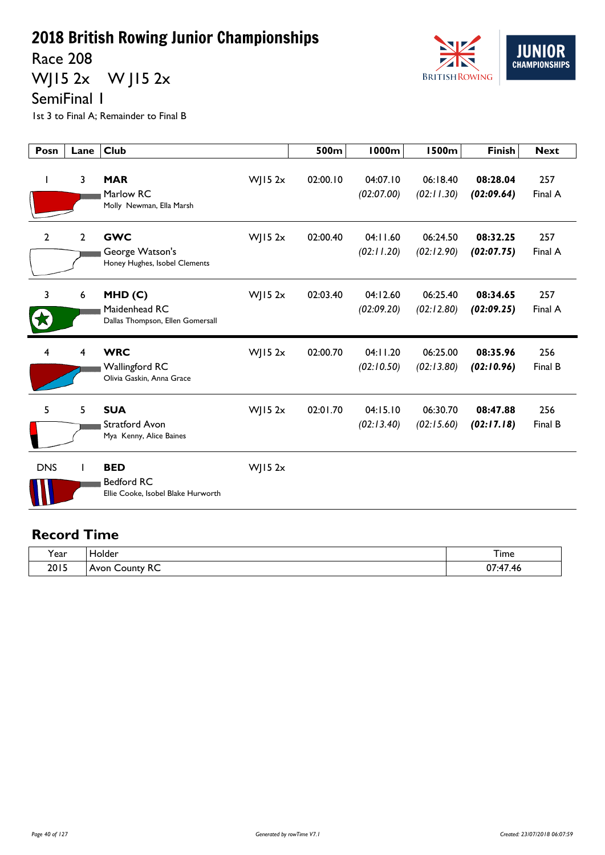Race 208

WJ15 2x W J15 2x



SemiFinal 1

1st 3 to Final A; Remainder to Final B

| Posn           | Lane           | <b>Club</b>                                                           |                | 500m     | 1000m                  | <b>1500m</b>           | <b>Finish</b>          | <b>Next</b>    |
|----------------|----------------|-----------------------------------------------------------------------|----------------|----------|------------------------|------------------------|------------------------|----------------|
|                | 3              | <b>MAR</b><br>Marlow RC<br>Molly Newman, Ella Marsh                   | $W$ JI5 2x     | 02:00.10 | 04:07.10<br>(02:07.00) | 06:18.40<br>(02:11.30) | 08:28.04<br>(02:09.64) | 257<br>Final A |
| $\overline{2}$ | $\overline{2}$ | <b>GWC</b><br>George Watson's<br>Honey Hughes, Isobel Clements        | $W$   15 2x    | 02:00.40 | 04:11.60<br>(02:11.20) | 06:24.50<br>(02:12.90) | 08:32.25<br>(02:07.75) | 257<br>Final A |
| 3              | 6              | MHD(C)<br>Maidenhead RC<br>Dallas Thompson, Ellen Gomersall           | $W$   15 2 $x$ | 02:03.40 | 04:12.60<br>(02:09.20) | 06:25.40<br>(02:12.80) | 08:34.65<br>(02:09.25) | 257<br>Final A |
| 4              | 4              | <b>WRC</b><br><b>Wallingford RC</b><br>Olivia Gaskin, Anna Grace      | $W$ JI5 2x     | 02:00.70 | 04:11.20<br>(02:10.50) | 06:25.00<br>(02:13.80) | 08:35.96<br>(02:10.96) | 256<br>Final B |
| 5              | 5              | <b>SUA</b><br>Stratford Avon<br>Mya Kenny, Alice Baines               | $W$   15 2 $x$ | 02:01.70 | 04:15.10<br>(02:13.40) | 06:30.70<br>(02:15.60) | 08:47.88<br>(02:17.18) | 256<br>Final B |
| <b>DNS</b>     |                | <b>BED</b><br><b>Bedford RC</b><br>Ellie Cooke, Isobel Blake Hurworth | $W$ JI5 2x     |          |                        |                        |                        |                |

| $\lambda$    | Holder                         | --                                                  |
|--------------|--------------------------------|-----------------------------------------------------|
| <b>r</b> ear |                                | <b>l</b> ime                                        |
| 2015         | $\sim$<br>County<br>Avon<br>ĸc | $\overline{\phantom{a}}$<br>$\sim$<br>47. به:<br>v, |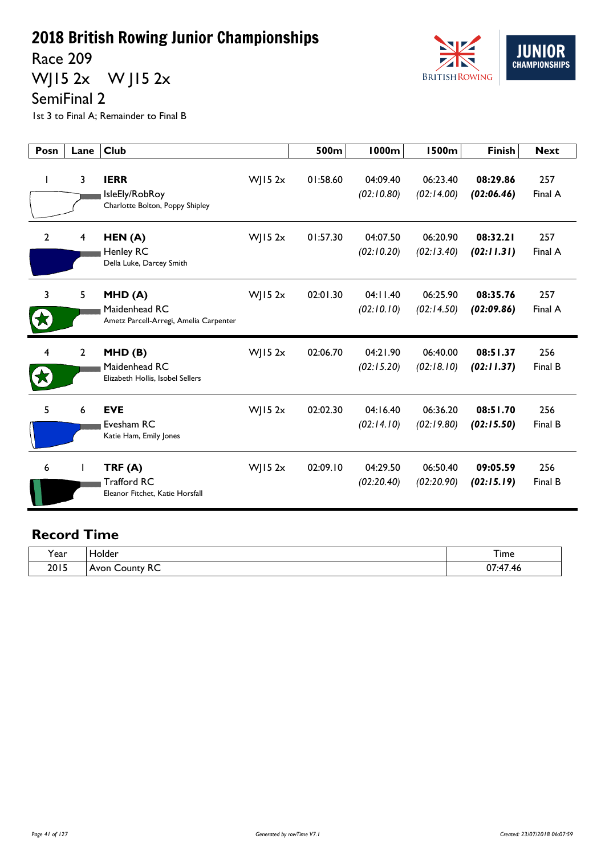Race 209

WJ15 2x W J15 2x



SemiFinal 2

1st 3 to Final A; Remainder to Final B

| Posn           | Lane           | <b>Club</b>                                                       |             | 500m     | <b>1000m</b>           | <b>1500m</b>           | <b>Finish</b>          | <b>Next</b>    |
|----------------|----------------|-------------------------------------------------------------------|-------------|----------|------------------------|------------------------|------------------------|----------------|
| I.             | 3              | <b>IERR</b><br>IsleEly/RobRoy<br>Charlotte Bolton, Poppy Shipley  | $W$ JI5 2x  | 01:58.60 | 04:09.40<br>(02:10.80) | 06:23.40<br>(02:14.00) | 08:29.86<br>(02:06.46) | 257<br>Final A |
| $\overline{2}$ | 4              | HEN(A)<br>Henley RC<br>Della Luke, Darcey Smith                   | $W$ JI5 2x  | 01:57.30 | 04:07.50<br>(02:10.20) | 06:20.90<br>(02:13.40) | 08:32.21<br>(02:11.31) | 257<br>Final A |
| 3              | 5              | MHD(A)<br>Maidenhead RC<br>Ametz Parcell-Arregi, Amelia Carpenter | $W$ JI5 2x  | 02:01.30 | 04:11.40<br>(02:10.10) | 06:25.90<br>(02:14.50) | 08:35.76<br>(02:09.86) | 257<br>Final A |
| 4              | $\overline{2}$ | MHD(B)<br>Maidenhead RC<br>Elizabeth Hollis, Isobel Sellers       | $W$   15 2x | 02:06.70 | 04:21.90<br>(02:15.20) | 06:40.00<br>(02:18.10) | 08:51.37<br>(02:11.37) | 256<br>Final B |
| 5              | 6              | <b>EVE</b><br>Evesham RC<br>Katie Ham, Emily Jones                | $W$   15 2x | 02:02.30 | 04:16.40<br>(02:14.10) | 06:36.20<br>(02:19.80) | 08:51.70<br>(02:15.50) | 256<br>Final B |
| 6              | $\mathbf{I}$   | TRF(A)<br><b>Trafford RC</b><br>Eleanor Fitchet, Katie Horsfall   | $W$ JI5 2x  | 02:09.10 | 04:29.50<br>(02:20.40) | 06:50.40<br>(02:20.90) | 09:05.59<br>(02:15.19) | 256<br>Final B |

| . .  | derار                              | $\overline{\phantom{a}}$ |
|------|------------------------------------|--------------------------|
| Year |                                    | I ime                    |
| 2015 | $D^{\prime}$<br><b>OUDTV</b><br>へし | $\overline{ }$<br>ົ<br>. |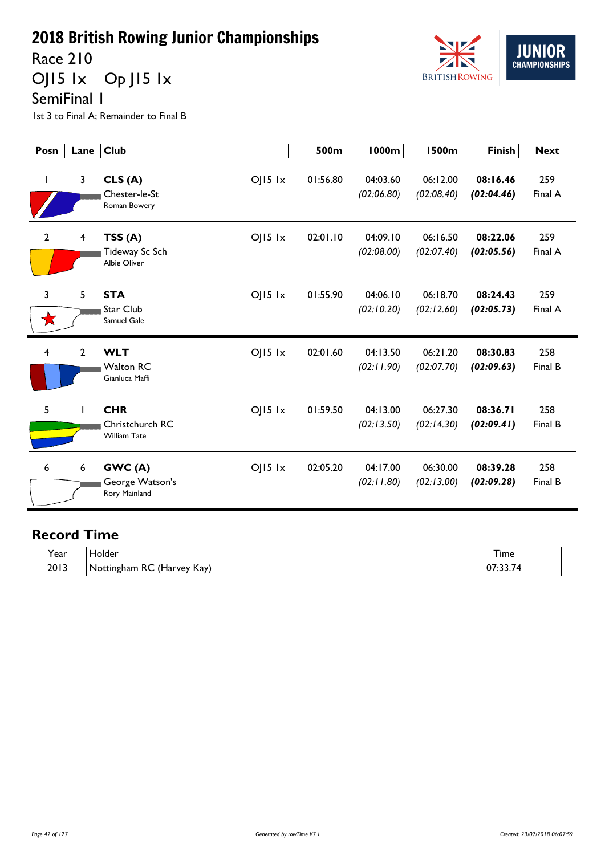Race 210

OJ15 1x Op J15 1x



SemiFinal 1

1st 3 to Final A; Remainder to Final B

| Posn           | Lane            | <b>Club</b>                                                           | 500m     | 1000m                  | 1500m                  | <b>Finish</b>          | <b>Next</b>    |
|----------------|-----------------|-----------------------------------------------------------------------|----------|------------------------|------------------------|------------------------|----------------|
|                | 3               | $O$   15 $1x$<br>CLS(A)<br>Chester-le-St<br>Roman Bowery              | 01:56.80 | 04:03.60<br>(02:06.80) | 06:12.00<br>(02:08.40) | 08:16.46<br>(02:04.46) | 259<br>Final A |
| $\overline{2}$ | 4               | $O$   15 $1x$<br>TSS(A)<br>Tideway Sc Sch<br>Albie Oliver             | 02:01.10 | 04:09.10<br>(02:08.00) | 06:16.50<br>(02:07.40) | 08:22.06<br>(02:05.56) | 259<br>Final A |
| 3<br>★         | 5               | <b>STA</b><br>$O$   15 $1x$<br>Star Club<br>Samuel Gale               | 01:55.90 | 04:06.10<br>(02:10.20) | 06:18.70<br>(02:12.60) | 08:24.43<br>(02:05.73) | 259<br>Final A |
| 4              | $\overline{2}$  | <b>WLT</b><br>$O$   15 $1x$<br><b>Walton RC</b><br>Gianluca Maffi     | 02:01.60 | 04:13.50<br>(02:11.90) | 06:21.20<br>(02:07.70) | 08:30.83<br>(02:09.63) | 258<br>Final B |
| 5              |                 | <b>CHR</b><br>$O$   15 $1x$<br>Christchurch RC<br><b>William Tate</b> | 01:59.50 | 04:13.00<br>(02:13.50) | 06:27.30<br>(02:14.30) | 08:36.71<br>(02:09.41) | 258<br>Final B |
| 6              | $6\phantom{1}6$ | GWC(A)<br>$O$   15 $1x$<br>George Watson's<br>Rory Mainland           | 02:05.20 | 04:17.00<br>(02:11.80) | 06:30.00<br>(02:13.00) | 08:39.28<br>(02:09.28) | 258<br>Final B |

| rear. | -lolder                                                    | —.<br><b>l</b> ime  |
|-------|------------------------------------------------------------|---------------------|
| 2013  | $\prime$<br>$\sim$<br>Kay)<br>Nottingham<br>. (Harvev<br>下 | 67.<br>z<br>,,,,,,, |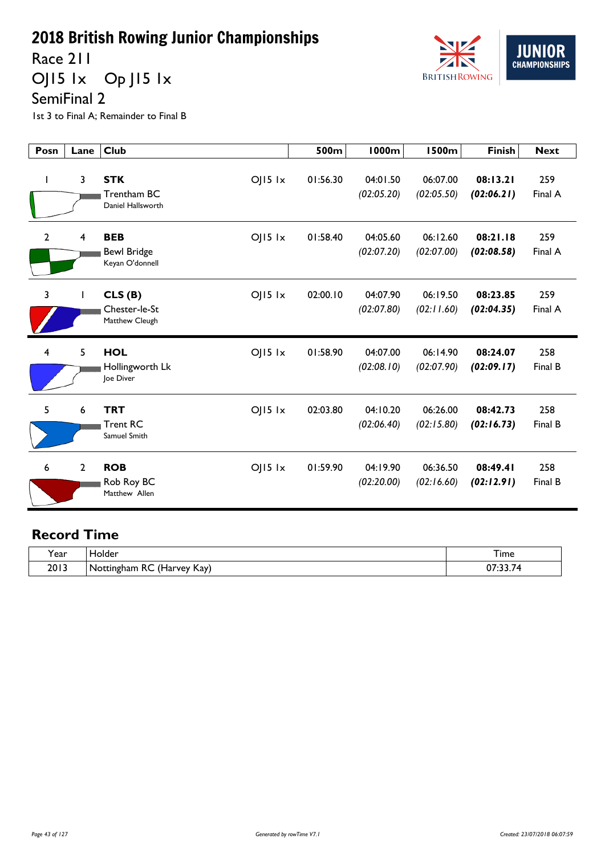Race 211

OJ15 1x Op J15 1x



SemiFinal 2

1st 3 to Final A; Remainder to Final B

| Posn           | Lane           | <b>Club</b>                                                        | 500m     | <b>1000m</b>           | <b>1500m</b>           | <b>Finish</b>          | <b>Next</b>    |
|----------------|----------------|--------------------------------------------------------------------|----------|------------------------|------------------------|------------------------|----------------|
| I.             | $\overline{3}$ | $OJI5$ $1x$<br><b>STK</b><br>Trentham BC<br>Daniel Hallsworth      | 01:56.30 | 04:01.50<br>(02:05.20) | 06:07.00<br>(02:05.50) | 08:13.21<br>(02:06.21) | 259<br>Final A |
| $\overline{2}$ | $\overline{4}$ | <b>BEB</b><br>$OJI5$ $1x$<br><b>Bewl Bridge</b><br>Keyan O'donnell | 01:58.40 | 04:05.60<br>(02:07.20) | 06:12.60<br>(02:07.00) | 08:21.18<br>(02:08.58) | 259<br>Final A |
| $\overline{3}$ | $\mathbf{I}$   | $O$   $15$ $1x$<br>CLS(B)<br>Chester-le-St<br>Matthew Cleugh       | 02:00.10 | 04:07.90<br>(02:07.80) | 06:19.50<br>(02:11.60) | 08:23.85<br>(02:04.35) | 259<br>Final A |
| $\overline{4}$ | 5              | <b>HOL</b><br>$O$   15 $1x$<br>Hollingworth Lk<br>loe Diver        | 01:58.90 | 04:07.00<br>(02:08.10) | 06:14.90<br>(02:07.90) | 08:24.07<br>(02:09.17) | 258<br>Final B |
| 5              | 6              | <b>TRT</b><br>$O$   $15$ $1x$<br><b>Trent RC</b><br>Samuel Smith   | 02:03.80 | 04:10.20<br>(02:06.40) | 06:26.00<br>(02:15.80) | 08:42.73<br>(02:16.73) | 258<br>Final B |
| 6              | $\overline{2}$ | <b>ROB</b><br>$O$   5   $x$<br>Rob Roy BC<br>Matthew Allen         | 01:59.90 | 04:19.90<br>(02:20.00) | 06:36.50<br>(02:16.60) | 08:49.41<br>(02:12.91) | 258<br>Final B |

| . .<br>rear) | folder                                                            | –<br>I ime                                   |
|--------------|-------------------------------------------------------------------|----------------------------------------------|
| 2013         | $\sqrt{1}$<br>$\sim$<br>Kay)<br>Nottingham<br>Harvey<br>ᅐ<br>™⊓ar | $\sim$ $\sim$<br>$\sim$<br>$\mathbf{u}$<br>. |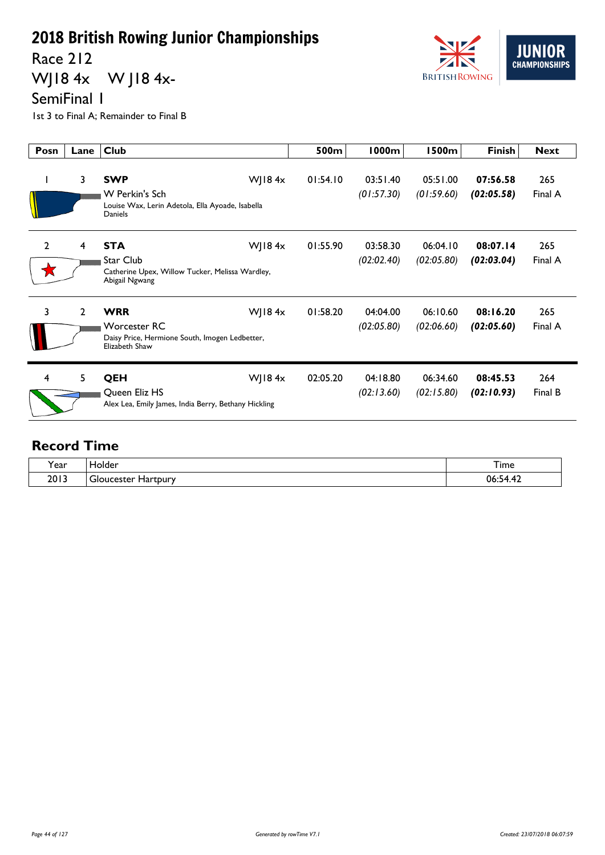Race 212

WJ18 4x W J18 4x-



SemiFinal 1

1st 3 to Final A; Remainder to Final B

| Posn           | Lane         | <b>Club</b>                                                                                                        | 500m     | 1000m                  | 1500m                  | <b>Finish</b>          | <b>Next</b>    |
|----------------|--------------|--------------------------------------------------------------------------------------------------------------------|----------|------------------------|------------------------|------------------------|----------------|
|                | 3            | <b>SWP</b><br>WJ18 $4x$<br>W Perkin's Sch<br>Louise Wax, Lerin Adetola, Ella Ayoade, Isabella<br>Daniels           | 01:54.10 | 03:51.40<br>(01:57.30) | 05:51.00<br>(01:59.60) | 07:56.58<br>(02:05.58) | 265<br>Final A |
| $\overline{2}$ | 4            | <b>STA</b><br>WJ18 $4x$<br><b>Star Club</b><br>Catherine Upex, Willow Tucker, Melissa Wardley,<br>Abigail Ngwang   | 01:55.90 | 03:58.30<br>(02:02.40) | 06:04.10<br>(02:05.80) | 08:07.14<br>(02:03.04) | 265<br>Final A |
| 3              | $\mathbf{2}$ | <b>WRR</b><br>WJ18 $4x$<br><b>Worcester RC</b><br>Daisy Price, Hermione South, Imogen Ledbetter,<br>Elizabeth Shaw | 01:58.20 | 04:04.00<br>(02:05.80) | 06:10.60<br>(02:06.60) | 08:16.20<br>(02:05.60) | 265<br>Final A |
| 4              | 5            | QEH<br>$W$ JI84 $x$<br>Queen Eliz HS<br>Alex Lea, Emily James, India Berry, Bethany Hickling                       | 02:05.20 | 04:18.80<br>(02:13.60) | 06:34.60<br>(02:15.80) | 08:45.53<br>(02:10.93) | 264<br>Final B |

| v            | folder                           |                                              |
|--------------|----------------------------------|----------------------------------------------|
| <b>r</b> ear |                                  | I ime                                        |
| 2013         | ∽<br>ucester<br>Hartpury<br>JIC. | $\overline{1}$<br>06:5<br>- 4<br>. Д<br>∡ד.ד |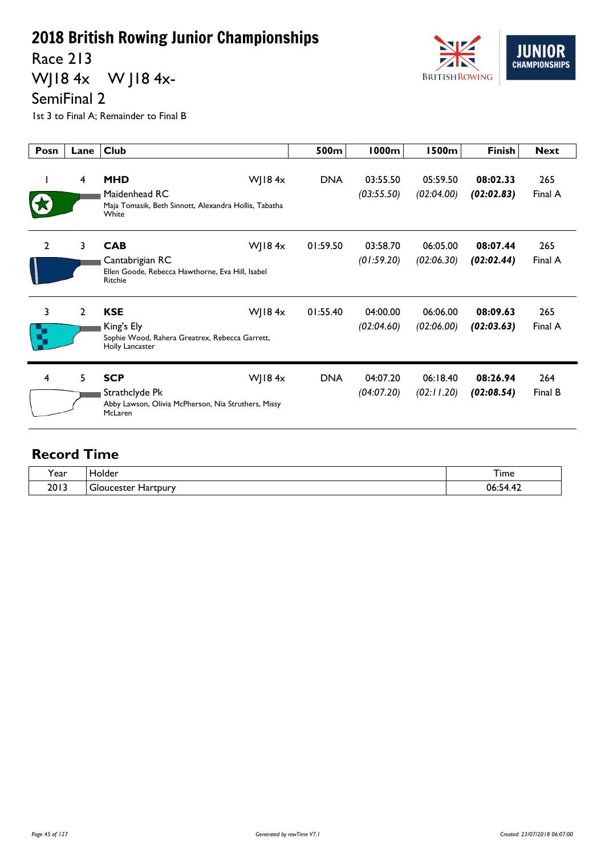Race 213

WJ18 4x W J18 4x-



SemiFinal 2

1st 3 to Final A; Remainder to Final B

| Posn           | Lane           | <b>Club</b>                                                                                                   | 500m       | 1000m                  | <b>1500m</b>           | <b>Finish</b>          | <b>Next</b>    |
|----------------|----------------|---------------------------------------------------------------------------------------------------------------|------------|------------------------|------------------------|------------------------|----------------|
|                | 4              | <b>MHD</b><br>$W$ JI84 $x$<br>Maidenhead RC<br>Maja Tomasik, Beth Sinnott, Alexandra Hollis, Tabatha<br>White | <b>DNA</b> | 03:55.50<br>(03:55.50) | 05:59.50<br>(02:04.00) | 08:02.33<br>(02:02.83) | 265<br>Final A |
| $\overline{2}$ | 3              | WJ18 $4x$<br><b>CAB</b><br>Cantabrigian RC<br>Ellen Goode, Rebecca Hawthorne, Eva Hill, Isabel<br>Ritchie     | 01:59.50   | 03:58.70<br>(01:59.20) | 06:05.00<br>(02:06.30) | 08:07.44<br>(02:02.44) | 265<br>Final A |
| 3<br>R         | $\overline{2}$ | <b>KSE</b><br>$W$ JI84 $x$<br>King's Ely<br>Sophie Wood, Rahera Greatrex, Rebecca Garrett,<br>Holly Lancaster | 01:55.40   | 04:00.00<br>(02:04.60) | 06:06.00<br>(02:06.00) | 08:09.63<br>(02:03.63) | 265<br>Final A |
| 4              | 5              | <b>SCP</b><br>WJ18 $4x$<br>Strathclyde Pk<br>Abby Lawson, Olivia McPherson, Nia Struthers, Missy<br>McLaren   | <b>DNA</b> | 04:07.20<br>(04:07.20) | 06:18.40<br>(02:11.20) | 08:26.94<br>(02:08.54) | 264<br>Final B |

| ear) | loider<br>____                                | I ime                                     |
|------|-----------------------------------------------|-------------------------------------------|
| 2013 | -<br>Hartpury<br>icastar<br>וריי<br>. . CSLCI | 06<br>the contract of the contract of the |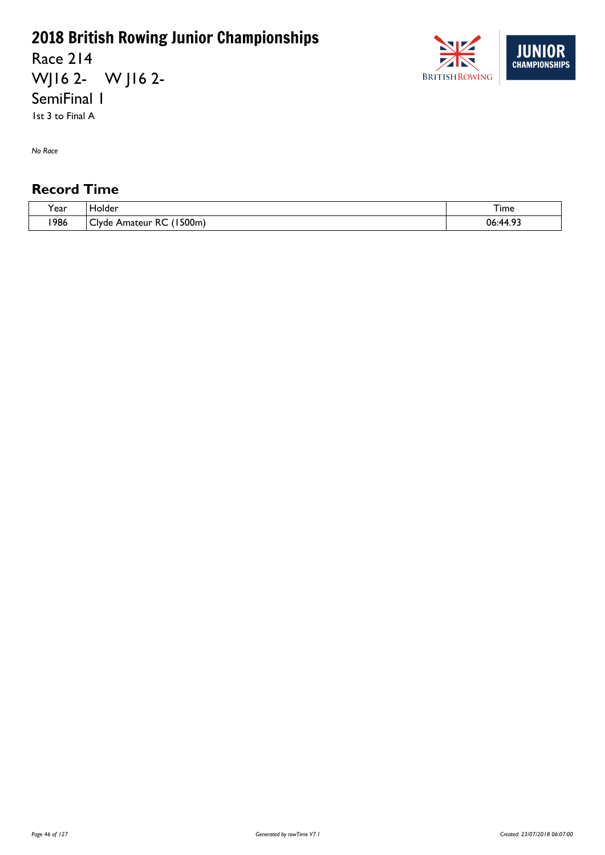Race 214 WJ16 2- W J16 2- SemiFinal 1

1st 3 to Final A

*No Race*

| ``<br>l ear | . Holder                                                 | $ -$<br>I ime |
|-------------|----------------------------------------------------------|---------------|
| 1986        | (1500m)<br>$\sim$<br>~~<br>КC<br>Amateur<br><b>Clyde</b> | ാ<br>06:44.93 |

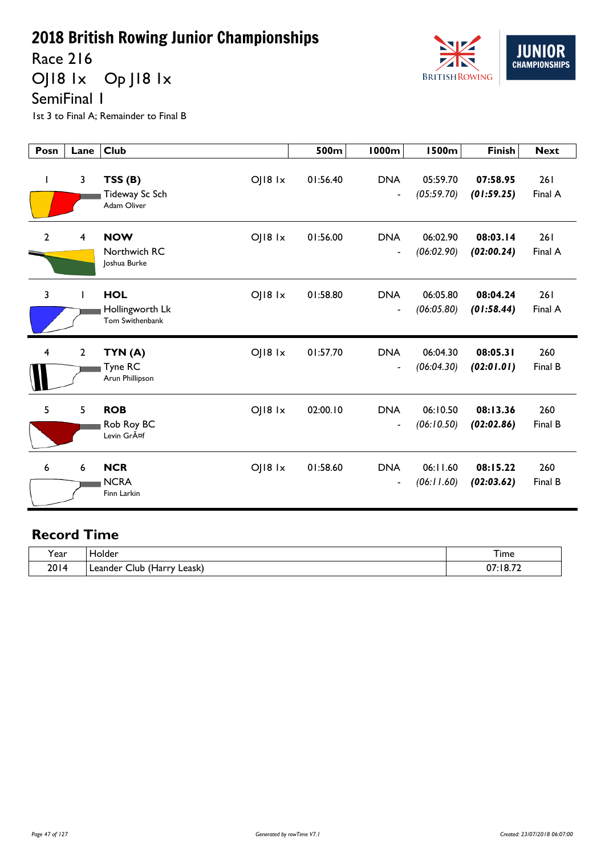Race 216

OJ18 1x Op J18 1x



SemiFinal 1

1st 3 to Final A; Remainder to Final B

| Posn                    | Lane         | <b>Club</b>                                      |                 | 500m     | <b>1000m</b>                           | <b>1500m</b>           | <b>Finish</b>          | <b>Next</b>    |
|-------------------------|--------------|--------------------------------------------------|-----------------|----------|----------------------------------------|------------------------|------------------------|----------------|
| ı                       | 3            | TSS(B)<br>Tideway Sc Sch<br>Adam Oliver          | $O$   $18$ $1x$ | 01:56.40 | <b>DNA</b><br>$\overline{\phantom{a}}$ | 05:59.70<br>(05:59.70) | 07:58.95<br>(01:59.25) | 261<br>Final A |
| $\overline{2}$          | 4            | <b>NOW</b><br>Northwich RC<br>Joshua Burke       | $O$   $18$ $1x$ | 01:56.00 | <b>DNA</b><br>$\overline{\phantom{a}}$ | 06:02.90<br>(06:02.90) | 08:03.14<br>(02:00.24) | 261<br>Final A |
| $\overline{3}$          |              | <b>HOL</b><br>Hollingworth Lk<br>Tom Swithenbank | $O$   $18$ $1x$ | 01:58.80 | <b>DNA</b><br>$\overline{\phantom{a}}$ | 06:05.80<br>(06:05.80) | 08:04.24<br>(01:58.44) | 261<br>Final A |
| $\overline{\mathbf{4}}$ | $\mathbf{2}$ | TYN(A)<br>Tyne RC<br>Arun Phillipson             | $O$   $18$ $1x$ | 01:57.70 | <b>DNA</b><br>$\blacksquare$           | 06:04.30<br>(06:04.30) | 08:05.31<br>(02:01.01) | 260<br>Final B |
| 5                       | 5            | <b>ROB</b><br>Rob Roy BC<br>Levin GrA¤f          | $OJI8$ $1x$     | 02:00.10 | <b>DNA</b><br>$\overline{\phantom{a}}$ | 06:10.50<br>(06:10.50) | 08:13.36<br>(02:02.86) | 260<br>Final B |
| 6                       | 6            | <b>NCR</b><br><b>NCRA</b><br>Finn Larkin         | $O$   $18$ $1x$ | 01:58.60 | <b>DNA</b><br>$\overline{\phantom{a}}$ | 06:11.60<br>(06:11.60) | 08:15.22<br>(02:03.62) | 260<br>Final B |

| $\lambda$<br>ear? | Holder                                             | –<br>i ime                 |
|-------------------|----------------------------------------------------|----------------------------|
| 2014              | $\lambda$<br>∟eask) ∶<br>urاب<br>Leander<br>(Harry | $:18.7^{\circ}$<br>07<br>. |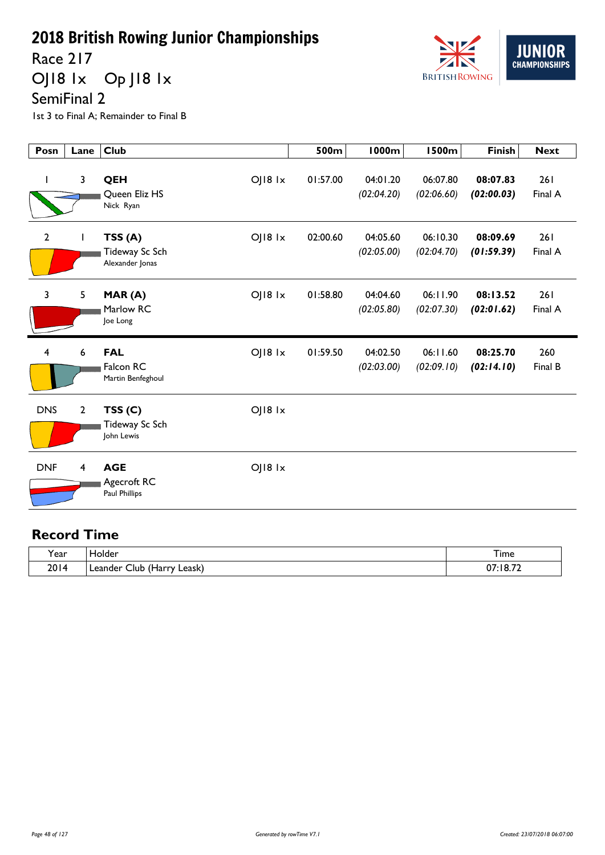Race 217

OJ18 1x Op J18 1x



SemiFinal 2

1st 3 to Final A; Remainder to Final B

| Posn           | Lane           | <b>Club</b>                                                     | 500m     | <b>1000m</b>           | <b>1500m</b>           | <b>Finish</b>          | <b>Next</b>    |
|----------------|----------------|-----------------------------------------------------------------|----------|------------------------|------------------------|------------------------|----------------|
|                | $\mathbf{3}$   | $O$   $18$ $1x$<br>QEH<br>Queen Eliz HS<br>Nick Ryan            | 01:57.00 | 04:01.20<br>(02:04.20) | 06:07.80<br>(02:06.60) | 08:07.83<br>(02:00.03) | 261<br>Final A |
| $\overline{2}$ |                | TSS(A)<br>OJ18 1x<br>Tideway Sc Sch<br>Alexander Jonas          | 02:00.60 | 04:05.60<br>(02:05.00) | 06:10.30<br>(02:04.70) | 08:09.69<br>(01:59.39) | 261<br>Final A |
| $\overline{3}$ | 5              | OJ18 1x<br>MAR(A)<br>Marlow RC<br>Joe Long                      | 01:58.80 | 04:04.60<br>(02:05.80) | 06:11.90<br>(02:07.30) | 08:13.52<br>(02:01.62) | 261<br>Final A |
| 4              | 6              | <b>FAL</b><br>$O$   $18$ $1x$<br>Falcon RC<br>Martin Benfeghoul | 01:59.50 | 04:02.50<br>(02:03.00) | 06:11.60<br>(02:09.10) | 08:25.70<br>(02:14.10) | 260<br>Final B |
| <b>DNS</b>     | $\overline{2}$ | OJ18 1x<br>TSS(C)<br>Tideway Sc Sch<br>John Lewis               |          |                        |                        |                        |                |
| <b>DNF</b>     | 4              | <b>AGE</b><br>$O$   $18$ $1x$<br>Agecroft RC<br>Paul Phillips   |          |                        |                        |                        |                |

| . .<br>í ear | <b>Folder</b>                                                         | ᅮ.<br>I ime             |
|--------------|-----------------------------------------------------------------------|-------------------------|
| 2014         | $\sqrt{1}$<br>-<br>Leask)<br>lub.<br>Leander.<br>∵ Harrv) ر<br>$\sim$ | :18.72<br>^7<br>u,<br>. |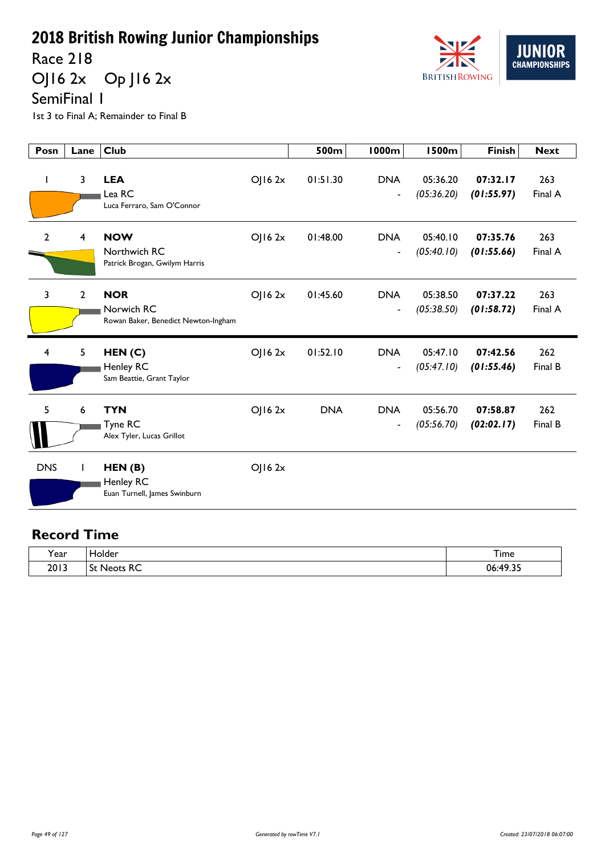Race 218

OJ16 2x Op J16 2x



SemiFinal 1

1st 3 to Final A; Remainder to Final B

| Posn           | Lane             | <b>Club</b>                                                     |         | 500m       | 1000m                                      | <b>1500m</b>           | <b>Finish</b>          | <b>Next</b>    |
|----------------|------------------|-----------------------------------------------------------------|---------|------------|--------------------------------------------|------------------------|------------------------|----------------|
| $\mathbf{I}$   | 3                | <b>LEA</b><br>Lea RC<br>Luca Ferraro, Sam O'Connor              | OJ162x  | 01:51.30   | <b>DNA</b><br>$\overline{a}$               | 05:36.20<br>(05:36.20) | 07:32.17<br>(01:55.97) | 263<br>Final A |
| $\overline{2}$ | 4                | <b>NOW</b><br>Northwich RC<br>Patrick Brogan, Gwilym Harris     | OJ162x  | 01:48.00   | <b>DNA</b><br>$\blacksquare$               | 05:40.10<br>(05:40.10) | 07:35.76<br>(01:55.66) | 263<br>Final A |
| 3              | $\overline{2}$   | <b>NOR</b><br>Norwich RC<br>Rowan Baker, Benedict Newton-Ingham | OJ162x  | 01:45.60   | <b>DNA</b><br>$\qquad \qquad \blacksquare$ | 05:38.50<br>(05:38.50) | 07:37.22<br>(01:58.72) | 263<br>Final A |
| $\overline{4}$ | 5                | HEN(C)<br>Henley RC<br>Sam Beattie, Grant Taylor                | OJ162x  | 01:52.10   | <b>DNA</b><br>$\blacksquare$               | 05:47.10<br>(05:47.10) | 07:42.56<br>(01:55.46) | 262<br>Final B |
| 5              | $\boldsymbol{6}$ | <b>TYN</b><br>Tyne RC<br>Alex Tyler, Lucas Grillot              | OJ162x  | <b>DNA</b> | <b>DNA</b><br>$\overline{a}$               | 05:56.70<br>(05:56.70) | 07:58.87<br>(02:02.17) | 262<br>Final B |
| <b>DNS</b>     |                  | HEN(B)<br>Henley RC<br>Euan Turnell, James Swinburn             | OJ16 2x |            |                                            |                        |                        |                |

| Year | derاد<br>____             | —.<br>I ime  |
|------|---------------------------|--------------|
| 2013 | $\sim$<br>.<br>eots<br>NC | .10.27<br>06 |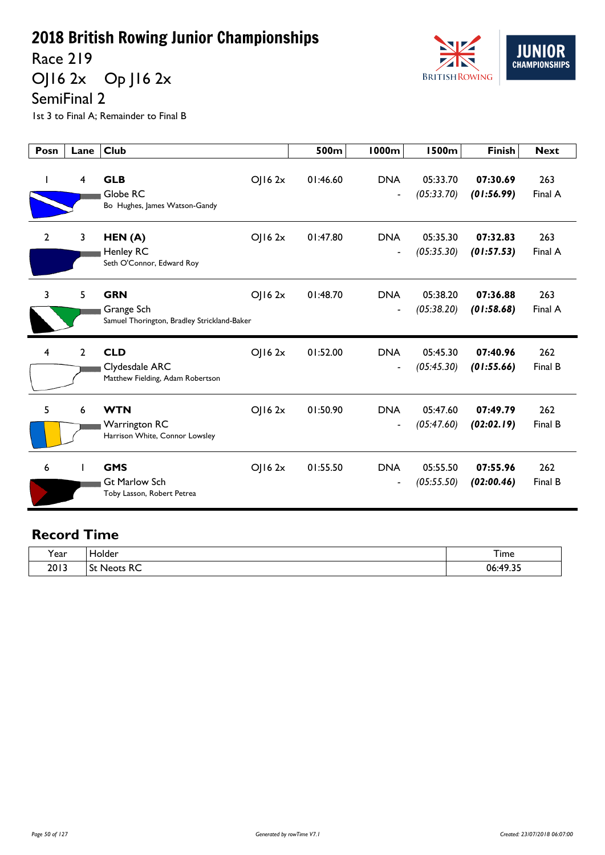Race 219

OJ16 2x Op J16 2x

SemiFinal 2

1st 3 to Final A; Remainder to Final B

| Posn           | Lane         | <b>Club</b>                                                                       | 500m     | 1000m                                  | 1500m                  | <b>Finish</b>          | <b>Next</b>    |
|----------------|--------------|-----------------------------------------------------------------------------------|----------|----------------------------------------|------------------------|------------------------|----------------|
|                | 4            | <b>GLB</b><br>OJ162x<br>Globe RC<br>Bo Hughes, James Watson-Gandy                 | 01:46.60 | <b>DNA</b><br>$\overline{\phantom{a}}$ | 05:33.70<br>(05:33.70) | 07:30.69<br>(01:56.99) | 263<br>Final A |
| $\overline{2}$ | 3            | OJ162x<br>HEN(A)<br><b>Henley RC</b><br>Seth O'Connor, Edward Roy                 | 01:47.80 | <b>DNA</b><br>$\overline{\phantom{a}}$ | 05:35.30<br>(05:35.30) | 07:32.83<br>(01:57.53) | 263<br>Final A |
| 3              | 5            | <b>GRN</b><br>OJ162x<br>Grange Sch<br>Samuel Thorington, Bradley Strickland-Baker | 01:48.70 | <b>DNA</b><br>$\overline{\phantom{a}}$ | 05:38.20<br>(05:38.20) | 07:36.88<br>(01:58.68) | 263<br>Final A |
| 4              | $\mathbf{2}$ | <b>CLD</b><br>OJ162x<br>Clydesdale ARC<br>Matthew Fielding, Adam Robertson        | 01:52.00 | <b>DNA</b><br>$\overline{\phantom{a}}$ | 05:45.30<br>(05:45.30) | 07:40.96<br>(01:55.66) | 262<br>Final B |
| 5              | 6            | <b>WTN</b><br>OJ162x<br><b>Warrington RC</b><br>Harrison White, Connor Lowsley    | 01:50.90 | <b>DNA</b><br>$\overline{a}$           | 05:47.60<br>(05:47.60) | 07:49.79<br>(02:02.19) | 262<br>Final B |
| 6              |              | <b>GMS</b><br>OJ162x<br><b>Gt Marlow Sch</b><br>Toby Lasson, Robert Petrea        | 01:55.50 | <b>DNA</b><br>$\overline{\phantom{a}}$ | 05:55.50<br>(05:55.50) | 07:55.96<br>(02:00.46) | 262<br>Final B |

| $\cdot$<br>rear. | <b>iolder</b> | ᅮ.<br>I ime           |
|------------------|---------------|-----------------------|
| 2013             | Neots RC<br>- | ⊤د ۱۵…<br>06:<br>7.J. |

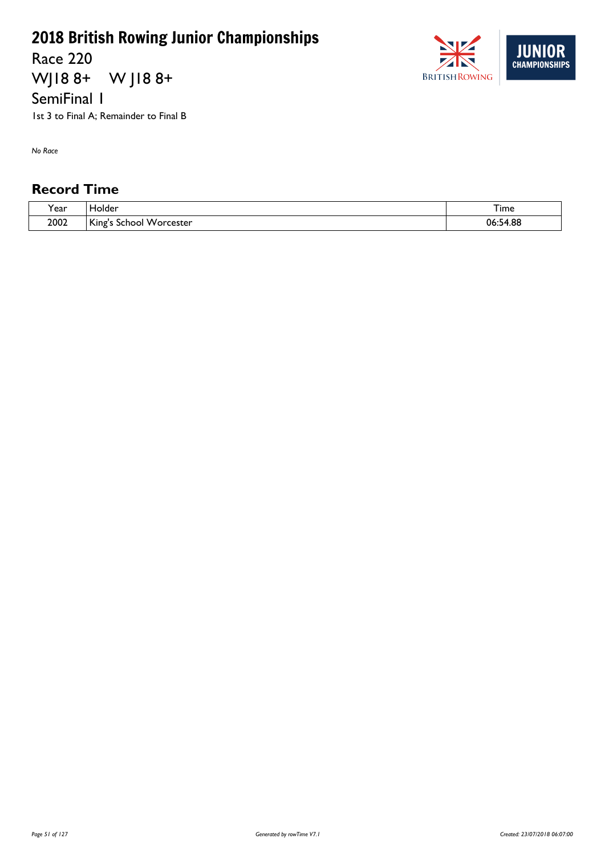Race 220

WJ18 8+ W J18 8+

SemiFinal 1

1st 3 to Final A; Remainder to Final B

*No Race*

| 'ear | <b>Tolder</b>              | $-$<br>I ime       |
|------|----------------------------|--------------------|
| 2002 | King's<br>School Worcester | 4.88<br>ს6:5∙<br>↗ |

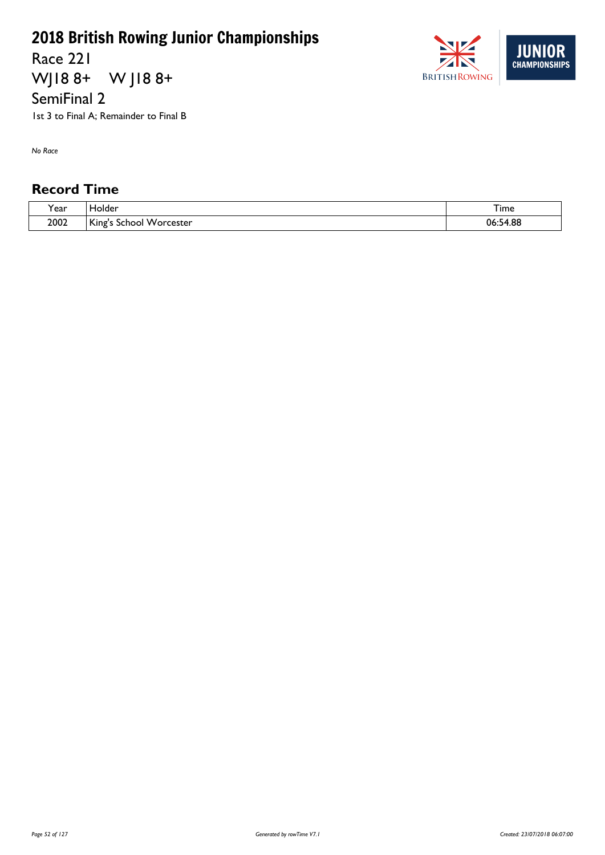Race 221 WJ18 8+ W J18 8+

SemiFinal 2

1st 3 to Final A; Remainder to Final B

*No Race*

| <b>、</b><br>. ear | <b>Tolder</b>                                      | ime                |
|-------------------|----------------------------------------------------|--------------------|
| 2002              | l Ki<br><b>Worcester</b><br>. inσ'<br>ichool<br>-- | 4.88<br>U6.J<br>۰. |

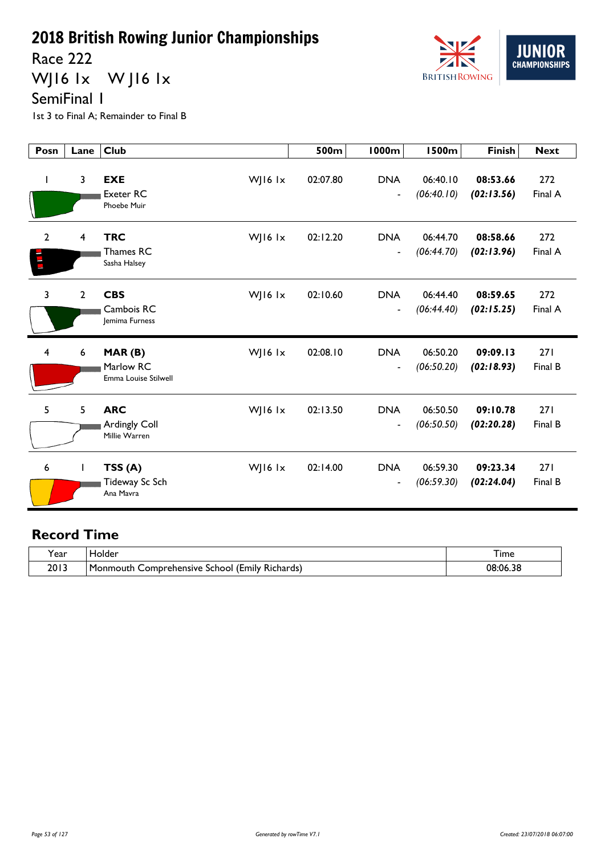Race 222

WJ16 1x WJ16 1x



SemiFinal 1

1st 3 to Final A; Remainder to Final B

| Posn                    | Lane           | <b>Club</b>                                                       | 500m     | <b>1000m</b>                           | <b>1500m</b>           | <b>Finish</b>          | <b>Next</b>    |
|-------------------------|----------------|-------------------------------------------------------------------|----------|----------------------------------------|------------------------|------------------------|----------------|
| I.                      | $\overline{3}$ | <b>EXE</b><br>WJ16 $1x$<br><b>Exeter RC</b><br><b>Phoebe Muir</b> | 02:07.80 | <b>DNA</b><br>$\blacksquare$           | 06:40.10<br>(06:40.10) | 08:53.66<br>(02:13.56) | 272<br>Final A |
| $\overline{2}$          | 4              | <b>TRC</b><br>WJ16 lx<br>Thames RC<br>Sasha Halsey                | 02:12.20 | <b>DNA</b><br>$\overline{\phantom{a}}$ | 06:44.70<br>(06:44.70) | 08:58.66<br>(02:13.96) | 272<br>Final A |
| 3                       | $\overline{2}$ | <b>CBS</b><br>WJ16 lx<br>Cambois RC<br>Jemima Furness             | 02:10.60 | <b>DNA</b><br>$\blacksquare$           | 06:44.40<br>(06:44.40) | 08:59.65<br>(02:15.25) | 272<br>Final A |
| $\overline{\mathbf{4}}$ | 6              | MAR(B)<br>WJ16 $1x$<br>Marlow RC<br>Emma Louise Stilwell          | 02:08.10 | <b>DNA</b><br>$\overline{\phantom{a}}$ | 06:50.20<br>(06:50.20) | 09:09.13<br>(02:18.93) | 271<br>Final B |
| 5                       | 5              | <b>ARC</b><br>WJ16 $1x$<br>Ardingly Coll<br>Millie Warren         | 02:13.50 | <b>DNA</b><br>$\blacksquare$           | 06:50.50<br>(06:50.50) | 09:10.78<br>(02:20.28) | 271<br>Final B |
| 6                       | $\mathbf{I}$   | TSS(A)<br>WJ16 $1x$<br>Tideway Sc Sch<br>Ana Mavra                | 02:14.00 | <b>DNA</b><br>$\overline{\phantom{a}}$ | 06:59.30<br>(06:59.30) | 09:23.34<br>(02:24.04) | 271<br>Final B |

| 'ear | lolder                                                                 | I ime    |
|------|------------------------------------------------------------------------|----------|
| 2013 | : Richards)<br>l Monmouth<br>. (Emily i<br>. Comprehensive '<br>School | 08:06.38 |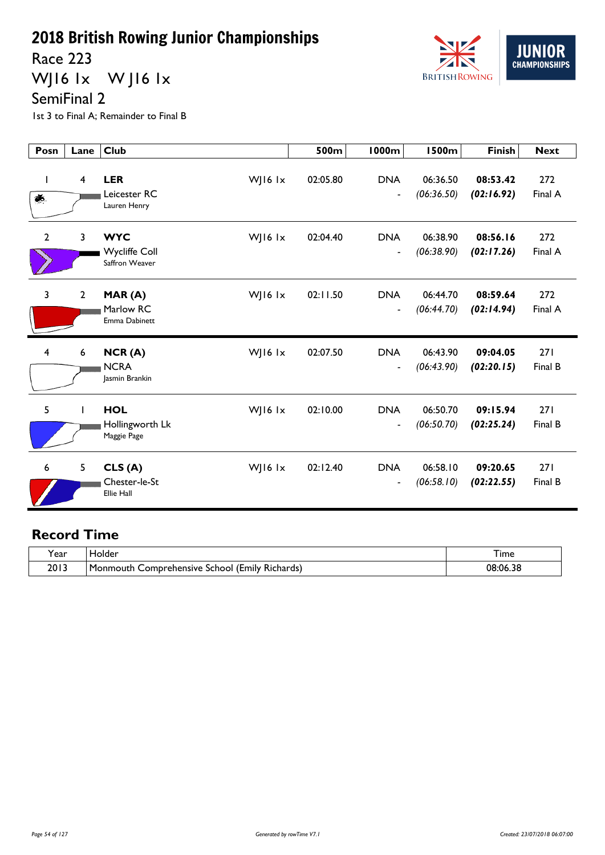Race 223

WJ16 1x WJ16 1x



1st 3 to Final A; Remainder to Final B

| Posn           | Lane           | <b>Club</b>                                                       | 500m     | 1000m                                  | <b>1500m</b>           | <b>Finish</b>          | <b>Next</b>    |
|----------------|----------------|-------------------------------------------------------------------|----------|----------------------------------------|------------------------|------------------------|----------------|
| $\bullet$ .    | $\overline{4}$ | <b>LER</b><br>WJ16 $1x$<br>Leicester RC<br>Lauren Henry           | 02:05.80 | <b>DNA</b><br>$\overline{\phantom{a}}$ | 06:36.50<br>(06:36.50) | 08:53.42<br>(02:16.92) | 272<br>Final A |
| $\overline{2}$ | 3              | <b>WYC</b><br>WJ16 $1x$<br><b>Wycliffe Coll</b><br>Saffron Weaver | 02:04.40 | <b>DNA</b><br>$\overline{\phantom{a}}$ | 06:38.90<br>(06:38.90) | 08:56.16<br>(02:17.26) | 272<br>Final A |
| 3              | $\mathbf{2}$   | WJ16 lx<br>MAR(A)<br>Marlow RC<br>Emma Dabinett                   | 02:11.50 | <b>DNA</b><br>$\overline{\phantom{a}}$ | 06:44.70<br>(06:44.70) | 08:59.64<br>(02:14.94) | 272<br>Final A |
| 4              | 6              | NCR(A)<br>WJ16 lx<br><b>NCRA</b><br>Jasmin Brankin                | 02:07.50 | <b>DNA</b><br>$\overline{\phantom{a}}$ | 06:43.90<br>(06:43.90) | 09:04.05<br>(02:20.15) | 271<br>Final B |
| 5              | L              | <b>HOL</b><br>WJ16 $1x$<br>Hollingworth Lk<br>Maggie Page         | 02:10.00 | <b>DNA</b><br>$\overline{\phantom{a}}$ | 06:50.70<br>(06:50.70) | 09:15.94<br>(02:25.24) | 271<br>Final B |
| 6              | 5              | CLS(A)<br>WJ16 $1x$<br>Chester-le-St<br><b>Ellie Hall</b>         | 02:12.40 | <b>DNA</b><br>$\overline{\phantom{a}}$ | 06:58.10<br>(06:58.10) | 09:20.65<br>(02:22.55) | 271<br>Final B |

| 'ear | iolder                                                                 | I ime    |
|------|------------------------------------------------------------------------|----------|
| 2013 | <br>. .<br>l Monmouth<br>Comprehensive '<br>Kichards)<br>School (Emily | 08:06.38 |



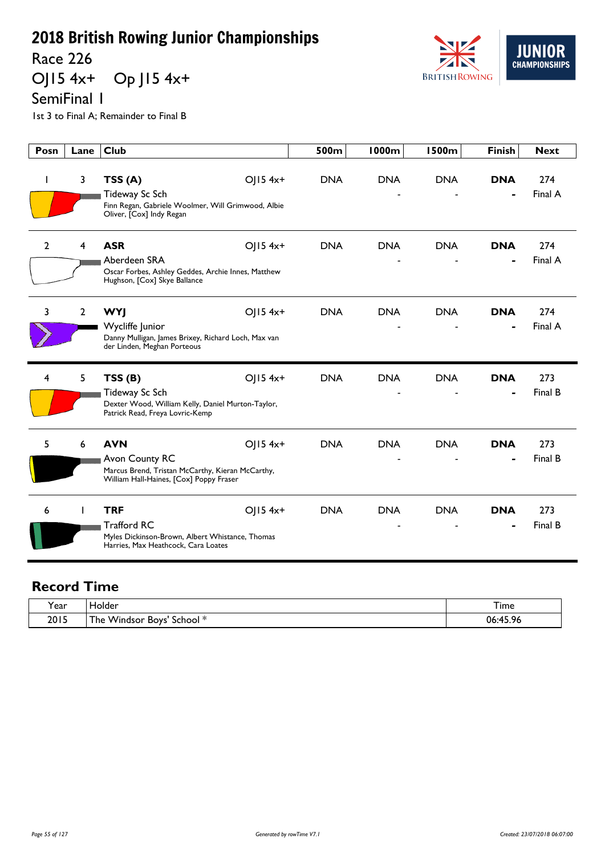Race 226<br>OJ15 4x+ Op  $JI5$  4x+

SemiFinal 1

1st 3 to Final A; Remainder to Final B



| Posn           | Lane           | Club                                                                                                   | 500m       | 1000m      | 1500m      | <b>Finish</b> | <b>Next</b> |
|----------------|----------------|--------------------------------------------------------------------------------------------------------|------------|------------|------------|---------------|-------------|
| I              | 3              | OJ15 4x+<br>TSS(A)                                                                                     | <b>DNA</b> | <b>DNA</b> | <b>DNA</b> | <b>DNA</b>    | 274         |
|                |                | Tideway Sc Sch                                                                                         |            |            |            |               | Final A     |
|                |                | Finn Regan, Gabriele Woolmer, Will Grimwood, Albie<br>Oliver, [Cox] Indy Regan                         |            |            |            |               |             |
| $\overline{2}$ | 4              | <b>ASR</b><br>OJ15 4x+                                                                                 | <b>DNA</b> | <b>DNA</b> | <b>DNA</b> | <b>DNA</b>    | 274         |
|                |                | Aberdeen SRA                                                                                           |            |            |            |               | Final A     |
|                |                | Oscar Forbes, Ashley Geddes, Archie Innes, Matthew<br>Hughson, [Cox] Skye Ballance                     |            |            |            |               |             |
| 3              | $\overline{2}$ | OJ15 4x+<br><b>WYJ</b>                                                                                 | <b>DNA</b> | <b>DNA</b> | <b>DNA</b> | <b>DNA</b>    | 274         |
|                |                | Wycliffe Junior                                                                                        |            |            |            |               | Final A     |
|                |                | Danny Mulligan, James Brixey, Richard Loch, Max van<br>der Linden, Meghan Porteous                     |            |            |            |               |             |
| 4              | 5              | TSS(B)<br>OJ15 4x+                                                                                     | <b>DNA</b> | <b>DNA</b> | <b>DNA</b> | <b>DNA</b>    | 273         |
|                |                | Tideway Sc Sch<br>Dexter Wood, William Kelly, Daniel Murton-Taylor,<br>Patrick Read, Freya Lovric-Kemp |            |            |            |               | Final B     |
| 5              | 6              | <b>AVN</b><br>OJ15 4x+                                                                                 | <b>DNA</b> | <b>DNA</b> | <b>DNA</b> | <b>DNA</b>    | 273         |
|                |                | Avon County RC                                                                                         |            |            |            |               | Final B     |
|                |                | Marcus Brend, Tristan McCarthy, Kieran McCarthy,<br>William Hall-Haines, [Cox] Poppy Fraser            |            |            |            |               |             |
| 6              | T              | <b>TRF</b><br>$OJ15$ 4x+                                                                               | <b>DNA</b> | <b>DNA</b> | <b>DNA</b> | <b>DNA</b>    | 273         |
|                |                | <b>Trafford RC</b>                                                                                     |            |            |            |               | Final B     |
|                |                | Myles Dickinson-Brown, Albert Whistance, Thomas<br>Harries, Max Heathcock, Cara Loates                 |            |            |            |               |             |

| rear) | Holder                               | Time                                                       |
|-------|--------------------------------------|------------------------------------------------------------|
| 2015  | Windsor<br>School *<br>'he<br>. Boys | $\overline{z}$ or<br>06<br>$\mathbf{A}$ $\mathbf{F}$<br>70 |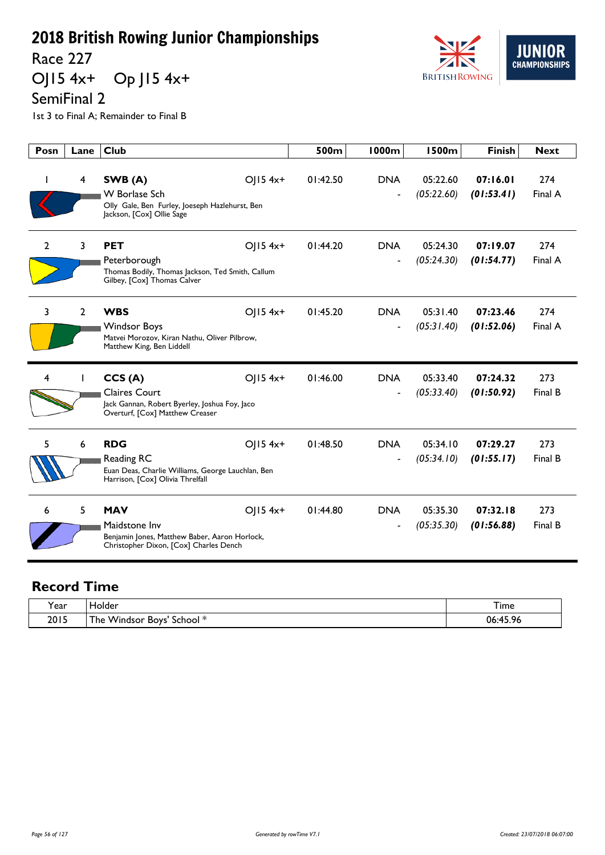Race 227<br>OJ15 4x+ Op  $JI5$  4x+



1st 3 to Final A; Remainder to Final B

| Posn | Lane           | <b>Club</b>                                                                                                                            | 500m     | <b>1000m</b>                           | <b>1500m</b>           | <b>Finish</b>          | <b>Next</b>    |
|------|----------------|----------------------------------------------------------------------------------------------------------------------------------------|----------|----------------------------------------|------------------------|------------------------|----------------|
| ı    | 4              | SWB (A)<br>$OJ15$ 4x+<br>W Borlase Sch<br>Olly Gale, Ben Furley, Joeseph Hazlehurst, Ben<br>Jackson, [Cox] Ollie Sage                  | 01:42.50 | <b>DNA</b><br>$\overline{\phantom{a}}$ | 05:22.60<br>(05:22.60) | 07:16.01<br>(01:53.41) | 274<br>Final A |
| 2    | 3              | $O  5 4x+$<br><b>PET</b><br>Peterborough<br>Thomas Bodily, Thomas Jackson, Ted Smith, Callum<br>Gilbey, [Cox] Thomas Calver            | 01:44.20 | <b>DNA</b>                             | 05:24.30<br>(05:24.30) | 07:19.07<br>(01:54.77) | 274<br>Final A |
| 3    | $\overline{2}$ | <b>WBS</b><br>$O  5 4x+$<br><b>Windsor Boys</b><br>Matvei Morozov, Kiran Nathu, Oliver Pilbrow,<br>Matthew King, Ben Liddell           | 01:45.20 | <b>DNA</b><br>$\overline{a}$           | 05:31.40<br>(05:31.40) | 07:23.46<br>(01:52.06) | 274<br>Final A |
| 4    |                | CCS(A)<br>OJ15 4x+<br><b>Claires Court</b><br>Jack Gannan, Robert Byerley, Joshua Foy, Jaco<br>Overturf, [Cox] Matthew Creaser         | 01:46.00 | <b>DNA</b>                             | 05:33.40<br>(05:33.40) | 07:24.32<br>(01:50.92) | 273<br>Final B |
| 5    | 6              | $OJ15$ 4x+<br><b>RDG</b><br><b>Reading RC</b><br>Euan Deas, Charlie Williams, George Lauchlan, Ben<br>Harrison, [Cox] Olivia Threlfall | 01:48.50 | <b>DNA</b><br>$\overline{a}$           | 05:34.10<br>(05:34.10) | 07:29.27<br>(01:55.17) | 273<br>Final B |
| 6    | 5              | <b>MAV</b><br>$O  5 4x+$<br>Maidstone Inv<br>Benjamin Jones, Matthew Baber, Aaron Horlock,<br>Christopher Dixon, [Cox] Charles Dench   | 01:44.80 | <b>DNA</b>                             | 05:35.30<br>(05:35.30) | 07:32.18<br>(01:56.88) | 273<br>Final B |

| Year | folder                                                                            | $\sim$<br>l ime        |
|------|-----------------------------------------------------------------------------------|------------------------|
| 2015 | .<br><b>Windsor</b><br>- 14<br><b>BOYS</b><br>School <sup>*</sup><br>he<br>$\sim$ | .459<br>06<br>.70<br>. |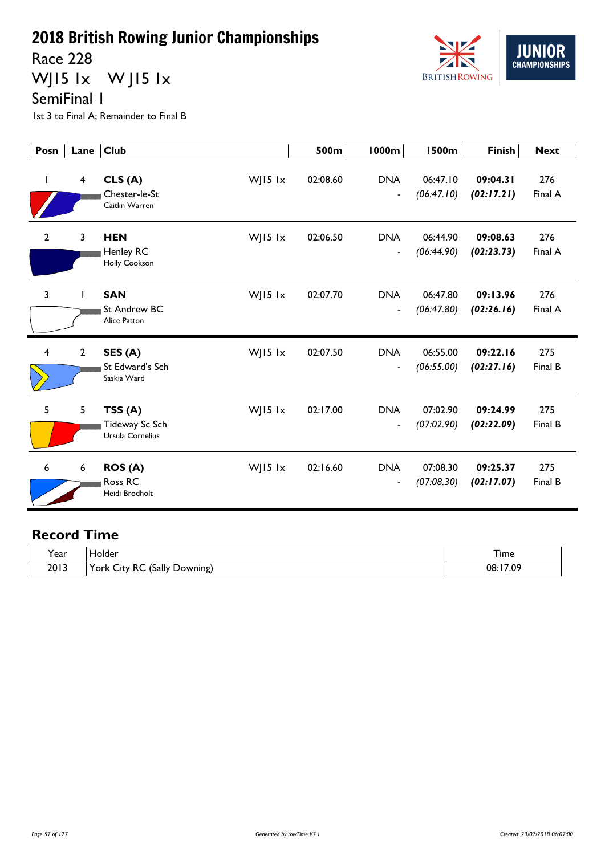Race 228

WJ15 1x W J15 1x



SemiFinal 1

1st 3 to Final A; Remainder to Final B

| Posn                    | Lane           | <b>Club</b>                                               | 500m     | <b>1000m</b>                           | <b>1500m</b>           | <b>Finish</b>          | <b>Next</b>    |
|-------------------------|----------------|-----------------------------------------------------------|----------|----------------------------------------|------------------------|------------------------|----------------|
| $\mathbf{I}$            | 4              | CLS(A)<br>WJ15 lx<br>Chester-le-St<br>Caitlin Warren      | 02:08.60 | <b>DNA</b><br>$\blacksquare$           | 06:47.10<br>(06:47.10) | 09:04.31<br>(02:17.21) | 276<br>Final A |
| $\overline{2}$          | 3              | <b>HEN</b><br>WJ15 lx<br>Henley RC<br>Holly Cookson       | 02:06.50 | <b>DNA</b><br>$\blacksquare$           | 06:44.90<br>(06:44.90) | 09:08.63<br>(02:23.73) | 276<br>Final A |
| $\mathbf{3}$            | $\mathbf{I}$   | WJ15 lx<br><b>SAN</b><br>St Andrew BC<br>Alice Patton     | 02:07.70 | <b>DNA</b><br>$\overline{\phantom{a}}$ | 06:47.80<br>(06:47.80) | 09:13.96<br>(02:26.16) | 276<br>Final A |
| $\overline{\mathbf{4}}$ | $\overline{2}$ | SES (A)<br>WJ15 lx<br>St Edward's Sch<br>Saskia Ward      | 02:07.50 | <b>DNA</b><br>$\overline{\phantom{a}}$ | 06:55.00<br>(06:55.00) | 09:22.16<br>(02:27.16) | 275<br>Final B |
| 5                       | 5              | TSS(A)<br>WJ15 $1x$<br>Tideway Sc Sch<br>Ursula Cornelius | 02:17.00 | <b>DNA</b><br>$\blacksquare$           | 07:02.90<br>(07:02.90) | 09:24.99<br>(02:22.09) | 275<br>Final B |
| 6                       | 6              | WJ15 lx<br><b>ROS (A)</b><br>Ross RC<br>Heidi Brodholt    | 02:16.60 | <b>DNA</b><br>$\overline{\phantom{a}}$ | 07:08.30<br>(07:08.30) | 09:25.37<br>(02:17.07) | 275<br>Final B |

| $\tilde{\phantom{a}}$<br>í ear | Holder                                                           | – .<br>I ime |
|--------------------------------|------------------------------------------------------------------|--------------|
| 2013                           | (Sally<br>York<br>RC<br>-<br><b>.</b><br>Downing)<br><b>City</b> | 17.09<br>08: |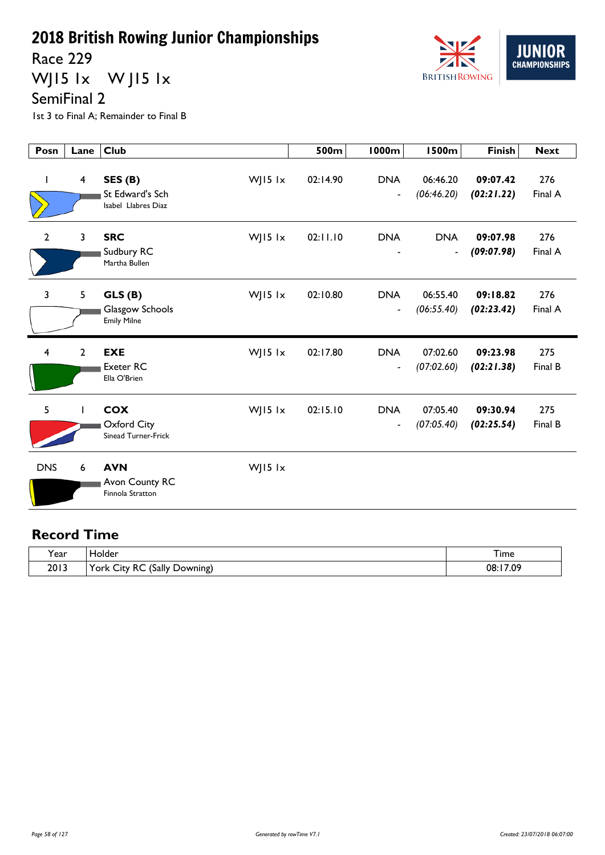Race 229

WJ15 1x W J15 1x



1st 3 to Final A; Remainder to Final B

| Posn        | Lane                    | <b>Club</b>                                                        | 500m     | <b>1000m</b>                               | <b>1500m</b>                               | <b>Finish</b>          | <b>Next</b>    |
|-------------|-------------------------|--------------------------------------------------------------------|----------|--------------------------------------------|--------------------------------------------|------------------------|----------------|
| I.          | $\overline{\mathbf{4}}$ | SES (B)<br>WJ15 lx<br>St Edward's Sch<br>Isabel Llabres Diaz       | 02:14.90 | <b>DNA</b><br>$\overline{\phantom{a}}$     | 06:46.20<br>(06:46.20)                     | 09:07.42<br>(02:21.22) | 276<br>Final A |
| $\mathbf 2$ | 3                       | <b>SRC</b><br>WJ15 lx<br>Sudbury RC<br>Martha Bullen               | 02:11.10 | <b>DNA</b>                                 | <b>DNA</b><br>$\qquad \qquad \blacksquare$ | 09:07.98<br>(09:07.98) | 276<br>Final A |
| 3           | 5                       | WJ15 lx<br>GLS(B)<br>Glasgow Schools<br><b>Emily Milne</b>         | 02:10.80 | <b>DNA</b><br>$\qquad \qquad \blacksquare$ | 06:55.40<br>(06:55.40)                     | 09:18.82<br>(02:23.42) | 276<br>Final A |
| 4           | $\overline{2}$          | <b>EXE</b><br>WJ15 lx<br><b>Exeter RC</b><br>Ella O'Brien          | 02:17.80 | <b>DNA</b><br>$\overline{\phantom{a}}$     | 07:02.60<br>(07:02.60)                     | 09:23.98<br>(02:21.38) | 275<br>Final B |
| 5           | $\mathbf{I}$            | <b>COX</b><br>WJ15 lx<br>Oxford City<br><b>Sinead Turner-Frick</b> | 02:15.10 | <b>DNA</b><br>$\overline{a}$               | 07:05.40<br>(07:05.40)                     | 09:30.94<br>(02:25.54) | 275<br>Final B |
| <b>DNS</b>  | 6                       | <b>AVN</b><br>WJ15 lx<br>Avon County RC<br>Finnola Stratton        |          |                                            |                                            |                        |                |

| rear | <b>Folder</b>                                                                                      | --<br>I ime  |
|------|----------------------------------------------------------------------------------------------------|--------------|
| 2013 | 'Sally<br>York $\langle$<br>RC<br>-<br><b>.</b><br>Downing)<br>$\cup$ ity $\overline{\phantom{a}}$ | 17.09<br>08: |

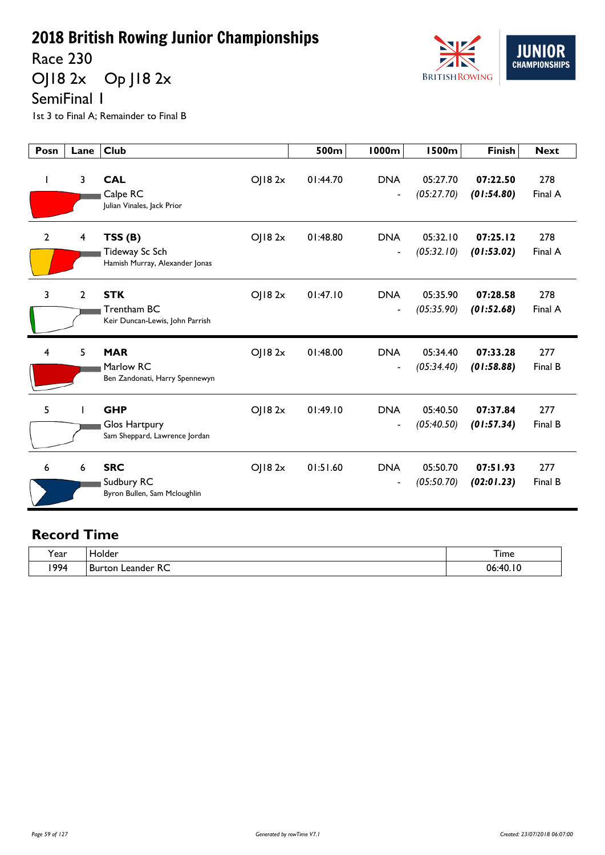Race 230

OJ18 2x Op J18 2x



SemiFinal 1

1st 3 to Final A; Remainder to Final B

| Posn         | Lane         | <b>Club</b>                                                  |        | 500m     | 1000m                                  | <b>1500m</b>           | <b>Finish</b>          | <b>Next</b>    |
|--------------|--------------|--------------------------------------------------------------|--------|----------|----------------------------------------|------------------------|------------------------|----------------|
| J.           | 3            | <b>CAL</b><br>Calpe RC<br>Julian Vinales, Jack Prior         | OJ182x | 01:44.70 | <b>DNA</b><br>$\overline{\phantom{a}}$ | 05:27.70<br>(05:27.70) | 07:22.50<br>(01:54.80) | 278<br>Final A |
| $\mathbf{2}$ | 4            | TSS(B)<br>Tideway Sc Sch<br>Hamish Murray, Alexander Jonas   | OJ182x | 01:48.80 | <b>DNA</b><br>$\overline{\phantom{a}}$ | 05:32.10<br>(05:32.10) | 07:25.12<br>(01:53.02) | 278<br>Final A |
| 3            | $\mathbf{2}$ | <b>STK</b><br>Trentham BC<br>Keir Duncan-Lewis, John Parrish | OJ182x | 01:47.10 | <b>DNA</b><br>$\overline{\phantom{a}}$ | 05:35.90<br>(05:35.90) | 07:28.58<br>(01:52.68) | 278<br>Final A |
| 4            | 5            | <b>MAR</b><br>Marlow RC<br>Ben Zandonati, Harry Spennewyn    | OJ182x | 01:48.00 | <b>DNA</b><br>$\overline{\phantom{a}}$ | 05:34.40<br>(05:34.40) | 07:33.28<br>(01:58.88) | 277<br>Final B |
| 5            |              | <b>GHP</b><br>Glos Hartpury<br>Sam Sheppard, Lawrence Jordan | OJ182x | 01:49.10 | <b>DNA</b><br>$\overline{\phantom{a}}$ | 05:40.50<br>(05:40.50) | 07:37.84<br>(01:57.34) | 277<br>Final B |
| 6            | 6            | <b>SRC</b><br>Sudbury RC<br>Byron Bullen, Sam Mcloughlin     | OJ182x | 01:51.60 | <b>DNA</b><br>$\overline{\phantom{a}}$ | 05:50.70<br>(05:50.70) | 07:51.93<br>(02:01.23) | 277<br>Final B |

| $\cdot$ | iolder                      | --           |
|---------|-----------------------------|--------------|
| rear.   | ____                        | <b>l</b> ime |
| 1994    | Leander RC<br><b>Burton</b> | 06:40.10     |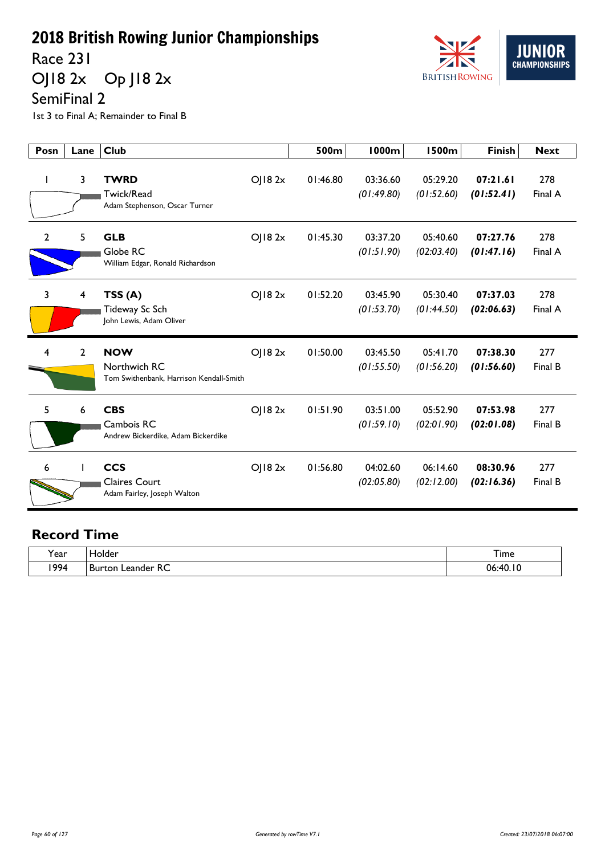Race 231

OJ18 2x Op J18 2x



SemiFinal 2

1st 3 to Final A; Remainder to Final B

| Posn           | Lane         | <b>Club</b>                                                                     | 500m     | <b>1000m</b>           | <b>1500m</b>           | <b>Finish</b>          | <b>Next</b>    |
|----------------|--------------|---------------------------------------------------------------------------------|----------|------------------------|------------------------|------------------------|----------------|
|                | 3            | <b>TWRD</b><br>OJ182x<br>Twick/Read<br>Adam Stephenson, Oscar Turner            | 01:46.80 | 03:36.60<br>(01:49.80) | 05:29.20<br>(01:52.60) | 07:21.61<br>(01:52.41) | 278<br>Final A |
| $\overline{2}$ | 5            | <b>GLB</b><br>OJ182x<br>Globe RC<br>William Edgar, Ronald Richardson            | 01:45.30 | 03:37.20<br>(01:51.90) | 05:40.60<br>(02:03.40) | 07:27.76<br>(01:47.16) | 278<br>Final A |
| 3              | 4            | OJ182x<br>TSS(A)<br>Tideway Sc Sch<br>John Lewis, Adam Oliver                   | 01:52.20 | 03:45.90<br>(01:53.70) | 05:30.40<br>(01:44.50) | 07:37.03<br>(02:06.63) | 278<br>Final A |
| 4              | $\mathbf{2}$ | <b>NOW</b><br>OJ182x<br>Northwich RC<br>Tom Swithenbank, Harrison Kendall-Smith | 01:50.00 | 03:45.50<br>(01:55.50) | 05:41.70<br>(01:56.20) | 07:38.30<br>(01:56.60) | 277<br>Final B |
| 5              | 6            | <b>CBS</b><br>OJ182x<br>Cambois RC<br>Andrew Bickerdike, Adam Bickerdike        | 01:51.90 | 03:51.00<br>(01:59.10) | 05:52.90<br>(02:01.90) | 07:53.98<br>(02:01.08) | 277<br>Final B |
| 6              |              | <b>CCS</b><br>OJ182x<br><b>Claires Court</b><br>Adam Fairley, Joseph Walton     | 01:56.80 | 04:02.60<br>(02:05.80) | 06:14.60<br>(02:12.00) | 08:30.96<br>(02:16.36) | 277<br>Final B |

| $\cdot$ | iolder                      | --           |
|---------|-----------------------------|--------------|
| rear.   | ____                        | <b>l</b> ime |
| 1994    | Leander RC<br><b>Burton</b> | 06:40.10     |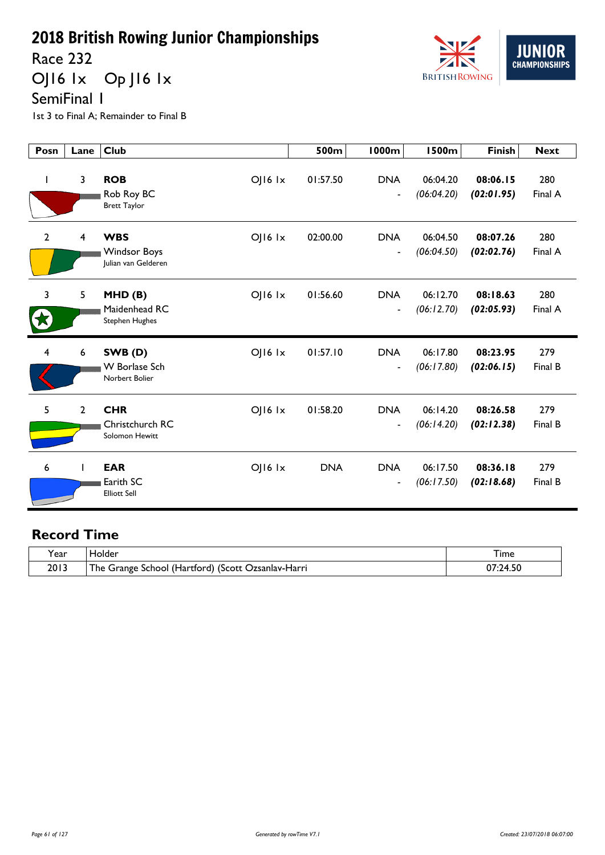Race 232

OJ16 1x Op J16 1x



1st 3 to Final A; Remainder to Final B

| Posn         | Lane                    | <b>Club</b>                                                                | 500m       | <b>1000m</b>                           | <b>1500m</b>           | <b>Finish</b>          | <b>Next</b>    |
|--------------|-------------------------|----------------------------------------------------------------------------|------------|----------------------------------------|------------------------|------------------------|----------------|
| L            | $\overline{\mathbf{3}}$ | <b>ROB</b><br>OJ16 1x<br>Rob Roy BC<br><b>Brett Taylor</b>                 | 01:57.50   | <b>DNA</b><br>$\overline{\phantom{a}}$ | 06:04.20<br>(06:04.20) | 08:06.15<br>(02:01.95) | 280<br>Final A |
| $\mathbf{2}$ | $\overline{4}$          | <b>WBS</b><br><b>OJ16 1x</b><br><b>Windsor Boys</b><br>Julian van Gelderen | 02:00.00   | <b>DNA</b><br>$\blacksquare$           | 06:04.50<br>(06:04.50) | 08:07.26<br>(02:02.76) | 280<br>Final A |
| 3            | 5                       | MHD(B)<br>OJ16 1x<br>Maidenhead RC<br><b>Stephen Hughes</b>                | 01:56.60   | <b>DNA</b><br>$\overline{\phantom{a}}$ | 06:12.70<br>(06:12.70) | 08:18.63<br>(02:05.93) | 280<br>Final A |
| 4            | 6                       | SWB(D)<br><b>OJ16 1x</b><br><b>W</b> Borlase Sch<br>Norbert Bolier         | 01:57.10   | <b>DNA</b><br>$\blacksquare$           | 06:17.80<br>(06:17.80) | 08:23.95<br>(02:06.15) | 279<br>Final B |
| 5            | $\overline{2}$          | <b>CHR</b><br>OJ16 1x<br>Christchurch RC<br>Solomon Hewitt                 | 01:58.20   | <b>DNA</b><br>$\overline{\phantom{a}}$ | 06:14.20<br>(06:14.20) | 08:26.58<br>(02:12.38) | 279<br>Final B |
| 6            | $\mathbf{I}$            | <b>EAR</b><br>OJ16 1x<br>Earith SC<br><b>Elliott Sell</b>                  | <b>DNA</b> | <b>DNA</b><br>$\overline{\phantom{a}}$ | 06:17.50<br>(06:17.50) | 08:36.18<br>(02:18.68) | 279<br>Final B |

| 'ear | folder                                                         | I ıme    |
|------|----------------------------------------------------------------|----------|
| 2013 | <u>т</u><br>The Grange School (Hartford) (Scott Ozsanlav-Harri | 07:24.50 |

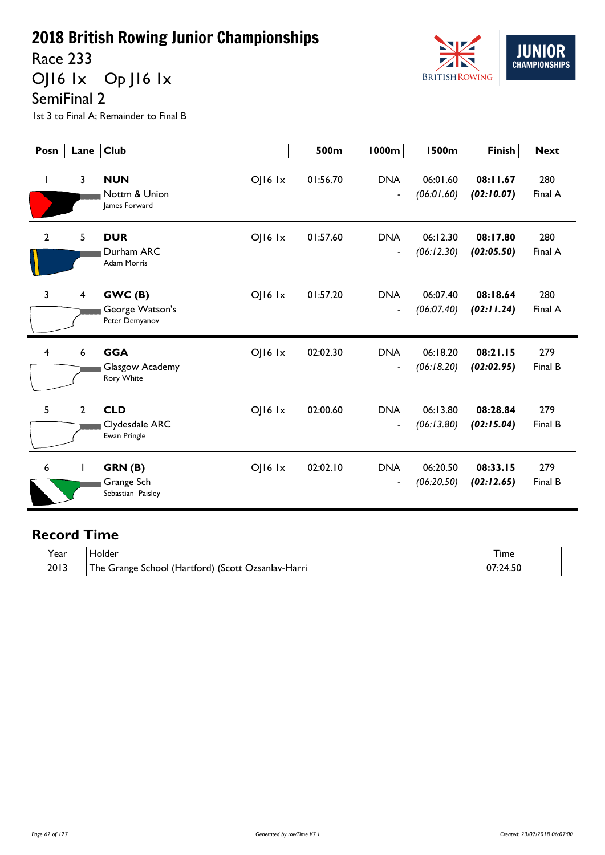Race 233

OJ16 1x Op J16 1x



1st 3 to Final A; Remainder to Final B

| Posn           | Lane           | <b>Club</b>                                                       | 500m     | <b>1000m</b>                           | <b>1500m</b>           | <b>Finish</b>          | <b>Next</b>    |
|----------------|----------------|-------------------------------------------------------------------|----------|----------------------------------------|------------------------|------------------------|----------------|
| $\mathbf{I}$   | 3              | <b>NUN</b><br>$O$   $16$ $1x$<br>Nottm & Union<br>lames Forward   | 01:56.70 | <b>DNA</b><br>$\blacksquare$           | 06:01.60<br>(06:01.60) | 08:11.67<br>(02:10.07) | 280<br>Final A |
| $\overline{2}$ | 5              | <b>DUR</b><br>$O$   $16$ $1x$<br>Durham ARC<br><b>Adam Morris</b> | 01:57.60 | <b>DNA</b><br>$\blacksquare$           | 06:12.30<br>(06:12.30) | 08:17.80<br>(02:05.50) | 280<br>Final A |
| 3              | $\overline{4}$ | GWC(B)<br>$OJI6$ $1x$<br>George Watson's<br>Peter Demyanov        | 01:57.20 | <b>DNA</b><br>$\overline{\phantom{a}}$ | 06:07.40<br>(06:07.40) | 08:18.64<br>(02:11.24) | 280<br>Final A |
| 4              | 6              | <b>GGA</b><br>$OJI6$ $1x$<br>Glasgow Academy<br>Rory White        | 02:02.30 | <b>DNA</b><br>$\blacksquare$           | 06:18.20<br>(06:18.20) | 08:21.15<br>(02:02.95) | 279<br>Final B |
| 5              | $\overline{2}$ | <b>CLD</b><br>$O$   $16$ $1x$<br>Clydesdale ARC<br>Ewan Pringle   | 02:00.60 | <b>DNA</b><br>$\blacksquare$           | 06:13.80<br>(06:13.80) | 08:28.84<br>(02:15.04) | 279<br>Final B |
| 6              |                | GRN(B)<br>$OJI6$ $1x$<br>Grange Sch<br>Sebastian Paisley          | 02:02.10 | <b>DNA</b><br>$\overline{\phantom{a}}$ | 06:20.50<br>(06:20.50) | 08:33.15<br>(02:12.65) | 279<br>Final B |

| ſear | Holder                                             | I ime    |
|------|----------------------------------------------------|----------|
| 2013 | The Grange School (Hartford) (Scott Ozsanlav-Harri | 07:24.50 |

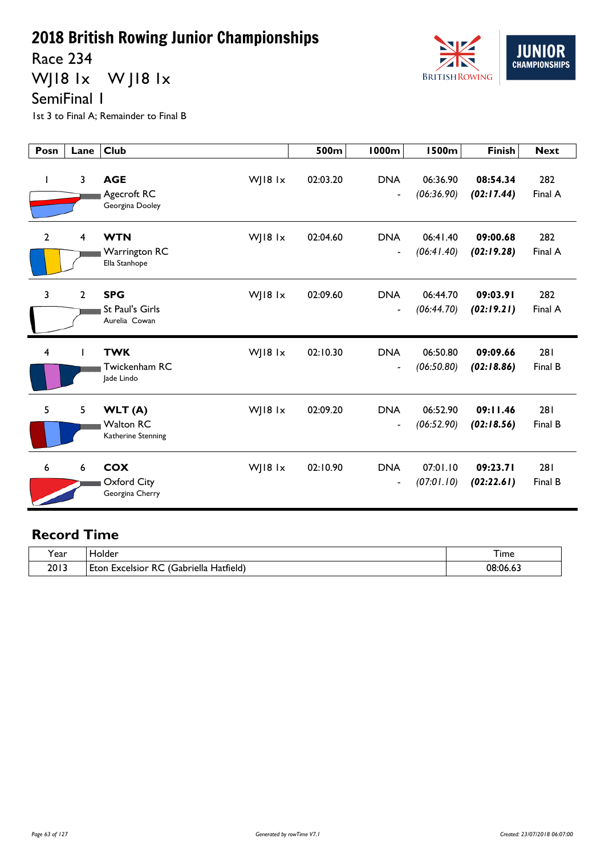Race 234

WJ18 1x W J18 1x



SemiFinal 1

1st 3 to Final A; Remainder to Final B

| Posn           | Lane           | <b>Club</b>                                                      | 500m     | <b>1000m</b>                           | <b>1500m</b>           | <b>Finish</b>          | <b>Next</b>    |
|----------------|----------------|------------------------------------------------------------------|----------|----------------------------------------|------------------------|------------------------|----------------|
| $\mathbf{I}$   | 3              | <b>AGE</b><br>WJ18 1x<br>Agecroft RC<br>Georgina Dooley          | 02:03.20 | <b>DNA</b><br>$\blacksquare$           | 06:36.90<br>(06:36.90) | 08:54.34<br>(02:17.44) | 282<br>Final A |
| $\overline{2}$ | $\overline{4}$ | <b>WTN</b><br>WJ18 1x<br>Warrington RC<br>Ella Stanhope          | 02:04.60 | <b>DNA</b><br>$\blacksquare$           | 06:41.40<br>(06:41.40) | 09:00.68<br>(02:19.28) | 282<br>Final A |
| 3              | $\overline{2}$ | <b>SPG</b><br>WJ18 1x<br><b>St Paul's Girls</b><br>Aurelia Cowan | 02:09.60 | <b>DNA</b><br>$\overline{\phantom{a}}$ | 06:44.70<br>(06:44.70) | 09:03.91<br>(02:19.21) | 282<br>Final A |
| $\overline{4}$ |                | <b>TWK</b><br>WJ18 1x<br>Twickenham RC<br>lade Lindo             | 02:10.30 | <b>DNA</b><br>$\overline{\phantom{a}}$ | 06:50.80<br>(06:50.80) | 09:09.66<br>(02:18.86) | 281<br>Final B |
| 5              | 5              | WLT (A)<br>WJ18 $1x$<br><b>Walton RC</b><br>Katherine Stenning   | 02:09.20 | <b>DNA</b><br>$\blacksquare$           | 06:52.90<br>(06:52.90) | 09:11.46<br>(02:18.56) | 281<br>Final B |
| 6              | 6              | <b>COX</b><br>WJ18 1x<br>Oxford City<br>Georgina Cherry          | 02:10.90 | <b>DNA</b><br>$\overline{\phantom{a}}$ | 07:01.10<br>(07:01.10) | 09:23.71<br>(02:22.61) | 281<br>Final B |

| √ear | <b>Holder</b><br>____                                                                  | --<br><b>l</b> ime |
|------|----------------------------------------------------------------------------------------|--------------------|
| 2013 | $\mathbf{r}$<br><br>-<br>Hatfield <sub></sub><br>abriella)<br>Eton<br>. Excelsior<br>ĸ | 08:06.6.           |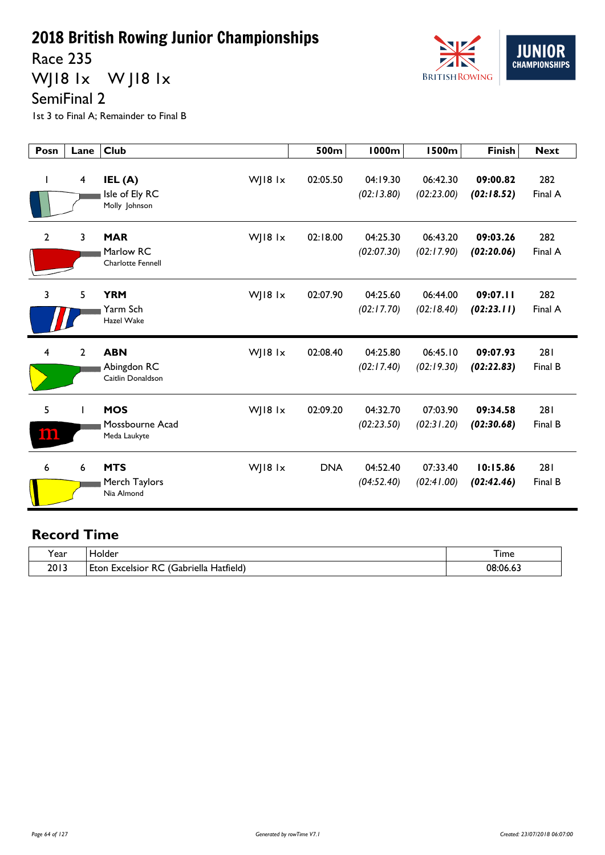Race 235

WJ18 1x W J18 1x



SemiFinal 2

1st 3 to Final A; Remainder to Final B

| Posn           | Lane                    | <b>Club</b>                                                     | 500m       | <b>1000m</b>           | <b>1500m</b>           | <b>Finish</b>          | <b>Next</b>    |
|----------------|-------------------------|-----------------------------------------------------------------|------------|------------------------|------------------------|------------------------|----------------|
| I.             | $\overline{\mathbf{4}}$ | WJ18 $1x$<br>IEL (A)<br>Isle of Ely RC<br>Molly Johnson         | 02:05.50   | 04:19.30<br>(02:13.80) | 06:42.30<br>(02:23.00) | 09:00.82<br>(02:18.52) | 282<br>Final A |
| $\overline{2}$ | 3                       | WJ18 1x<br><b>MAR</b><br>Marlow RC<br><b>Charlotte Fennell</b>  | 02:18.00   | 04:25.30<br>(02:07.30) | 06:43.20<br>(02:17.90) | 09:03.26<br>(02:20.06) | 282<br>Final A |
| 3              | 5                       | <b>YRM</b><br>WJ18 1x<br>Yarm Sch<br>Hazel Wake                 | 02:07.90   | 04:25.60<br>(02:17.70) | 06:44.00<br>(02:18.40) | 09:07.11<br>(02:23.11) | 282<br>Final A |
| 4              | $\overline{2}$          | <b>ABN</b><br>WJ18 1x<br>Abingdon RC<br>Caitlin Donaldson       | 02:08.40   | 04:25.80<br>(02:17.40) | 06:45.10<br>(02:19.30) | 09:07.93<br>(02:22.83) | 281<br>Final B |
| 5<br>100.      |                         | <b>MOS</b><br>$W$   18 1 $x$<br>Mossbourne Acad<br>Meda Laukyte | 02:09.20   | 04:32.70<br>(02:23.50) | 07:03.90<br>(02:31.20) | 09:34.58<br>(02:30.68) | 281<br>Final B |
| 6              | 6                       | <b>MTS</b><br>WJ18 1x<br>Merch Taylors<br>Nia Almond            | <b>DNA</b> | 04:52.40<br>(04:52.40) | 07:33.40<br>(02:41.00) | 10:15.86<br>(02:42.46) | 281<br>Final B |

| . .<br>rear | Holder                                                       | --<br>I ime             |
|-------------|--------------------------------------------------------------|-------------------------|
| 2013        | Hatfield)<br>. .<br>-<br>Gabriella<br>Excelsior<br>Eton<br>к | 08:06.<br>$\cdots$ u.u. |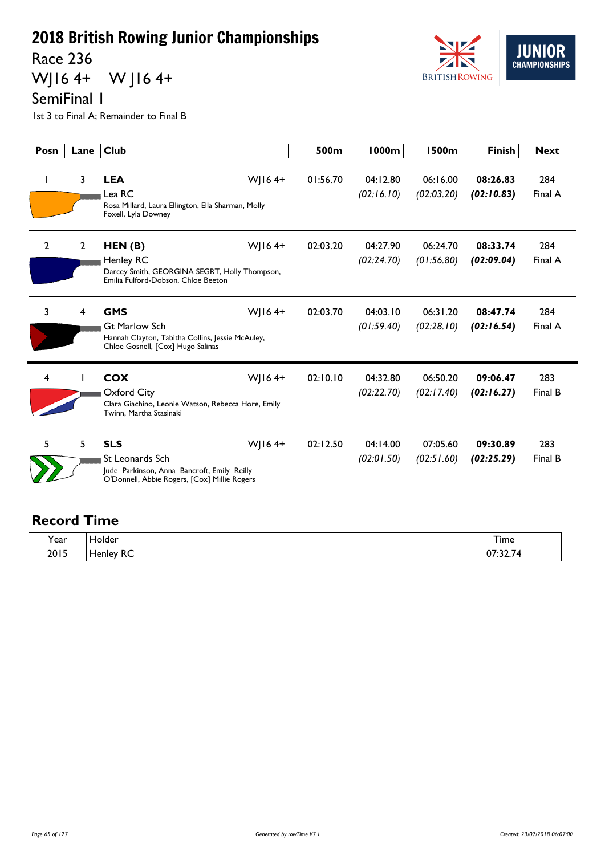Race 236

WJ16 4+ W J16 4+



SemiFinal 1

1st 3 to Final A; Remainder to Final B

| Posn           | Lane           | Club                                                                                                                                   | 500 <sub>m</sub> | 1000m                  | 1500m                  | <b>Finish</b>          | <b>Next</b>    |
|----------------|----------------|----------------------------------------------------------------------------------------------------------------------------------------|------------------|------------------------|------------------------|------------------------|----------------|
|                | 3              | <b>LEA</b><br>$W$   164+<br>Lea RC<br>Rosa Millard, Laura Ellington, Ella Sharman, Molly<br>Foxell, Lyla Downey                        | 01:56.70         | 04:12.80<br>(02:16.10) | 06:16.00<br>(02:03.20) | 08:26.83<br>(02:10.83) | 284<br>Final A |
| $\overline{2}$ | $\overline{2}$ | WJ164+<br>HEN(B)<br><b>Henley RC</b><br>Darcey Smith, GEORGINA SEGRT, Holly Thompson,<br>Emilia Fulford-Dobson, Chloe Beeton           | 02:03.20         | 04:27.90<br>(02:24.70) | 06:24.70<br>(01:56.80) | 08:33.74<br>(02:09.04) | 284<br>Final A |
| 3              | 4              | <b>GMS</b><br>WJ164+<br><b>Gt Marlow Sch</b><br>Hannah Clayton, Tabitha Collins, Jessie McAuley,<br>Chloe Gosnell, [Cox] Hugo Salinas  | 02:03.70         | 04:03.10<br>(01:59.40) | 06:31.20<br>(02:28.10) | 08:47.74<br>(02:16.54) | 284<br>Final A |
| 4              |                | <b>COX</b><br>WJ164+<br>Oxford City<br>Clara Giachino, Leonie Watson, Rebecca Hore, Emily<br>Twinn, Martha Stasinaki                   | 02:10.10         | 04:32.80<br>(02:22.70) | 06:50.20<br>(02:17.40) | 09:06.47<br>(02:16.27) | 283<br>Final B |
| 5              | 5              | <b>SLS</b><br>WJ164+<br>St Leonards Sch<br>Jude Parkinson, Anna Bancroft, Emily Reilly<br>O'Donnell, Abbie Rogers, [Cox] Millie Rogers | 02:12.50         | 04:14.00<br>(02:01.50) | 07:05.60<br>(02:51.60) | 09:30.89<br>(02:25.29) | 283<br>Final B |

| Year | Holder                               | $-$<br><b>l</b> ime        |
|------|--------------------------------------|----------------------------|
| 2015 | --<br>Henley,<br>. .<br>πC<br>$\sim$ | ົາ 7⊿<br>$\sim$<br>07:32.7 |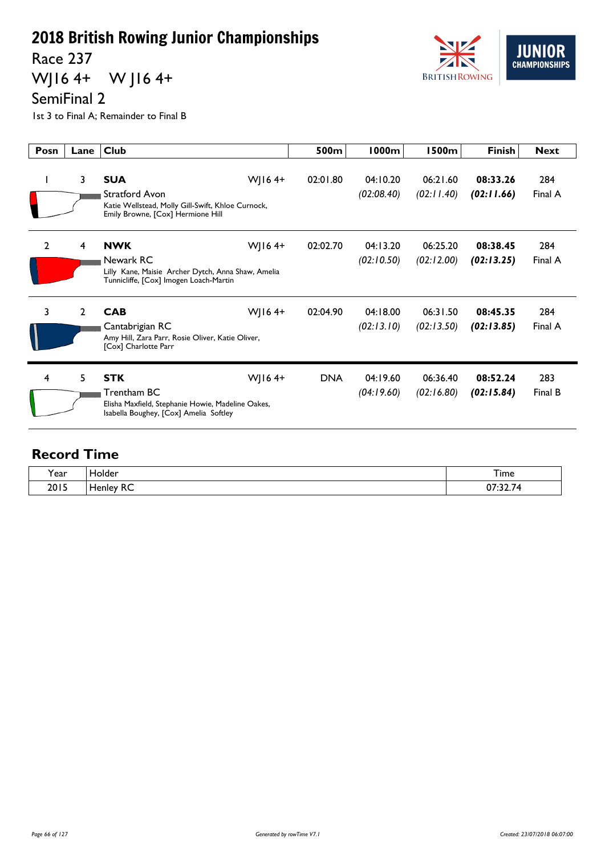Race 237

WJ16 4+ W J16 4+



SemiFinal 2

1st 3 to Final A; Remainder to Final B

| Posn           | Lane           | <b>Club</b>                                                                                                                           | 500m       | <b>1000m</b>           | 1500m                  | <b>Finish</b>          | <b>Next</b>    |
|----------------|----------------|---------------------------------------------------------------------------------------------------------------------------------------|------------|------------------------|------------------------|------------------------|----------------|
| L              | $\mathbf{3}$   | <b>SUA</b><br>WJ16 $4+$<br>Stratford Avon<br>Katie Wellstead, Molly Gill-Swift, Khloe Curnock,<br>Emily Browne, [Cox] Hermione Hill   | 02:01.80   | 04:10.20<br>(02:08.40) | 06:21.60<br>(02:11.40) | 08:33.26<br>(02:11.66) | 284<br>Final A |
| $\overline{2}$ | 4              | <b>NWK</b><br>WJ16 $4+$<br>Newark RC<br>Lilly Kane, Maisie Archer Dytch, Anna Shaw, Amelia<br>Tunnicliffe, [Cox] Imogen Loach-Martin  | 02:02.70   | 04:13.20<br>(02:10.50) | 06:25.20<br>(02:12.00) | 08:38.45<br>(02:13.25) | 284<br>Final A |
| 3              | $\overline{2}$ | <b>CAB</b><br>WJ16 $4+$<br>Cantabrigian RC<br>Amy Hill, Zara Parr, Rosie Oliver, Katie Oliver,<br>[Cox] Charlotte Parr                | 02:04.90   | 04:18.00<br>(02:13.10) | 06:31.50<br>(02:13.50) | 08:45.35<br>(02:13.85) | 284<br>Final A |
| 4              | 5              | <b>STK</b><br>WJ16 $4+$<br>Trentham BC<br>Elisha Maxfield, Stephanie Howie, Madeline Oakes,<br>Isabella Boughey, [Cox] Amelia Softley | <b>DNA</b> | 04:19.60<br>(04:19.60) | 06:36.40<br>(02:16.80) | 08:52.24<br>(02:15.84) | 283<br>Final B |

| <b>、</b> | lolder                             | $-$          |
|----------|------------------------------------|--------------|
| í ear    |                                    | <b>l</b> ime |
| 2015     | $\sim$<br>enley<br>$\sim$<br>_____ | $\sim$ $-$   |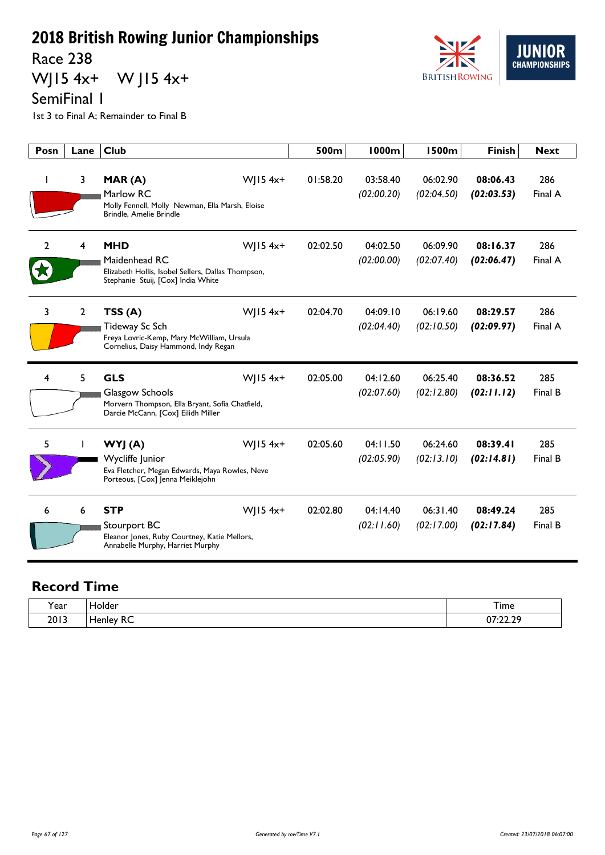Race 238

WJ15 4x+ W J15 4x+



SemiFinal 1

1st 3 to Final A; Remainder to Final B

| Posn | Lane           | <b>Club</b>                                                                                                                            | 500m     | <b>1000m</b>           | <b>1500m</b>           | <b>Finish</b>          | <b>Next</b>    |
|------|----------------|----------------------------------------------------------------------------------------------------------------------------------------|----------|------------------------|------------------------|------------------------|----------------|
|      | 3              | WJ15 4x+<br>MAR(A)<br>Marlow RC<br>Molly Fennell, Molly Newman, Ella Marsh, Eloise<br>Brindle, Amelie Brindle                          | 01:58.20 | 03:58.40<br>(02:00.20) | 06:02.90<br>(02:04.50) | 08:06.43<br>(02:03.53) | 286<br>Final A |
| 2    | 4              | <b>MHD</b><br>WJ15 4x+<br>Maidenhead RC<br>Elizabeth Hollis, Isobel Sellers, Dallas Thompson,<br>Stephanie Stuij, [Cox] India White    | 02:02.50 | 04:02.50<br>(02:00.00) | 06:09.90<br>(02:07.40) | 08:16.37<br>(02:06.47) | 286<br>Final A |
| 3    | $\overline{2}$ | TSS(A)<br>$W$   15 4x+<br>Tideway Sc Sch<br>Freya Lovric-Kemp, Mary McWilliam, Ursula<br>Cornelius, Daisy Hammond, Indy Regan          | 02:04.70 | 04:09.10<br>(02:04.40) | 06:19.60<br>(02:10.50) | 08:29.57<br>(02:09.97) | 286<br>Final A |
| 4    | 5              | <b>GLS</b><br>$W$   15 4x+<br>Glasgow Schools<br>Morvern Thompson, Ella Bryant, Sofia Chatfield,<br>Darcie McCann, [Cox] Eilidh Miller | 02:05.00 | 04:12.60<br>(02:07.60) | 06:25.40<br>(02:12.80) | 08:36.52<br>(02:11.12) | 285<br>Final B |
| 5    |                | WYJ (A)<br>$W$   15 4x+<br>Wycliffe Junior<br>Eva Fletcher, Megan Edwards, Maya Rowles, Neve<br>Porteous, [Cox] Jenna Meiklejohn       | 02:05.60 | 04:11.50<br>(02:05.90) | 06:24.60<br>(02:13.10) | 08:39.41<br>(02:14.81) | 285<br>Final B |
| 6    | 6              | <b>STP</b><br>$W$   15 4x+<br>Stourport BC<br>Eleanor Jones, Ruby Courtney, Katie Mellors,<br>Annabelle Murphy, Harriet Murphy         | 02:02.80 | 04:14.40<br>(02:11.60) | 06:31.40<br>(02:17.00) | 08:49.24<br>(02:17.84) | 285<br>Final B |

| í ear | folder           | Time          |
|-------|------------------|---------------|
| 2013  | . .<br>RC.<br>__ | 07.22.20<br>. |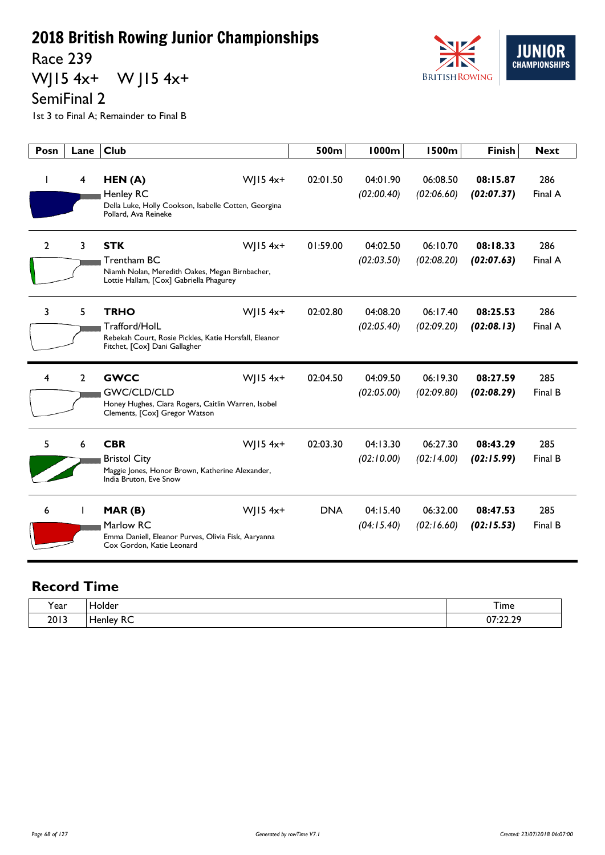Race 239

WJ15 4x+ W J15 4x+



SemiFinal 2

1st 3 to Final A; Remainder to Final B

| Posn         | Lane | <b>Club</b>                                                                                                                          | 500m       | 1000m                  | <b>1500m</b>           | <b>Finish</b>          | <b>Next</b>    |
|--------------|------|--------------------------------------------------------------------------------------------------------------------------------------|------------|------------------------|------------------------|------------------------|----------------|
|              | 4    | WJ15 4x+<br>HEN(A)<br><b>Henley RC</b><br>Della Luke, Holly Cookson, Isabelle Cotten, Georgina<br>Pollard, Ava Reineke               | 02:01.50   | 04:01.90<br>(02:00.40) | 06:08.50<br>(02:06.60) | 08:15.87<br>(02:07.37) | 286<br>Final A |
| $\mathbf{2}$ | 3    | <b>STK</b><br>WJ15 4x+<br>Trentham BC<br>Niamh Nolan, Meredith Oakes, Megan Birnbacher,<br>Lottie Hallam, [Cox] Gabriella Phagurey   | 01:59.00   | 04:02.50<br>(02:03.50) | 06:10.70<br>(02:08.20) | 08:18.33<br>(02:07.63) | 286<br>Final A |
| 3            | 5    | <b>TRHO</b><br>WJ15 4x+<br>Trafford/HolL<br>Rebekah Court, Rosie Pickles, Katie Horsfall, Eleanor<br>Fitchet, [Cox] Dani Gallagher   | 02:02.80   | 04:08.20<br>(02:05.40) | 06:17.40<br>(02:09.20) | 08:25.53<br>(02:08.13) | 286<br>Final A |
| 4            | 2    | WJ15 4x+<br><b>GWCC</b><br><b>GWC/CLD/CLD</b><br>Honey Hughes, Ciara Rogers, Caitlin Warren, Isobel<br>Clements, [Cox] Gregor Watson | 02:04.50   | 04:09.50<br>(02:05.00) | 06:19.30<br>(02:09.80) | 08:27.59<br>(02:08.29) | 285<br>Final B |
| 5            | 6    | <b>CBR</b><br>WJ15 4x+<br><b>Bristol City</b><br>Maggie Jones, Honor Brown, Katherine Alexander,<br>India Bruton, Eve Snow           | 02:03.30   | 04:13.30<br>(02:10.00) | 06:27.30<br>(02:14.00) | 08:43.29<br>(02:15.99) | 285<br>Final B |
| 6            |      | WJ15 4x+<br>MAR(B)<br>Marlow RC<br>Emma Daniell, Eleanor Purves, Olivia Fisk, Aaryanna<br>Cox Gordon, Katie Leonard                  | <b>DNA</b> | 04:15.40<br>(04:15.40) | 06:32.00<br>(02:16.60) | 08:47.53<br>(02:15.53) | 285<br>Final B |

| í ear | $\sim$<br>Holder                               | $ -$<br>I ime              |
|-------|------------------------------------------------|----------------------------|
| 2013  | $\mathbf{r}$<br>∽<br>alev.<br>. .<br>ہ ص<br>__ | ാറ റവ<br>$\sim$<br>,,,,,,, |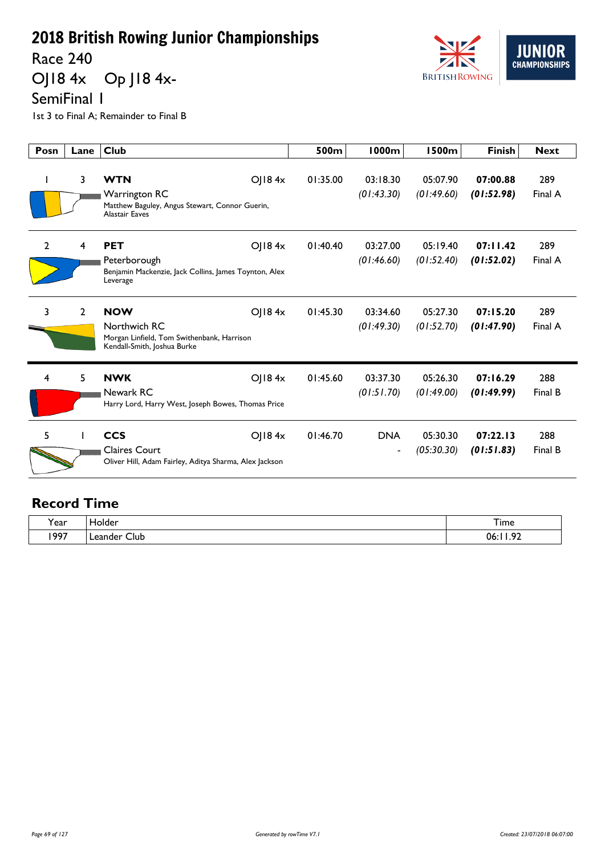Race 240

OJ18 4x Op J18 4x-



SemiFinal 1

1st 3 to Final A; Remainder to Final B

| Posn           | Lane           | <b>Club</b>                                                                                                       | 500m     | <b>1000m</b>                           | <b>1500m</b>           | <b>Finish</b>          | <b>Next</b>    |
|----------------|----------------|-------------------------------------------------------------------------------------------------------------------|----------|----------------------------------------|------------------------|------------------------|----------------|
|                | 3              | <b>WTN</b><br>OJ184x<br>Warrington RC<br>Matthew Baguley, Angus Stewart, Connor Guerin,<br><b>Alastair Eaves</b>  | 01:35.00 | 03:18.30<br>(01:43.30)                 | 05:07.90<br>(01:49.60) | 07:00.88<br>(01:52.98) | 289<br>Final A |
| $\overline{2}$ | 4              | <b>PET</b><br>OJ18 $4x$<br>Peterborough<br>Benjamin Mackenzie, Jack Collins, James Toynton, Alex<br>Leverage      | 01:40.40 | 03:27.00<br>(01:46.60)                 | 05:19.40<br>(01:52.40) | 07:11.42<br>(01:52.02) | 289<br>Final A |
| 3              | $\overline{2}$ | <b>NOW</b><br>OJ184x<br>Northwich RC<br>Morgan Linfield, Tom Swithenbank, Harrison<br>Kendall-Smith, Joshua Burke | 01:45.30 | 03:34.60<br>(01:49.30)                 | 05:27.30<br>(01:52.70) | 07:15.20<br>(01:47.90) | 289<br>Final A |
| 4              | 5              | <b>NWK</b><br>OJ184x<br>Newark RC<br>Harry Lord, Harry West, Joseph Bowes, Thomas Price                           | 01:45.60 | 03:37.30<br>(01:51.70)                 | 05:26.30<br>(01:49.00) | 07:16.29<br>(01:49.99) | 288<br>Final B |
| 5              |                | <b>CCS</b><br>OJ184x<br><b>Claires Court</b><br>Oliver Hill, Adam Fairley, Aditya Sharma, Alex Jackson            | 01:46.70 | <b>DNA</b><br>$\overline{\phantom{0}}$ | 05:30.30<br>(05:30.30) | 07:22.13<br>(01:51.83) | 288<br>Final B |

| Year | <b>lolder</b>   | Time                 |
|------|-----------------|----------------------|
| 1997 | Club<br>Leander | $\sim$<br>06:<br>. . |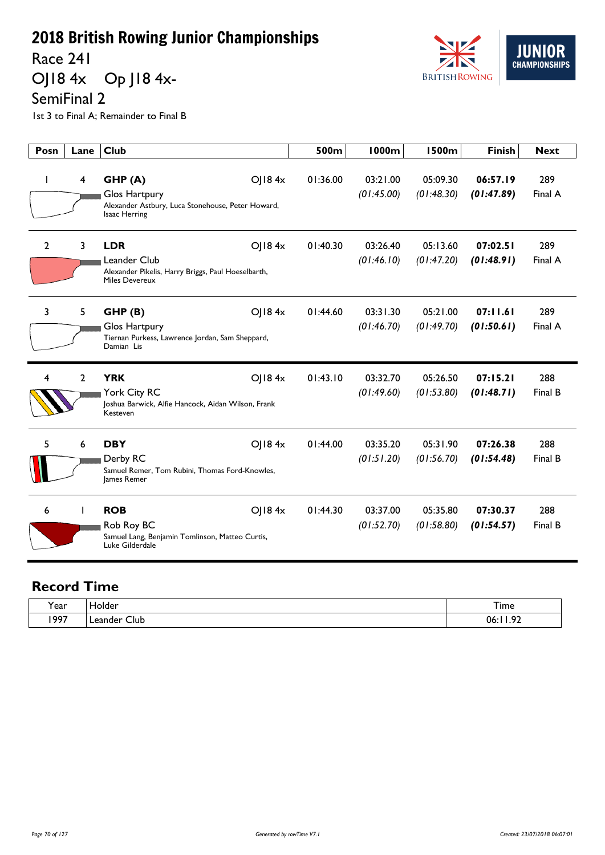Race 241

OJ18 4x Op J18 4x-



SemiFinal 2

1st 3 to Final A; Remainder to Final B

| Posn           | Lane           | Club                                                                                                      |        | 500m     | 1000m                  | 1500m                  | <b>Finish</b>          | <b>Next</b>    |
|----------------|----------------|-----------------------------------------------------------------------------------------------------------|--------|----------|------------------------|------------------------|------------------------|----------------|
|                | 4              | GHP(A)<br>Glos Hartpury<br>Alexander Astbury, Luca Stonehouse, Peter Howard,<br>Isaac Herring             | OJ184x | 01:36.00 | 03:21.00<br>(01:45.00) | 05:09.30<br>(01:48.30) | 06:57.19<br>(01:47.89) | 289<br>Final A |
| $\overline{2}$ | 3              | <b>LDR</b><br>Leander Club<br>Alexander Pikelis, Harry Briggs, Paul Hoeselbarth,<br><b>Miles Devereux</b> | O  84x | 01:40.30 | 03:26.40<br>(01:46.10) | 05:13.60<br>(01:47.20) | 07:02.51<br>(01:48.91) | 289<br>Final A |
| 3              | 5              | GHP(B)<br>Glos Hartpury<br>Tiernan Purkess, Lawrence Jordan, Sam Sheppard,<br>Damian Lis                  | O  84x | 01:44.60 | 03:31.30<br>(01:46.70) | 05:21.00<br>(01:49.70) | 07:11.61<br>(01:50.61) | 289<br>Final A |
| 4              | $\overline{2}$ | <b>YRK</b><br>York City RC<br>Joshua Barwick, Alfie Hancock, Aidan Wilson, Frank<br>Kesteven              | O 184x | 01:43.10 | 03:32.70<br>(01:49.60) | 05:26.50<br>(01:53.80) | 07:15.21<br>(01:48.71) | 288<br>Final B |
| 5              | 6              | <b>DBY</b><br>Derby RC<br>Samuel Remer, Tom Rubini, Thomas Ford-Knowles,<br>James Remer                   | O  84x | 01:44.00 | 03:35.20<br>(01:51.20) | 05:31.90<br>(01:56.70) | 07:26.38<br>(01:54.48) | 288<br>Final B |
| 6              |                | <b>ROB</b><br>Rob Roy BC<br>Samuel Lang, Benjamin Tomlinson, Matteo Curtis,<br>Luke Gilderdale            | O  84x | 01:44.30 | 03:37.00<br>(01:52.70) | 05:35.80<br>(01:58.80) | 07:30.37<br>(01:54.57) | 288<br>Final B |

| v<br>rear | lolder                    | I ime        |
|-----------|---------------------------|--------------|
| 1997      | $\sim$<br>Club<br>_eander | $\sim$<br>06 |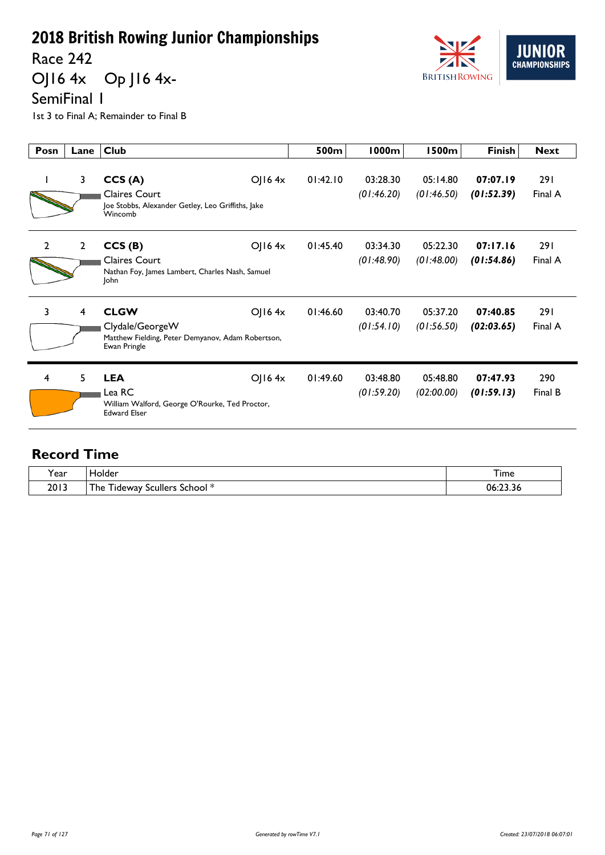Race 242

OJ16 4x Op J16 4x-



SemiFinal 1

1st 3 to Final A; Remainder to Final B

| Posn           | Lane           | <b>Club</b>                                                                                         |           | 500m     | <b>1000m</b>           | 1500m                  | <b>Finish</b>          | <b>Next</b>           |
|----------------|----------------|-----------------------------------------------------------------------------------------------------|-----------|----------|------------------------|------------------------|------------------------|-----------------------|
|                | 3              | CCS(A)<br><b>Claires Court</b><br>Joe Stobbs, Alexander Getley, Leo Griffiths, Jake<br>Wincomb      | OJ $164x$ | 01:42.10 | 03:28.30<br>(01:46.20) | 05:14.80<br>(01:46.50) | 07:07.19<br>(01:52.39) | <b>291</b><br>Final A |
| $\overline{2}$ | $\overline{2}$ | CCS(B)<br><b>Claires Court</b><br>Nathan Foy, James Lambert, Charles Nash, Samuel<br>John           | OJ $164x$ | 01:45.40 | 03:34.30<br>(01:48.90) | 05:22.30<br>(01:48.00) | 07:17.16<br>(01:54.86) | <b>291</b><br>Final A |
| $\overline{3}$ | 4              | <b>CLGW</b><br>Clydale/GeorgeW<br>Matthew Fielding, Peter Demyanov, Adam Robertson,<br>Ewan Pringle | O(16.4x)  | 01:46.60 | 03:40.70<br>(01:54.10) | 05:37.20<br>(01:56.50) | 07:40.85<br>(02:03.65) | <b>291</b><br>Final A |
| 4              | 5              | <b>LEA</b><br>Lea RC<br>William Walford, George O'Rourke, Ted Proctor,<br><b>Edward Elser</b>       | OJ $164x$ | 01:49.60 | 03:48.80<br>(01:59.20) | 05:48.80<br>(02:00.00) | 07:47.93<br>(01:59.13) | 290<br>Final B        |

| <b>r</b> ear | iolder<br>____                          | I ime              |
|--------------|-----------------------------------------|--------------------|
| 2013         | The<br>scullers<br>School i<br>. Ideway | $\sim$<br>06:23.36 |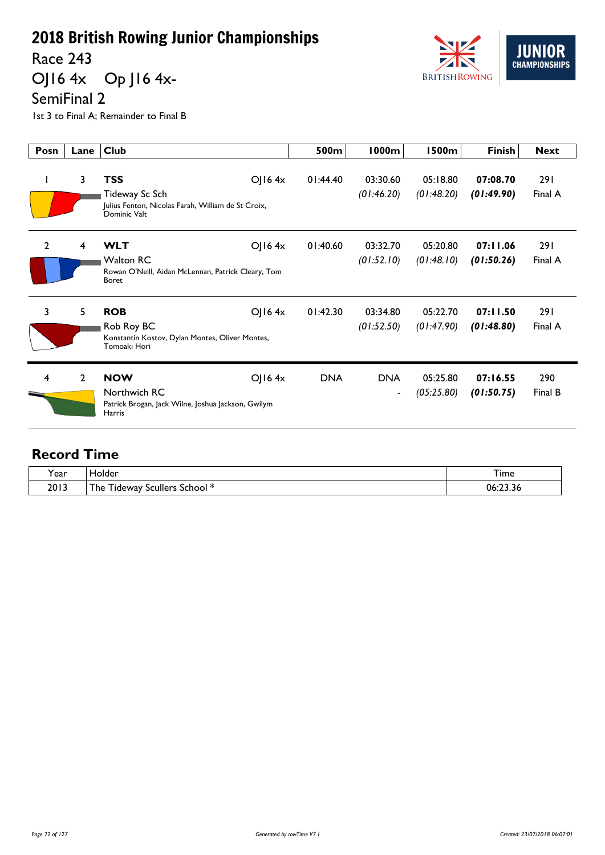Race 243

OJ16 4x Op J16 4x-



1st 3 to Final A; Remainder to Final B

| Posn           | Lane           | <b>Club</b>                                                                                                       | 500m       | <b>1000m</b>                           | <b>1500m</b>           | <b>Finish</b>          | <b>Next</b>           |
|----------------|----------------|-------------------------------------------------------------------------------------------------------------------|------------|----------------------------------------|------------------------|------------------------|-----------------------|
| $\mathbf{I}$   | 3              | <b>TSS</b><br>$O$   16 4x<br>Tideway Sc Sch<br>Julius Fenton, Nicolas Farah, William de St Croix,<br>Dominic Valt | 01:44.40   | 03:30.60<br>(01:46.20)                 | 05:18.80<br>(01:48.20) | 07:08.70<br>(01:49.90) | <b>291</b><br>Final A |
| $\overline{2}$ | $\overline{4}$ | O  64x<br><b>WLT</b><br><b>Walton RC</b><br>Rowan O'Neill, Aidan McLennan, Patrick Cleary, Tom<br><b>Boret</b>    | 01:40.60   | 03:32.70<br>(01:52.10)                 | 05:20.80<br>(01:48.10) | 07:11.06<br>(01:50.26) | <b>291</b><br>Final A |
| 3              | 5              | <b>ROB</b><br>$O$   16 4x<br>Rob Roy BC<br>Konstantin Kostov, Dylan Montes, Oliver Montes,<br>Tomoaki Hori        | 01:42.30   | 03:34.80<br>(01:52.50)                 | 05:22.70<br>(01:47.90) | 07:11.50<br>(01:48.80) | <b>291</b><br>Final A |
| 4              | $\overline{2}$ | <b>NOW</b><br>$O$   16 4x<br>Northwich RC<br>Patrick Brogan, Jack Wilne, Joshua Jackson, Gwilym<br><b>Harris</b>  | <b>DNA</b> | <b>DNA</b><br>$\overline{\phantom{a}}$ | 05:25.80<br>(05:25.80) | 07:16.55<br>(01:50.75) | 290<br>Final B        |

| $\lambda$<br><b>r</b> ear | lolder                                                        | <b>l</b> ime       |
|---------------------------|---------------------------------------------------------------|--------------------|
| 2013                      | ÷.<br>- 14<br>The<br>Scullers School <sup>*</sup><br>. ideway | $\sim$<br>06:23.36 |

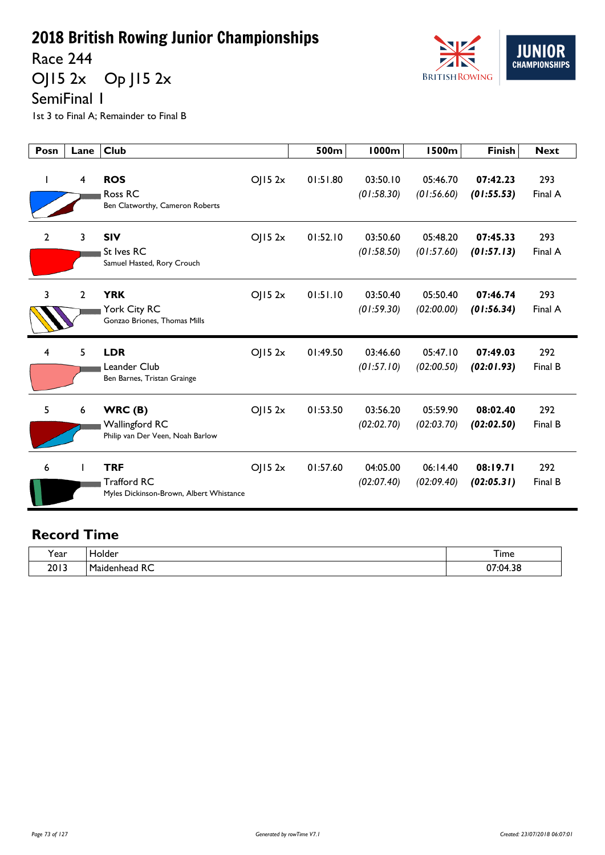Race 244

OJ15 2x Op J15 2x



SemiFinal 1

1st 3 to Final A; Remainder to Final B

| Posn           | Lane         | <b>Club</b>                                                                 |        | 500m     | <b>1000m</b>           | <b>1500m</b>           | <b>Finish</b>          | <b>Next</b>    |
|----------------|--------------|-----------------------------------------------------------------------------|--------|----------|------------------------|------------------------|------------------------|----------------|
|                | 4            | <b>ROS</b><br>Ross RC<br>Ben Clatworthy, Cameron Roberts                    | OJ152x | 01:51.80 | 03:50.10<br>(01:58.30) | 05:46.70<br>(01:56.60) | 07:42.23<br>(01:55.53) | 293<br>Final A |
| $\overline{2}$ | 3            | <b>SIV</b><br>St Ives RC<br>Samuel Hasted, Rory Crouch                      | OJ152x | 01:52.10 | 03:50.60<br>(01:58.50) | 05:48.20<br>(01:57.60) | 07:45.33<br>(01:57.13) | 293<br>Final A |
| 3              | $\mathbf{2}$ | <b>YRK</b><br>York City RC<br>Gonzao Briones, Thomas Mills                  | OJ152x | 01:51.10 | 03:50.40<br>(01:59.30) | 05:50.40<br>(02:00.00) | 07:46.74<br>(01:56.34) | 293<br>Final A |
| 4              | 5            | <b>LDR</b><br>Leander Club<br>Ben Barnes, Tristan Grainge                   | OJ152x | 01:49.50 | 03:46.60<br>(01:57.10) | 05:47.10<br>(02:00.50) | 07:49.03<br>(02:01.93) | 292<br>Final B |
| 5              | 6            | WRC(B)<br><b>Wallingford RC</b><br>Philip van Der Veen, Noah Barlow         | O  52x | 01:53.50 | 03:56.20<br>(02:02.70) | 05:59.90<br>(02:03.70) | 08:02.40<br>(02:02.50) | 292<br>Final B |
| 6              |              | <b>TRF</b><br><b>Trafford RC</b><br>Myles Dickinson-Brown, Albert Whistance | OJ152x | 01:57.60 | 04:05.00<br>(02:07.40) | 06:14.40<br>(02:09.40) | 08:19.71<br>(02:05.31) | 292<br>Final B |

| $\lambda$       | older                                           | <u>.</u>                                                       |
|-----------------|-------------------------------------------------|----------------------------------------------------------------|
| Year            | ____                                            | <b>l</b> ime                                                   |
| בו חר<br>د ا ∪∡ | $\sim$ $\sim$<br>м.<br>. .<br>πC<br>ו הו<br>___ | $\mathsf{D7} \cdot \mathsf{D4}$<br>n c<br>סכ. <del>ו</del> יט: |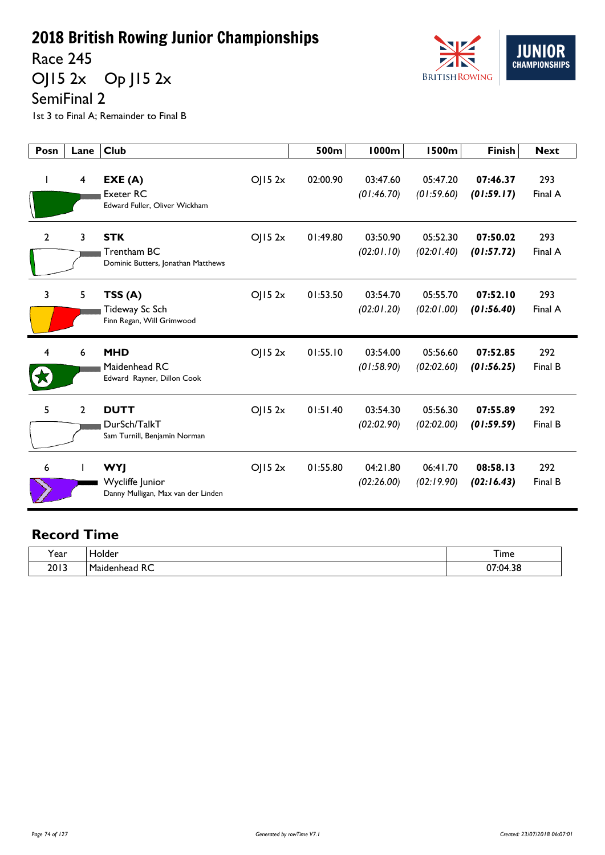Race 245

OJ15 2x Op J15 2x



SemiFinal 2

1st 3 to Final A; Remainder to Final B

| Posn           | Lane           | <b>Club</b>                                                         |                     | 500m     | <b>1000m</b>           | <b>1500m</b>           | <b>Finish</b>          | <b>Next</b>    |
|----------------|----------------|---------------------------------------------------------------------|---------------------|----------|------------------------|------------------------|------------------------|----------------|
| $\mathbf{I}$   | 4              | EXE(A)<br><b>Exeter RC</b><br>Edward Fuller, Oliver Wickham         | OJ152x              | 02:00.90 | 03:47.60<br>(01:46.70) | 05:47.20<br>(01:59.60) | 07:46.37<br>(01:59.17) | 293<br>Final A |
| $\overline{2}$ | 3              | <b>STK</b><br>Trentham BC<br>Dominic Butters, Jonathan Matthews     | OJ152x              | 01:49.80 | 03:50.90<br>(02:01.10) | 05:52.30<br>(02:01.40) | 07:50.02<br>(01:57.72) | 293<br>Final A |
| 3              | 5              | TSS(A)<br>Tideway Sc Sch<br>Finn Regan, Will Grimwood               | $O$   15 2 $\times$ | 01:53.50 | 03:54.70<br>(02:01.20) | 05:55.70<br>(02:01.00) | 07:52.10<br>(01:56.40) | 293<br>Final A |
| 4              | 6              | <b>MHD</b><br>Maidenhead RC<br>Edward Rayner, Dillon Cook           | OJ152x              | 01:55.10 | 03:54.00<br>(01:58.90) | 05:56.60<br>(02:02.60) | 07:52.85<br>(01:56.25) | 292<br>Final B |
| 5              | $\overline{2}$ | <b>DUTT</b><br>DurSch/TalkT<br>Sam Turnill, Benjamin Norman         | OJ152x              | 01:51.40 | 03:54.30<br>(02:02.90) | 05:56.30<br>(02:02.00) | 07:55.89<br>(01:59.59) | 292<br>Final B |
| 6              |                | <b>WYJ</b><br>Wycliffe Junior<br>Danny Mulligan, Max van der Linden | OJ152x              | 01:55.80 | 04:21.80<br>(02:26.00) | 06:41.70<br>(02:19.90) | 08:58.13<br>(02:16.43) | 292<br>Final B |

| . .         | ◡                 | –                                            |
|-------------|-------------------|----------------------------------------------|
| <b>Year</b> | ____              | I ime                                        |
| 2013        | -<br>D<br>~<br>πC | $\mathbf{r}$<br>ົ<br>⊶∩⊿<br>ז נ<br>$\ddotsc$ |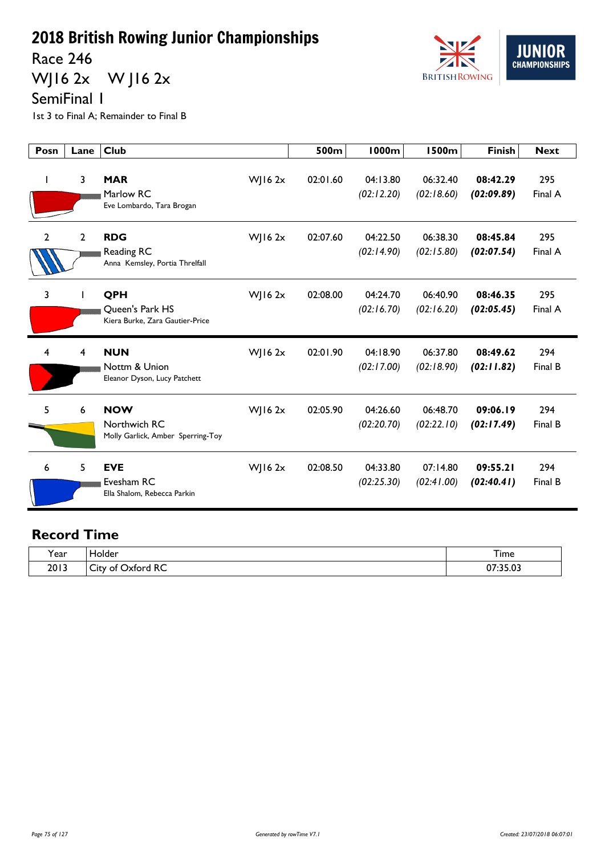Race 246

WJ16 2x W J16 2x



SemiFinal 1

1st 3 to Final A; Remainder to Final B

| Posn           | Lane | <b>Club</b>                                                       |             | 500m     | <b>1000m</b>           | 1500m                  | <b>Finish</b>          | <b>Next</b>    |
|----------------|------|-------------------------------------------------------------------|-------------|----------|------------------------|------------------------|------------------------|----------------|
| I.             | 3    | <b>MAR</b><br>Marlow RC<br>Eve Lombardo, Tara Brogan              | $W$ JI6 2x  | 02:01.60 | 04:13.80<br>(02:12.20) | 06:32.40<br>(02:18.60) | 08:42.29<br>(02:09.89) | 295<br>Final A |
| $\overline{2}$ | 2    | <b>RDG</b><br><b>Reading RC</b><br>Anna Kemsley, Portia Threlfall | WJ16 2x     | 02:07.60 | 04:22.50<br>(02:14.90) | 06:38.30<br>(02:15.80) | 08:45.84<br>(02:07.54) | 295<br>Final A |
| 3              |      | QPH<br>Queen's Park HS<br>Kiera Burke, Zara Gautier-Price         | $W$ ] 16 2x | 02:08.00 | 04:24.70<br>(02:16.70) | 06:40.90<br>(02:16.20) | 08:46.35<br>(02:05.45) | 295<br>Final A |
| 4              | 4    | <b>NUN</b><br>Nottm & Union<br>Eleanor Dyson, Lucy Patchett       | $W$   16 2x | 02:01.90 | 04:18.90<br>(02:17.00) | 06:37.80<br>(02:18.90) | 08:49.62<br>(02:11.82) | 294<br>Final B |
| 5              | 6    | <b>NOW</b><br>Northwich RC<br>Molly Garlick, Amber Sperring-Toy   | $W$   16 2x | 02:05.90 | 04:26.60<br>(02:20.70) | 06:48.70<br>(02:22.10) | 09:06.19<br>(02:17.49) | 294<br>Final B |
| 6              | 5    | <b>EVE</b><br>Evesham RC<br>Ella Shalom, Rebecca Parkin           | $W$ ] 16 2x | 02:08.50 | 04:33.80<br>(02:25.30) | 07:14.80<br>(02:41.00) | 09:55.21<br>(02:40.41) | 294<br>Final B |

| $\cdot$ | ار.                                                                   | $\overline{\phantom{a}}$    |
|---------|-----------------------------------------------------------------------|-----------------------------|
| Year    | ____                                                                  | I ime                       |
| 2013    | $D^{\prime}$<br>-<br>∩t<br>∟ال<br>_______<br>$\overline{\phantom{a}}$ | <b>DE 03</b><br>~-<br><br>. |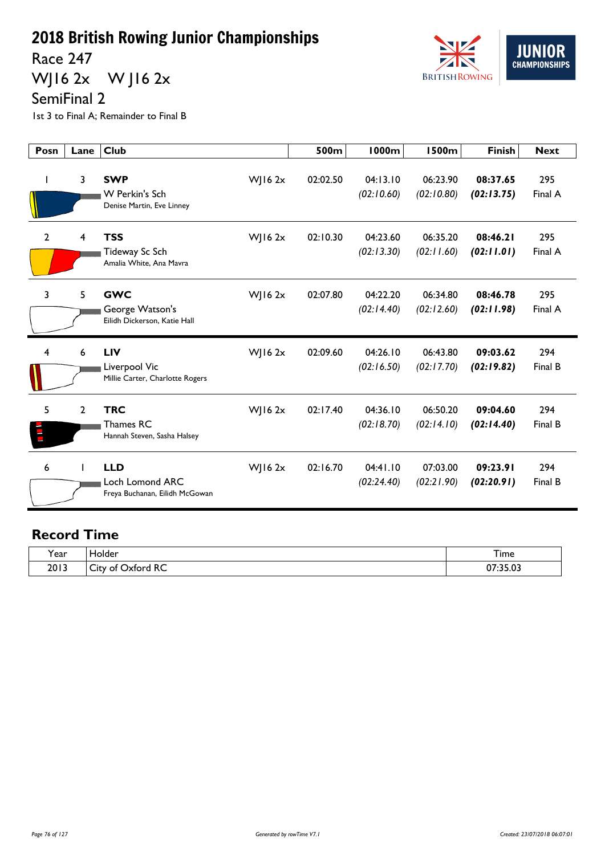Race 247

WJ16 2x W J16 2x



SemiFinal 2

1st 3 to Final A; Remainder to Final B

| Posn           | Lane           | <b>Club</b>                                                                    | 500m     | <b>1000m</b>           | 1500m                  | <b>Finish</b>          | <b>Next</b>    |
|----------------|----------------|--------------------------------------------------------------------------------|----------|------------------------|------------------------|------------------------|----------------|
| $\mathbf{I}$   | 3              | <b>SWP</b><br>$W$ ] 16 2x<br>W Perkin's Sch<br>Denise Martin, Eve Linney       | 02:02.50 | 04:13.10<br>(02:10.60) | 06:23.90<br>(02:10.80) | 08:37.65<br>(02:13.75) | 295<br>Final A |
| $\overline{2}$ | 4              | <b>TSS</b><br>$W$ JI6 2x<br>Tideway Sc Sch<br>Amalia White, Ana Mavra          | 02:10.30 | 04:23.60<br>(02:13.30) | 06:35.20<br>(02:11.60) | 08:46.21<br>(02:11.01) | 295<br>Final A |
| 3              | 5              | <b>GWC</b><br>$W$ ] 16 2x<br>George Watson's<br>Eilidh Dickerson, Katie Hall   | 02:07.80 | 04:22.20<br>(02:14.40) | 06:34.80<br>(02:12.60) | 08:46.78<br>(02:11.98) | 295<br>Final A |
| 4              | 6              | <b>LIV</b><br>$W$ ] 16 2x<br>Liverpool Vic<br>Millie Carter, Charlotte Rogers  | 02:09.60 | 04:26.10<br>(02:16.50) | 06:43.80<br>(02:17.70) | 09:03.62<br>(02:19.82) | 294<br>Final B |
| 5<br>E         | $\overline{2}$ | <b>TRC</b><br>$W$   16 2x<br>Thames RC<br>Hannah Steven, Sasha Halsey          | 02:17.40 | 04:36.10<br>(02:18.70) | 06:50.20<br>(02:14.10) | 09:04.60<br>(02:14.40) | 294<br>Final B |
| 6              |                | <b>LLD</b><br>$W$   16 2x<br>Loch Lomond ARC<br>Freya Buchanan, Eilidh McGowan | 02:16.70 | 04:41.10<br>(02:24.40) | 07:03.00<br>(02:21.90) | 09:23.91<br>(02:20.91) | 294<br>Final B |

| $\cdot$ | iolder                                                  | ÷.                          |
|---------|---------------------------------------------------------|-----------------------------|
| r ear   |                                                         | <b>l</b> ime                |
| 2013    | $D^{\sim}$<br>-<br>-<br><b>Dixtord</b><br>۔utv of<br>へし | ר היה<br>$\sim$<br>U/:35.U3 |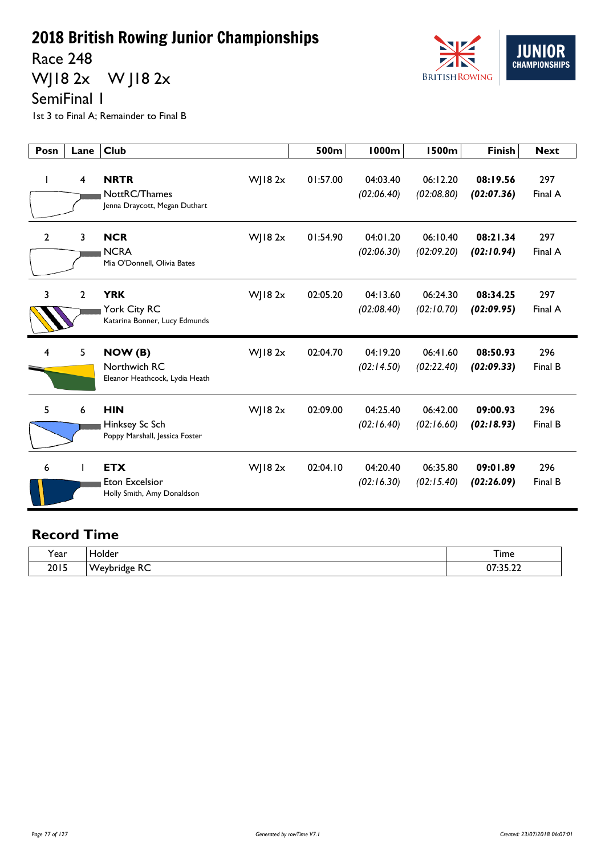Race 248

WJ18 2x W J18 2x



SemiFinal 1

1st 3 to Final A; Remainder to Final B

| Posn           | Lane           | <b>Club</b>                                                                      | 500m     | <b>1000m</b>           | 1500m                  | <b>Finish</b>          | <b>Next</b>    |
|----------------|----------------|----------------------------------------------------------------------------------|----------|------------------------|------------------------|------------------------|----------------|
|                | $\overline{4}$ | <b>NRTR</b><br>$W$ ] 18 2 $x$<br>NottRC/Thames<br>Jenna Draycott, Megan Duthart  | 01:57.00 | 04:03.40<br>(02:06.40) | 06:12.20<br>(02:08.80) | 08:19.56<br>(02:07.36) | 297<br>Final A |
| $\overline{2}$ | 3              | <b>NCR</b><br>WJ18 2x<br><b>NCRA</b><br>Mia O'Donnell, Olivia Bates              | 01:54.90 | 04:01.20<br>(02:06.30) | 06:10.40<br>(02:09.20) | 08:21.34<br>(02:10.94) | 297<br>Final A |
| 3              | 2              | <b>YRK</b><br>$W$   182 $x$<br>York City RC<br>Katarina Bonner, Lucy Edmunds     | 02:05.20 | 04:13.60<br>(02:08.40) | 06:24.30<br>(02:10.70) | 08:34.25<br>(02:09.95) | 297<br>Final A |
| 4              | 5              | $W$   182 $x$<br>NOW (B)<br>Northwich RC<br>Eleanor Heathcock, Lydia Heath       | 02:04.70 | 04:19.20<br>(02:14.50) | 06:41.60<br>(02:22.40) | 08:50.93<br>(02:09.33) | 296<br>Final B |
| 5              | 6              | <b>HIN</b><br>$W$   18 2 $x$<br>Hinksey Sc Sch<br>Poppy Marshall, Jessica Foster | 02:09.00 | 04:25.40<br>(02:16.40) | 06:42.00<br>(02:16.60) | 09:00.93<br>(02:18.93) | 296<br>Final B |
| 6              |                | <b>ETX</b><br>$W$   18 2 $x$<br>Eton Excelsior<br>Holly Smith, Amy Donaldson     | 02:04.10 | 04:20.40<br>(02:16.30) | 06:35.80<br>(02:15.40) | 09:01.89<br>(02:26.09) | 296<br>Final B |

| $\cdot$      | older.                         |                         |
|--------------|--------------------------------|-------------------------|
| <b>r</b> ear | ____                           | <b>l</b> ime            |
| 2015<br>ZUIJ | . .<br>۰ν۸.<br>.<br>πσι<br>NS. | 2.5.2<br>^7<br>VI.JJ.LL |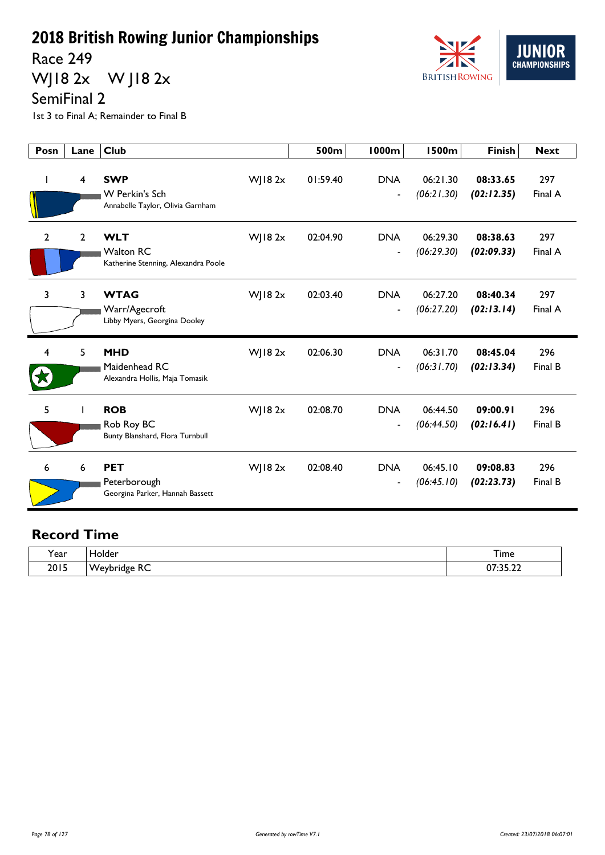Race 249

WJ18 2x W J18 2x



SemiFinal 2

1st 3 to Final A; Remainder to Final B

| Posn           | Lane           | <b>Club</b>                                                           |                | 500m     | 1000m                                  | <b>1500m</b>           | <b>Finish</b>          | <b>Next</b>    |
|----------------|----------------|-----------------------------------------------------------------------|----------------|----------|----------------------------------------|------------------------|------------------------|----------------|
|                | 4              | <b>SWP</b><br>W Perkin's Sch<br>Annabelle Taylor, Olivia Garnham      | WJ18 2x        | 01:59.40 | <b>DNA</b><br>$\overline{\phantom{a}}$ | 06:21.30<br>(06:21.30) | 08:33.65<br>(02:12.35) | 297<br>Final A |
| $\overline{2}$ | $\overline{2}$ | <b>WLT</b><br><b>Walton RC</b><br>Katherine Stenning, Alexandra Poole | WJ18 2x        | 02:04.90 | <b>DNA</b><br>$\overline{\phantom{a}}$ | 06:29.30<br>(06:29.30) | 08:38.63<br>(02:09.33) | 297<br>Final A |
| 3              | 3              | <b>WTAG</b><br>Warr/Agecroft<br>Libby Myers, Georgina Dooley          | WJ18 2x        | 02:03.40 | <b>DNA</b><br>$\blacksquare$           | 06:27.20<br>(06:27.20) | 08:40.34<br>(02:13.14) | 297<br>Final A |
| 4              | 5              | <b>MHD</b><br>Maidenhead RC<br>Alexandra Hollis, Maja Tomasik         | $W$ ] 18 2 $x$ | 02:06.30 | <b>DNA</b><br>$\overline{\phantom{a}}$ | 06:31.70<br>(06:31.70) | 08:45.04<br>(02:13.34) | 296<br>Final B |
| 5              |                | <b>ROB</b><br>Rob Roy BC<br>Bunty Blanshard, Flora Turnbull           | $W$ JI8 $2x$   | 02:08.70 | <b>DNA</b><br>$\overline{\phantom{a}}$ | 06:44.50<br>(06:44.50) | 09:00.91<br>(02:16.41) | 296<br>Final B |
| 6              | 6              | <b>PET</b><br>Peterborough<br>Georgina Parker, Hannah Bassett         | $W$ ] 18 2 $x$ | 02:08.40 | <b>DNA</b><br>$\overline{\phantom{a}}$ | 06:45.10<br>(06:45.10) | 09:08.83<br>(02:23.73) | 296<br>Final B |

| . .  | чае.                               | --                                     |
|------|------------------------------------|----------------------------------------|
| Year | ____                               | I ime                                  |
| 2015 | -<br>$\overline{\mathbf{v}}$<br>יש | $\sim$ $\sim$ $\sim$<br>~-<br><u>.</u> |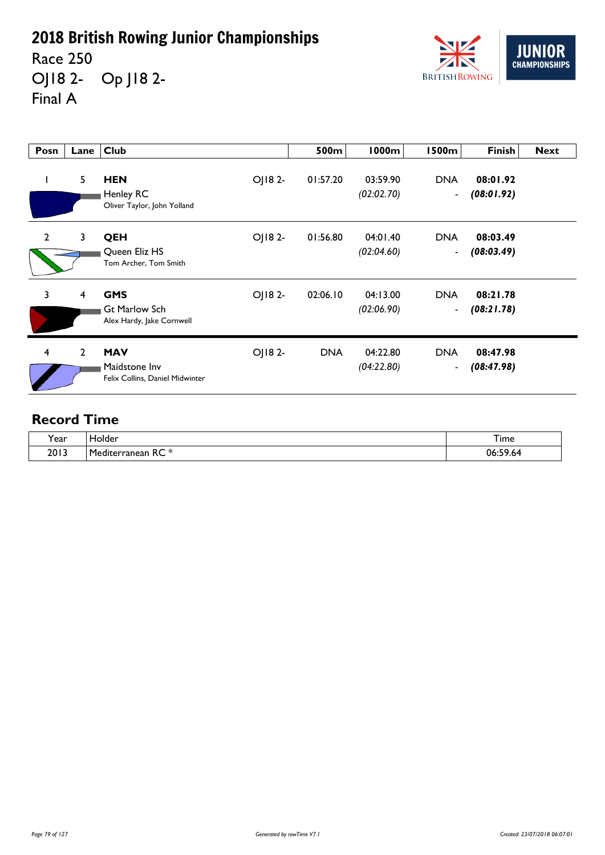Race 250 OJ18 2- Op J18 2- Final A



| Posn           | Lane           | <b>Club</b>                                                     |        | 500m       | 1000m                  | l 500m                       | Finish                 | <b>Next</b> |
|----------------|----------------|-----------------------------------------------------------------|--------|------------|------------------------|------------------------------|------------------------|-------------|
| L              | 5              | <b>HEN</b><br>Henley RC<br>Oliver Taylor, John Yolland          | OJ182- | 01:57.20   | 03:59.90<br>(02:02.70) | <b>DNA</b><br>$\blacksquare$ | 08:01.92<br>(08:01.92) |             |
| $\overline{2}$ | $\mathbf{3}$   | QEH<br>Queen Eliz HS<br>Tom Archer, Tom Smith                   | OJ182- | 01:56.80   | 04:01.40<br>(02:04.60) | <b>DNA</b><br>$\blacksquare$ | 08:03.49<br>(08:03.49) |             |
| 3              | 4              | <b>GMS</b><br><b>Gt Marlow Sch</b><br>Alex Hardy, Jake Cornwell | OJ182- | 02:06.10   | 04:13.00<br>(02:06.90) | <b>DNA</b><br>$\blacksquare$ | 08:21.78<br>(08:21.78) |             |
| $\overline{4}$ | $\overline{2}$ | <b>MAV</b><br>Maidstone Inv<br>Felix Collins, Daniel Midwinter  | OJ182- | <b>DNA</b> | 04:22.80<br>(04:22.80) | <b>DNA</b><br>$\blacksquare$ | 08:47.98<br>(08:47.98) |             |

| ີ.<br>rear | iolder                                                           | $\sim$<br>I ime                    |
|------------|------------------------------------------------------------------|------------------------------------|
| 2013       | $\sim$ $\sim$ $\sim$<br>Mediteri<br>erranean<br>$\sqrt{2}$<br>πC | $\mathbf{r}$<br>06:5<br>. .<br>.64 |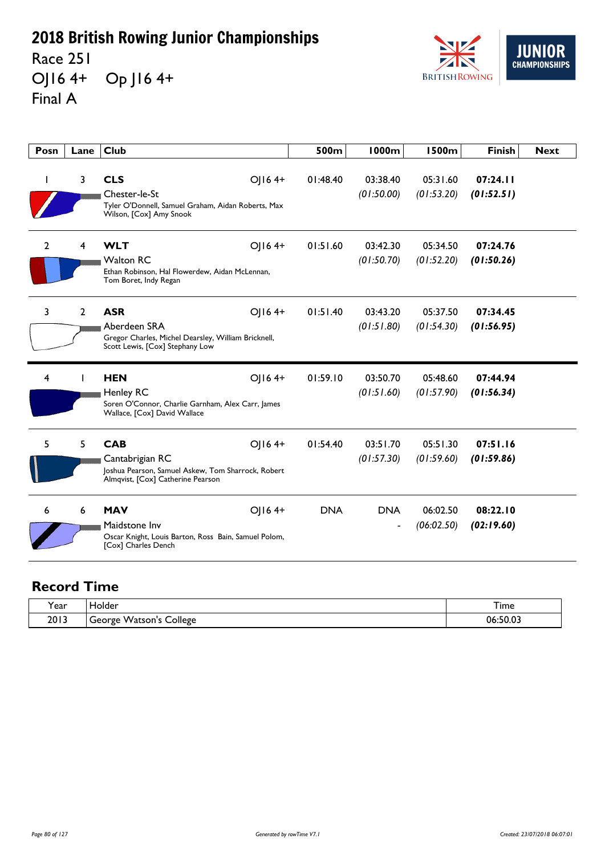Race 251 OJ16 4+ Op J16 4+ Final A



| Posn         | Lane           | <b>Club</b>                                                                                                                        | 500m       | 1000m                        | <b>1500m</b>           | <b>Finish</b>          | <b>Next</b> |
|--------------|----------------|------------------------------------------------------------------------------------------------------------------------------------|------------|------------------------------|------------------------|------------------------|-------------|
|              | 3              | <b>CLS</b><br>OJ164+<br>Chester-le-St<br>Tyler O'Donnell, Samuel Graham, Aidan Roberts, Max<br>Wilson, [Cox] Amy Snook             | 01:48.40   | 03:38.40<br>(01:50.00)       | 05:31.60<br>(01:53.20) | 07:24.11<br>(01:52.51) |             |
| $\mathbf{2}$ | 4              | <b>WLT</b><br>OJ164+<br><b>Walton RC</b><br>Ethan Robinson, Hal Flowerdew, Aidan McLennan,<br>Tom Boret, Indy Regan                | 01:51.60   | 03:42.30<br>(01:50.70)       | 05:34.50<br>(01:52.20) | 07:24.76<br>(01:50.26) |             |
| 3            | $\overline{2}$ | <b>ASR</b><br>OJ164+<br>Aberdeen SRA<br>Gregor Charles, Michel Dearsley, William Bricknell,<br>Scott Lewis, [Cox] Stephany Low     | 01:51.40   | 03:43.20<br>(01:51.80)       | 05:37.50<br>(01:54.30) | 07:34.45<br>(01:56.95) |             |
| 4            |                | OJ164+<br><b>HEN</b><br><b>Henley RC</b><br>Soren O'Connor, Charlie Garnham, Alex Carr, James<br>Wallace, [Cox] David Wallace      | 01:59.10   | 03:50.70<br>(01:51.60)       | 05:48.60<br>(01:57.90) | 07:44.94<br>(01:56.34) |             |
| 5            | 5              | <b>CAB</b><br>OJ164+<br>Cantabrigian RC<br>Joshua Pearson, Samuel Askew, Tom Sharrock, Robert<br>Almqvist, [Cox] Catherine Pearson | 01:54.40   | 03:51.70<br>(01:57.30)       | 05:51.30<br>(01:59.60) | 07:51.16<br>(01:59.86) |             |
| 6            | 6              | <b>MAV</b><br>OJ164+<br>Maidstone Inv<br>Oscar Knight, Louis Barton, Ross Bain, Samuel Polom,<br>[Cox] Charles Dench               | <b>DNA</b> | <b>DNA</b><br>$\overline{a}$ | 06:02.50<br>(06:02.50) | 08:22.10<br>(02:19.60) |             |

| rear) | Holder                                                                | <u>. т</u><br>I ime    |
|-------|-----------------------------------------------------------------------|------------------------|
| 2013  | $\overline{\phantom{a}}$<br>`ollege<br>Watson' <sup>.</sup><br>George | $\sim$ 0.3<br>06:50.ს. |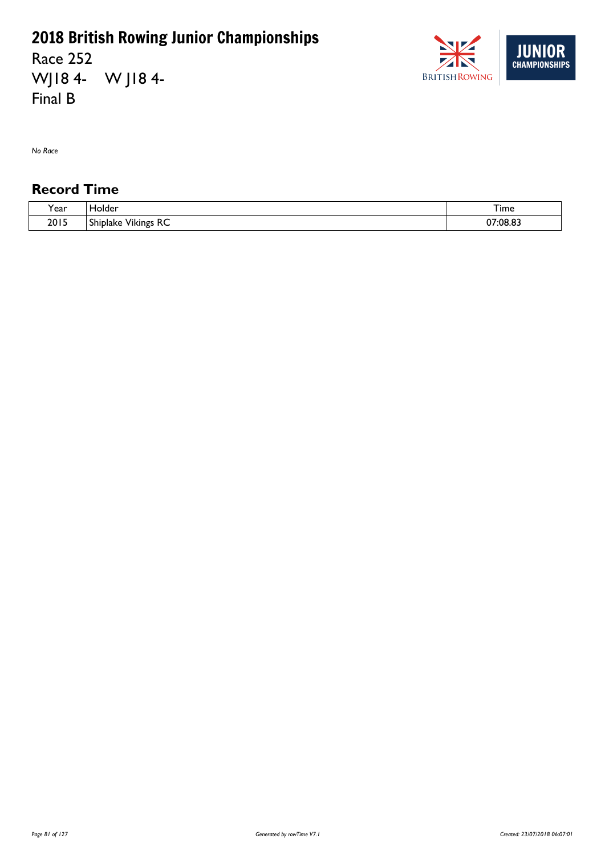Race 252 WJ18 4- W J18 4- Final B



*No Race*

| $\cdot$<br>ear - | older،                                               | ᅮ.<br>. ime          |
|------------------|------------------------------------------------------|----------------------|
| 2015             | $\sim$<br>$\sim$<br>Vikings<br><b>Shiplake</b><br>ハー | $\sim$<br>07:08<br>. |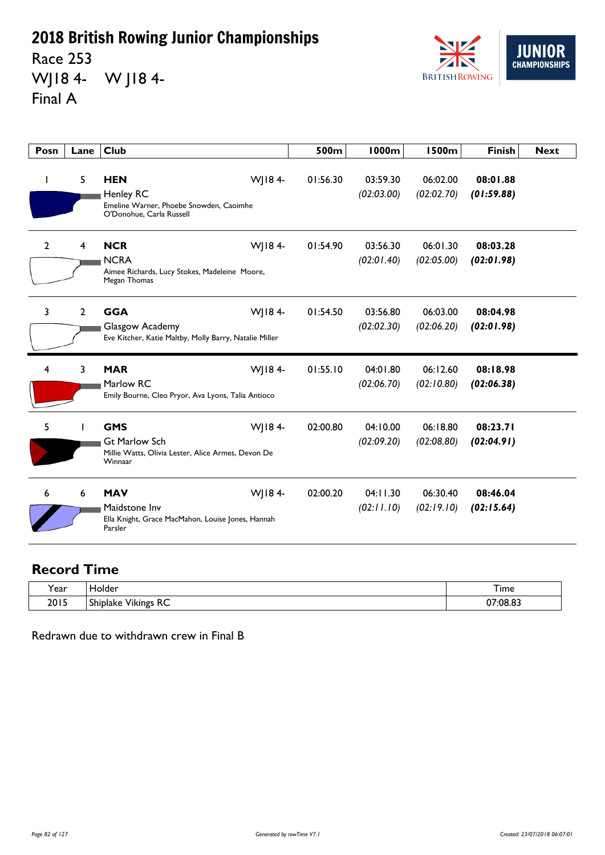Race 253 WJ18 4- W J18 4- Final A



| Posn         | Lane         | <b>Club</b>                                                                                                   | 500m     | <b>1000m</b>           | <b>1500m</b>           | <b>Finish</b>          | <b>Next</b> |
|--------------|--------------|---------------------------------------------------------------------------------------------------------------|----------|------------------------|------------------------|------------------------|-------------|
| ı            | 5            | <b>HEN</b><br>WJ184-<br>Henley RC<br>Emeline Warner, Phoebe Snowden, Caoimhe<br>O'Donohue, Carla Russell      | 01:56.30 | 03:59.30<br>(02:03.00) | 06:02.00<br>(02:02.70) | 08:01.88<br>(01:59.88) |             |
| $\mathbf{2}$ | 4            | <b>NCR</b><br>WJ184-<br><b>NCRA</b><br>Aimee Richards, Lucy Stokes, Madeleine Moore,<br>Megan Thomas          | 01:54.90 | 03:56.30<br>(02:01.40) | 06:01.30<br>(02:05.00) | 08:03.28<br>(02:01.98) |             |
| 3            | $\mathbf{2}$ | <b>GGA</b><br>WJ184-<br>Glasgow Academy<br>Eve Kitcher, Katie Maltby, Molly Barry, Natalie Miller             | 01:54.50 | 03:56.80<br>(02:02.30) | 06:03.00<br>(02:06.20) | 08:04.98<br>(02:01.98) |             |
| 4            | 3            | <b>MAR</b><br>WJ184-<br>Marlow RC<br>Emily Bourne, Cleo Pryor, Ava Lyons, Talia Antioco                       | 01:55.10 | 04:01.80<br>(02:06.70) | 06:12.60<br>(02:10.80) | 08:18.98<br>(02:06.38) |             |
| 5            |              | WJ184-<br><b>GMS</b><br><b>Gt Marlow Sch</b><br>Millie Watts, Olivia Lester, Alice Armes, Devon De<br>Winnaar | 02:00.80 | 04:10.00<br>(02:09.20) | 06:18.80<br>(02:08.80) | 08:23.71<br>(02:04.91) |             |
| 6            | 6            | <b>MAV</b><br>WJ184-<br>Maidstone Inv<br>Ella Knight, Grace MacMahon, Louise Jones, Hannah<br>Parsler         | 02:00.20 | 04:11.30<br>(02:11.10) | 06:30.40<br>(02:19.10) | 08:46.04<br>(02:15.64) |             |

#### **Record Time**

| 'ear | Tolder                                                                      | $-$<br>I ime<br>__ |
|------|-----------------------------------------------------------------------------|--------------------|
| 2015 | $D^{\prime}$<br>$\cdots$<br>$\sim$<br><b>Vikings</b><br>Shiplake<br>ᅐ<br>__ | 07:08.83           |

Redrawn due to withdrawn crew in Final B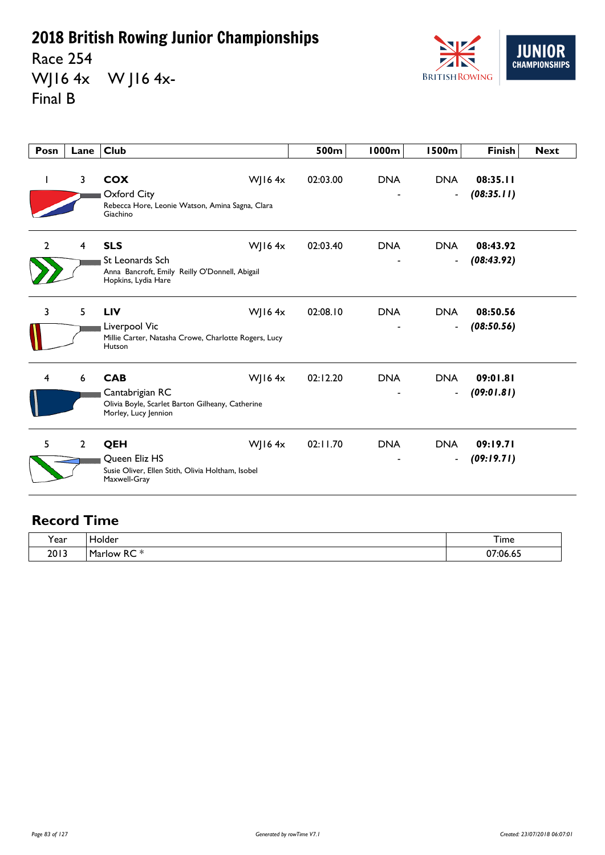Race 254 WJ16 4x W J16 4x-Final B



| Posn           | Lane           | <b>Club</b>                                                                                                            | 500m     | <b>1000m</b> | 1500m                                  | <b>Finish</b>          | <b>Next</b> |
|----------------|----------------|------------------------------------------------------------------------------------------------------------------------|----------|--------------|----------------------------------------|------------------------|-------------|
|                | 3              | <b>COX</b><br>WJ16 $4x$<br>Oxford City<br>Rebecca Hore, Leonie Watson, Amina Sagna, Clara<br>Giachino                  | 02:03.00 | <b>DNA</b>   | <b>DNA</b><br>$\overline{\phantom{a}}$ | 08:35.11<br>(08:35.11) |             |
| $\overline{2}$ | 4              | <b>SLS</b><br>WJ16 $4x$<br>St Leonards Sch<br>Anna Bancroft, Emily Reilly O'Donnell, Abigail<br>Hopkins, Lydia Hare    | 02:03.40 | <b>DNA</b>   | <b>DNA</b><br>$\overline{\phantom{a}}$ | 08:43.92<br>(08:43.92) |             |
| 3              | 5              | <b>LIV</b><br>WJ16 $4x$<br>Liverpool Vic<br>Millie Carter, Natasha Crowe, Charlotte Rogers, Lucy<br>Hutson             | 02:08.10 | <b>DNA</b>   | <b>DNA</b><br>$\overline{\phantom{a}}$ | 08:50.56<br>(08:50.56) |             |
| 4              | 6              | <b>CAB</b><br>WJ16 $4x$<br>Cantabrigian RC<br>Olivia Boyle, Scarlet Barton Gilheany, Catherine<br>Morley, Lucy Jennion | 02:12.20 | <b>DNA</b>   | <b>DNA</b><br>$\blacksquare$           | 09:01.81<br>(09:01.81) |             |
| 5              | $\overline{2}$ | QEH<br>WJ16 $4x$<br>Queen Eliz HS<br>Susie Oliver, Ellen Stith, Olivia Holtham, Isobel<br>Maxwell-Gray                 | 02:11.70 | <b>DNA</b>   | <b>DNA</b><br>$\blacksquare$           | 09:19.71<br>(09:19.71) |             |

| Year | Holder                                             | $-$<br>I ime        |
|------|----------------------------------------------------|---------------------|
| 2013 | $-1$<br>~~<br><b>Marlow</b><br>ĸc<br>idi<br>$\sim$ | <sup>^7:06.65</sup> |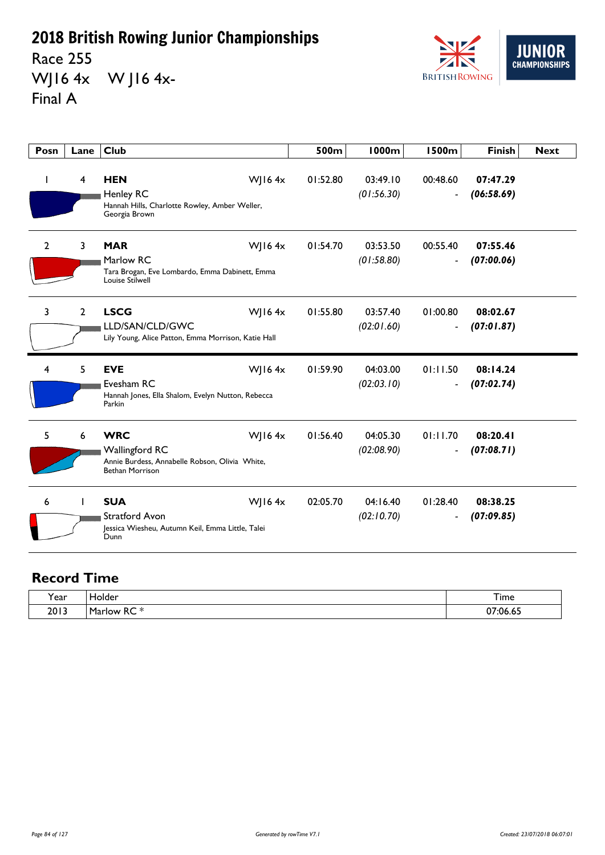Race 255 WJ16 4x W J16 4x-Final A



| Posn           | Lane           | <b>Club</b>                                                                                                                  | 500m     | 1000m                  | <b>1500m</b>                         | <b>Finish</b>          | <b>Next</b> |
|----------------|----------------|------------------------------------------------------------------------------------------------------------------------------|----------|------------------------|--------------------------------------|------------------------|-------------|
| I.             | 4              | <b>HEN</b><br>WJ16 $4x$<br><b>Henley RC</b><br>Hannah Hills, Charlotte Rowley, Amber Weller,<br>Georgia Brown                | 01:52.80 | 03:49.10<br>(01:56.30) | 00:48.60<br>$\overline{\phantom{a}}$ | 07:47.29<br>(06:58.69) |             |
| $\overline{2}$ | 3              | <b>MAR</b><br><b>WJ164x</b><br>Marlow RC<br>Tara Brogan, Eve Lombardo, Emma Dabinett, Emma<br>Louise Stilwell                | 01:54.70 | 03:53.50<br>(01:58.80) | 00:55.40<br>$\overline{\phantom{a}}$ | 07:55.46<br>(07:00.06) |             |
| 3              | $\overline{2}$ | <b>LSCG</b><br>WJ16 $4x$<br>LLD/SAN/CLD/GWC<br>Lily Young, Alice Patton, Emma Morrison, Katie Hall                           | 01:55.80 | 03:57.40<br>(02:01.60) | 01:00.80<br>$\overline{\phantom{a}}$ | 08:02.67<br>(07:01.87) |             |
| 4              | 5              | <b>WJ164x</b><br><b>EVE</b><br>Evesham RC<br>Hannah Jones, Ella Shalom, Evelyn Nutton, Rebecca<br>Parkin                     | 01:59.90 | 04:03.00<br>(02:03.10) | 01:11.50<br>$\overline{\phantom{a}}$ | 08:14.24<br>(07:02.74) |             |
| 5              | 6              | <b>WRC</b><br>WJ16 $4x$<br><b>Wallingford RC</b><br>Annie Burdess, Annabelle Robson, Olivia White,<br><b>Bethan Morrison</b> | 01:56.40 | 04:05.30<br>(02:08.90) | 01:11.70<br>$\overline{\phantom{a}}$ | 08:20.41<br>(07:08.71) |             |
| 6              |                | <b>SUA</b><br>WJ16 $4x$<br><b>Stratford Avon</b><br>Jessica Wiesheu, Autumn Keil, Emma Little, Talei<br>Dunn                 | 02:05.70 | 04:16.40<br>(02:10.70) | 01:28.40<br>$\overline{\phantom{a}}$ | 08:38.25<br>(07:09.85) |             |

| v<br>ear? | folder       | Time                  |
|-----------|--------------|-----------------------|
| 2013      | -<br>m.<br>n | $\sim$ $\sim$<br>٠I۴۰ |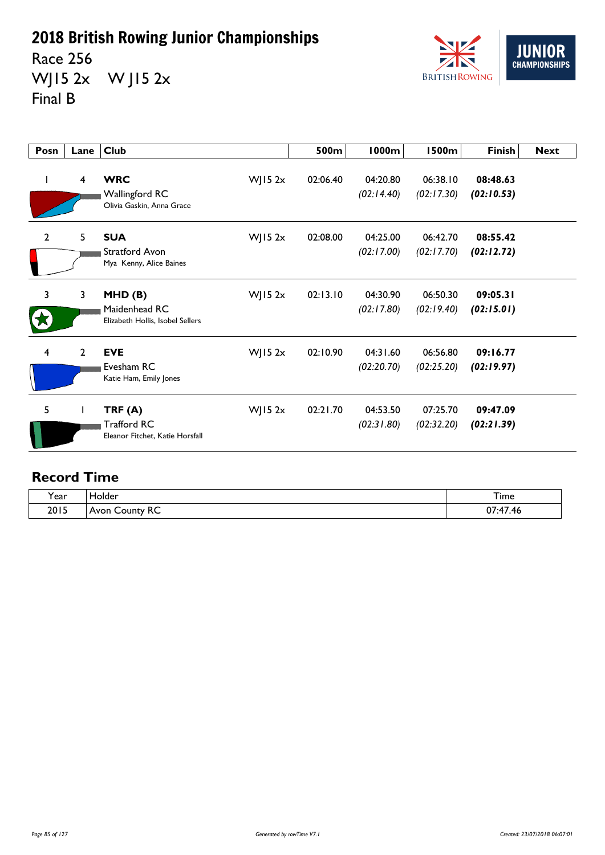Race 256 WJ15 2x W J15 2x Final B



| Posn           | Lane           | <b>Club</b>                                                      |           | 500m     | 1000m                  | 1500m                  | <b>Finish</b>          | <b>Next</b> |
|----------------|----------------|------------------------------------------------------------------|-----------|----------|------------------------|------------------------|------------------------|-------------|
|                | $\overline{4}$ | <b>WRC</b><br><b>Wallingford RC</b><br>Olivia Gaskin, Anna Grace | WJ15 $2x$ | 02:06.40 | 04:20.80<br>(02:14.40) | 06:38.10<br>(02:17.30) | 08:48.63<br>(02:10.53) |             |
| $\overline{2}$ | 5              | <b>SUA</b><br>Stratford Avon<br>Mya Kenny, Alice Baines          | WJ15 $2x$ | 02:08.00 | 04:25.00<br>(02:17.00) | 06:42.70<br>(02:17.70) | 08:55.42<br>(02:12.72) |             |
| 3              | 3              | MHD(B)<br>Maidenhead RC<br>Elizabeth Hollis, Isobel Sellers      | WJ15 $2x$ | 02:13.10 | 04:30.90<br>(02:17.80) | 06:50.30<br>(02:19.40) | 09:05.31<br>(02:15.01) |             |
| 4              | $\mathbf{2}$   | <b>EVE</b><br>Evesham RC<br>Katie Ham, Emily Jones               | WJ15 $2x$ | 02:10.90 | 04:31.60<br>(02:20.70) | 06:56.80<br>(02:25.20) | 09:16.77<br>(02:19.97) |             |
| 5              |                | TRF(A)<br>Trafford RC<br>Eleanor Fitchet, Katie Horsfall         | WJ15 $2x$ | 02:21.70 | 04:53.50<br>(02:31.80) | 07:25.70<br>(02:32.20) | 09:47.09<br>(02:21.39) |             |

| $\cdot$<br>'ear | Holder               | <u>— название</u><br>I ime        |
|-----------------|----------------------|-----------------------------------|
| 2015            | RC<br>County<br>Avon | $\overline{a}$<br>^7<br>.46<br>u. |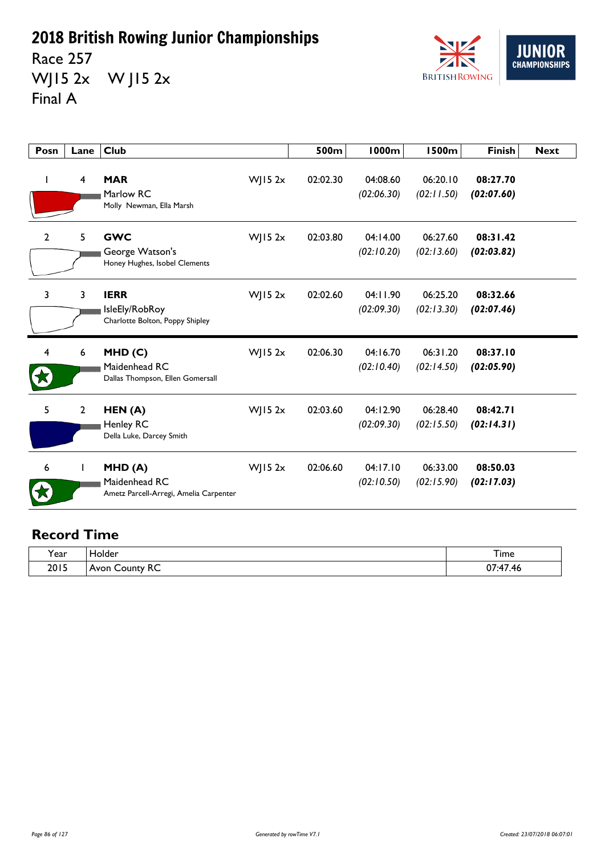Race 257 WJ15 2x W J15 2x Final A



| Posn | Lane           | <b>Club</b>                                                       |             | 500m     | <b>1000m</b>           | <b>1500m</b>           | <b>Finish</b>          | <b>Next</b> |
|------|----------------|-------------------------------------------------------------------|-------------|----------|------------------------|------------------------|------------------------|-------------|
|      | 4              | <b>MAR</b><br>Marlow RC<br>Molly Newman, Ella Marsh               | $W$ ] 15 2x | 02:02.30 | 04:08.60<br>(02:06.30) | 06:20.10<br>(02:11.50) | 08:27.70<br>(02:07.60) |             |
| 2    | 5              | <b>GWC</b><br>George Watson's<br>Honey Hughes, Isobel Clements    | WJ15 $2x$   | 02:03.80 | 04:14.00<br>(02:10.20) | 06:27.60<br>(02:13.60) | 08:31.42<br>(02:03.82) |             |
| 3    | 3              | <b>IERR</b><br>IsleEly/RobRoy<br>Charlotte Bolton, Poppy Shipley  | WJ15 $2x$   | 02:02.60 | 04:11.90<br>(02:09.30) | 06:25.20<br>(02:13.30) | 08:32.66<br>(02:07.46) |             |
| 4    | 6              | MHD(C)<br>Maidenhead RC<br>Dallas Thompson, Ellen Gomersall       | $W$ JI5 2x  | 02:06.30 | 04:16.70<br>(02:10.40) | 06:31.20<br>(02:14.50) | 08:37.10<br>(02:05.90) |             |
| 5    | $\overline{2}$ | HEN(A)<br>Henley RC<br>Della Luke, Darcey Smith                   | WJ15 $2x$   | 02:03.60 | 04:12.90<br>(02:09.30) | 06:28.40<br>(02:15.50) | 08:42.71<br>(02:14.31) |             |
| 6    | L              | MHD(A)<br>Maidenhead RC<br>Ametz Parcell-Arregi, Amelia Carpenter | $W$   15 2x | 02:06.60 | 04:17.10<br>(02:10.50) | 06:33.00<br>(02:15.90) | 08:50.03<br>(02:17.03) |             |

| . .<br><b>Year</b> | iolder                               | –<br>I ime                          |
|--------------------|--------------------------------------|-------------------------------------|
| 2015               | <u>_</u><br>∴∩⊔nfv<br>Avon<br>.<br>へ | $\sim$<br>$\rightarrow$<br>TL.<br>. |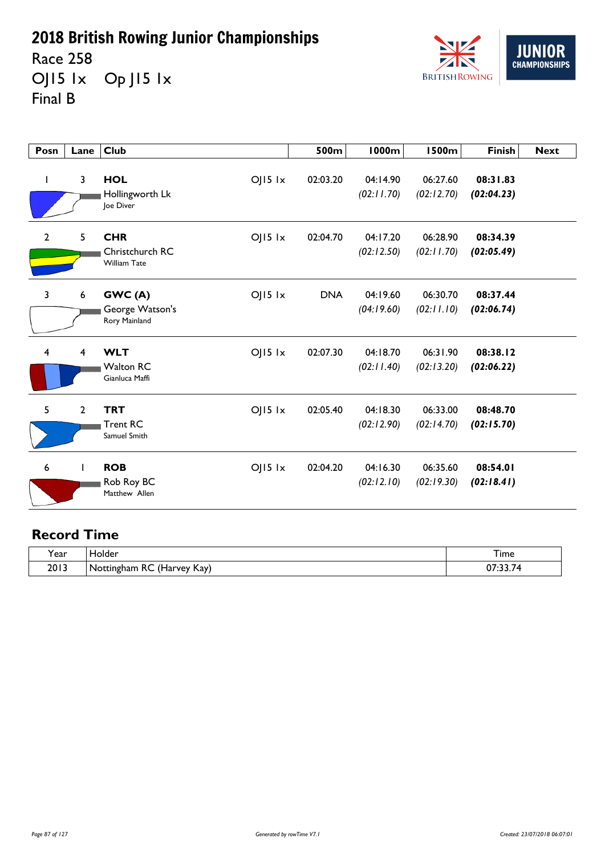Race 258 OJ15 lx Op J15 lx Final B



| Posn           | Lane | <b>Club</b>                                                         | 500m       | <b>1000m</b>           | <b>1500m</b>           | <b>Finish</b>          | <b>Next</b> |
|----------------|------|---------------------------------------------------------------------|------------|------------------------|------------------------|------------------------|-------------|
| $\mathbf{I}$   | 3    | <b>HOL</b><br>$OJ15$ $1x$<br>Hollingworth Lk<br>Joe Diver           | 02:03.20   | 04:14.90<br>(02:11.70) | 06:27.60<br>(02:12.70) | 08:31.83<br>(02:04.23) |             |
| $\overline{2}$ | 5    | <b>CHR</b><br>$OJI5$ $1x$<br>Christchurch RC<br><b>William Tate</b> | 02:04.70   | 04:17.20<br>(02:12.50) | 06:28.90<br>(02:11.70) | 08:34.39<br>(02:05.49) |             |
| $\mathbf{3}$   | 6    | GWC(A)<br>$OJI5$ $1x$<br>George Watson's<br>Rory Mainland           | <b>DNA</b> | 04:19.60<br>(04:19.60) | 06:30.70<br>(02:11.10) | 08:37.44<br>(02:06.74) |             |
| $\overline{4}$ | 4    | <b>WLT</b><br>$OJ15$ $1x$<br><b>Walton RC</b><br>Gianluca Maffi     | 02:07.30   | 04:18.70<br>(02:11.40) | 06:31.90<br>(02:13.20) | 08:38.12<br>(02:06.22) |             |
| 5              | 2    | <b>TRT</b><br>$OJ15$ $1x$<br><b>Trent RC</b><br>Samuel Smith        | 02:05.40   | 04:18.30<br>(02:12.90) | 06:33.00<br>(02:14.70) | 08:48.70<br>(02:15.70) |             |
| 6              |      | <b>ROB</b><br>$OJ15$ $1x$<br>Rob Roy BC<br>Matthew Allen            | 02:04.20   | 04:16.30<br>(02:12.10) | 06:35.60<br>(02:19.30) | 08:54.01<br>(02:18.41) |             |

| ີ.<br>Y ear | folder                                                                        | –<br>ı ime |
|-------------|-------------------------------------------------------------------------------|------------|
| 2013        | $\prime$<br>~~<br>Kay)<br>Offingham<br>NO.<br>. vev<br>ŧГ<br>πC<br>⊓di<br>ししい | $\sim$     |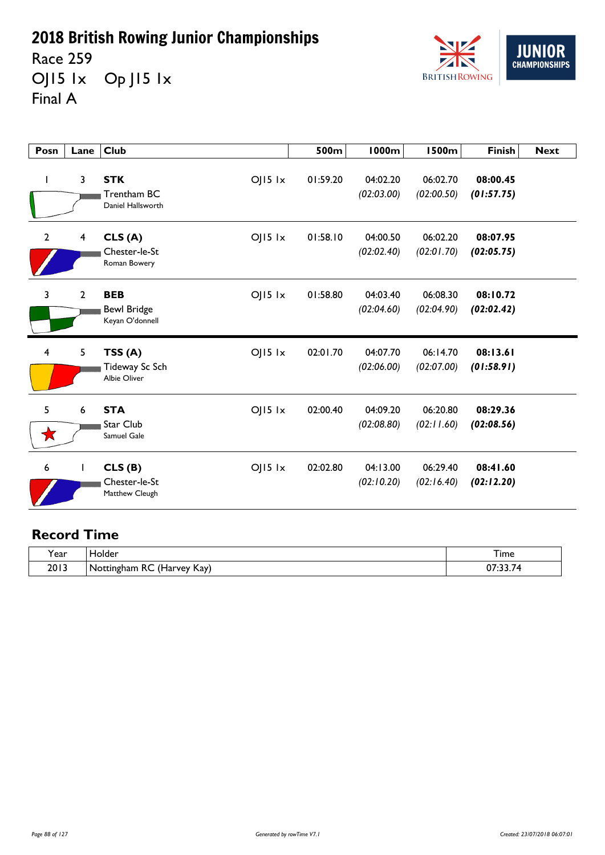Race 259 OJ15 1x Op J15 1x Final A



| Posn           | Lane           | <b>Club</b>                                                        | 500m     | <b>1000m</b>           | <b>1500m</b>           | <b>Finish</b>          | <b>Next</b> |
|----------------|----------------|--------------------------------------------------------------------|----------|------------------------|------------------------|------------------------|-------------|
| I              | 3              | <b>STK</b><br>$OJI5$ $1x$<br>Trentham BC<br>Daniel Hallsworth      | 01:59.20 | 04:02.20<br>(02:03.00) | 06:02.70<br>(02:00.50) | 08:00.45<br>(01:57.75) |             |
| $\mathbf{2}$   | 4              | CLS(A)<br>$OJI5$ $1x$<br>Chester-le-St<br>Roman Bowery             | 01:58.10 | 04:00.50<br>(02:02.40) | 06:02.20<br>(02:01.70) | 08:07.95<br>(02:05.75) |             |
| $\overline{3}$ | $\overline{2}$ | <b>BEB</b><br>$OJ15$ $1x$<br><b>Bewl Bridge</b><br>Keyan O'donnell | 01:58.80 | 04:03.40<br>(02:04.60) | 06:08.30<br>(02:04.90) | 08:10.72<br>(02:02.42) |             |
| $\overline{4}$ | 5              | $OJ15$ $1x$<br>TSS(A)<br>Tideway Sc Sch<br>Albie Oliver            | 02:01.70 | 04:07.70<br>(02:06.00) | 06:14.70<br>(02:07.00) | 08:13.61<br>(01:58.91) |             |
| 5              | 6              | <b>STA</b><br>$OJ15$ $1x$<br>Star Club<br>Samuel Gale              | 02:00.40 | 04:09.20<br>(02:08.80) | 06:20.80<br>(02:11.60) | 08:29.36<br>(02:08.56) |             |
| 6              |                | CLS(B)<br>$O$   15 $1x$<br>Chester-le-St<br>Matthew Cleugh         | 02:02.80 | 04:13.00<br>(02:10.20) | 06:29.40<br>(02:16.40) | 08:41.60<br>(02:12.20) |             |

| $\lambda$<br>ear? | Holder                                                                                | –<br>i ime |
|-------------------|---------------------------------------------------------------------------------------|------------|
| 2013              | $\prime\prime\prime$<br>~~<br>Kay)<br>  Nottingham<br>Harvey<br>nc.<br>∙ ⊓аг.<br>$ -$ | $\sim$     |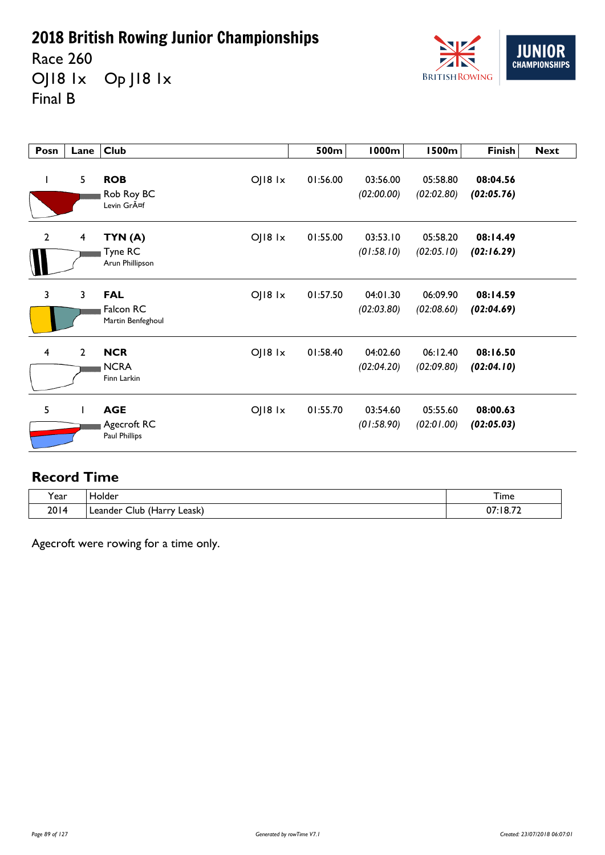Race 260 OJ18 1x Op J18 1x Final B



| Posn                    | Lane           | <b>Club</b>                                                          | 500m     | 1000m                  | 1500m                  | <b>Finish</b>          | <b>Next</b> |
|-------------------------|----------------|----------------------------------------------------------------------|----------|------------------------|------------------------|------------------------|-------------|
| $\mathbf{I}$            | 5              | <b>ROB</b><br>$O$   $18$ $1x$<br>Rob Roy BC<br>Levin Gräf            | 01:56.00 | 03:56.00<br>(02:00.00) | 05:58.80<br>(02:02.80) | 08:04.56<br>(02:05.76) |             |
| $\overline{2}$          | $\overline{4}$ | $O$   $18$ $1x$<br>TYN (A)<br>Tyne RC<br>Arun Phillipson             | 01:55.00 | 03:53.10<br>(01:58.10) | 05:58.20<br>(02:05.10) | 08:14.49<br>(02:16.29) |             |
| $\mathbf{3}$            | 3              | OJ18 1x<br><b>FAL</b><br>Falcon RC<br>Martin Benfeghoul              | 01:57.50 | 04:01.30<br>(02:03.80) | 06:09.90<br>(02:08.60) | 08:14.59<br>(02:04.69) |             |
| $\overline{\mathbf{4}}$ | $\mathbf{2}$   | <b>NCR</b><br>$O$   $18$ $1x$<br><b>NCRA</b><br>Finn Larkin          | 01:58.40 | 04:02.60<br>(02:04.20) | 06:12.40<br>(02:09.80) | 08:16.50<br>(02:04.10) |             |
| 5                       |                | <b>AGE</b><br>$O$   $18$ $1x$<br>Agecroft RC<br><b>Paul Phillips</b> | 01:55.70 | 03:54.60<br>(01:58.90) | 05:55.60<br>(02:01.00) | 08:00.63<br>(02:05.03) |             |

### **Record Time**

| <b>Y</b> ear | Holder                                            | $ -$<br>I ime        |
|--------------|---------------------------------------------------|----------------------|
| 2014         | $\prime$ 1<br>Leask)<br>∟eander<br>Club<br>(Harry | :18.72<br>-07<br>___ |

Agecroft were rowing for a time only.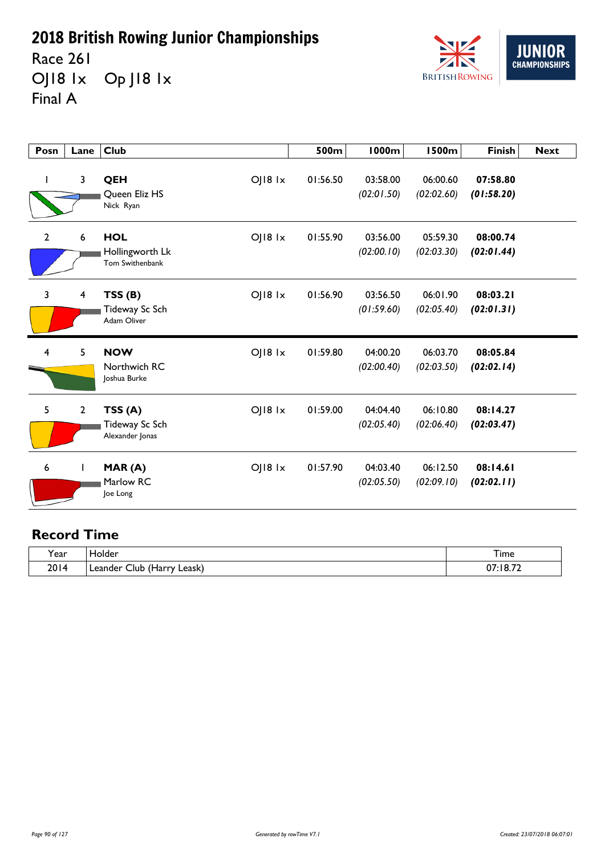Race 261 OJ18 1x Op J18 1x Final A



| Posn           | Lane                    | <b>Club</b>                                                         | 500m     | <b>1000m</b>           | <b>1500m</b>           | <b>Finish</b>          | <b>Next</b> |
|----------------|-------------------------|---------------------------------------------------------------------|----------|------------------------|------------------------|------------------------|-------------|
|                | 3                       | $O$   $18$ $1x$<br>QEH<br>Queen Eliz HS<br>Nick Ryan                | 01:56.50 | 03:58.00<br>(02:01.50) | 06:00.60<br>(02:02.60) | 07:58.80<br>(01:58.20) |             |
| $\mathbf{2}$   | 6                       | <b>HOL</b><br>$O$   $18$ $1x$<br>Hollingworth Lk<br>Tom Swithenbank | 01:55.90 | 03:56.00<br>(02:00.10) | 05:59.30<br>(02:03.30) | 08:00.74<br>(02:01.44) |             |
| 3              | $\overline{\mathbf{4}}$ | $O$   $18$ $1x$<br>TSS(B)<br>Tideway Sc Sch<br>Adam Oliver          | 01:56.90 | 03:56.50<br>(01:59.60) | 06:01.90<br>(02:05.40) | 08:03.21<br>(02:01.31) |             |
| $\overline{4}$ | 5                       | $O$   $18$ $1x$<br><b>NOW</b><br>Northwich RC<br>Joshua Burke       | 01:59.80 | 04:00.20<br>(02:00.40) | 06:03.70<br>(02:03.50) | 08:05.84<br>(02:02.14) |             |
| 5              | $\overline{2}$          | TSS(A)<br>$O$   $18$ $1x$<br>Tideway Sc Sch<br>Alexander Jonas      | 01:59.00 | 04:04.40<br>(02:05.40) | 06:10.80<br>(02:06.40) | 08:14.27<br>(02:03.47) |             |
| 6              |                         | $O$   $18$ $1x$<br>MAR(A)<br>Marlow RC<br>Joe Long                  | 01:57.90 | 04:03.40<br>(02:05.50) | 06:12.50<br>(02:09.10) | 08:14.61<br>(02:02.11) |             |

| $\cdot$<br>Year | <b>Folder</b>                                                    | –<br>1 ime        |
|-----------------|------------------------------------------------------------------|-------------------|
| 2014            | $\overline{\phantom{a}}$<br>Leask)<br>Llur<br>Leander.<br>(Harry | :18.72<br>07<br>. |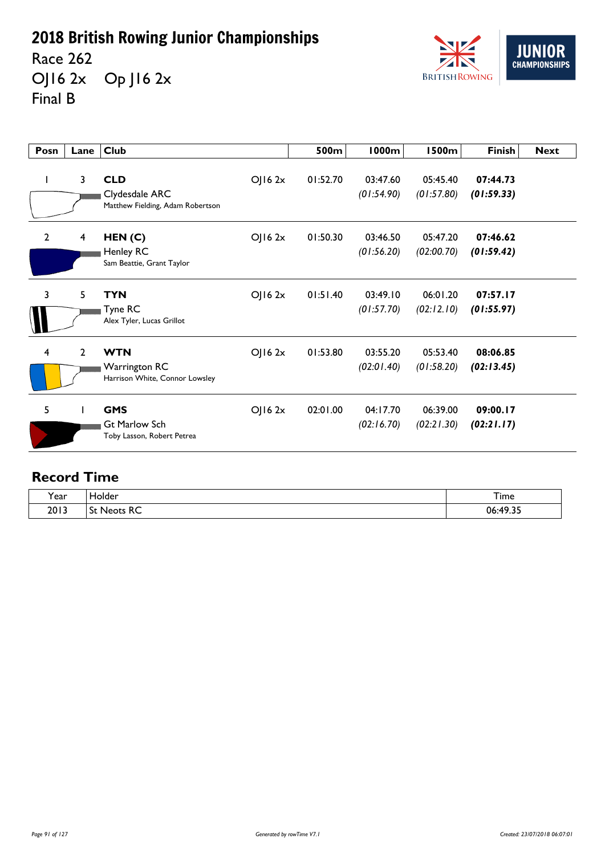Race 262 OJ16 2x Op J16 2x Final B



| Posn           | Lane           | <b>Club</b>                                                                    | 500m     | <b>1000m</b>           | <b>1500m</b>           | <b>Finish</b>          | <b>Next</b> |
|----------------|----------------|--------------------------------------------------------------------------------|----------|------------------------|------------------------|------------------------|-------------|
|                | $\mathbf{3}$   | <b>CLD</b><br>OJ162x<br>Clydesdale ARC<br>Matthew Fielding, Adam Robertson     | 01:52.70 | 03:47.60<br>(01:54.90) | 05:45.40<br>(01:57.80) | 07:44.73<br>(01:59.33) |             |
| $\overline{2}$ | $\overline{4}$ | HEN(C)<br>OJ162x<br>Henley RC<br>Sam Beattie, Grant Taylor                     | 01:50.30 | 03:46.50<br>(01:56.20) | 05:47.20<br>(02:00.70) | 07:46.62<br>(01:59.42) |             |
| 3              | 5              | <b>TYN</b><br>$O$   16 2 $x$<br>Tyne RC<br>Alex Tyler, Lucas Grillot           | 01:51.40 | 03:49.10<br>(01:57.70) | 06:01.20<br>(02:12.10) | 07:57.17<br>(01:55.97) |             |
| 4              | $\mathbf{2}$   | <b>WTN</b><br>OJ162x<br><b>Warrington RC</b><br>Harrison White, Connor Lowsley | 01:53.80 | 03:55.20<br>(02:01.40) | 05:53.40<br>(01:58.20) | 08:06.85<br>(02:13.45) |             |
| 5              |                | <b>GMS</b><br>OJ162x<br>Gt Marlow Sch<br>Toby Lasson, Robert Petrea            | 02:01.00 | 04:17.70<br>(02:16.70) | 06:39.00<br>(02:21.30) | 09:00.17<br>(02:21.17) |             |

| $\lambda$<br>í ear | iolder<br>____                            | Time          |
|--------------------|-------------------------------------------|---------------|
| 2013               | -<br>Ъt<br>. INANTE<br>πC<br><b>NEULS</b> | 06:49.35<br>. |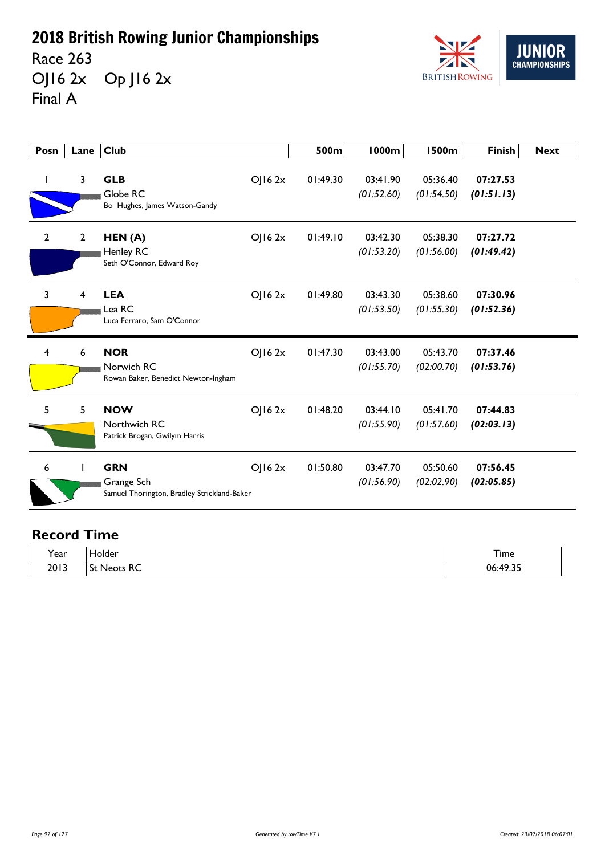Race 263 OJ16 2x Op J16 2x Final A



| Posn           | Lane           | <b>Club</b>                                                             |        | 500m     | <b>1000m</b>           | <b>1500m</b>           | <b>Finish</b>          | <b>Next</b> |
|----------------|----------------|-------------------------------------------------------------------------|--------|----------|------------------------|------------------------|------------------------|-------------|
|                | 3              | <b>GLB</b><br>Globe RC<br>Bo Hughes, James Watson-Gandy                 | OJ162x | 01:49.30 | 03:41.90<br>(01:52.60) | 05:36.40<br>(01:54.50) | 07:27.53<br>(01:51.13) |             |
| $\overline{2}$ | $\overline{2}$ | HEN (A)<br>Henley RC<br>Seth O'Connor, Edward Roy                       | OJ162x | 01:49.10 | 03:42.30<br>(01:53.20) | 05:38.30<br>(01:56.00) | 07:27.72<br>(01:49.42) |             |
| 3              | $\overline{4}$ | <b>LEA</b><br>Lea RC<br>Luca Ferraro, Sam O'Connor                      | OJ162x | 01:49.80 | 03:43.30<br>(01:53.50) | 05:38.60<br>(01:55.30) | 07:30.96<br>(01:52.36) |             |
| 4              | 6              | <b>NOR</b><br>Norwich RC<br>Rowan Baker, Benedict Newton-Ingham         | OJ162x | 01:47.30 | 03:43.00<br>(01:55.70) | 05:43.70<br>(02:00.70) | 07:37.46<br>(01:53.76) |             |
| 5              | 5              | <b>NOW</b><br>Northwich RC<br>Patrick Brogan, Gwilym Harris             | OJ162x | 01:48.20 | 03:44.10<br>(01:55.90) | 05:41.70<br>(01:57.60) | 07:44.83<br>(02:03.13) |             |
| 6              |                | <b>GRN</b><br>Grange Sch<br>Samuel Thorington, Bradley Strickland-Baker | OJ162x | 01:50.80 | 03:47.70<br>(01:56.90) | 05:50.60<br>(02:02.90) | 07:56.45<br>(02:05.85) |             |

| $\cdot$<br>Year | ۱٬۲۱۳<br>╌       | ÷.<br>I ime                                             |
|-----------------|------------------|---------------------------------------------------------|
| 2013            | $\sim$<br>$\sim$ | $\sim$<br>n٤<br>$\cdot$ $\cdot$ $\cdot$ $\cdot$ $\cdot$ |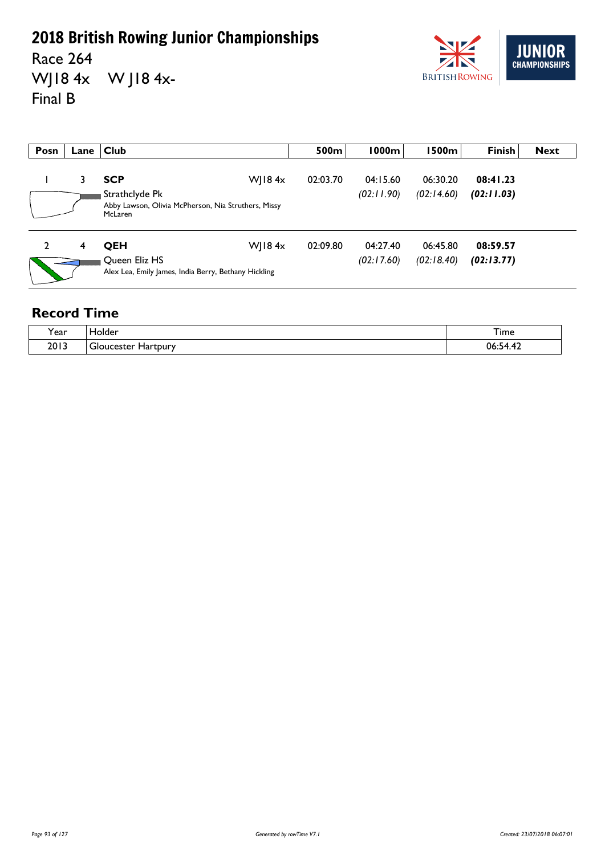Race 264 WJ18 4x W J18 4x-Final B



| Posn | Lane | $ $ Club                                                                         | 500m     | 1000m      | l 500m l   | <b>Finish</b> | <b>Next</b> |
|------|------|----------------------------------------------------------------------------------|----------|------------|------------|---------------|-------------|
|      | 3    | W  $18.4x$<br><b>SCP</b>                                                         | 02:03.70 | 04:15.60   | 06:30.20   | 08:41.23      |             |
|      |      | Strathclyde Pk<br>Abby Lawson, Olivia McPherson, Nia Struthers, Missy<br>McLaren |          | (02:11.90) | (02:14.60) | (02:11.03)    |             |
| 2    | 4    | W  $18.4x$<br><b>OEH</b>                                                         | 02:09.80 | 04:27.40   | 06:45.80   | 08:59.57      |             |
|      |      | Queen Eliz HS<br>Alex Lea, Emily James, India Berry, Bethany Hickling            |          | (02:17.60) | (02:18.40) | (02:13.77)    |             |

| $\tilde{}$<br>'ear | dolder                                         | –<br>l ime                                                                      |
|--------------------|------------------------------------------------|---------------------------------------------------------------------------------|
| 2013               | -<br>Hartpury<br>icaetar.<br>וסוב<br>. . calci | $\overline{ }$<br>$ \cdot$<br>06<br>- 14<br>the contract of the contract of the |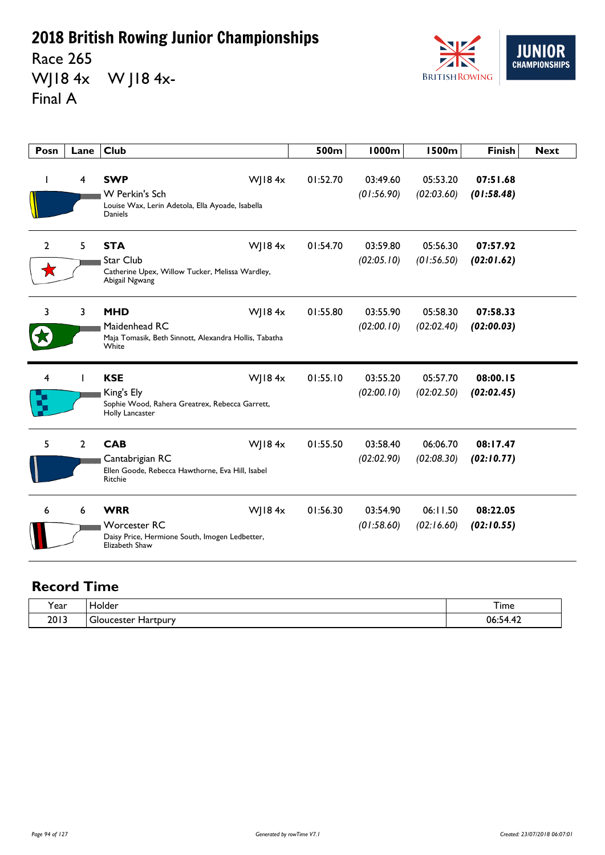Race 265 WJ18 4x W J18 4x-Final A



| Posn | Lane           | <b>Club</b>                                                                                                      | 500m     | 1000m                  | <b>1500m</b>           | <b>Finish</b>          | <b>Next</b> |
|------|----------------|------------------------------------------------------------------------------------------------------------------|----------|------------------------|------------------------|------------------------|-------------|
|      | $\overline{4}$ | <b>SWP</b><br>WJ184x<br><b>W</b> Perkin's Sch<br>Louise Wax, Lerin Adetola, Ella Ayoade, Isabella<br>Daniels     | 01:52.70 | 03:49.60<br>(01:56.90) | 05:53.20<br>(02:03.60) | 07:51.68<br>(01:58.48) |             |
| 2    | 5              | <b>STA</b><br>WJ18 $4x$<br><b>Star Club</b><br>Catherine Upex, Willow Tucker, Melissa Wardley,<br>Abigail Ngwang | 01:54.70 | 03:59.80<br>(02:05.10) | 05:56.30<br>(01:56.50) | 07:57.92<br>(02:01.62) |             |
| 3    | 3              | <b>MHD</b><br>WJ18 $4x$<br>Maidenhead RC<br>Maja Tomasik, Beth Sinnott, Alexandra Hollis, Tabatha<br>White       | 01:55.80 | 03:55.90<br>(02:00.10) | 05:58.30<br>(02:02.40) | 07:58.33<br>(02:00.03) |             |
| 4    |                | <b>KSE</b><br>WJ184x<br>King's Ely<br>Sophie Wood, Rahera Greatrex, Rebecca Garrett,<br>Holly Lancaster          | 01:55.10 | 03:55.20<br>(02:00.10) | 05:57.70<br>(02:02.50) | 08:00.15<br>(02:02.45) |             |
| 5    | $\overline{2}$ | <b>CAB</b><br>WJ184x<br>Cantabrigian RC<br>Ellen Goode, Rebecca Hawthorne, Eva Hill, Isabel<br>Ritchie           | 01:55.50 | 03:58.40<br>(02:02.90) | 06:06.70<br>(02:08.30) | 08:17.47<br>(02:10.77) |             |
| 6    | 6              | <b>WRR</b><br>WJ184x<br><b>Worcester RC</b><br>Daisy Price, Hermione South, Imogen Ledbetter,<br>Elizabeth Shaw  | 01:56.30 | 03:54.90<br>(01:58.60) | 06:11.50<br>(02:16.60) | 08:22.05<br>(02:10.55) |             |

| í ear | Holder<br>. .        | $\sim$<br>i ime                                 |
|-------|----------------------|-------------------------------------------------|
| 2013  | ucester.<br>Hartpury | ባሬ<br>۰4<br>the contract of the contract of the |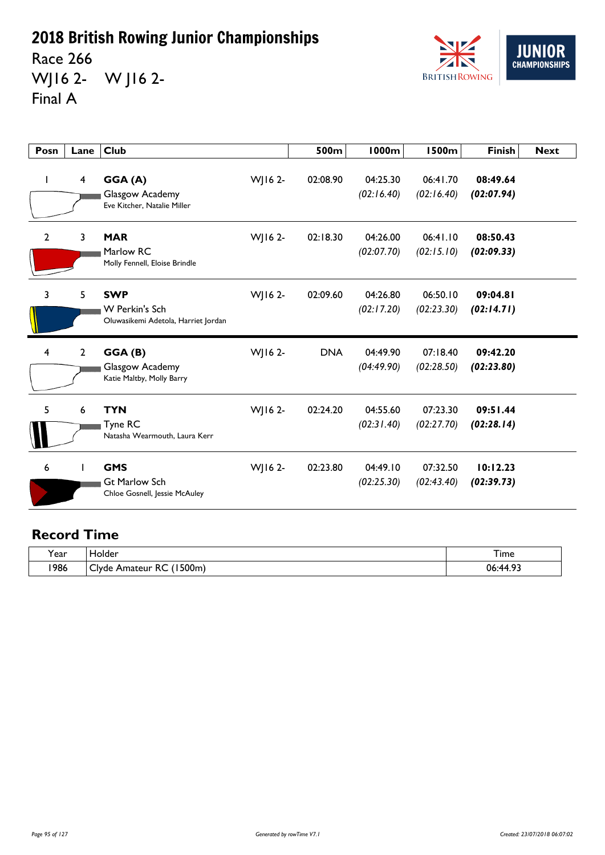Race 266 WJ16 2- W J16 2- Final A



| Posn         | Lane                    | <b>Club</b>                                                         |         | 500m       | <b>1000m</b>           | <b>1500m</b>           | <b>Finish</b>          | <b>Next</b> |
|--------------|-------------------------|---------------------------------------------------------------------|---------|------------|------------------------|------------------------|------------------------|-------------|
|              | $\overline{\mathbf{4}}$ | GGA(A)<br>Glasgow Academy<br>Eve Kitcher, Natalie Miller            | WJ16 2- | 02:08.90   | 04:25.30<br>(02:16.40) | 06:41.70<br>(02:16.40) | 08:49.64<br>(02:07.94) |             |
| $\mathbf{2}$ | 3                       | <b>MAR</b><br>Marlow RC<br>Molly Fennell, Eloise Brindle            | WJ16 2- | 02:18.30   | 04:26.00<br>(02:07.70) | 06:41.10<br>(02:15.10) | 08:50.43<br>(02:09.33) |             |
| 3            | 5                       | <b>SWP</b><br>W Perkin's Sch<br>Oluwasikemi Adetola, Harriet Jordan | WJ16 2- | 02:09.60   | 04:26.80<br>(02:17.20) | 06:50.10<br>(02:23.30) | 09:04.81<br>(02:14.71) |             |
| 4            | $\overline{2}$          | GGA(B)<br>Glasgow Academy<br>Katie Maltby, Molly Barry              | WJ16 2- | <b>DNA</b> | 04:49.90<br>(04:49.90) | 07:18.40<br>(02:28.50) | 09:42.20<br>(02:23.80) |             |
| 5            | 6                       | <b>TYN</b><br>Tyne RC<br>Natasha Wearmouth, Laura Kerr              | WJ16 2- | 02:24.20   | 04:55.60<br>(02:31.40) | 07:23.30<br>(02:27.70) | 09:51.44<br>(02:28.14) |             |
| 6            |                         | <b>GMS</b><br><b>Gt Marlow Sch</b><br>Chloe Gosnell, Jessie McAuley | WJ16 2- | 02:23.80   | 04:49.10<br>(02:25.30) | 07:32.50<br>(02:43.40) | 10:12.23<br>(02:39.73) |             |

| $\cdot$<br>l ear | folder                                              | --<br>1 ime                 |
|------------------|-----------------------------------------------------|-----------------------------|
| 1986             | '500m.<br>-<br>~~<br><u>Ivde</u><br>Amateur<br>∵ RC | - ^ ^ ^<br>06<br>۰44<br>. . |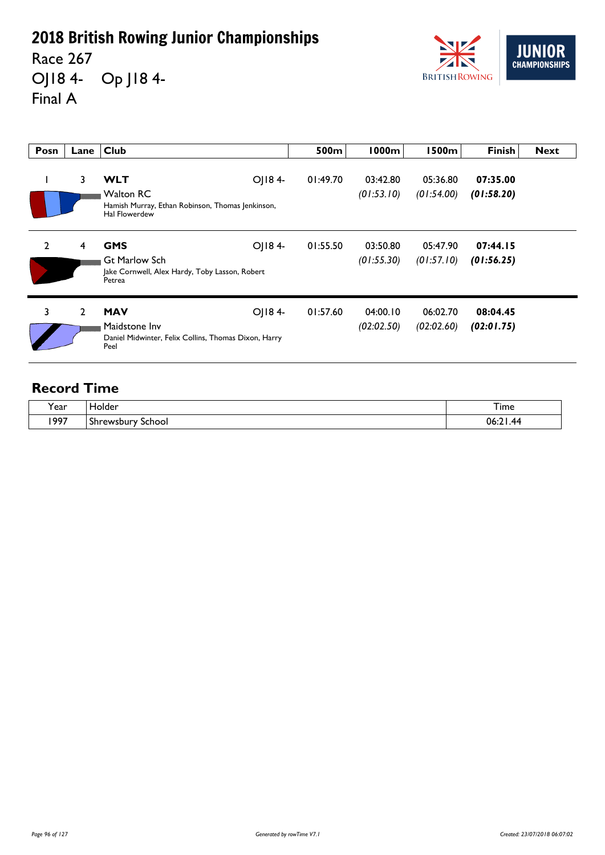Race 267 OJ18 4- Op J18 4- Final A



| Posn           | Lane           | <b>Club</b>                                                                                                   | 500m     | <b>1000m</b>           | <b>1500m</b>           | <b>Finish</b>          | <b>Next</b> |
|----------------|----------------|---------------------------------------------------------------------------------------------------------------|----------|------------------------|------------------------|------------------------|-------------|
|                | 3              | OJ184-<br><b>WLT</b><br><b>Walton RC</b><br>Hamish Murray, Ethan Robinson, Thomas Jenkinson,<br>Hal Flowerdew | 01:49.70 | 03:42.80<br>(01:53.10) | 05:36.80<br>(01:54.00) | 07:35.00<br>(01:58.20) |             |
| $\overline{2}$ | $\overline{4}$ | OJ184-<br><b>GMS</b><br><b>Gt Marlow Sch</b><br>Jake Cornwell, Alex Hardy, Toby Lasson, Robert<br>Petrea      | 01:55.50 | 03:50.80<br>(01:55.30) | 05:47.90<br>(01:57.10) | 07:44.15<br>(01:56.25) |             |
| 3              | $\overline{2}$ | <b>MAV</b><br>OJ184-<br>Maidstone Inv<br>Daniel Midwinter, Felix Collins, Thomas Dixon, Harry<br>Peel         | 01:57.60 | 04:00.10<br>(02:02.50) | 06:02.70<br>(02:02.60) | 08:04.45<br>(02:01.75) |             |

| rear | Holder               | --<br>i ime          |
|------|----------------------|----------------------|
| 1997 | School<br>Shrewsbury | 06<br>$\overline{A}$ |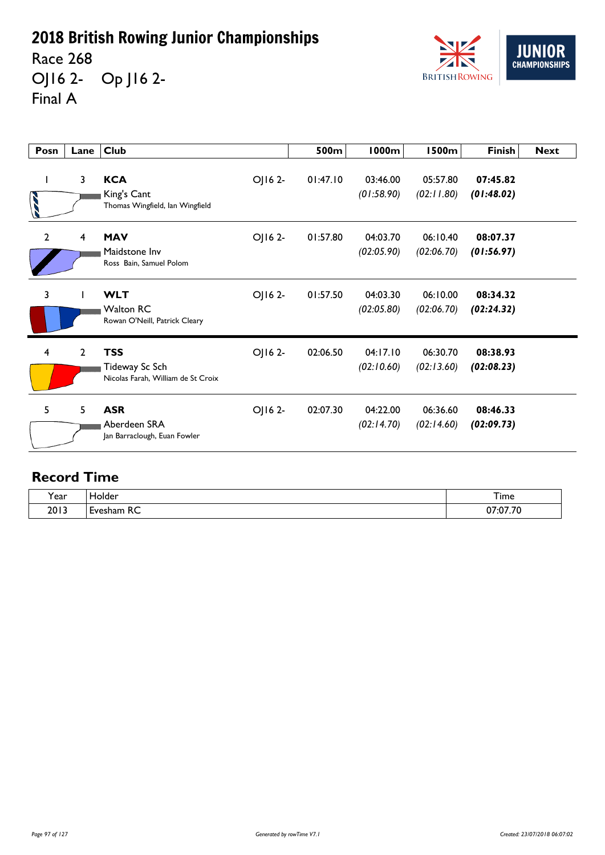Race 268 OJ16 2- Op J16 2- Final A



| Posn           | Lane         | <b>Club</b>                                                        |         | 500m     | <b>1000m</b>           | <b>1500m</b>           | <b>Finish</b>          | <b>Next</b> |
|----------------|--------------|--------------------------------------------------------------------|---------|----------|------------------------|------------------------|------------------------|-------------|
|                | 3            | <b>KCA</b><br>King's Cant<br>Thomas Wingfield, Ian Wingfield       | OJ16 2- | 01:47.10 | 03:46.00<br>(01:58.90) | 05:57.80<br>(02:11.80) | 07:45.82<br>(01:48.02) |             |
| $\overline{2}$ | 4            | <b>MAV</b><br>Maidstone Inv<br>Ross Bain, Samuel Polom             | OJ16 2- | 01:57.80 | 04:03.70<br>(02:05.90) | 06:10.40<br>(02:06.70) | 08:07.37<br>(01:56.97) |             |
| 3              |              | <b>WLT</b><br><b>Walton RC</b><br>Rowan O'Neill, Patrick Cleary    | OJ16 2- | 01:57.50 | 04:03.30<br>(02:05.80) | 06:10.00<br>(02:06.70) | 08:34.32<br>(02:24.32) |             |
| 4              | $\mathbf{2}$ | <b>TSS</b><br>Tideway Sc Sch<br>Nicolas Farah, William de St Croix | OJ162-  | 02:06.50 | 04:17.10<br>(02:10.60) | 06:30.70<br>(02:13.60) | 08:38.93<br>(02:08.23) |             |
| 5              | 5            | <b>ASR</b><br>Aberdeen SRA<br>Jan Barraclough, Euan Fowler         | OJ162-  | 02:07.30 | 04:22.00<br>(02:14.70) | 06:36.60<br>(02:14.60) | 08:46.33<br>(02:09.73) |             |

| $\cdot$<br>Y ear | Tolder<br>______       | Time                 |
|------------------|------------------------|----------------------|
| 2013             | -<br>D<br>∟vesham<br>◝ | 27.777<br>י ש.<br>υı |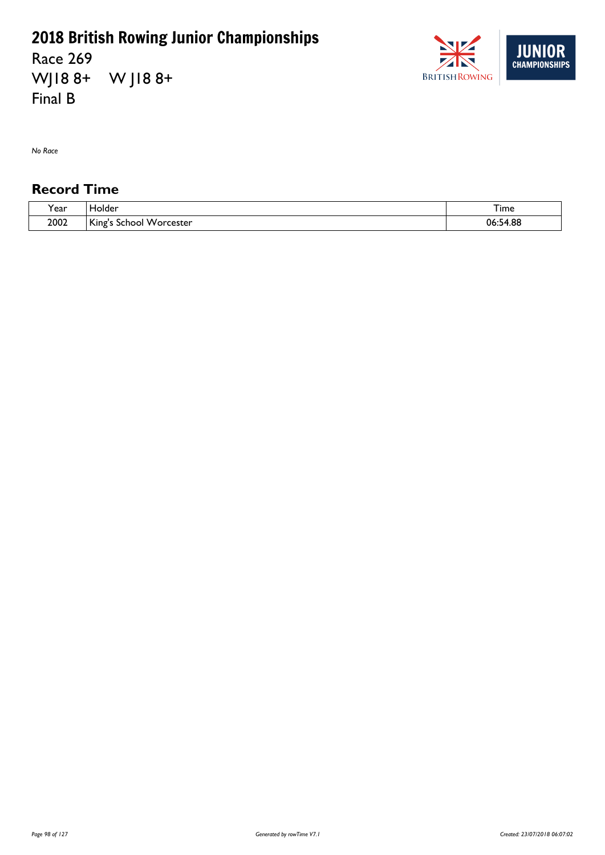Race 269 WJ18 8+ W J18 8+ Final B



*No Race*

| $\cdot$<br>ear? | <b>Holder</b>                                        | $-$<br>i ime |
|-----------------|------------------------------------------------------|--------------|
| 2002            | $\mathcal{L}$<br>Worcester<br><b>NINES</b><br>school | 06:54.88     |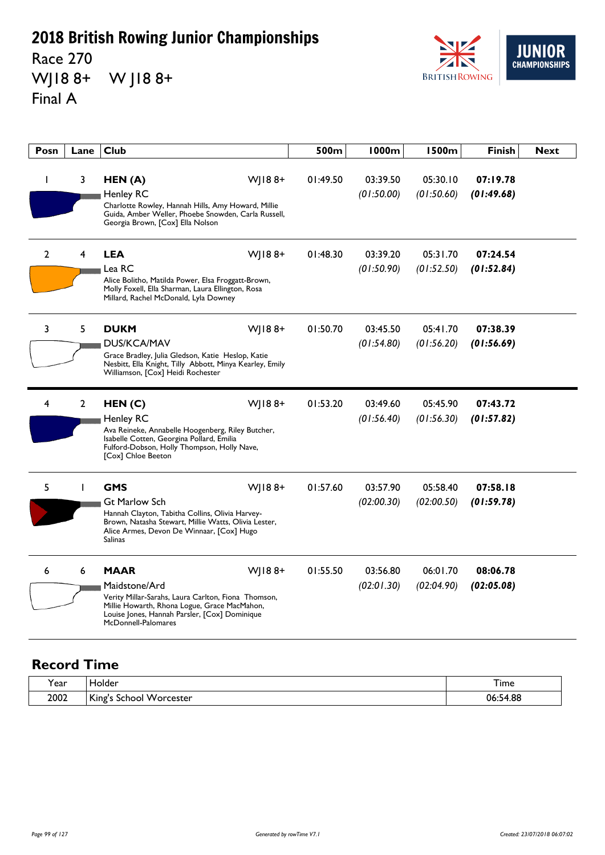Race 270 WJ18 8+ W J18 8+ Final A



| Posn           | Lane           | <b>Club</b>                                                                                                                                                                                                           | 500m     | 1000m                  | 1500m                  | <b>Finish</b>          | <b>Next</b> |
|----------------|----------------|-----------------------------------------------------------------------------------------------------------------------------------------------------------------------------------------------------------------------|----------|------------------------|------------------------|------------------------|-------------|
| I.             | 3              | HEN(A)<br>$W$   188+<br><b>Henley RC</b><br>Charlotte Rowley, Hannah Hills, Amy Howard, Millie<br>Guida, Amber Weller, Phoebe Snowden, Carla Russell,<br>Georgia Brown, [Cox] Ella Nolson                             | 01:49.50 | 03:39.50<br>(01:50.00) | 05:30.10<br>(01:50.60) | 07:19.78<br>(01:49.68) |             |
| $\overline{2}$ | 4              | <b>LEA</b><br>$W$   188+<br>Lea RC<br>Alice Bolitho, Matilda Power, Elsa Froggatt-Brown,<br>Molly Foxell, Ella Sharman, Laura Ellington, Rosa<br>Millard, Rachel McDonald, Lyla Downey                                | 01:48.30 | 03:39.20<br>(01:50.90) | 05:31.70<br>(01:52.50) | 07:24.54<br>(01:52.84) |             |
| 3              | 5              | WJ188+<br><b>DUKM</b><br><b>DUS/KCA/MAV</b><br>Grace Bradley, Julia Gledson, Katie Heslop, Katie<br>Nesbitt, Ella Knight, Tilly Abbott, Minya Kearley, Emily<br>Williamson, [Cox] Heidi Rochester                     | 01:50.70 | 03:45.50<br>(01:54.80) | 05:41.70<br>(01:56.20) | 07:38.39<br>(01:56.69) |             |
| 4              | $\overline{2}$ | HEN(C)<br>$W$   188+<br>Henley RC<br>Ava Reineke, Annabelle Hoogenberg, Riley Butcher,<br>Isabelle Cotten, Georgina Pollard, Emilia<br>Fulford-Dobson, Holly Thompson, Holly Nave,<br>[Cox] Chloe Beeton              | 01:53.20 | 03:49.60<br>(01:56.40) | 05:45.90<br>(01:56.30) | 07:43.72<br>(01:57.82) |             |
| 5              | $\mathbf{I}$   | <b>GMS</b><br>$W$   188+<br><b>Gt Marlow Sch</b><br>Hannah Clayton, Tabitha Collins, Olivia Harvey-<br>Brown, Natasha Stewart, Millie Watts, Olivia Lester,<br>Alice Armes, Devon De Winnaar, [Cox] Hugo<br>Salinas   | 01:57.60 | 03:57.90<br>(02:00.30) | 05:58.40<br>(02:00.50) | 07:58.18<br>(01:59.78) |             |
| 6              | 6              | <b>MAAR</b><br>WJ188+<br>Maidstone/Ard<br>Verity Millar-Sarahs, Laura Carlton, Fiona Thomson,<br>Millie Howarth, Rhona Logue, Grace MacMahon,<br>Louise Jones, Hannah Parsler, [Cox] Dominique<br>McDonnell-Palomares | 01:55.50 | 03:56.80<br>(02:01.30) | 06:01.70<br>(02:04.90) | 08:06.78<br>(02:05.08) |             |

| Year | . Holder                                                  | i ime    |
|------|-----------------------------------------------------------|----------|
| 2002 | King's<br>$\ddot{\phantom{1}}$<br>w<br>orcester/<br>chool | 06:54.88 |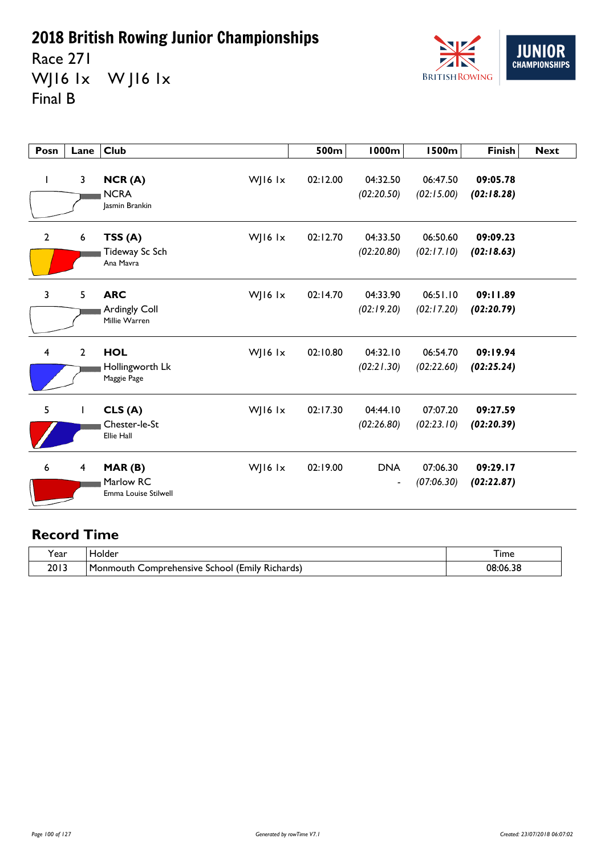Race 271 WJ16 1x WJ16 1x Final B



| Posn           | Lane             | Club                                         |           | 500m     | 1000m                        | <b>1500m</b>           | <b>Finish</b>          | <b>Next</b> |
|----------------|------------------|----------------------------------------------|-----------|----------|------------------------------|------------------------|------------------------|-------------|
|                | 3                | NCR(A)<br><b>NCRA</b><br>Jasmin Brankin      | WJ16 lx   | 02:12.00 | 04:32.50<br>(02:20.50)       | 06:47.50<br>(02:15.00) | 09:05.78<br>(02:18.28) |             |
| $\overline{2}$ | $\boldsymbol{6}$ | TSS(A)<br>Tideway Sc Sch<br>Ana Mavra        | WJ16 lx   | 02:12.70 | 04:33.50<br>(02:20.80)       | 06:50.60<br>(02:17.10) | 09:09.23<br>(02:18.63) |             |
| 3              | 5                | <b>ARC</b><br>Ardingly Coll<br>Millie Warren | WJ16 lx   | 02:14.70 | 04:33.90<br>(02:19.20)       | 06:51.10<br>(02:17.20) | 09:11.89<br>(02:20.79) |             |
| $\overline{4}$ | $\overline{2}$   | <b>HOL</b><br>Hollingworth Lk<br>Maggie Page | WJ16 $1x$ | 02:10.80 | 04:32.10<br>(02:21.30)       | 06:54.70<br>(02:22.60) | 09:19.94<br>(02:25.24) |             |
| 5              |                  | CLS(A)<br>Chester-le-St<br><b>Ellie Hall</b> | WJ16 $1x$ | 02:17.30 | 04:44.10<br>(02:26.80)       | 07:07.20<br>(02:23.10) | 09:27.59<br>(02:20.39) |             |
| 6              | 4                | MAR(B)<br>Marlow RC<br>Emma Louise Stilwell  | WJ16 $1x$ | 02:19.00 | <b>DNA</b><br>$\blacksquare$ | 07:06.30<br>(07:06.30) | 09:29.17<br>(02:22.87) |             |

| 'ear | <b>Tolder</b>                                                                      | I ime    |
|------|------------------------------------------------------------------------------------|----------|
| 2013 | $^{\circ}$ .<br>. .<br>l Monmouth<br>Comprehensive<br>l (Emily Richards)<br>School | 08:06.38 |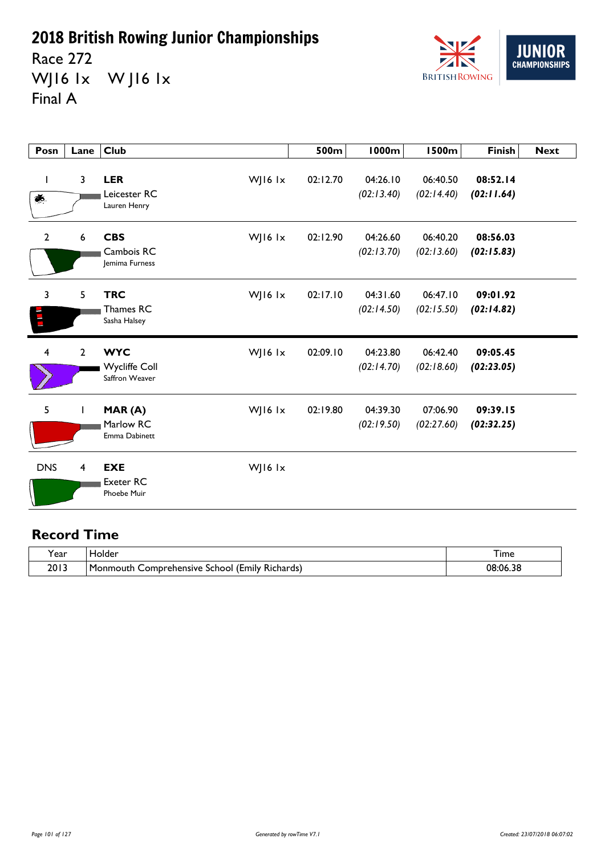Race 272 WJ16 1x W J16 1x Final A



| Posn                    | Lane                    | <b>Club</b>                                                     | 500m     | <b>1000m</b>           | <b>1500m</b>           | <b>Finish</b>          | <b>Next</b> |
|-------------------------|-------------------------|-----------------------------------------------------------------|----------|------------------------|------------------------|------------------------|-------------|
| I<br>虁.                 | $\overline{\mathbf{3}}$ | <b>LER</b><br>WJ16 lx<br>Leicester RC<br>Lauren Henry           | 02:12.70 | 04:26.10<br>(02:13.40) | 06:40.50<br>(02:14.40) | 08:52.14<br>(02:11.64) |             |
| $\mathbf{2}$            | $\boldsymbol{6}$        | <b>CBS</b><br>WJ16 lx<br>Cambois RC<br>Jemima Furness           | 02:12.90 | 04:26.60<br>(02:13.70) | 06:40.20<br>(02:13.60) | 08:56.03<br>(02:15.83) |             |
| 3                       | 5                       | <b>TRC</b><br>WJ16 $1x$<br>Thames RC<br>Sasha Halsey            | 02:17.10 | 04:31.60<br>(02:14.50) | 06:47.10<br>(02:15.50) | 09:01.92<br>(02:14.82) |             |
| $\overline{\mathbf{4}}$ | $\overline{2}$          | <b>WYC</b><br>WJ16 lx<br><b>Wycliffe Coll</b><br>Saffron Weaver | 02:09.10 | 04:23.80<br>(02:14.70) | 06:42.40<br>(02:18.60) | 09:05.45<br>(02:23.05) |             |
| 5                       | T                       | WJ16 lx<br>MAR(A)<br>Marlow RC<br>Emma Dabinett                 | 02:19.80 | 04:39.30<br>(02:19.50) | 07:06.90<br>(02:27.60) | 09:39.15<br>(02:32.25) |             |
| <b>DNS</b>              | 4                       | <b>EXE</b><br>WJ16 Ix<br><b>Exeter RC</b><br><b>Phoebe Muir</b> |          |                        |                        |                        |             |

| ear  | Holder                                                                 | 1 ime    |
|------|------------------------------------------------------------------------|----------|
| 2013 | l Monmouth<br>. .<br><br>Comprehensive<br>l (Emily Richards)<br>School | 08:06.38 |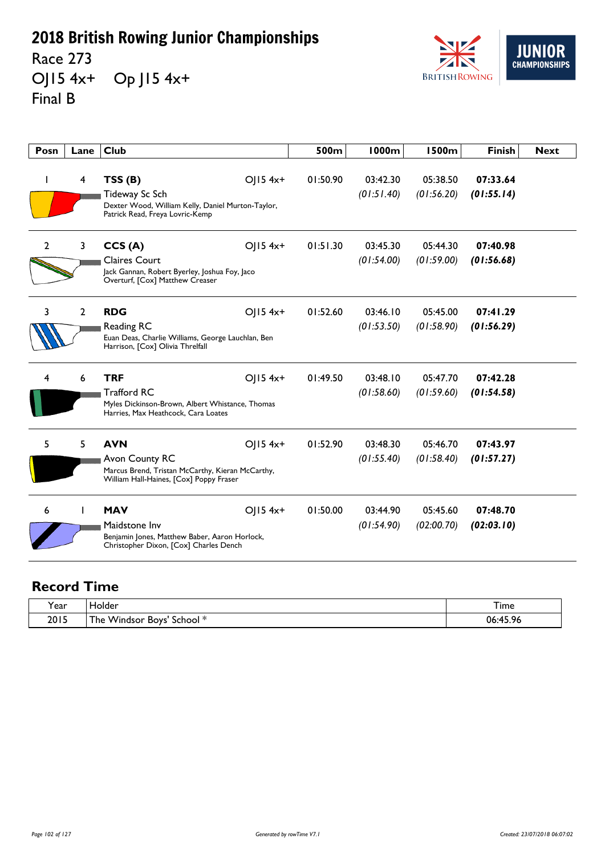Race 273 OJ15 4x+ Op J15 4x+ Final B



| Posn           | Lane         | <b>Club</b>                                                                                                                                      | 500m     | <b>1000m</b>           | <b>1500m</b>           | <b>Finish</b>          | <b>Next</b> |
|----------------|--------------|--------------------------------------------------------------------------------------------------------------------------------------------------|----------|------------------------|------------------------|------------------------|-------------|
| I              | 4            | TSS(B)<br>OJ15 4x+<br>Tideway Sc Sch<br>Dexter Wood, William Kelly, Daniel Murton-Taylor,<br>Patrick Read, Freya Lovric-Kemp                     | 01:50.90 | 03:42.30<br>(01:51.40) | 05:38.50<br>(01:56.20) | 07:33.64<br>(01:55.14) |             |
| $\overline{2}$ | 3            | CCS(A)<br>$OJ15$ 4x+<br><b>Claires Court</b><br>Jack Gannan, Robert Byerley, Joshua Foy, Jaco<br>Overturf, [Cox] Matthew Creaser                 | 01:51.30 | 03:45.30<br>(01:54.00) | 05:44.30<br>(01:59.00) | 07:40.98<br>(01:56.68) |             |
| 3              | 2            | <b>RDG</b><br>$O 15$ 4x <sup>+</sup><br>Reading RC<br>Euan Deas, Charlie Williams, George Lauchlan, Ben<br>Harrison, [Cox] Olivia Threlfall      | 01:52.60 | 03:46.10<br>(01:53.50) | 05:45.00<br>(01:58.90) | 07:41.29<br>(01:56.29) |             |
| 4              | 6            | <b>TRF</b><br>$O  5 4x+$<br><b>Trafford RC</b><br>Myles Dickinson-Brown, Albert Whistance, Thomas<br>Harries, Max Heathcock, Cara Loates         | 01:49.50 | 03:48.10<br>(01:58.60) | 05:47.70<br>(01:59.60) | 07:42.28<br>(01:54.58) |             |
| 5              | 5            | <b>AVN</b><br>$O  5 4x+$<br>Avon County RC<br>Marcus Brend, Tristan McCarthy, Kieran McCarthy,<br>William Hall-Haines, [Cox] Poppy Fraser        | 01:52.90 | 03:48.30<br>(01:55.40) | 05:46.70<br>(01:58.40) | 07:43.97<br>(01:57.27) |             |
| 6              | $\mathbf{I}$ | <b>MAV</b><br>$O 15$ 4x <sup>+</sup><br>Maidstone Inv<br>Benjamin Jones, Matthew Baber, Aaron Horlock,<br>Christopher Dixon, [Cox] Charles Dench | 01:50.00 | 03:44.90<br>(01:54.90) | 05:45.60<br>(02:00.70) | 07:48.70<br>(02:03.10) |             |

| 'ear | iolder                                                 | $ -$<br>l ime  |
|------|--------------------------------------------------------|----------------|
| 2015 | . Windsor Boys'<br>- 14<br>l he<br>School <sup>*</sup> | 06:45.96<br>70 |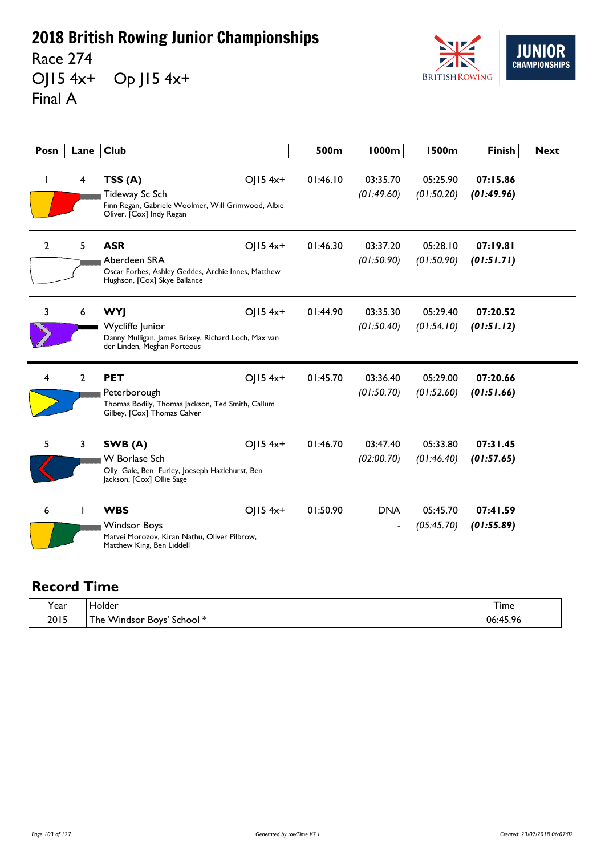Race 274 OJ15 4x+ Op J15 4x+ Final A



| Posn           | Lane           | <b>Club</b>                                                                                                                       | 500m     | <b>1000m</b>                           | <b>1500m</b>           | <b>Finish</b>          | <b>Next</b> |
|----------------|----------------|-----------------------------------------------------------------------------------------------------------------------------------|----------|----------------------------------------|------------------------|------------------------|-------------|
| H              | 4              | TSS(A)<br>OJ15 4x+<br>Tideway Sc Sch<br>Finn Regan, Gabriele Woolmer, Will Grimwood, Albie<br>Oliver, [Cox] Indy Regan            | 01:46.10 | 03:35.70<br>(01:49.60)                 | 05:25.90<br>(01:50.20) | 07:15.86<br>(01:49.96) |             |
| $\overline{2}$ | 5              | <b>ASR</b><br>OJ15 4x+<br>Aberdeen SRA<br>Oscar Forbes, Ashley Geddes, Archie Innes, Matthew<br>Hughson, [Cox] Skye Ballance      | 01:46.30 | 03:37.20<br>(01:50.90)                 | 05:28.10<br>(01:50.90) | 07:19.81<br>(01:51.71) |             |
| 3              | 6              | <b>WYJ</b><br>$O(15.4x+$<br>Wycliffe Junior<br>Danny Mulligan, James Brixey, Richard Loch, Max van<br>der Linden, Meghan Porteous | 01:44.90 | 03:35.30<br>(01:50.40)                 | 05:29.40<br>(01:54.10) | 07:20.52<br>(01:51.12) |             |
| 4              | $\overline{2}$ | OJ15 4x+<br><b>PET</b><br>Peterborough<br>Thomas Bodily, Thomas Jackson, Ted Smith, Callum<br>Gilbey, [Cox] Thomas Calver         | 01:45.70 | 03:36.40<br>(01:50.70)                 | 05:29.00<br>(01:52.60) | 07:20.66<br>(01:51.66) |             |
| 5              | 3              | SWB (A)<br>$O  5 4x+$<br><b>W</b> Borlase Sch<br>Olly Gale, Ben Furley, Joeseph Hazlehurst, Ben<br>Jackson, [Cox] Ollie Sage      | 01:46.70 | 03:47.40<br>(02:00.70)                 | 05:33.80<br>(01:46.40) | 07:31.45<br>(01:57.65) |             |
| 6              |                | <b>WBS</b><br>$O  5 4x+$<br><b>Windsor Boys</b><br>Matvei Morozov, Kiran Nathu, Oliver Pilbrow,<br>Matthew King, Ben Liddell      | 01:50.90 | <b>DNA</b><br>$\overline{\phantom{a}}$ | 05:45.70<br>(05:45.70) | 07:41.59<br>(01:55.89) |             |

| Year | folder                                                                            | $-$<br>I ime |
|------|-----------------------------------------------------------------------------------|--------------|
| 2015 | - 14<br>$\overline{\phantom{a}}$<br>. Windsor Boys'<br>school <sup>∗</sup><br>'he | :45.96<br>06 |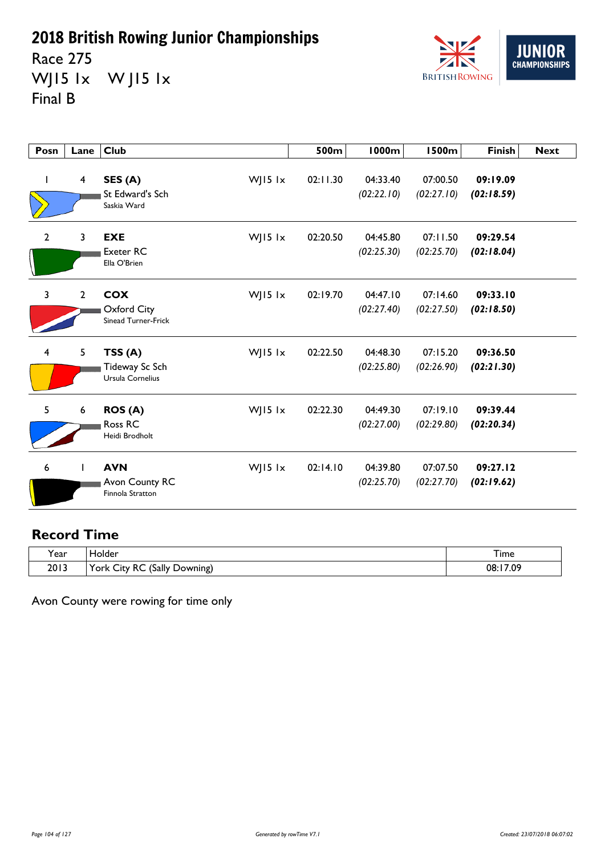Race 275 WJ15 1x W J15 1x Final B



| Posn                    | Lane                    | Club                                                          | 500m     | <b>1000m</b>           | <b>1500m</b>           | <b>Finish</b>          | <b>Next</b> |
|-------------------------|-------------------------|---------------------------------------------------------------|----------|------------------------|------------------------|------------------------|-------------|
| L                       | $\overline{\mathbf{4}}$ | WJ15 lx<br>SES (A)<br>St Edward's Sch<br>Saskia Ward          | 02:11.30 | 04:33.40<br>(02:22.10) | 07:00.50<br>(02:27.10) | 09:19.09<br>(02:18.59) |             |
| $\overline{2}$          | 3                       | <b>EXE</b><br>WJ15 lx<br><b>Exeter RC</b><br>Ella O'Brien     | 02:20.50 | 04:45.80<br>(02:25.30) | 07:11.50<br>(02:25.70) | 09:29.54<br>(02:18.04) |             |
| 3                       | $\overline{2}$          | <b>COX</b><br>WJ15 lx<br>Oxford City<br>Sinead Turner-Frick   | 02:19.70 | 04:47.10<br>(02:27.40) | 07:14.60<br>(02:27.50) | 09:33.10<br>(02:18.50) |             |
| $\overline{\mathbf{4}}$ | 5                       | WJ15 lx<br>TSS(A)<br>Tideway Sc Sch<br>Ursula Cornelius       | 02:22.50 | 04:48.30<br>(02:25.80) | 07:15.20<br>(02:26.90) | 09:36.50<br>(02:21.30) |             |
| 5                       | 6                       | ROS (A)<br>WJ15 $1x$<br>Ross RC<br>Heidi Brodholt             | 02:22.30 | 04:49.30<br>(02:27.00) | 07:19.10<br>(02:29.80) | 09:39.44<br>(02:20.34) |             |
| 6                       | I                       | <b>AVN</b><br>WJ15 $1x$<br>Avon County RC<br>Finnola Stratton | 02:14.10 | 04:39.80<br>(02:25.70) | 07:07.50<br>(02:27.70) | 09:27.12<br>(02:19.62) |             |

#### **Record Time**

| 'ear | Holder:                                    | I ime         |
|------|--------------------------------------------|---------------|
| 2013 | York <<br>(Sally<br>RC<br>Downing)<br>City | :17.09<br>08: |

Avon County were rowing for time only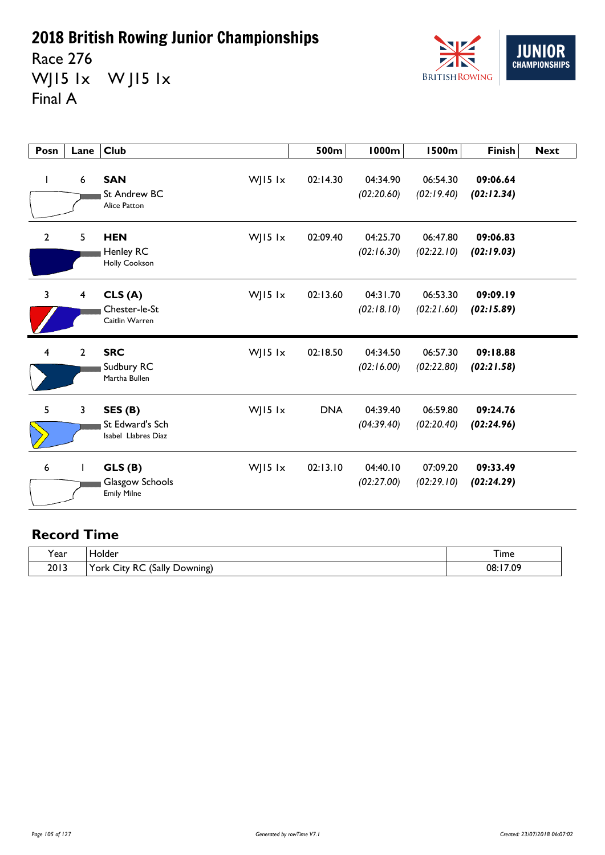Race 276 WJ15 1x W J15 1x Final A



| Posn | Lane                    | <b>Club</b>                                                  |           | 500m       | 1000m                  | <b>1500m</b>           | <b>Finish</b>          | <b>Next</b> |
|------|-------------------------|--------------------------------------------------------------|-----------|------------|------------------------|------------------------|------------------------|-------------|
| L    | $\boldsymbol{6}$        | <b>SAN</b><br>St Andrew BC<br>Alice Patton                   | WJ15 lx   | 02:14.30   | 04:34.90<br>(02:20.60) | 06:54.30<br>(02:19.40) | 09:06.64<br>(02:12.34) |             |
| 2    | 5                       | <b>HEN</b><br><b>Henley RC</b><br><b>Holly Cookson</b>       | WJ15 lx   | 02:09.40   | 04:25.70<br>(02:16.30) | 06:47.80<br>(02:22.10) | 09:06.83<br>(02:19.03) |             |
| 3    | $\overline{\mathbf{4}}$ | CLS(A)<br>Chester-le-St<br>Caitlin Warren                    | WJ15 lx   | 02:13.60   | 04:31.70<br>(02:18.10) | 06:53.30<br>(02:21.60) | 09:09.19<br>(02:15.89) |             |
| 4    | $\overline{2}$          | <b>SRC</b><br>Sudbury RC<br>Martha Bullen                    | WJ15 $1x$ | 02:18.50   | 04:34.50<br>(02:16.00) | 06:57.30<br>(02:22.80) | 09:18.88<br>(02:21.58) |             |
| 5    | 3                       | SES <sub>(B)</sub><br>St Edward's Sch<br>Isabel Llabres Diaz | WJ15 lx   | <b>DNA</b> | 04:39.40<br>(04:39.40) | 06:59.80<br>(02:20.40) | 09:24.76<br>(02:24.96) |             |
| 6    |                         | GLS(B)<br>Glasgow Schools<br><b>Emily Milne</b>              | WJ15 $1x$ | 02:13.10   | 04:40.10<br>(02:27.00) | 07:09.20<br>(02:29.10) | 09:33.49<br>(02:24.29) |             |

| ີ.<br>Y ear | folder                                                            | --<br>i ime |
|-------------|-------------------------------------------------------------------|-------------|
| 2013        | (Sally<br>York 、<br>∙RC<br>-<br>$\sim$<br>Downing)<br><b>City</b> | 17.09<br>08 |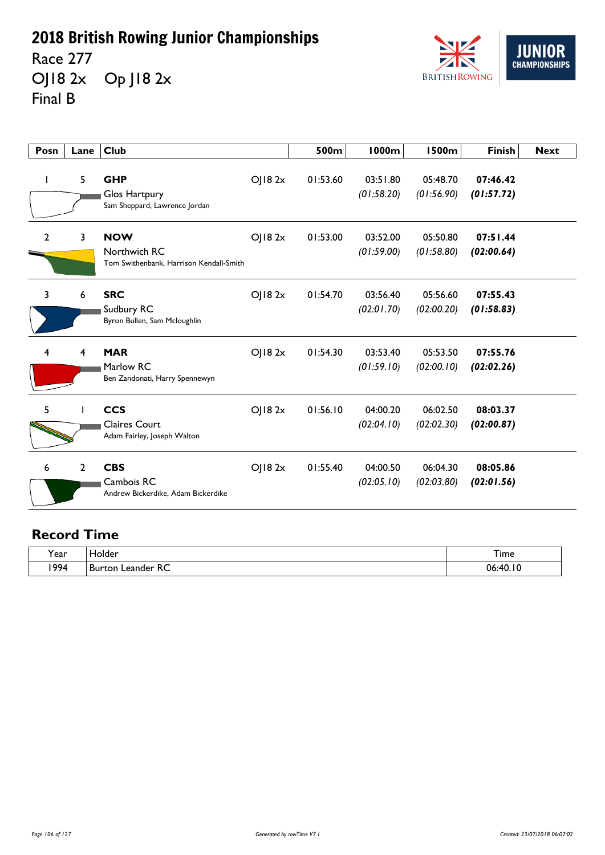Race 277 OJ18 2x Op J18 2x Final B



| Posn           | Lane           | <b>Club</b>                                                           |        | 500m     | 1000m                  | <b>1500m</b>           | <b>Finish</b>          | <b>Next</b> |
|----------------|----------------|-----------------------------------------------------------------------|--------|----------|------------------------|------------------------|------------------------|-------------|
|                | 5              | <b>GHP</b><br>Glos Hartpury<br>Sam Sheppard, Lawrence Jordan          | OJ182x | 01:53.60 | 03:51.80<br>(01:58.20) | 05:48.70<br>(01:56.90) | 07:46.42<br>(01:57.72) |             |
| $\overline{2}$ | 3              | <b>NOW</b><br>Northwich RC<br>Tom Swithenbank, Harrison Kendall-Smith | OJ182x | 01:53.00 | 03:52.00<br>(01:59.00) | 05:50.80<br>(01:58.80) | 07:51.44<br>(02:00.64) |             |
| 3              | 6              | <b>SRC</b><br>Sudbury RC<br>Byron Bullen, Sam Mcloughlin              | OJ182x | 01:54.70 | 03:56.40<br>(02:01.70) | 05:56.60<br>(02:00.20) | 07:55.43<br>(01:58.83) |             |
| 4              | 4              | <b>MAR</b><br>Marlow RC<br>Ben Zandonati, Harry Spennewyn             | O  82x | 01:54.30 | 03:53.40<br>(01:59.10) | 05:53.50<br>(02:00.10) | 07:55.76<br>(02:02.26) |             |
| 5              |                | <b>CCS</b><br><b>Claires Court</b><br>Adam Fairley, Joseph Walton     | OJ182x | 01:56.10 | 04:00.20<br>(02:04.10) | 06:02.50<br>(02:02.30) | 08:03.37<br>(02:00.87) |             |
| 6              | $\overline{2}$ | <b>CBS</b><br>Cambois RC<br>Andrew Bickerdike, Adam Bickerdike        | OJ182x | 01:55.40 | 04:00.50<br>(02:05.10) | 06:04.30<br>(02:03.80) | 08:05.86<br>(02:01.56) |             |

| $\ddot{\phantom{1}}$<br>rear) | folder                              | –<br>I ime       |
|-------------------------------|-------------------------------------|------------------|
| 1994                          | RC<br>.eander<br>⊣ Burtor<br>$\sim$ | 10<br>06<br>.40. |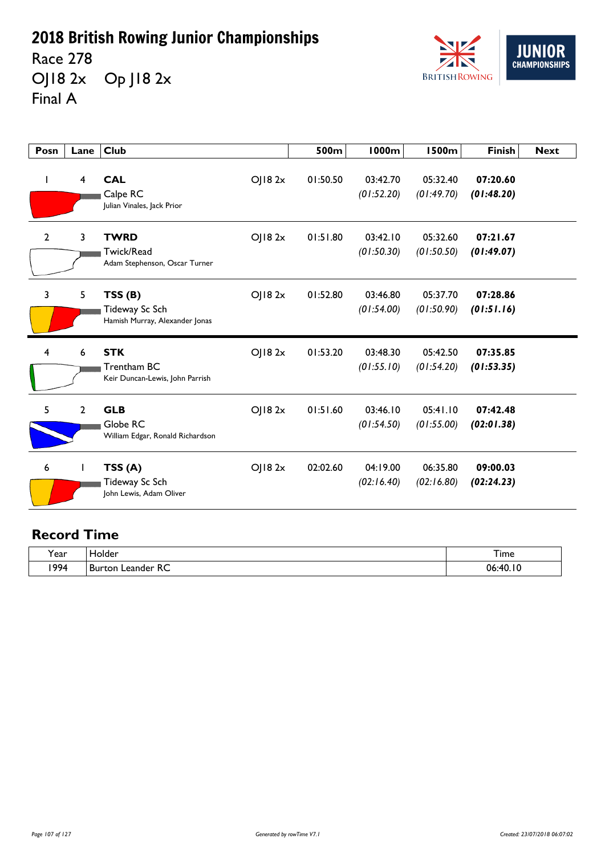Race 278 OJ18 2x Op J18 2x Final A



| Posn           | Lane           | <b>Club</b>                                                            | 500m     | 1000m                  | <b>1500m</b>           | <b>Finish</b>          | <b>Next</b> |
|----------------|----------------|------------------------------------------------------------------------|----------|------------------------|------------------------|------------------------|-------------|
| $\mathbf{I}$   | 4              | <b>CAL</b><br>OJ182x<br>Calpe RC<br>Julian Vinales, Jack Prior         | 01:50.50 | 03:42.70<br>(01:52.20) | 05:32.40<br>(01:49.70) | 07:20.60<br>(01:48.20) |             |
| $\mathbf{2}$   | 3              | <b>TWRD</b><br>OJ182x<br>Twick/Read<br>Adam Stephenson, Oscar Turner   | 01:51.80 | 03:42.10<br>(01:50.30) | 05:32.60<br>(01:50.50) | 07:21.67<br>(01:49.07) |             |
| $\overline{3}$ | 5              | O  82x<br>TSS(B)<br>Tideway Sc Sch<br>Hamish Murray, Alexander Jonas   | 01:52.80 | 03:46.80<br>(01:54.00) | 05:37.70<br>(01:50.90) | 07:28.86<br>(01:51.16) |             |
| 4              | 6              | <b>STK</b><br>OJ182x<br>Trentham BC<br>Keir Duncan-Lewis, John Parrish | 01:53.20 | 03:48.30<br>(01:55.10) | 05:42.50<br>(01:54.20) | 07:35.85<br>(01:53.35) |             |
| 5              | $\overline{2}$ | <b>GLB</b><br>O  82x<br>Globe RC<br>William Edgar, Ronald Richardson   | 01:51.60 | 03:46.10<br>(01:54.50) | 05:41.10<br>(01:55.00) | 07:42.48<br>(02:01.38) |             |
| 6              |                | OJ182x<br>TSS(A)<br>Tideway Sc Sch<br>John Lewis, Adam Oliver          | 02:02.60 | 04:19.00<br>(02:16.40) | 06:35.80<br>(02:16.80) | 09:00.03<br>(02:24.23) |             |

| $\ddot{\phantom{1}}$<br>rear) | folder                              | –<br>I ime       |
|-------------------------------|-------------------------------------|------------------|
| 1994                          | RC<br>.eander<br>⊣ Burtor<br>$\sim$ | 10<br>06<br>.40. |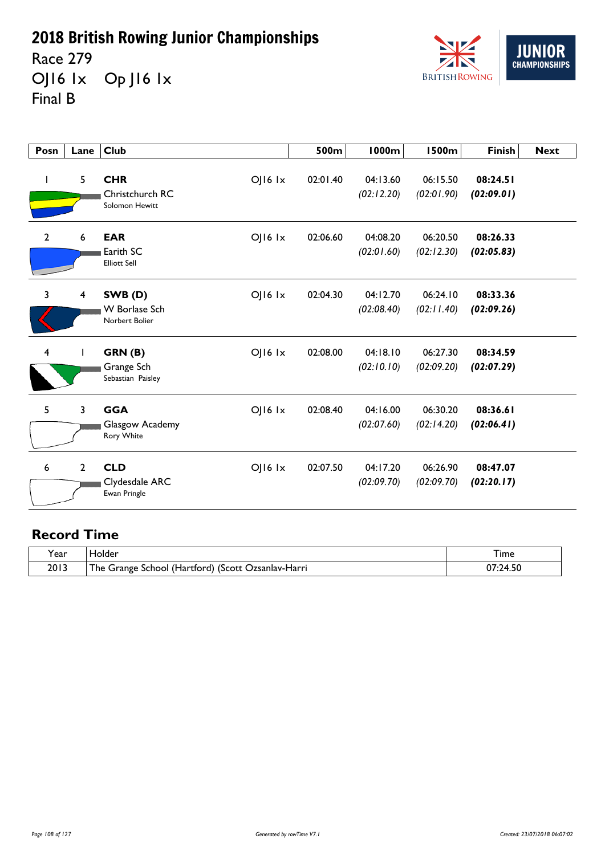Race 279 OJ16 1x Op J16 1x Final B



| Posn         | Lane                    | <b>Club</b>                                                         | 500m     | <b>1000m</b>           | <b>1500m</b>           | <b>Finish</b>          | <b>Next</b> |
|--------------|-------------------------|---------------------------------------------------------------------|----------|------------------------|------------------------|------------------------|-------------|
| I            | 5                       | <b>CHR</b><br>OJ16 Ix<br>Christchurch RC<br>Solomon Hewitt          | 02:01.40 | 04:13.60<br>(02:12.20) | 06:15.50<br>(02:01.90) | 08:24.51<br>(02:09.01) |             |
| $\mathbf{2}$ | 6                       | <b>EAR</b><br>$O$   $16$ $1x$<br>Earith SC<br><b>Elliott Sell</b>   | 02:06.60 | 04:08.20<br>(02:01.60) | 06:20.50<br>(02:12.30) | 08:26.33<br>(02:05.83) |             |
| 3            | $\overline{\mathbf{4}}$ | $O$   $16$ $1x$<br>SWB(D)<br><b>W</b> Borlase Sch<br>Norbert Bolier | 02:04.30 | 04:12.70<br>(02:08.40) | 06:24.10<br>(02:11.40) | 08:33.36<br>(02:09.26) |             |
| 4            | L                       | GRN(B)<br>$O$   $16$ $1x$<br>Grange Sch<br>Sebastian Paisley        | 02:08.00 | 04:18.10<br>(02:10.10) | 06:27.30<br>(02:09.20) | 08:34.59<br>(02:07.29) |             |
| 5            | 3                       | <b>GGA</b><br>$O$   $16$ $1x$<br>Glasgow Academy<br>Rory White      | 02:08.40 | 04:16.00<br>(02:07.60) | 06:30.20<br>(02:14.20) | 08:36.61<br>(02:06.41) |             |
| 6            | $\mathbf{2}$            | <b>CLD</b><br>$O$   $16$ $1x$<br>Clydesdale ARC<br>Ewan Pringle     | 02:07.50 | 04:17.20<br>(02:09.70) | 06:26.90<br>(02:09.70) | 08:47.07<br>(02:20.17) |             |

| Year | Holder                                                                          | I ime            |
|------|---------------------------------------------------------------------------------|------------------|
| 2013 | <u>т</u><br>School (Hartford) เ<br>(Scott)<br>. Ozsanlav-Harri<br>Grange<br>۱he | 74<br>JΓ<br>t.JV |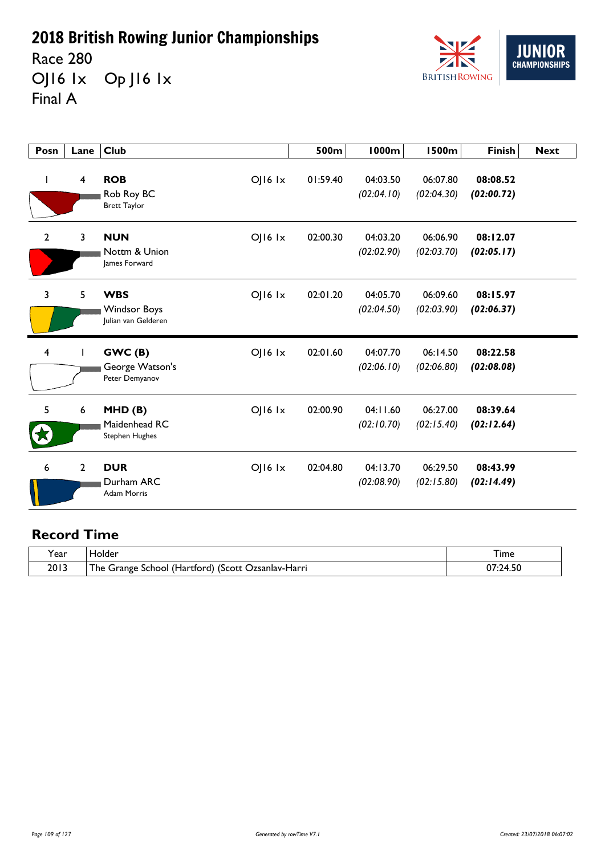Race 280 OJ16 1x Op J16 1x Final A



| Posn                    | Lane             | <b>Club</b>                                                                 | 500m     | 1000m                  | <b>1500m</b>           | <b>Finish</b>          | <b>Next</b> |
|-------------------------|------------------|-----------------------------------------------------------------------------|----------|------------------------|------------------------|------------------------|-------------|
|                         | $\overline{4}$   | <b>ROB</b><br>$O$   $16$ $1x$<br>Rob Roy BC<br><b>Brett Taylor</b>          | 01:59.40 | 04:03.50<br>(02:04.10) | 06:07.80<br>(02:04.30) | 08:08.52<br>(02:00.72) |             |
| $\overline{2}$          | 3                | <b>NUN</b><br>$O$   $16$ $1x$<br>Nottm & Union<br>lames Forward             | 02:00.30 | 04:03.20<br>(02:02.90) | 06:06.90<br>(02:03.70) | 08:12.07<br>(02:05.17) |             |
| 3                       | 5                | <b>WBS</b><br>$O$   $16$ $1x$<br><b>Windsor Boys</b><br>Julian van Gelderen | 02:01.20 | 04:05.70<br>(02:04.50) | 06:09.60<br>(02:03.90) | 08:15.97<br>(02:06.37) |             |
| $\overline{\mathbf{4}}$ |                  | $O$   $16$ $1x$<br>GWC(B)<br>George Watson's<br>Peter Demyanov              | 02:01.60 | 04:07.70<br>(02:06.10) | 06:14.50<br>(02:06.80) | 08:22.58<br>(02:08.08) |             |
| 5                       | $\boldsymbol{6}$ | $O$   $16$ $1x$<br>MHD(B)<br>Maidenhead RC<br><b>Stephen Hughes</b>         | 02:00.90 | 04:11.60<br>(02:10.70) | 06:27.00<br>(02:15.40) | 08:39.64<br>(02:12.64) |             |
| 6                       | $\overline{2}$   | <b>DUR</b><br>$O$   $16$ $1x$<br>Durham ARC<br><b>Adam Morris</b>           | 02:04.80 | 04:13.70<br>(02:08.90) | 06:29.50<br>(02:15.80) | 08:43.99<br>(02:14.49) |             |

| Y ear | iolder                                                         | I ime                    |
|-------|----------------------------------------------------------------|--------------------------|
| 2013  | ا School (Hartford) (Scott (<br>The Grange<br>. Ozsanlav-Harri | <b>14.</b><br>1.50<br>υr |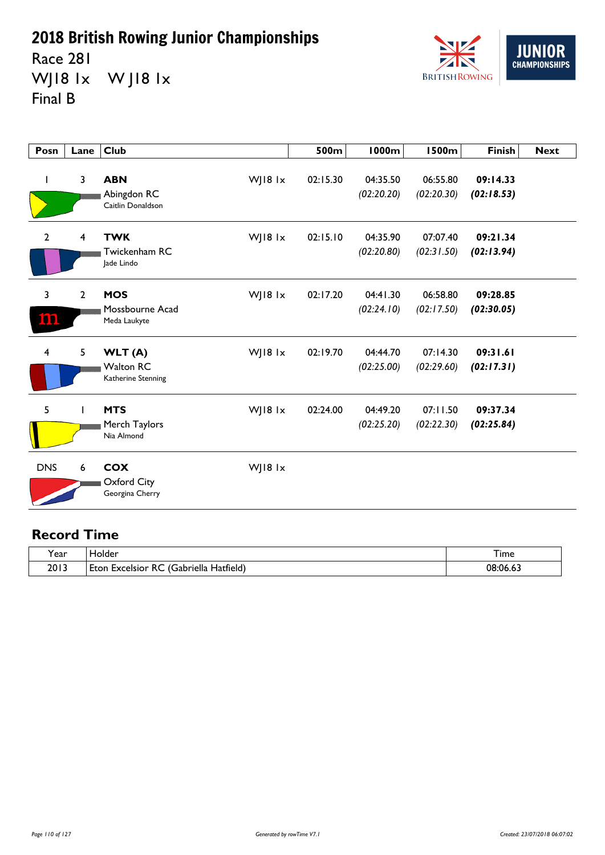Race 281 WJ18 1x W J18 1x Final B



| Posn           | Lane           | <b>Club</b>                                                  | 500m     | <b>1000m</b>           | <b>1500m</b>           | <b>Finish</b>          | <b>Next</b> |
|----------------|----------------|--------------------------------------------------------------|----------|------------------------|------------------------|------------------------|-------------|
| J.             | 3              | <b>ABN</b><br>WJ18 1x<br>Abingdon RC<br>Caitlin Donaldson    | 02:15.30 | 04:35.50<br>(02:20.20) | 06:55.80<br>(02:20.30) | 09:14.33<br>(02:18.53) |             |
| $\overline{2}$ | $\overline{4}$ | <b>TWK</b><br>WJ18 $1x$<br>Twickenham RC<br>lade Lindo       | 02:15.10 | 04:35.90<br>(02:20.80) | 07:07.40<br>(02:31.50) | 09:21.34<br>(02:13.94) |             |
| 3<br>המנ       | $\overline{2}$ | <b>MOS</b><br>WJ18 $1x$<br>Mossbourne Acad<br>Meda Laukyte   | 02:17.20 | 04:41.30<br>(02:24.10) | 06:58.80<br>(02:17.50) | 09:28.85<br>(02:30.05) |             |
| $\overline{4}$ | 5              | WJ18 1x<br>WLT (A)<br><b>Walton RC</b><br>Katherine Stenning | 02:19.70 | 04:44.70<br>(02:25.00) | 07:14.30<br>(02:29.60) | 09:31.61<br>(02:17.31) |             |
| 5              |                | <b>MTS</b><br>WJ18 1x<br>Merch Taylors<br>Nia Almond         | 02:24.00 | 04:49.20<br>(02:25.20) | 07:11.50<br>(02:22.30) | 09:37.34<br>(02:25.84) |             |
| <b>DNS</b>     | 6              | <b>COX</b><br>WJ18 1x<br>Oxford City<br>Georgina Cherry      |          |                        |                        |                        |             |

| $\tilde{\phantom{a}}$<br>ear | folder                                                                              | 1 ime    |
|------------------------------|-------------------------------------------------------------------------------------|----------|
| 2013                         | . .<br>$\tilde{\ }$<br>Hatfield)<br>-<br>abriella۔<br><b>Eton</b><br>Excelsion<br>╰ | 08:06.6. |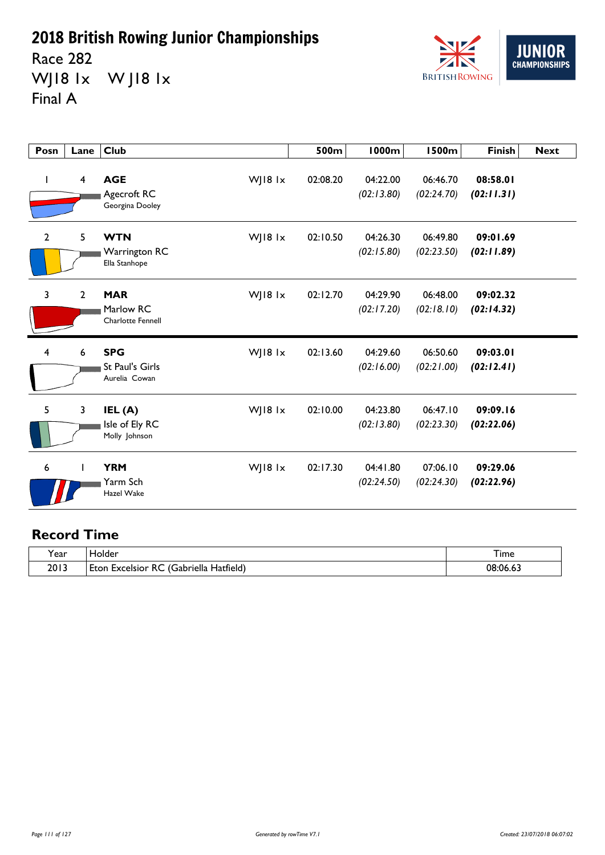Race 282 WJ18 1x W J18 1x Final A



| Posn           | Lane           | <b>Club</b>                                                        | 500m     | <b>1000m</b>           | <b>1500m</b>           | <b>Finish</b>          | <b>Next</b> |
|----------------|----------------|--------------------------------------------------------------------|----------|------------------------|------------------------|------------------------|-------------|
|                | $\overline{4}$ | <b>AGE</b><br>WJ18 1x<br>Agecroft RC<br>Georgina Dooley            | 02:08.20 | 04:22.00<br>(02:13.80) | 06:46.70<br>(02:24.70) | 08:58.01<br>(02:11.31) |             |
| $\mathbf{2}$   | 5              | WJ18 $1x$<br><b>WTN</b><br>Warrington RC<br>Ella Stanhope          | 02:10.50 | 04:26.30<br>(02:15.80) | 06:49.80<br>(02:23.50) | 09:01.69<br>(02:11.89) |             |
| 3              | $\overline{2}$ | <b>MAR</b><br>WJ18 $1x$<br>Marlow RC<br><b>Charlotte Fennell</b>   | 02:12.70 | 04:29.90<br>(02:17.20) | 06:48.00<br>(02:18.10) | 09:02.32<br>(02:14.32) |             |
| $\overline{4}$ | 6              | <b>SPG</b><br>WJ18 $1x$<br><b>St Paul's Girls</b><br>Aurelia Cowan | 02:13.60 | 04:29.60<br>(02:16.00) | 06:50.60<br>(02:21.00) | 09:03.01<br>(02:12.41) |             |
| 5              | 3              | IEL (A)<br>WJ18 $1x$<br>Isle of Ely RC<br>Molly Johnson            | 02:10.00 | 04:23.80<br>(02:13.80) | 06:47.10<br>(02:23.30) | 09:09.16<br>(02:22.06) |             |
| 6              |                | <b>YRM</b><br>WJ18 $1x$<br>Yarm Sch<br>Hazel Wake                  | 02:17.30 | 04:41.80<br>(02:24.50) | 07:06.10<br>(02:24.30) | 09:29.06<br>(02:22.96) |             |

| . .<br>l ear | folder                                                                | I ime      |
|--------------|-----------------------------------------------------------------------|------------|
| 2013         | - 13<br>. .<br>~~<br>Gabriella<br>Hatfield,<br>Excelsior<br>Eton<br>ĸ | 08.06<br>. |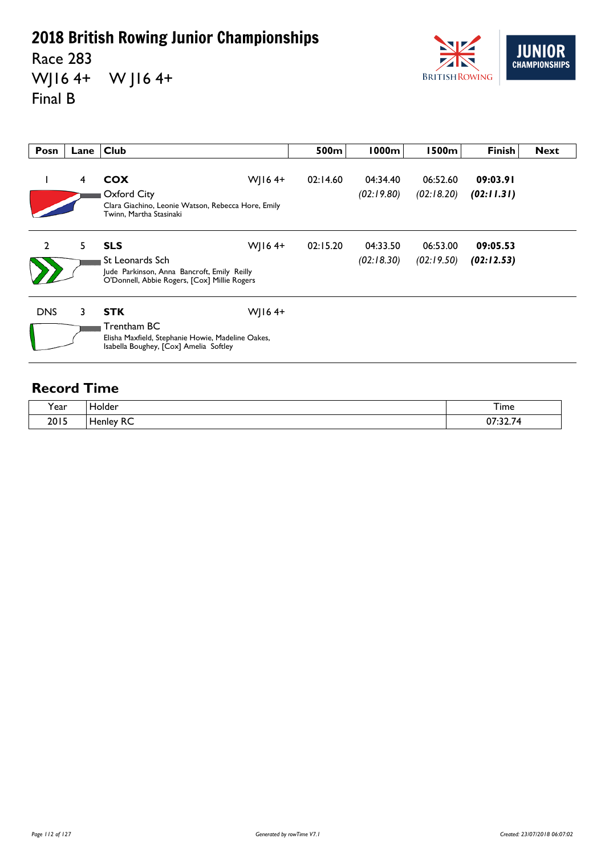Race 283 WJ16 4+ W J16 4+ Final B



| Posn           | Lane | <b>Club</b>                                                                                                                               | 500m     | 1000m                  | 1500m                  | <b>Finish</b>          | <b>Next</b> |
|----------------|------|-------------------------------------------------------------------------------------------------------------------------------------------|----------|------------------------|------------------------|------------------------|-------------|
|                | 4    | WJ16 $4+$<br><b>COX</b><br>Oxford City<br>Clara Giachino, Leonie Watson, Rebecca Hore, Emily<br>Twinn, Martha Stasinaki                   | 02:14.60 | 04:34.40<br>(02:19.80) | 06:52.60<br>(02:18.20) | 09:03.91<br>(02:11.31) |             |
| $\overline{2}$ | 5.   | <b>SLS</b><br>WJ16 $4+$<br>St Leonards Sch<br>Jude Parkinson, Anna Bancroft, Emily Reilly<br>O'Donnell, Abbie Rogers, [Cox] Millie Rogers | 02:15.20 | 04:33.50<br>(02:18.30) | 06:53.00<br>(02:19.50) | 09:05.53<br>(02:12.53) |             |
| <b>DNS</b>     | 3    | WJ16 $4+$<br><b>STK</b><br>Trentham BC<br>Elisha Maxfield, Stephanie Howie, Madeline Oakes,<br>Isabella Boughey, [Cox] Amelia Softley     |          |                        |                        |                        |             |

| Year | Holder              | --<br><sub>1</sub> ime |
|------|---------------------|------------------------|
| 2015 | $\sim$<br>Henley RC | <u>ד רר</u><br>07:32.7 |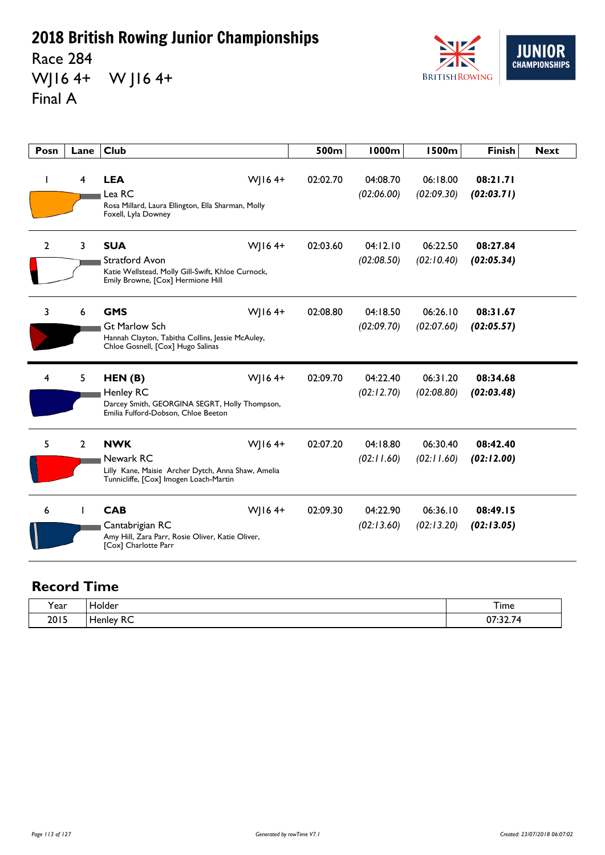Race 284 WJ16 4+ W J16 4+ Final A



| Posn         | Lane                    | <b>Club</b>                                                                                                                                | 500m     | <b>1000m</b>           | <b>1500m</b>           | <b>Finish</b>          | <b>Next</b> |
|--------------|-------------------------|--------------------------------------------------------------------------------------------------------------------------------------------|----------|------------------------|------------------------|------------------------|-------------|
|              | $\overline{\mathbf{4}}$ | WJ16 $4+$<br><b>LEA</b><br>Lea RC<br>Rosa Millard, Laura Ellington, Ella Sharman, Molly<br>Foxell, Lyla Downey                             | 02:02.70 | 04:08.70<br>(02:06.00) | 06:18.00<br>(02:09.30) | 08:21.71<br>(02:03.71) |             |
| $\mathbf{2}$ | 3                       | <b>SUA</b><br>WJ16 $4+$<br><b>Stratford Avon</b><br>Katie Wellstead, Molly Gill-Swift, Khloe Curnock,<br>Emily Browne, [Cox] Hermione Hill | 02:03.60 | 04:12.10<br>(02:08.50) | 06:22.50<br>(02:10.40) | 08:27.84<br>(02:05.34) |             |
| 3            | 6                       | <b>GMS</b><br>WJ16 $4+$<br><b>Gt Marlow Sch</b><br>Hannah Clayton, Tabitha Collins, Jessie McAuley,<br>Chloe Gosnell, [Cox] Hugo Salinas   | 02:08.80 | 04:18.50<br>(02:09.70) | 06:26.10<br>(02:07.60) | 08:31.67<br>(02:05.57) |             |
| 4            | 5                       | WJ16 $4+$<br>HEN(B)<br>Henley RC<br>Darcey Smith, GEORGINA SEGRT, Holly Thompson,<br>Emilia Fulford-Dobson, Chloe Beeton                   | 02:09.70 | 04:22.40<br>(02:12.70) | 06:31.20<br>(02:08.80) | 08:34.68<br>(02:03.48) |             |
| 5            | $\overline{2}$          | WJ164+<br><b>NWK</b><br>Newark RC<br>Lilly Kane, Maisie Archer Dytch, Anna Shaw, Amelia<br>Tunnicliffe, [Cox] Imogen Loach-Martin          | 02:07.20 | 04:18.80<br>(02:11.60) | 06:30.40<br>(02:11.60) | 08:42.40<br>(02:12.00) |             |
| 6            |                         | <b>CAB</b><br>WJ164+<br>Cantabrigian RC<br>Amy Hill, Zara Parr, Rosie Oliver, Katie Oliver,<br>[Cox] Charlotte Parr                        | 02:09.30 | 04:22.90<br>(02:13.60) | 06:36.10<br>(02:13.20) | 08:49.15<br>(02:13.05) |             |

| í ear | Holder    | Time                    |
|-------|-----------|-------------------------|
| 2015  | Henley RC | $\sim$<br>$\sim$ $\sim$ |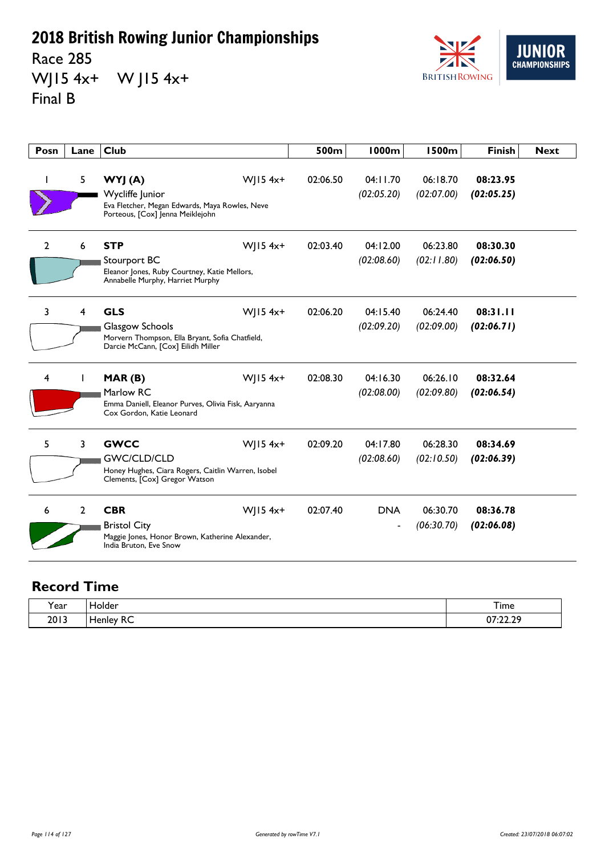Race 285 WJ15 4x+ W J15 4x+ Final B



| Posn           | Lane           | <b>Club</b>                                                                                                                              | 500m     | <b>1000m</b>           | <b>1500m</b>           | <b>Finish</b>          | <b>Next</b> |
|----------------|----------------|------------------------------------------------------------------------------------------------------------------------------------------|----------|------------------------|------------------------|------------------------|-------------|
| ı              | 5              | $W$ JI54x+<br>WYJ (A)<br>Wycliffe Junior<br>Eva Fletcher, Megan Edwards, Maya Rowles, Neve<br>Porteous, [Cox] Jenna Meiklejohn           | 02:06.50 | 04:11.70<br>(02:05.20) | 06:18.70<br>(02:07.00) | 08:23.95<br>(02:05.25) |             |
| $\overline{2}$ | 6              | <b>STP</b><br>$W$   15 4x+<br>Stourport BC<br>Eleanor Jones, Ruby Courtney, Katie Mellors,<br>Annabelle Murphy, Harriet Murphy           | 02:03.40 | 04:12.00<br>(02:08.60) | 06:23.80<br>(02:11.80) | 08:30.30<br>(02:06.50) |             |
| 3              | 4              | <b>GLS</b><br>$W$   15 4x+<br>Glasgow Schools<br>Morvern Thompson, Ella Bryant, Sofia Chatfield,<br>Darcie McCann, [Cox] Eilidh Miller   | 02:06.20 | 04:15.40<br>(02:09.20) | 06:24.40<br>(02:09.00) | 08:31.11<br>(02:06.71) |             |
| 4              |                | $W$   15 4x+<br>MAR(B)<br>Marlow RC<br>Emma Daniell, Eleanor Purves, Olivia Fisk, Aaryanna<br>Cox Gordon, Katie Leonard                  | 02:08.30 | 04:16.30<br>(02:08.00) | 06:26.10<br>(02:09.80) | 08:32.64<br>(02:06.54) |             |
| 5              | 3              | $W$   15 4x+<br><b>GWCC</b><br><b>GWC/CLD/CLD</b><br>Honey Hughes, Ciara Rogers, Caitlin Warren, Isobel<br>Clements, [Cox] Gregor Watson | 02:09.20 | 04:17.80<br>(02:08.60) | 06:28.30<br>(02:10.50) | 08:34.69<br>(02:06.39) |             |
| 6              | $\overline{2}$ | <b>CBR</b><br>$W$   15 4x+<br><b>Bristol City</b><br>Maggie Jones, Honor Brown, Katherine Alexander,<br>India Bruton, Eve Snow           | 02:07.40 | <b>DNA</b>             | 06:30.70<br>(06:30.70) | 08:36.78<br>(02:06.08) |             |

| í ear | Holder           | Time                     |
|-------|------------------|--------------------------|
| 2013  | <b>Henley RC</b> | סר רר דח<br>0/22.25<br>. |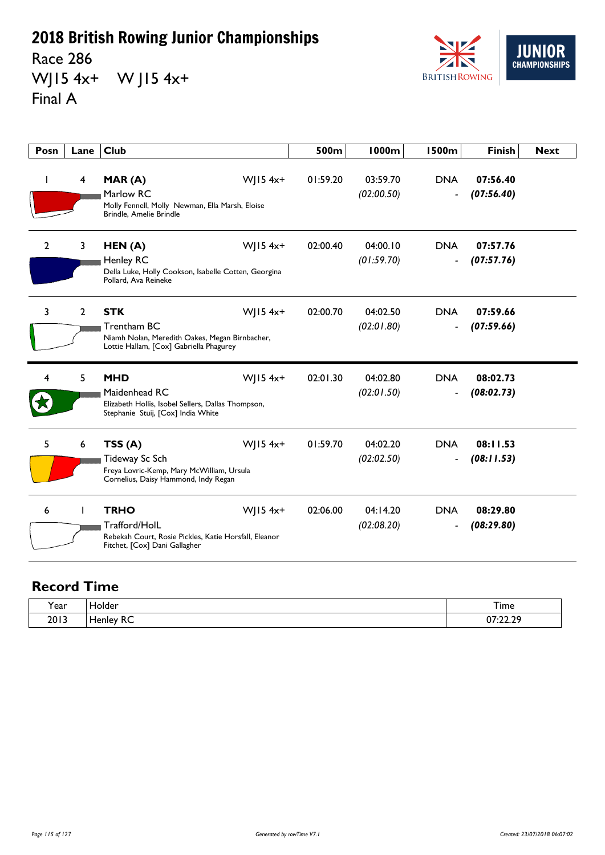Race 286 WJ15 4x+ W J15 4x+ Final A



| Posn         | Lane                    | <b>Club</b>                                                                                                                             | 500m     | 1000m                  | <b>1500m</b>                           | <b>Finish</b>          | <b>Next</b> |
|--------------|-------------------------|-----------------------------------------------------------------------------------------------------------------------------------------|----------|------------------------|----------------------------------------|------------------------|-------------|
|              | $\overline{\mathbf{4}}$ | $W$   15 4x+<br>MAR(A)<br>Marlow RC<br>Molly Fennell, Molly Newman, Ella Marsh, Eloise<br>Brindle, Amelie Brindle                       | 01:59.20 | 03:59.70<br>(02:00.50) | <b>DNA</b><br>$\blacksquare$           | 07:56.40<br>(07:56.40) |             |
| $\mathbf{2}$ | 3                       | WJ15 4x+<br>HEN (A)<br>Henley RC<br>Della Luke, Holly Cookson, Isabelle Cotten, Georgina<br>Pollard, Ava Reineke                        | 02:00.40 | 04:00.10<br>(01:59.70) | <b>DNA</b><br>$\blacksquare$           | 07:57.76<br>(07:57.76) |             |
| 3            | $\overline{2}$          | <b>STK</b><br>WJ15 4x+<br>Trentham BC<br>Niamh Nolan, Meredith Oakes, Megan Birnbacher,<br>Lottie Hallam, [Cox] Gabriella Phagurey      | 02:00.70 | 04:02.50<br>(02:01.80) | <b>DNA</b><br>$\overline{\phantom{a}}$ | 07:59.66<br>(07:59.66) |             |
| 4            | 5                       | <b>MHD</b><br>$W$   15 4x+<br>Maidenhead RC<br>Elizabeth Hollis, Isobel Sellers, Dallas Thompson,<br>Stephanie Stuij, [Cox] India White | 02:01.30 | 04:02.80<br>(02:01.50) | <b>DNA</b><br>$\overline{\phantom{a}}$ | 08:02.73<br>(08:02.73) |             |
| 5            | 6                       | TSS(A)<br>$W$   15 4x+<br>Tideway Sc Sch<br>Freya Lovric-Kemp, Mary McWilliam, Ursula<br>Cornelius, Daisy Hammond, Indy Regan           | 01:59.70 | 04:02.20<br>(02:02.50) | <b>DNA</b><br>$\overline{\phantom{a}}$ | 08:11.53<br>(08:11.53) |             |
| 6            |                         | <b>TRHO</b><br>$W$   15 4x+<br>Trafford/HolL<br>Rebekah Court, Rosie Pickles, Katie Horsfall, Eleanor<br>Fitchet, [Cox] Dani Gallagher  | 02:06.00 | 04:14.20<br>(02:08.20) | <b>DNA</b><br>$\overline{\phantom{a}}$ | 08:29.80<br>(08:29.80) |             |

| í ear | Holder           | Time                     |
|-------|------------------|--------------------------|
| 2013  | <b>Henley RC</b> | סר רר דח<br>0/22.25<br>. |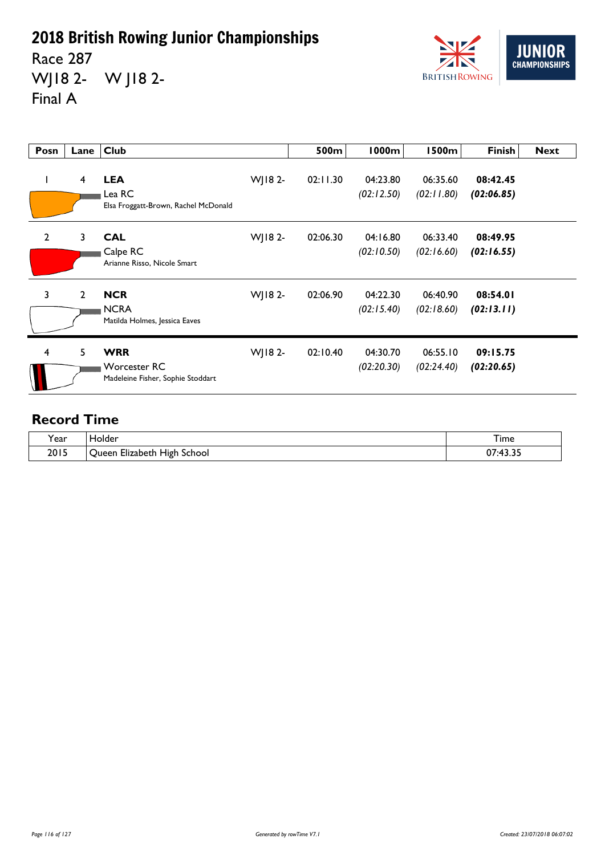Race 287 WJ18 2- W J18 2- Final A



| Posn           | Lane           | <b>Club</b>                                                            |         | 500m     | <b>1000m</b>           | <b>1500m</b>           | <b>Finish</b>          | <b>Next</b> |
|----------------|----------------|------------------------------------------------------------------------|---------|----------|------------------------|------------------------|------------------------|-------------|
| L              | 4              | <b>LEA</b><br>Lea RC<br>Elsa Froggatt-Brown, Rachel McDonald           | WJ182-  | 02:11.30 | 04:23.80<br>(02:12.50) | 06:35.60<br>(02:11.80) | 08:42.45<br>(02:06.85) |             |
| $\overline{2}$ | 3              | <b>CAL</b><br>Calpe RC<br>Arianne Risso, Nicole Smart                  | WJ18 2- | 02:06.30 | 04:16.80<br>(02:10.50) | 06:33.40<br>(02:16.60) | 08:49.95<br>(02:16.55) |             |
| $\mathbf{3}$   | $\overline{2}$ | <b>NCR</b><br><b>NCRA</b><br>Matilda Holmes, Jessica Eaves             | WJ18 2- | 02:06.90 | 04:22.30<br>(02:15.40) | 06:40.90<br>(02:18.60) | 08:54.01<br>(02:13.11) |             |
| 4              | 5              | <b>WRR</b><br><b>Worcester RC</b><br>Madeleine Fisher, Sophie Stoddart | WJ18 2- | 02:10.40 | 04:30.70<br>(02:20.30) | 06:55.10<br>(02:24.40) | 09:15.75<br>(02:20.65) |             |

| $\lambda$<br>rear | <b>Folder</b>                                                | $-$<br>I ime                                              |
|-------------------|--------------------------------------------------------------|-----------------------------------------------------------|
| 2015              | $-1$ .<br>. .<br>School<br>Elizabeth<br><b>High</b><br>Jueer | $\sim$ $\sim$ $\sim$<br>--<br>$\cdot$ $\alpha$<br>v,<br>. |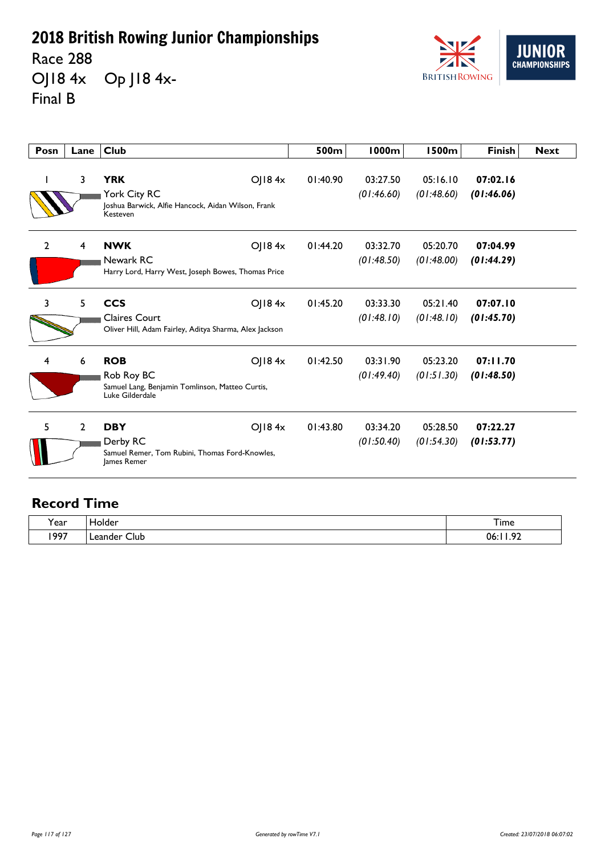Race 288 OJ18 4x Op J18 4x-Final B



| Posn           | Lane           | <b>Club</b>                                                                                                     | 500m     | <b>1000m</b>           | <b>1500m</b>           | <b>Finish</b>          | <b>Next</b> |
|----------------|----------------|-----------------------------------------------------------------------------------------------------------------|----------|------------------------|------------------------|------------------------|-------------|
|                | 3              | <b>YRK</b><br>OJ184x<br>York City RC<br>Joshua Barwick, Alfie Hancock, Aidan Wilson, Frank<br>Kesteven          | 01:40.90 | 03:27.50<br>(01:46.60) | 05:16.10<br>(01:48.60) | 07:02.16<br>(01:46.06) |             |
| $\overline{2}$ | $\overline{4}$ | <b>NWK</b><br>OJ184x<br>Newark RC<br>Harry Lord, Harry West, Joseph Bowes, Thomas Price                         | 01:44.20 | 03:32.70<br>(01:48.50) | 05:20.70<br>(01:48.00) | 07:04.99<br>(01:44.29) |             |
| 3              | 5              | <b>CCS</b><br>OJ184x<br>Claires Court<br>Oliver Hill, Adam Fairley, Aditya Sharma, Alex Jackson                 | 01:45.20 | 03:33.30<br>(01:48.10) | 05:21.40<br>(01:48.10) | 07:07.10<br>(01:45.70) |             |
| 4              | 6              | <b>ROB</b><br>$O$   184 $x$<br>Rob Roy BC<br>Samuel Lang, Benjamin Tomlinson, Matteo Curtis,<br>Luke Gilderdale | 01:42.50 | 03:31.90<br>(01:49.40) | 05:23.20<br>(01:51.30) | 07:11.70<br>(01:48.50) |             |
| 5              | $\overline{2}$ | <b>DBY</b><br>OJ184x<br>Derby RC<br>Samuel Remer, Tom Rubini, Thomas Ford-Knowles,<br>James Remer               | 01:43.80 | 03:34.20<br>(01:50.40) | 05:28.50<br>(01:54.30) | 07:22.27<br>(01:53.77) |             |

| Year | older.          | $-$<br>1 ime                 |
|------|-----------------|------------------------------|
| 1997 | Club<br>Leanger | $\sim$<br>ባሪ<br>. <i>. .</i> |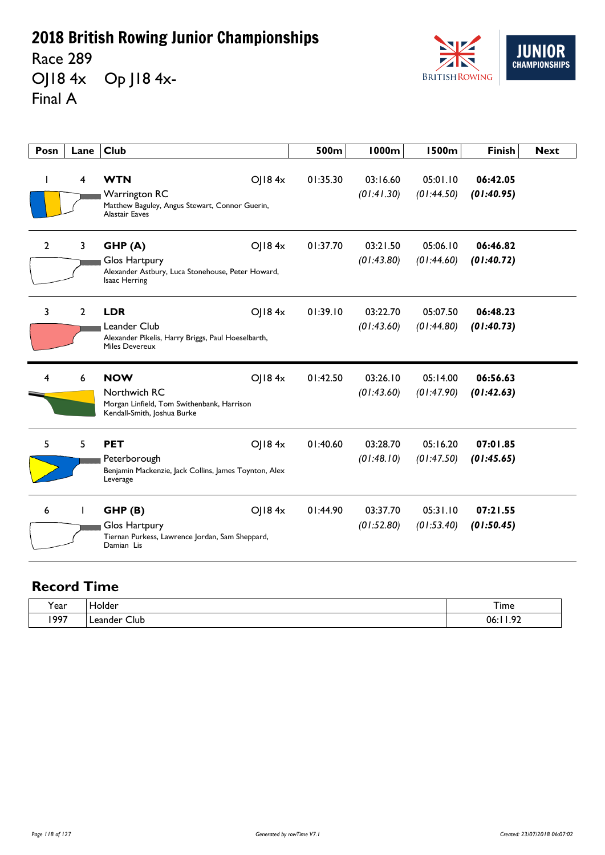Race 289

OJ18 4x Op J18 4x-Final A



| Posn           | Lane           | <b>Club</b>                                                                                                             | 500m     | <b>1000m</b>           | <b>1500m</b>           | <b>Finish</b>          | <b>Next</b> |
|----------------|----------------|-------------------------------------------------------------------------------------------------------------------------|----------|------------------------|------------------------|------------------------|-------------|
|                | $\overline{4}$ | <b>WTN</b><br>OJ184x<br><b>Warrington RC</b><br>Matthew Baguley, Angus Stewart, Connor Guerin,<br><b>Alastair Eaves</b> | 01:35.30 | 03:16.60<br>(01:41.30) | 05:01.10<br>(01:44.50) | 06:42.05<br>(01:40.95) |             |
| $\overline{2}$ | $\mathbf{3}$   | GHP(A)<br>OJ184x<br>Glos Hartpury<br>Alexander Astbury, Luca Stonehouse, Peter Howard,<br>Isaac Herring                 | 01:37.70 | 03:21.50<br>(01:43.80) | 05:06.10<br>(01:44.60) | 06:46.82<br>(01:40.72) |             |
| 3              | $\overline{2}$ | <b>LDR</b><br>O  84x<br>Leander Club<br>Alexander Pikelis, Harry Briggs, Paul Hoeselbarth,<br><b>Miles Devereux</b>     | 01:39.10 | 03:22.70<br>(01:43.60) | 05:07.50<br>(01:44.80) | 06:48.23<br>(01:40.73) |             |
| 4              | 6              | <b>NOW</b><br>O 184x<br>Northwich RC<br>Morgan Linfield, Tom Swithenbank, Harrison<br>Kendall-Smith, Joshua Burke       | 01:42.50 | 03:26.10<br>(01:43.60) | 05:14.00<br>(01:47.90) | 06:56.63<br>(01:42.63) |             |
| 5              | 5              | <b>PET</b><br>O  84x<br>Peterborough<br>Benjamin Mackenzie, Jack Collins, James Toynton, Alex<br>Leverage               | 01:40.60 | 03:28.70<br>(01:48.10) | 05:16.20<br>(01:47.50) | 07:01.85<br>(01:45.65) |             |
| 6              |                | GHP(B)<br>$O$   184 $x$<br>Glos Hartpury<br>Tiernan Purkess, Lawrence Jordan, Sam Sheppard,<br>Damian Lis               | 01:44.90 | 03:37.70<br>(01:52.80) | 05:31.10<br>(01:53.40) | 07:21.55<br>(01:50.45) |             |

| í ear | Holder                          | Time    |
|-------|---------------------------------|---------|
| 1997  | Leander<br>Club<br>- - -<br>- - | ാ<br>ባሬ |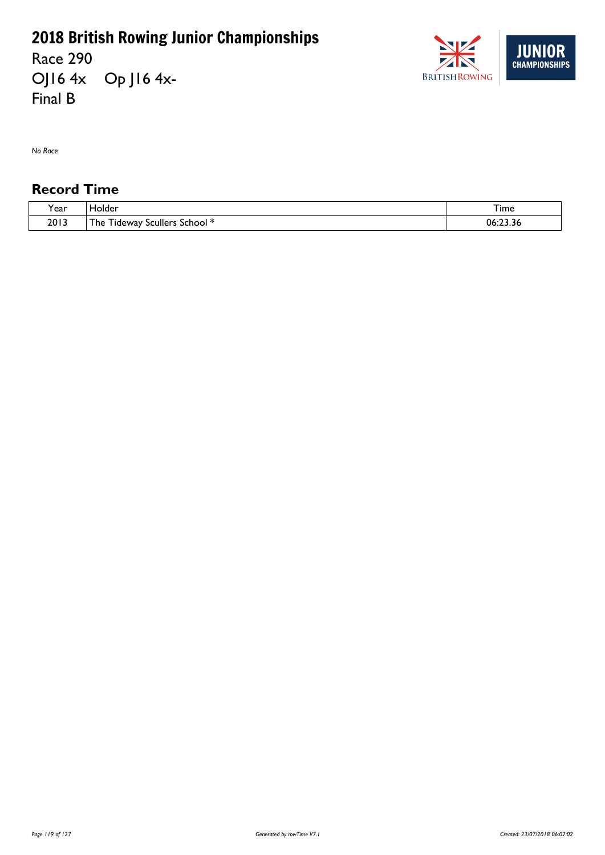Race 290 OJ16 4x Op J16 4x-Final B



*No Race*

| $\cdot$<br>ear? | <b>Tolder</b>                                                                    | $-$<br>∣ ıme             |
|-----------------|----------------------------------------------------------------------------------|--------------------------|
| 2013            | $\overline{\phantom{a}}$<br>- - -<br>School<br>scullers<br>' he<br>l ideway<br>. | $\sim$<br>- 06.<br>23.36 |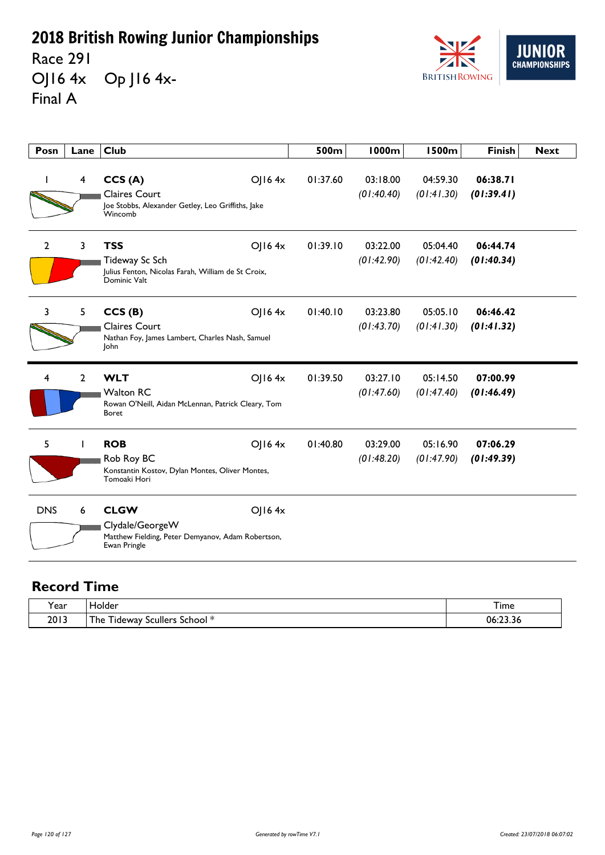Race 291 OJ16 4x Op J16 4x-Final A



| Posn         | Lane           | <b>Club</b>                                                                                                         | 500m     | 1000m                  | <b>1500m</b>           | <b>Finish</b>          | <b>Next</b> |
|--------------|----------------|---------------------------------------------------------------------------------------------------------------------|----------|------------------------|------------------------|------------------------|-------------|
|              | 4              | CCS(A)<br>$O$   16 4x<br><b>Claires Court</b><br>Joe Stobbs, Alexander Getley, Leo Griffiths, Jake<br>Wincomb       | 01:37.60 | 03:18.00<br>(01:40.40) | 04:59.30<br>(01:41.30) | 06:38.71<br>(01:39.41) |             |
| $\mathbf{2}$ | 3              | <b>TSS</b><br>$O$   16 4x<br>Tideway Sc Sch<br>Julius Fenton, Nicolas Farah, William de St Croix,<br>Dominic Valt   | 01:39.10 | 03:22.00<br>(01:42.90) | 05:04.40<br>(01:42.40) | 06:44.74<br>(01:40.34) |             |
| 3            | 5              | CCS(B)<br>$O$   16 4x<br><b>Claires Court</b><br>Nathan Foy, James Lambert, Charles Nash, Samuel<br>John            | 01:40.10 | 03:23.80<br>(01:43.70) | 05:05.10<br>(01:41.30) | 06:46.42<br>(01:41.32) |             |
| 4            | $\overline{2}$ | <b>WLT</b><br>$O$   16 4x<br><b>Walton RC</b><br>Rowan O'Neill, Aidan McLennan, Patrick Cleary, Tom<br><b>Boret</b> | 01:39.50 | 03:27.10<br>(01:47.60) | 05:14.50<br>(01:47.40) | 07:00.99<br>(01:46.49) |             |
| 5            |                | <b>ROB</b><br>$O$   16 4x<br>Rob Roy BC<br>Konstantin Kostov, Dylan Montes, Oliver Montes,<br>Tomoaki Hori          | 01:40.80 | 03:29.00<br>(01:48.20) | 05:16.90<br>(01:47.90) | 07:06.29<br>(01:49.39) |             |
| <b>DNS</b>   | 6              | <b>CLGW</b><br>$O$   16 4x<br>Clydale/GeorgeW<br>Matthew Fielding, Peter Demyanov, Adam Robertson,<br>Ewan Pringle  |          |                        |                        |                        |             |

| Year | Holder                                                          | $ -$<br>I ime |
|------|-----------------------------------------------------------------|---------------|
| 2013 | ÷.<br>- 55<br>' he<br>$\sim$ School $*$<br>i ideway<br>Scullers | 06:23.36      |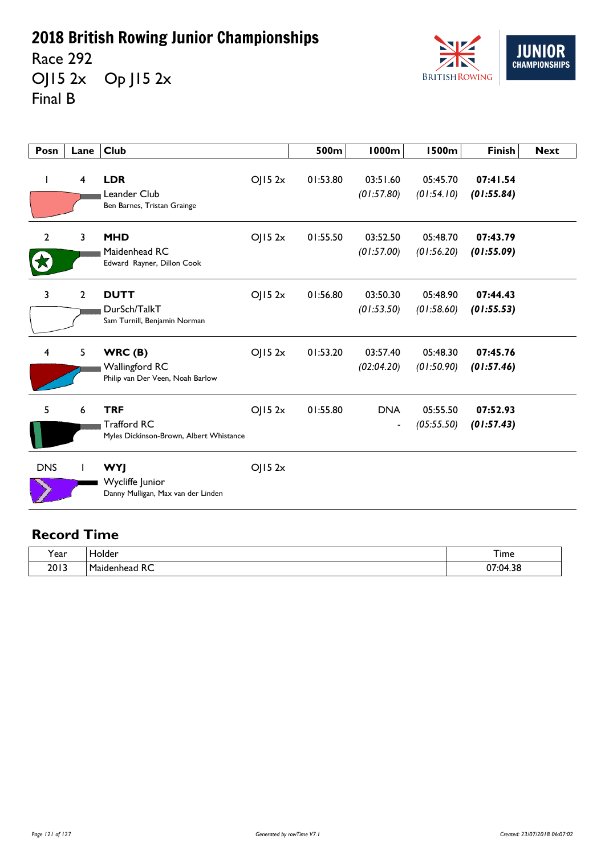Race 292 OJ15 2x Op J15 2x Final B



| Posn           | Lane           | <b>Club</b>                                                                 |        | 500m     | 1000m                                      | <b>1500m</b>           | <b>Finish</b>          | <b>Next</b> |
|----------------|----------------|-----------------------------------------------------------------------------|--------|----------|--------------------------------------------|------------------------|------------------------|-------------|
| $\mathbf{I}$   | 4              | <b>LDR</b><br>Leander Club<br>Ben Barnes, Tristan Grainge                   | OJ152x | 01:53.80 | 03:51.60<br>(01:57.80)                     | 05:45.70<br>(01:54.10) | 07:41.54<br>(01:55.84) |             |
| $\overline{2}$ | 3              | <b>MHD</b><br>Maidenhead RC<br>Edward Rayner, Dillon Cook                   | OJ152x | 01:55.50 | 03:52.50<br>(01:57.00)                     | 05:48.70<br>(01:56.20) | 07:43.79<br>(01:55.09) |             |
| 3              | $\overline{2}$ | <b>DUTT</b><br>DurSch/TalkT<br>Sam Turnill, Benjamin Norman                 | OJ152x | 01:56.80 | 03:50.30<br>(01:53.50)                     | 05:48.90<br>(01:58.60) | 07:44.43<br>(01:55.53) |             |
| 4              | 5              | WRC(B)<br><b>Wallingford RC</b><br>Philip van Der Veen, Noah Barlow         | OJ152x | 01:53.20 | 03:57.40<br>(02:04.20)                     | 05:48.30<br>(01:50.90) | 07:45.76<br>(01:57.46) |             |
| 5              | 6              | <b>TRF</b><br><b>Trafford RC</b><br>Myles Dickinson-Brown, Albert Whistance | OJ152x | 01:55.80 | <b>DNA</b><br>$\qquad \qquad \blacksquare$ | 05:55.50<br>(05:55.50) | 07:52.93<br>(01:57.43) |             |
| <b>DNS</b>     |                | <b>WYJ</b><br>Wycliffe Junior<br>Danny Mulligan, Max van der Linden         | OJ152x |          |                                            |                        |                        |             |

| <b>Year</b> | ann .<br>◡                                                        | --<br>.<br>Time                                |
|-------------|-------------------------------------------------------------------|------------------------------------------------|
| 2013        | -<br>-<br>- 53<br>. .<br>NC<br>$\sim$ $\sim$ $\sim$ $\sim$ $\sim$ | $\mathcal{D}$<br>י כ<br>$\cdot$ $\cdot$ $\sim$ |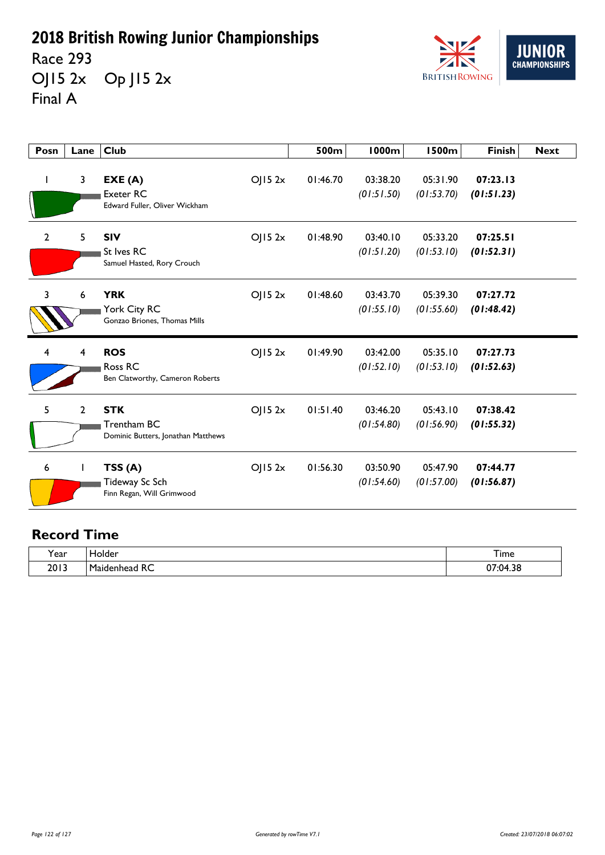Race 293 OJ15 2x Op J15 2x Final A



| Posn           | Lane           | <b>Club</b>                                                         |        | 500m     | <b>1000m</b>           | <b>1500m</b>           | <b>Finish</b>          | <b>Next</b> |
|----------------|----------------|---------------------------------------------------------------------|--------|----------|------------------------|------------------------|------------------------|-------------|
| $\mathbf{I}$   | 3              | EXE(A)<br><b>Exeter RC</b><br>Edward Fuller, Oliver Wickham         | OJ152x | 01:46.70 | 03:38.20<br>(01:51.50) | 05:31.90<br>(01:53.70) | 07:23.13<br>(01:51.23) |             |
| $\overline{2}$ | 5              | <b>SIV</b><br>St Ives RC<br>Samuel Hasted, Rory Crouch              | OJ152x | 01:48.90 | 03:40.10<br>(01:51.20) | 05:33.20<br>(01:53.10) | 07:25.51<br>(01:52.31) |             |
| 3              | 6              | <b>YRK</b><br>York City RC<br>Gonzao Briones, Thomas Mills          | OJ152x | 01:48.60 | 03:43.70<br>(01:55.10) | 05:39.30<br>(01:55.60) | 07:27.72<br>(01:48.42) |             |
| 4              | 4              | <b>ROS</b><br>Ross <sub>RC</sub><br>Ben Clatworthy, Cameron Roberts | OJ152x | 01:49.90 | 03:42.00<br>(01:52.10) | 05:35.10<br>(01:53.10) | 07:27.73<br>(01:52.63) |             |
| 5              | $\overline{2}$ | <b>STK</b><br>Trentham BC<br>Dominic Butters, Jonathan Matthews     | OJ152x | 01:51.40 | 03:46.20<br>(01:54.80) | 05:43.10<br>(01:56.90) | 07:38.42<br>(01:55.32) |             |
| 6              |                | TSS(A)<br>Tideway Sc Sch<br>Finn Regan, Will Grimwood               | OJ152x | 01:56.30 | 03:50.90<br>(01:54.60) | 05:47.90<br>(01:57.00) | 07:44.77<br>(01:56.87) |             |

| . .<br>'ear | <b>lolder</b>                              | --<br>I ime                         |
|-------------|--------------------------------------------|-------------------------------------|
| 2013        | -<br>D.<br>m.<br>1aidenhead<br>ᅐ<br>$\sim$ | $\sim$<br>n c<br>/:04<br>1.JC<br>v, |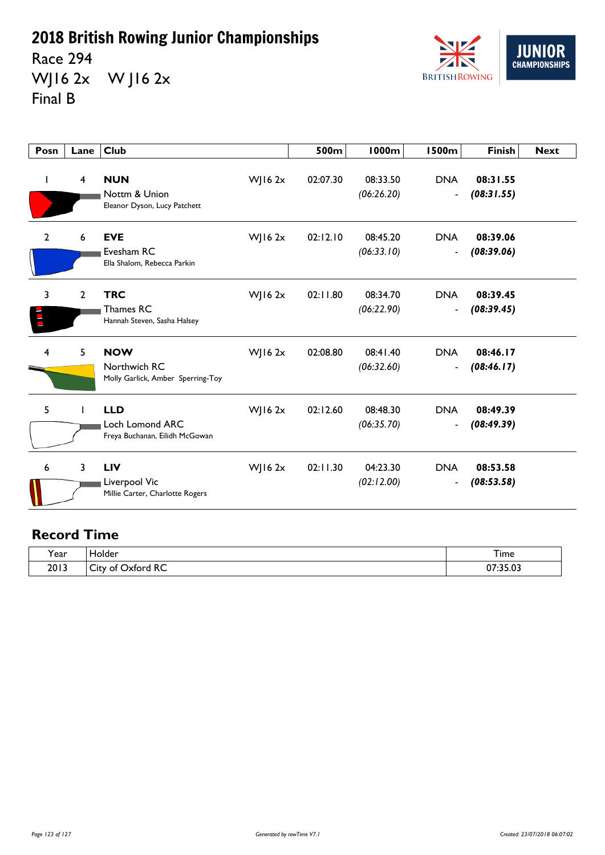Race 294 WJ16 2x W J16 2x Final B



| Posn                          | Lane           | <b>Club</b>                                                            |             | 500m     | <b>1000m</b>           | <b>1500m</b>                           | <b>Finish</b>          | <b>Next</b> |
|-------------------------------|----------------|------------------------------------------------------------------------|-------------|----------|------------------------|----------------------------------------|------------------------|-------------|
| $\mathbf{I}$                  | 4              | <b>NUN</b><br>Nottm & Union<br>Eleanor Dyson, Lucy Patchett            | $W$ ] 16 2x | 02:07.30 | 08:33.50<br>(06:26.20) | <b>DNA</b><br>$\blacksquare$           | 08:31.55<br>(08:31.55) |             |
| $\overline{2}$                | 6              | <b>EVE</b><br>Evesham RC<br>Ella Shalom, Rebecca Parkin                | WJ16 $2x$   | 02:12.10 | 08:45.20<br>(06:33.10) | <b>DNA</b><br>$\overline{\phantom{a}}$ | 08:39.06<br>(08:39.06) |             |
| 3<br>$\overline{\phantom{a}}$ | $\overline{2}$ | <b>TRC</b><br>Thames RC<br>Hannah Steven, Sasha Halsey                 | WJ16 $2x$   | 02:11.80 | 08:34.70<br>(06:22.90) | <b>DNA</b><br>$\blacksquare$           | 08:39.45<br>(08:39.45) |             |
| 4                             | 5              | <b>NOW</b><br>Northwich RC<br>Molly Garlick, Amber Sperring-Toy        | $W$   16 2x | 02:08.80 | 08:41.40<br>(06:32.60) | <b>DNA</b><br>$\blacksquare$           | 08:46.17<br>(08:46.17) |             |
| 5                             |                | <b>LLD</b><br><b>Loch Lomond ARC</b><br>Freya Buchanan, Eilidh McGowan | WJ16 $2x$   | 02:12.60 | 08:48.30<br>(06:35.70) | <b>DNA</b><br>$\blacksquare$           | 08:49.39<br>(08:49.39) |             |
| 6                             | 3              | <b>LIV</b><br>Liverpool Vic<br>Millie Carter, Charlotte Rogers         | WJ16 $2x$   | 02:11.30 | 04:23.30<br>(02:12.00) | <b>DNA</b><br>$\blacksquare$           | 08:53.58<br>(08:53.58) |             |

| $\cdot$      | iolder                                                    | –                                   |
|--------------|-----------------------------------------------------------|-------------------------------------|
| <b>Y</b> ear |                                                           | <b>l</b> ime                        |
| 2013         | $D^{\prime}$<br>$\sim$<br><b>Dxford</b><br>۔utv of<br>KC. | רח חר.<br>$\sim$<br><u>07:35.03</u> |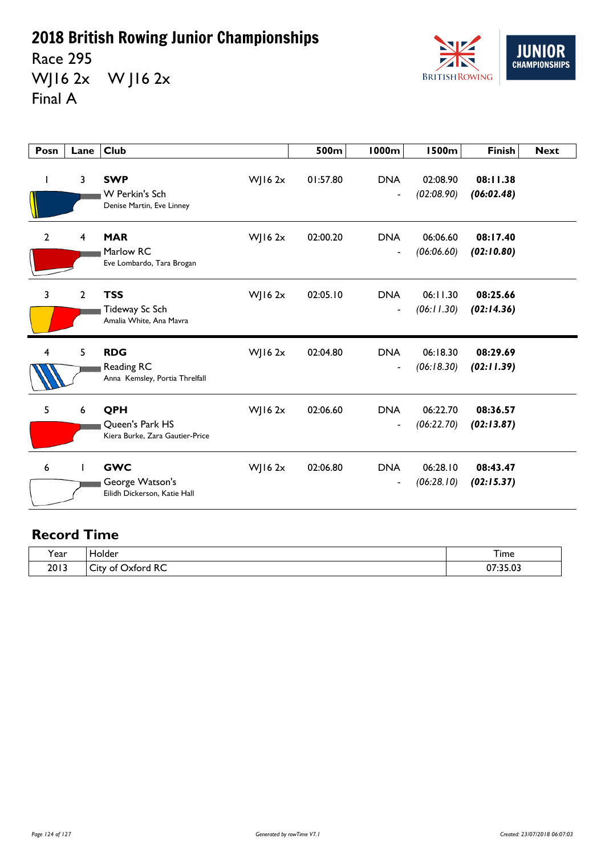Race 295 WJ16 2x W J16 2x Final A



| Posn           | Lane | <b>Club</b>                                                   |             | 500m     | <b>1000m</b>                               | <b>1500m</b>           | <b>Finish</b>          | <b>Next</b> |
|----------------|------|---------------------------------------------------------------|-------------|----------|--------------------------------------------|------------------------|------------------------|-------------|
| ı              | 3    | <b>SWP</b><br>W Perkin's Sch<br>Denise Martin, Eve Linney     | $W$ JI6 2x  | 01:57.80 | <b>DNA</b><br>$\overline{a}$               | 02:08.90<br>(02:08.90) | 08:11.38<br>(06:02.48) |             |
| $\overline{2}$ | 4    | <b>MAR</b><br>Marlow RC<br>Eve Lombardo, Tara Brogan          | WJ16 $2x$   | 02:00.20 | <b>DNA</b><br>$\overline{a}$               | 06:06.60<br>(06:06.60) | 08:17.40<br>(02:10.80) |             |
| $\overline{3}$ | 2    | <b>TSS</b><br>Tideway Sc Sch<br>Amalia White, Ana Mavra       | WJ16 $2x$   | 02:05.10 | <b>DNA</b><br>$\overline{\phantom{a}}$     | 06:11.30<br>(06:11.30) | 08:25.66<br>(02:14.36) |             |
| 4              | 5    | <b>RDG</b><br>Reading RC<br>Anna Kemsley, Portia Threlfall    | $W$ J 16 2x | 02:04.80 | <b>DNA</b><br>$\blacksquare$               | 06:18.30<br>(06:18.30) | 08:29.69<br>(02:11.39) |             |
| 5              | 6    | QPH<br>Queen's Park HS<br>Kiera Burke, Zara Gautier-Price     | WJ16 $2x$   | 02:06.60 | <b>DNA</b><br>$\qquad \qquad \blacksquare$ | 06:22.70<br>(06:22.70) | 08:36.57<br>(02:13.87) |             |
| 6              |      | <b>GWC</b><br>George Watson's<br>Eilidh Dickerson, Katie Hall | $W$ JI6 2x  | 02:06.80 | <b>DNA</b><br>$\overline{\phantom{a}}$     | 06:28.10<br>(06:28.10) | 08:43.47<br>(02:15.37) |             |

| v     | <b>iolder</b>                                 | –                         |
|-------|-----------------------------------------------|---------------------------|
| rear) | ____                                          | <b>l</b> ime              |
| 2013  | <b>xford RC</b><br>N<br>$\sim$<br>∟it⊻<br>ັບເ | 250<br>$\sim$<br>U/:35.U3 |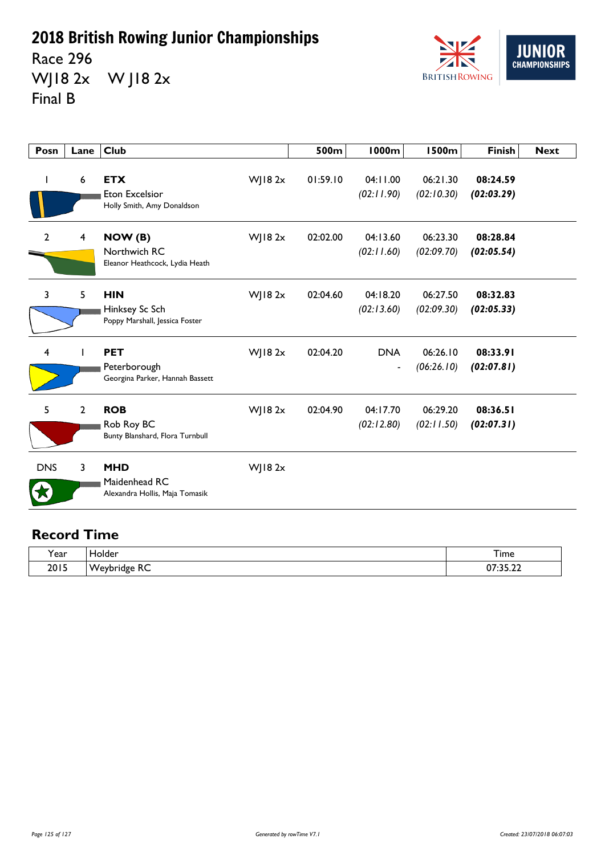Race 296 WJ18 2x W J18 2x Final B



| Posn           | Lane           | <b>Club</b>                                                       |             | 500m     | <b>1000m</b>                           | <b>1500m</b>           | <b>Finish</b>          | <b>Next</b> |
|----------------|----------------|-------------------------------------------------------------------|-------------|----------|----------------------------------------|------------------------|------------------------|-------------|
| I.             | 6              | <b>ETX</b><br><b>Eton Excelsior</b><br>Holly Smith, Amy Donaldson | $W$ ] 18 2x | 01:59.10 | 04:11.00<br>(02:11.90)                 | 06:21.30<br>(02:10.30) | 08:24.59<br>(02:03.29) |             |
| $\overline{2}$ | 4              | NOW (B)<br>Northwich RC<br>Eleanor Heathcock, Lydia Heath         | $W$ JI8 2x  | 02:02.00 | 04:13.60<br>(02:11.60)                 | 06:23.30<br>(02:09.70) | 08:28.84<br>(02:05.54) |             |
| $\overline{3}$ | 5              | <b>HIN</b><br>Hinksey Sc Sch<br>Poppy Marshall, Jessica Foster    | $W$ JI8 2x  | 02:04.60 | 04:18.20<br>(02:13.60)                 | 06:27.50<br>(02:09.30) | 08:32.83<br>(02:05.33) |             |
| $\overline{4}$ |                | <b>PET</b><br>Peterborough<br>Georgina Parker, Hannah Bassett     | $W$ ] 18 2x | 02:04.20 | <b>DNA</b><br>$\overline{\phantom{a}}$ | 06:26.10<br>(06:26.10) | 08:33.91<br>(02:07.81) |             |
| 5              | $\overline{2}$ | <b>ROB</b><br>Rob Roy BC<br>Bunty Blanshard, Flora Turnbull       | $W$ ] 18 2x | 02:04.90 | 04:17.70<br>(02:12.80)                 | 06:29.20<br>(02:11.50) | 08:36.51<br>(02:07.31) |             |
| <b>DNS</b>     | 3              | <b>MHD</b><br>Maidenhead RC<br>Alexandra Hollis, Maja Tomasik     | $W$ ] 18 2x |          |                                        |                        |                        |             |

| $\cdot$             | older.                                        | --                                  |
|---------------------|-----------------------------------------------|-------------------------------------|
| Year                | ____                                          | I ime                               |
| 201F<br><b>ZUIJ</b> | ~~<br>۱W<br>.<br>יי<br>$\cdot$ $\cdot$ $\sim$ | $\sim$ $\sim$ $\sim$<br>$\sim$<br>. |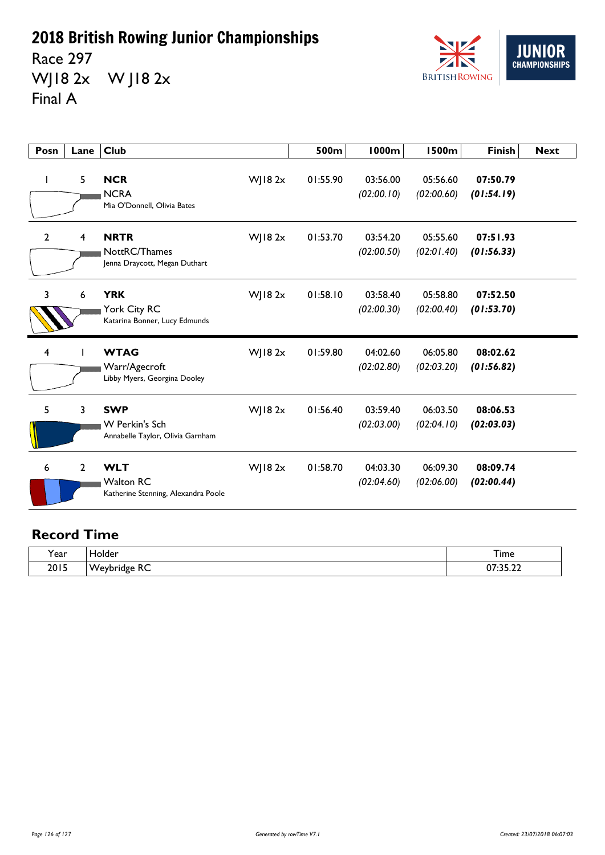Race 297 WJ18 2x W J18 2x Final A



| Posn         | Lane           | <b>Club</b>                                                           |               | 500m     | 1000m                  | <b>1500m</b>           | <b>Finish</b>          | <b>Next</b> |
|--------------|----------------|-----------------------------------------------------------------------|---------------|----------|------------------------|------------------------|------------------------|-------------|
|              | 5              | <b>NCR</b><br><b>NCRA</b><br>Mia O'Donnell, Olivia Bates              | $W$   182 $x$ | 01:55.90 | 03:56.00<br>(02:00.10) | 05:56.60<br>(02:00.60) | 07:50.79<br>(01:54.19) |             |
| $\mathbf{2}$ | 4              | <b>NRTR</b><br>NottRC/Thames<br>Jenna Draycott, Megan Duthart         | WJ18 $2x$     | 01:53.70 | 03:54.20<br>(02:00.50) | 05:55.60<br>(02:01.40) | 07:51.93<br>(01:56.33) |             |
| 3            | 6              | <b>YRK</b><br>York City RC<br>Katarina Bonner, Lucy Edmunds           | WJ18 $2x$     | 01:58.10 | 03:58.40<br>(02:00.30) | 05:58.80<br>(02:00.40) | 07:52.50<br>(01:53.70) |             |
| 4            |                | <b>WTAG</b><br>Warr/Agecroft<br>Libby Myers, Georgina Dooley          | $W$   182 $x$ | 01:59.80 | 04:02.60<br>(02:02.80) | 06:05.80<br>(02:03.20) | 08:02.62<br>(01:56.82) |             |
| 5            | 3              | <b>SWP</b><br>W Perkin's Sch<br>Annabelle Taylor, Olivia Garnham      | WJ18 $2x$     | 01:56.40 | 03:59.40<br>(02:03.00) | 06:03.50<br>(02:04.10) | 08:06.53<br>(02:03.03) |             |
| 6            | $\overline{2}$ | <b>WLT</b><br><b>Walton RC</b><br>Katherine Stenning, Alexandra Poole | WJ18 $2x$     | 01:58.70 | 04:03.30<br>(02:04.60) | 06:09.30<br>(02:06.00) | 08:09.74<br>(02:00.44) |             |

| $\ddot{\phantom{1}}$ | older                             | --                                        |
|----------------------|-----------------------------------|-------------------------------------------|
| <b>r</b> ear         |                                   | <b>l</b> ime                              |
| 2015                 | ~~<br>$M_{\odot}$<br>nridσa<br>NC | $\sim$ $\sim$ $\sim$<br>$\sim$<br>v,<br>. |